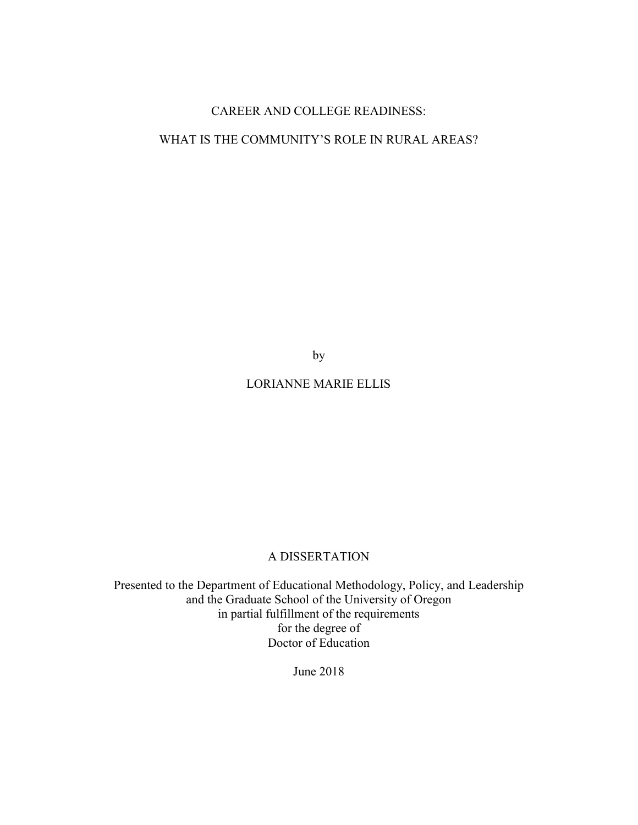# CAREER AND COLLEGE READINESS:

# WHAT IS THE COMMUNITY'S ROLE IN RURAL AREAS?

by

# LORIANNE MARIE ELLIS

# A DISSERTATION

Presented to the Department of Educational Methodology, Policy, and Leadership and the Graduate School of the University of Oregon in partial fulfillment of the requirements for the degree of Doctor of Education

June 2018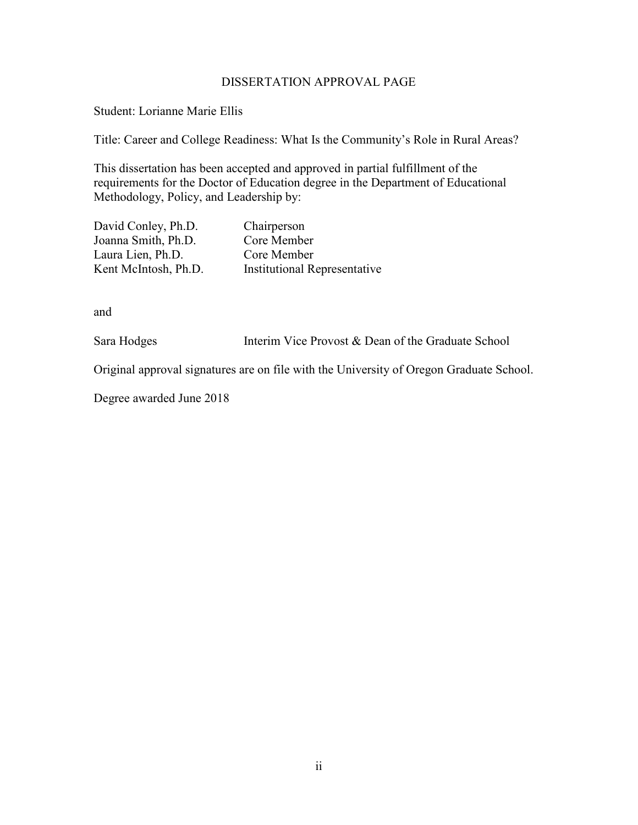## DISSERTATION APPROVAL PAGE

Student: Lorianne Marie Ellis

Title: Career and College Readiness: What Is the Community's Role in Rural Areas?

This dissertation has been accepted and approved in partial fulfillment of the requirements for the Doctor of Education degree in the Department of Educational Methodology, Policy, and Leadership by:

| David Conley, Ph.D.  | Chairperson                         |
|----------------------|-------------------------------------|
| Joanna Smith, Ph.D.  | Core Member                         |
| Laura Lien, Ph.D.    | Core Member                         |
| Kent McIntosh, Ph.D. | <b>Institutional Representative</b> |

and

Sara Hodges Interim Vice Provost & Dean of the Graduate School

Original approval signatures are on file with the University of Oregon Graduate School.

Degree awarded June 2018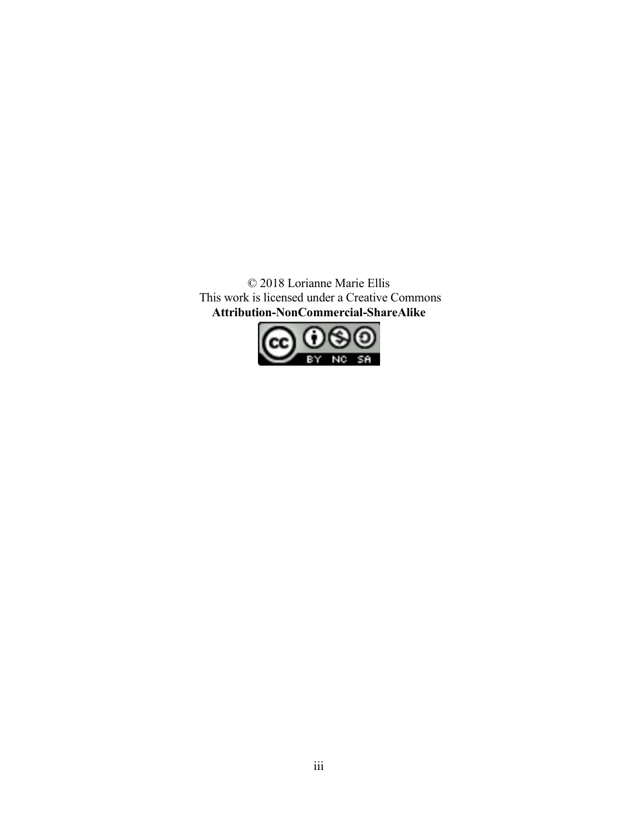© 2018 Lorianne Marie Ellis This work is licensed under a Creative Commons **Attribution-NonCommercial-ShareAlike** 

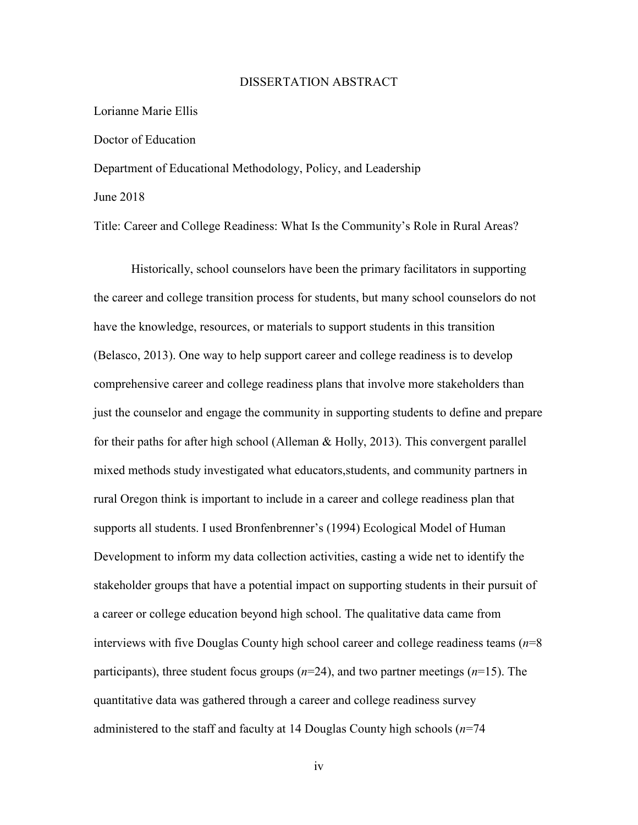## DISSERTATION ABSTRACT

### Lorianne Marie Ellis

## Doctor of Education

Department of Educational Methodology, Policy, and Leadership June 2018

Title: Career and College Readiness: What Is the Community's Role in Rural Areas?

Historically, school counselors have been the primary facilitators in supporting the career and college transition process for students, but many school counselors do not have the knowledge, resources, or materials to support students in this transition (Belasco, 2013). One way to help support career and college readiness is to develop comprehensive career and college readiness plans that involve more stakeholders than just the counselor and engage the community in supporting students to define and prepare for their paths for after high school (Alleman & Holly, 2013). This convergent parallel mixed methods study investigated what educators,students, and community partners in rural Oregon think is important to include in a career and college readiness plan that supports all students. I used Bronfenbrenner's (1994) Ecological Model of Human Development to inform my data collection activities, casting a wide net to identify the stakeholder groups that have a potential impact on supporting students in their pursuit of a career or college education beyond high school. The qualitative data came from interviews with five Douglas County high school career and college readiness teams (*n*=8 participants), three student focus groups (*n*=24), and two partner meetings (*n*=15). The quantitative data was gathered through a career and college readiness survey administered to the staff and faculty at 14 Douglas County high schools (*n*=74

iv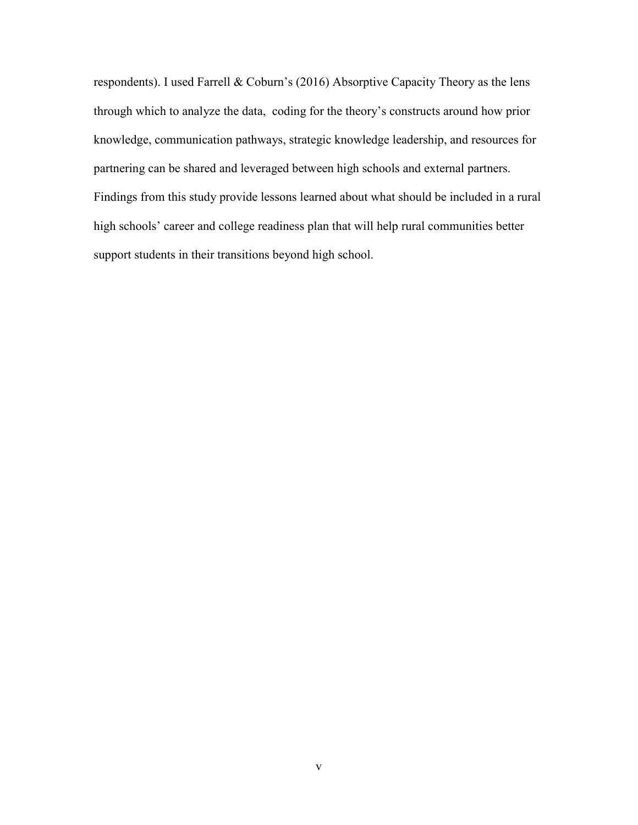respondents). I used Farrell & Coburn's (2016) Absorptive Capacity Theory as the lens through which to analyze the data, coding for the theory's constructs around how prior knowledge, communication pathways, strategic knowledge leadership, and resources for partnering can be shared and leveraged between high schools and external partners. Findings from this study provide lessons learned about what should be included in a rural high schools' career and college readiness plan that will help rural communities better support students in their transitions beyond high school.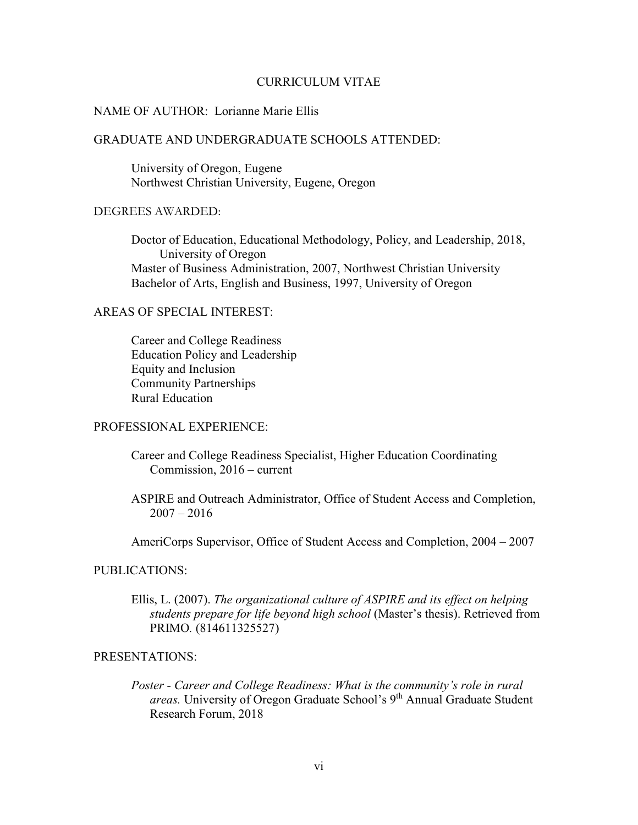### CURRICULUM VITAE

## NAME OF AUTHOR: Lorianne Marie Ellis

# GRADUATE AND UNDERGRADUATE SCHOOLS ATTENDED:

 University of Oregon, Eugene Northwest Christian University, Eugene, Oregon

### DEGREES AWARDED:

 Doctor of Education, Educational Methodology, Policy, and Leadership, 2018, University of Oregon Master of Business Administration, 2007, Northwest Christian University Bachelor of Arts, English and Business, 1997, University of Oregon

## AREAS OF SPECIAL INTEREST:

 Career and College Readiness Education Policy and Leadership Equity and Inclusion Community Partnerships Rural Education

### PROFESSIONAL EXPERIENCE:

- Career and College Readiness Specialist, Higher Education Coordinating Commission, 2016 – current
- ASPIRE and Outreach Administrator, Office of Student Access and Completion,  $2007 - 2016$

AmeriCorps Supervisor, Office of Student Access and Completion, 2004 – 2007

### PUBLICATIONS:

Ellis, L. (2007). *The organizational culture of ASPIRE and its effect on helping students prepare for life beyond high school* (Master's thesis). Retrieved from PRIMO*.* (814611325527)

### PRESENTATIONS:

*Poster - Career and College Readiness: What is the community's role in rural areas.* University of Oregon Graduate School's 9<sup>th</sup> Annual Graduate Student Research Forum, 2018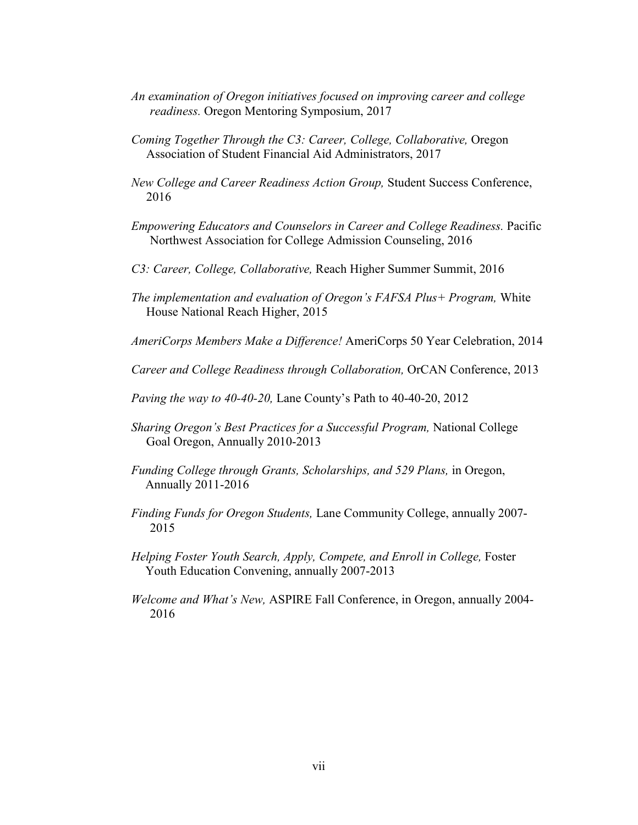- *An examination of Oregon initiatives focused on improving career and college readiness.* Oregon Mentoring Symposium, 2017
- *Coming Together Through the C3: Career, College, Collaborative,* Oregon Association of Student Financial Aid Administrators, 2017
- *New College and Career Readiness Action Group,* Student Success Conference, 2016
- *Empowering Educators and Counselors in Career and College Readiness.* Pacific Northwest Association for College Admission Counseling, 2016
- *C3: Career, College, Collaborative,* Reach Higher Summer Summit, 2016
- *The implementation and evaluation of Oregon's FAFSA Plus+ Program,* White House National Reach Higher, 2015
- *AmeriCorps Members Make a Difference!* AmeriCorps 50 Year Celebration, 2014
- *Career and College Readiness through Collaboration,* OrCAN Conference, 2013
- *Paving the way to 40-40-20,* Lane County's Path to 40-40-20, 2012
- *Sharing Oregon's Best Practices for a Successful Program,* National College Goal Oregon, Annually 2010-2013
- *Funding College through Grants, Scholarships, and 529 Plans,* in Oregon, Annually 2011-2016
- *Finding Funds for Oregon Students,* Lane Community College, annually 2007- 2015
- *Helping Foster Youth Search, Apply, Compete, and Enroll in College, Foster* Youth Education Convening, annually 2007-2013
- *Welcome and What's New,* ASPIRE Fall Conference, in Oregon, annually 2004- 2016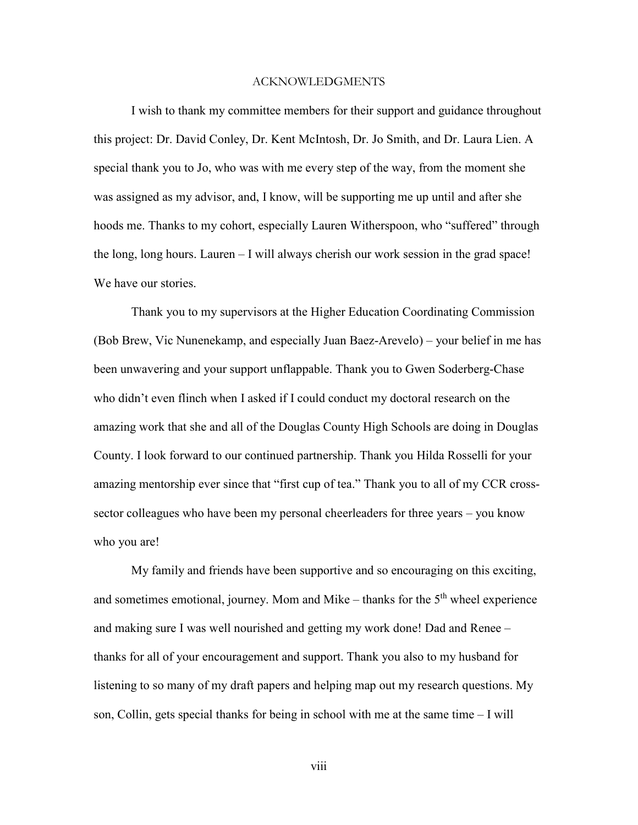#### ACKNOWLEDGMENTS

I wish to thank my committee members for their support and guidance throughout this project: Dr. David Conley, Dr. Kent McIntosh, Dr. Jo Smith, and Dr. Laura Lien. A special thank you to Jo, who was with me every step of the way, from the moment she was assigned as my advisor, and, I know, will be supporting me up until and after she hoods me. Thanks to my cohort, especially Lauren Witherspoon, who "suffered" through the long, long hours. Lauren – I will always cherish our work session in the grad space! We have our stories.

Thank you to my supervisors at the Higher Education Coordinating Commission (Bob Brew, Vic Nunenekamp, and especially Juan Baez-Arevelo) – your belief in me has been unwavering and your support unflappable. Thank you to Gwen Soderberg-Chase who didn't even flinch when I asked if I could conduct my doctoral research on the amazing work that she and all of the Douglas County High Schools are doing in Douglas County. I look forward to our continued partnership. Thank you Hilda Rosselli for your amazing mentorship ever since that "first cup of tea." Thank you to all of my CCR crosssector colleagues who have been my personal cheerleaders for three years – you know who you are!

My family and friends have been supportive and so encouraging on this exciting, and sometimes emotional, journey. Mom and Mike – thanks for the  $5<sup>th</sup>$  wheel experience and making sure I was well nourished and getting my work done! Dad and Renee – thanks for all of your encouragement and support. Thank you also to my husband for listening to so many of my draft papers and helping map out my research questions. My son, Collin, gets special thanks for being in school with me at the same time – I will

viii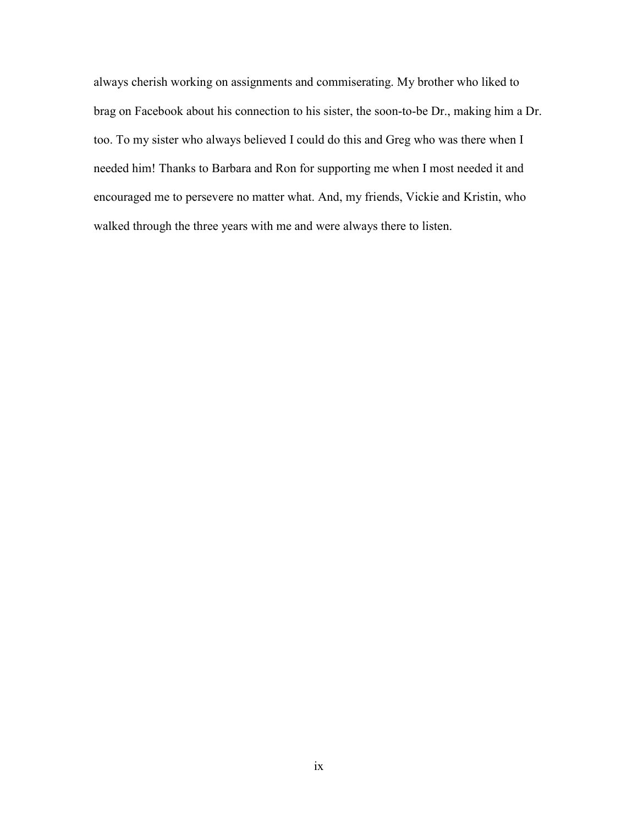always cherish working on assignments and commiserating. My brother who liked to brag on Facebook about his connection to his sister, the soon-to-be Dr., making him a Dr. too. To my sister who always believed I could do this and Greg who was there when I needed him! Thanks to Barbara and Ron for supporting me when I most needed it and encouraged me to persevere no matter what. And, my friends, Vickie and Kristin, who walked through the three years with me and were always there to listen.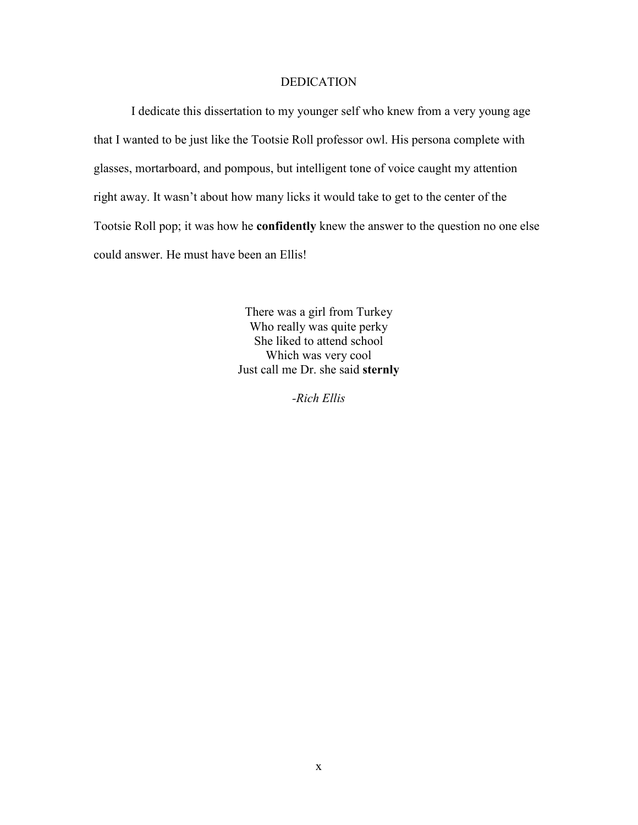## DEDICATION

I dedicate this dissertation to my younger self who knew from a very young age that I wanted to be just like the Tootsie Roll professor owl. His persona complete with glasses, mortarboard, and pompous, but intelligent tone of voice caught my attention right away. It wasn't about how many licks it would take to get to the center of the Tootsie Roll pop; it was how he **confidently** knew the answer to the question no one else could answer. He must have been an Ellis!

> There was a girl from Turkey Who really was quite perky She liked to attend school Which was very cool Just call me Dr. she said **sternly**

> > *-Rich Ellis*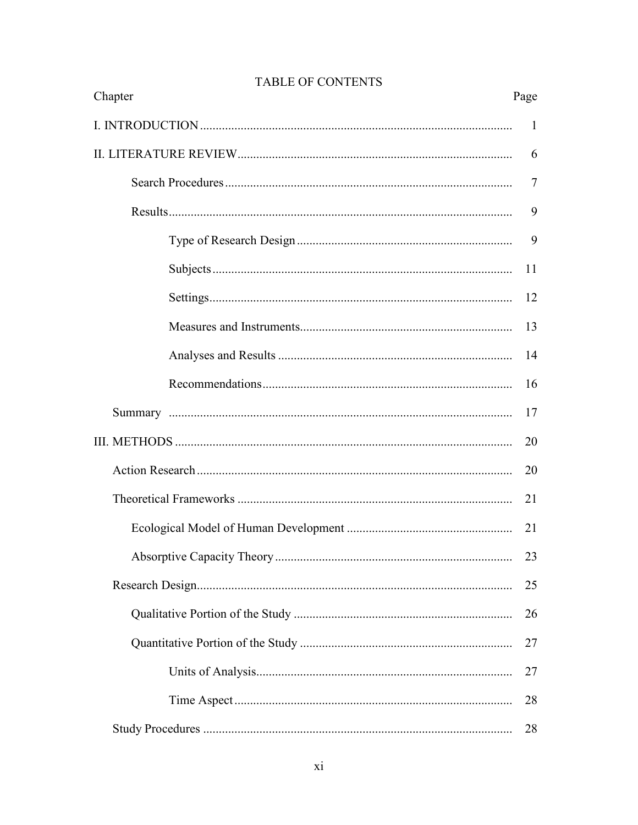| Chapter |  | Page           |
|---------|--|----------------|
|         |  | -1             |
|         |  | 6              |
|         |  | $\overline{7}$ |
|         |  | 9              |
|         |  | 9              |
|         |  | 11             |
|         |  | 12             |
|         |  | 13             |
|         |  | 14             |
|         |  | 16             |
|         |  | 17             |
|         |  | 20             |
|         |  | 20             |
|         |  | 21             |
|         |  | 21             |
|         |  | 23             |
|         |  | 25             |
|         |  | 26             |
|         |  | 27             |
|         |  | 27             |
|         |  | 28             |
|         |  | 28             |

# **TABLE OF CONTENTS**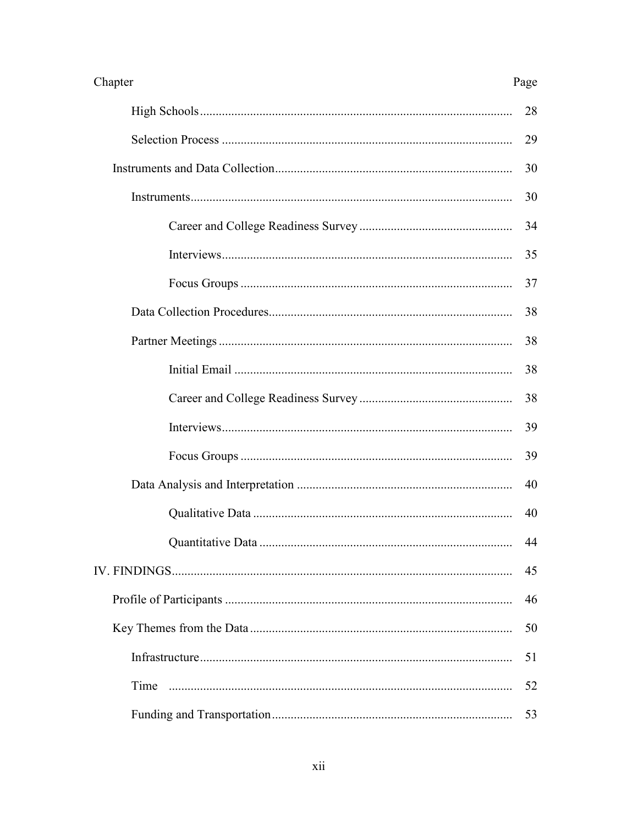| Chapter<br>Page |    |
|-----------------|----|
|                 | 28 |
|                 | 29 |
|                 | 30 |
|                 | 30 |
|                 | 34 |
|                 | 35 |
|                 | 37 |
|                 | 38 |
|                 | 38 |
|                 | 38 |
|                 | 38 |
|                 | 39 |
|                 | 39 |
|                 | 40 |
|                 | 40 |
|                 | 44 |
|                 | 45 |
|                 | 46 |
|                 | 50 |
|                 | 51 |
| Time            | 52 |
|                 | 53 |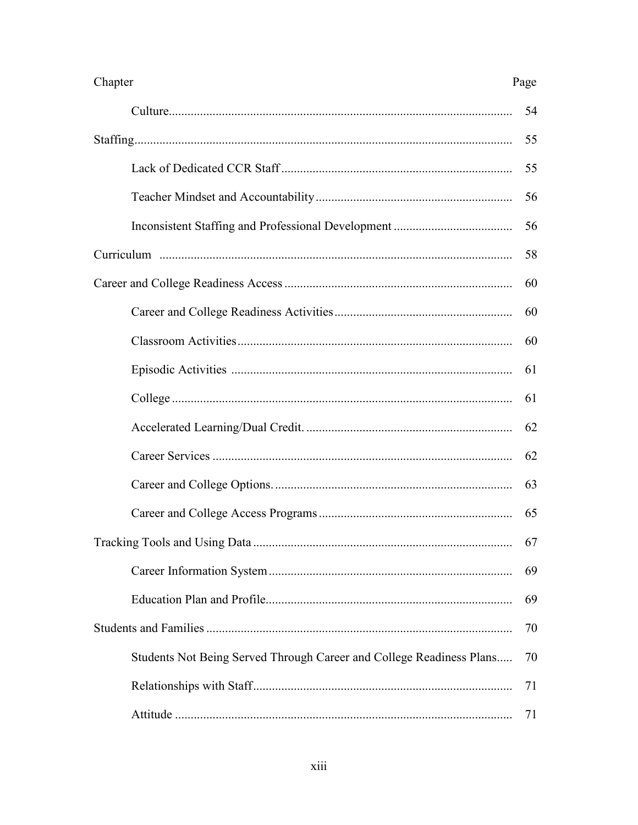| Chapter                                                              | Page |
|----------------------------------------------------------------------|------|
|                                                                      | 54   |
|                                                                      | 55   |
|                                                                      | 55   |
|                                                                      | 56   |
|                                                                      | 56   |
|                                                                      | 58   |
|                                                                      | 60   |
|                                                                      | 60   |
|                                                                      | 60   |
|                                                                      | 61   |
|                                                                      | 61   |
|                                                                      | 62   |
|                                                                      | 62   |
|                                                                      | 63   |
|                                                                      | 65   |
|                                                                      | 67   |
|                                                                      | 69   |
|                                                                      | 69   |
|                                                                      | 70   |
| Students Not Being Served Through Career and College Readiness Plans | 70   |
|                                                                      | 71   |
|                                                                      | 71   |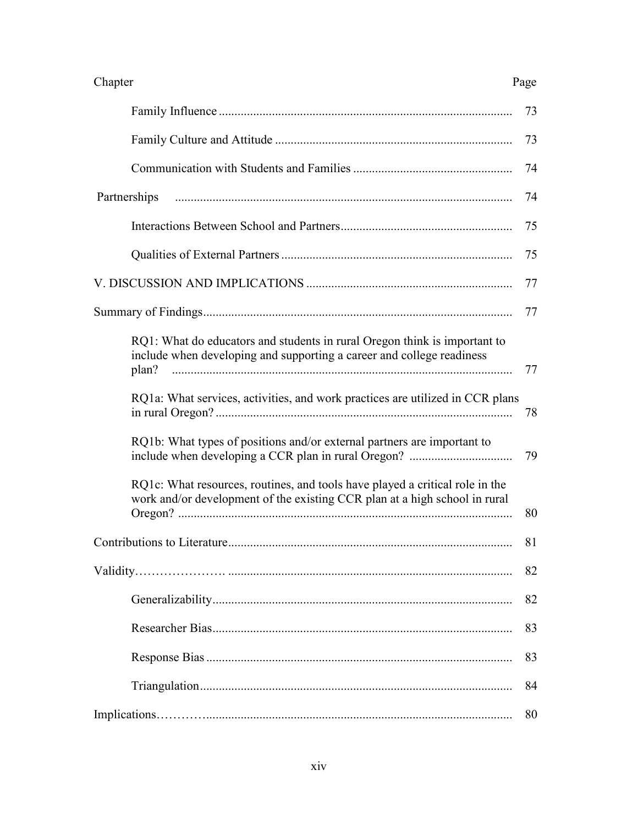| Chapter<br>Page                                                                                                                                             |    |
|-------------------------------------------------------------------------------------------------------------------------------------------------------------|----|
|                                                                                                                                                             | 73 |
|                                                                                                                                                             | 73 |
|                                                                                                                                                             | 74 |
| Partnerships                                                                                                                                                | 74 |
|                                                                                                                                                             | 75 |
|                                                                                                                                                             | 75 |
|                                                                                                                                                             | 77 |
|                                                                                                                                                             | 77 |
| RQ1: What do educators and students in rural Oregon think is important to<br>include when developing and supporting a career and college readiness<br>plan? | 77 |
| RQ1a: What services, activities, and work practices are utilized in CCR plans                                                                               | 78 |
| RQ1b: What types of positions and/or external partners are important to                                                                                     | 79 |
| RQ1c: What resources, routines, and tools have played a critical role in the<br>work and/or development of the existing CCR plan at a high school in rural  | 80 |
|                                                                                                                                                             | 81 |
|                                                                                                                                                             | 82 |
|                                                                                                                                                             | 82 |
|                                                                                                                                                             | 83 |
|                                                                                                                                                             | 83 |
|                                                                                                                                                             | 84 |
|                                                                                                                                                             | 80 |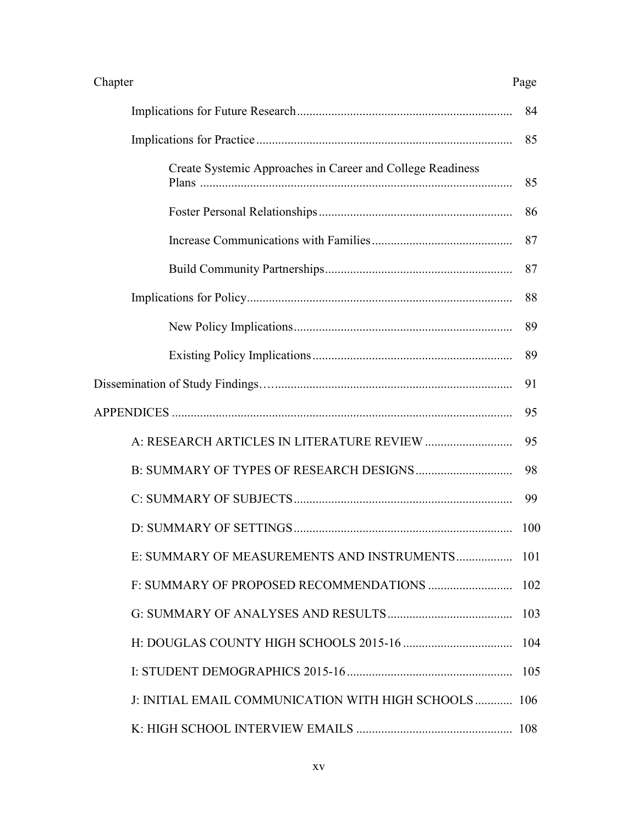| Chapter | Page |
|---------|------|
|---------|------|

|                                                            | 84   |
|------------------------------------------------------------|------|
|                                                            | 85   |
| Create Systemic Approaches in Career and College Readiness | 85   |
|                                                            | 86   |
|                                                            | 87   |
|                                                            | 87   |
|                                                            | 88   |
|                                                            | 89   |
|                                                            | 89   |
|                                                            | 91   |
|                                                            | 95   |
|                                                            | 95   |
|                                                            | 98   |
|                                                            | 99   |
|                                                            | 100  |
| E: SUMMARY OF MEASUREMENTS AND INSTRUMENTS                 | 101  |
|                                                            | 102  |
|                                                            | 103  |
|                                                            |      |
|                                                            | 105  |
| J: INITIAL EMAIL COMMUNICATION WITH HIGH SCHOOLS           | -106 |
|                                                            |      |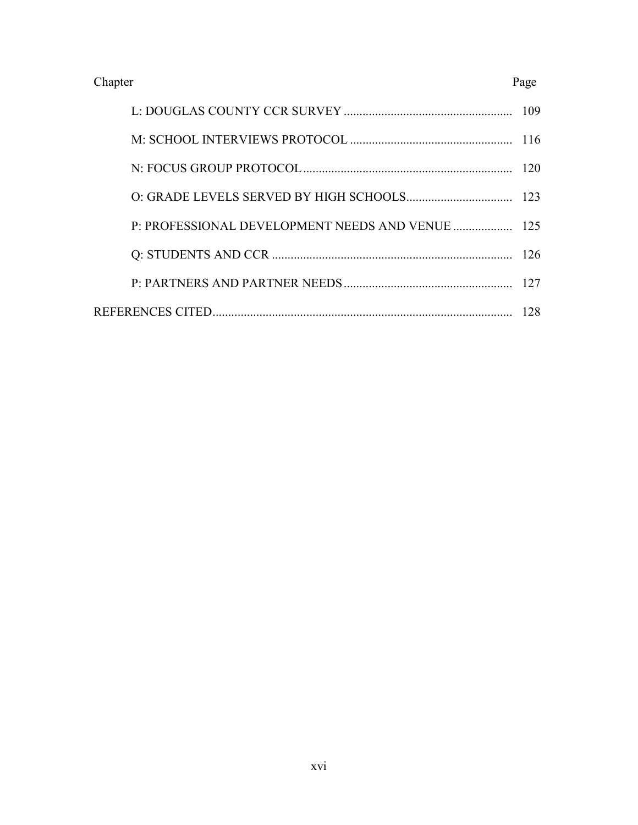## Chapter Page

| 28 |
|----|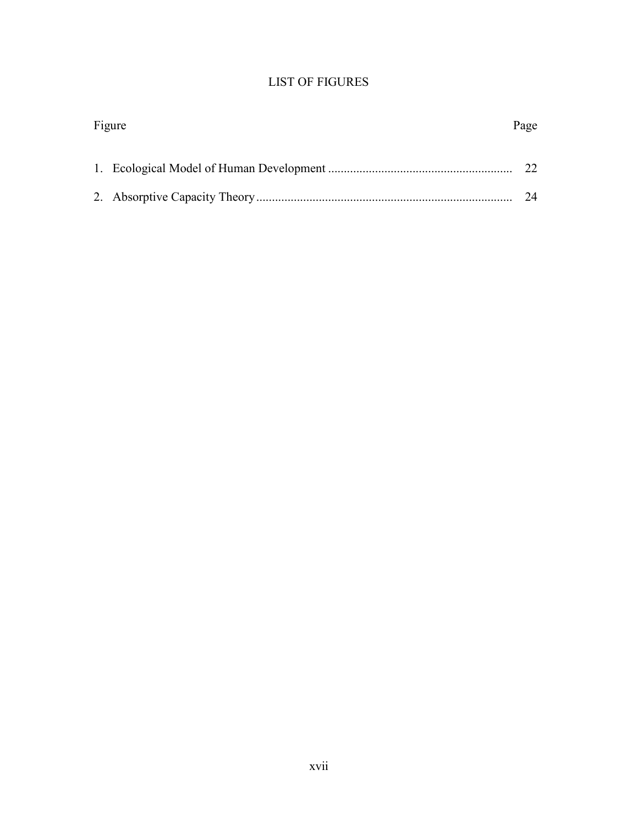# LIST OF FIGURES

| Figure |  | Page   |
|--------|--|--------|
|        |  |        |
|        |  |        |
|        |  | $2\pi$ |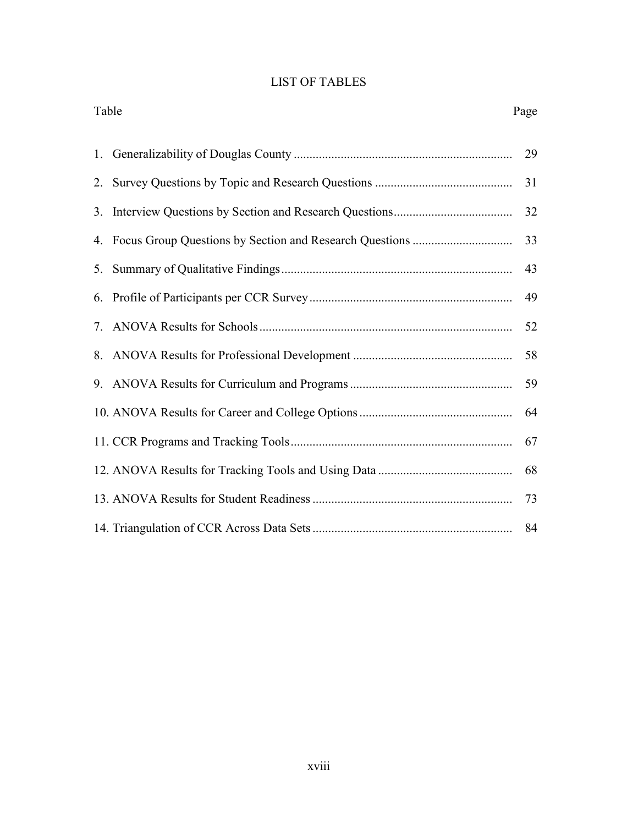# LIST OF TABLES

|    | Table<br>Page |    |
|----|---------------|----|
|    |               | 29 |
|    |               | 31 |
|    |               | 32 |
|    |               | 33 |
| 5. |               | 43 |
|    |               | 49 |
| 7. |               | 52 |
|    |               | 58 |
| 9. |               | 59 |
|    |               | 64 |
|    |               | 67 |
|    |               | 68 |
|    |               | 73 |
|    |               | 84 |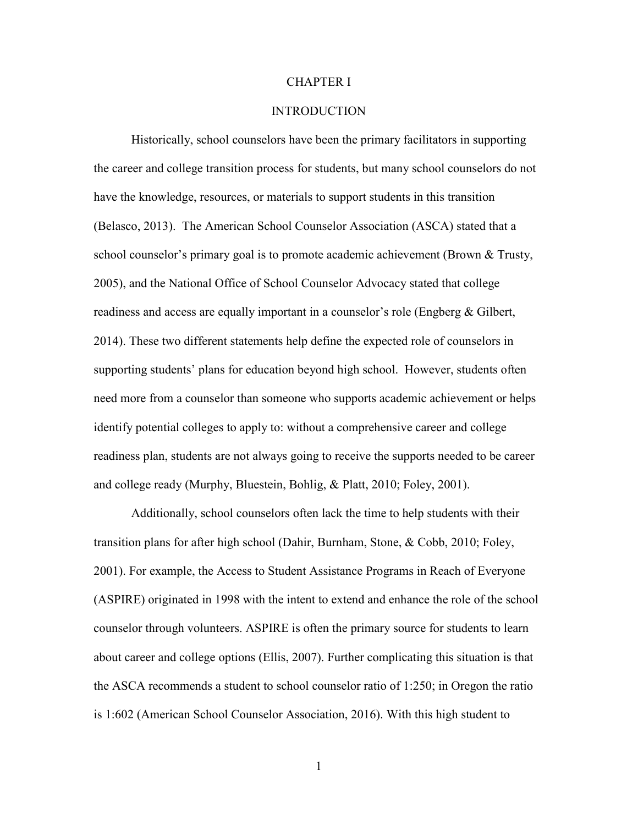### CHAPTER I

### INTRODUCTION

Historically, school counselors have been the primary facilitators in supporting the career and college transition process for students, but many school counselors do not have the knowledge, resources, or materials to support students in this transition (Belasco, 2013). The American School Counselor Association (ASCA) stated that a school counselor's primary goal is to promote academic achievement (Brown & Trusty, 2005), and the National Office of School Counselor Advocacy stated that college readiness and access are equally important in a counselor's role (Engberg & Gilbert, 2014). These two different statements help define the expected role of counselors in supporting students' plans for education beyond high school. However, students often need more from a counselor than someone who supports academic achievement or helps identify potential colleges to apply to: without a comprehensive career and college readiness plan, students are not always going to receive the supports needed to be career and college ready (Murphy, Bluestein, Bohlig, & Platt, 2010; Foley, 2001).

Additionally, school counselors often lack the time to help students with their transition plans for after high school (Dahir, Burnham, Stone, & Cobb, 2010; Foley, 2001). For example, the Access to Student Assistance Programs in Reach of Everyone (ASPIRE) originated in 1998 with the intent to extend and enhance the role of the school counselor through volunteers. ASPIRE is often the primary source for students to learn about career and college options (Ellis, 2007). Further complicating this situation is that the ASCA recommends a student to school counselor ratio of 1:250; in Oregon the ratio is 1:602 (American School Counselor Association, 2016). With this high student to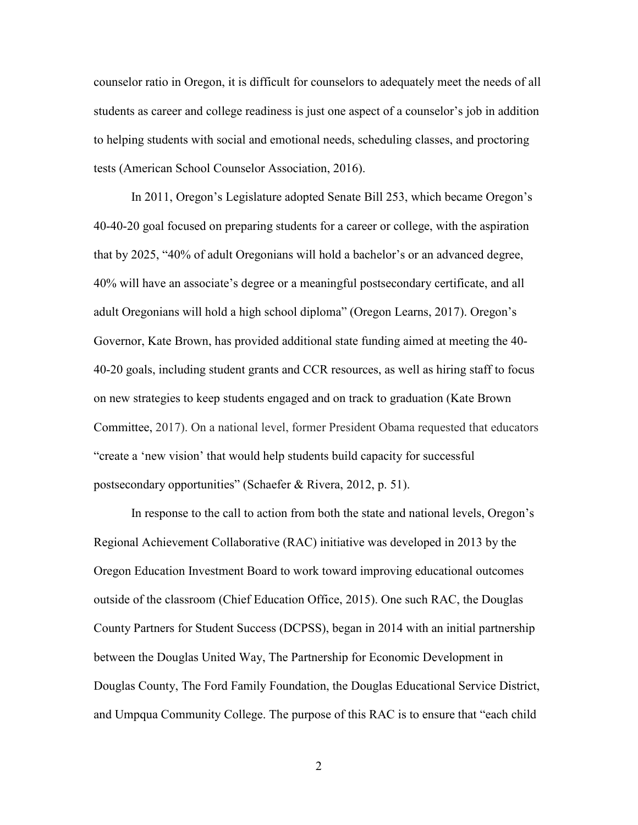counselor ratio in Oregon, it is difficult for counselors to adequately meet the needs of all students as career and college readiness is just one aspect of a counselor's job in addition to helping students with social and emotional needs, scheduling classes, and proctoring tests (American School Counselor Association, 2016).

In 2011, Oregon's Legislature adopted Senate Bill 253, which became Oregon's 40-40-20 goal focused on preparing students for a career or college, with the aspiration that by 2025, "40% of adult Oregonians will hold a bachelor's or an advanced degree, 40% will have an associate's degree or a meaningful postsecondary certificate, and all adult Oregonians will hold a high school diploma" (Oregon Learns, 2017). Oregon's Governor, Kate Brown, has provided additional state funding aimed at meeting the 40- 40-20 goals, including student grants and CCR resources, as well as hiring staff to focus on new strategies to keep students engaged and on track to graduation (Kate Brown Committee, 2017). On a national level, former President Obama requested that educators "create a 'new vision' that would help students build capacity for successful postsecondary opportunities" (Schaefer & Rivera, 2012, p. 51).

In response to the call to action from both the state and national levels, Oregon's Regional Achievement Collaborative (RAC) initiative was developed in 2013 by the Oregon Education Investment Board to work toward improving educational outcomes outside of the classroom (Chief Education Office, 2015). One such RAC, the Douglas County Partners for Student Success (DCPSS), began in 2014 with an initial partnership between the Douglas United Way, The Partnership for Economic Development in Douglas County, The Ford Family Foundation, the Douglas Educational Service District, and Umpqua Community College. The purpose of this RAC is to ensure that "each child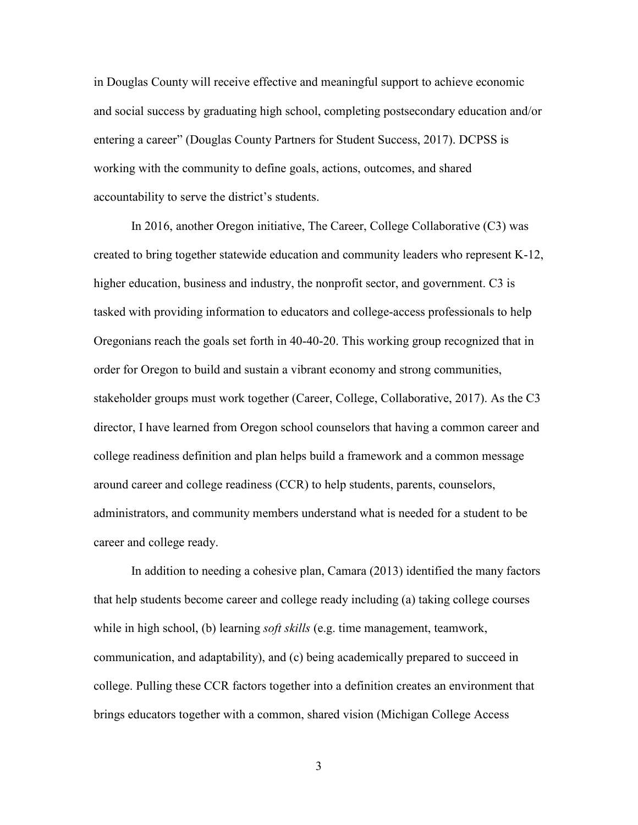in Douglas County will receive effective and meaningful support to achieve economic and social success by graduating high school, completing postsecondary education and/or entering a career" (Douglas County Partners for Student Success, 2017). DCPSS is working with the community to define goals, actions, outcomes, and shared accountability to serve the district's students.

In 2016, another Oregon initiative, The Career, College Collaborative (C3) was created to bring together statewide education and community leaders who represent K-12, higher education, business and industry, the nonprofit sector, and government. C3 is tasked with providing information to educators and college-access professionals to help Oregonians reach the goals set forth in 40-40-20. This working group recognized that in order for Oregon to build and sustain a vibrant economy and strong communities, stakeholder groups must work together (Career, College, Collaborative, 2017). As the C3 director, I have learned from Oregon school counselors that having a common career and college readiness definition and plan helps build a framework and a common message around career and college readiness (CCR) to help students, parents, counselors, administrators, and community members understand what is needed for a student to be career and college ready.

In addition to needing a cohesive plan, Camara (2013) identified the many factors that help students become career and college ready including (a) taking college courses while in high school, (b) learning *soft skills* (e.g. time management, teamwork, communication, and adaptability), and (c) being academically prepared to succeed in college. Pulling these CCR factors together into a definition creates an environment that brings educators together with a common, shared vision (Michigan College Access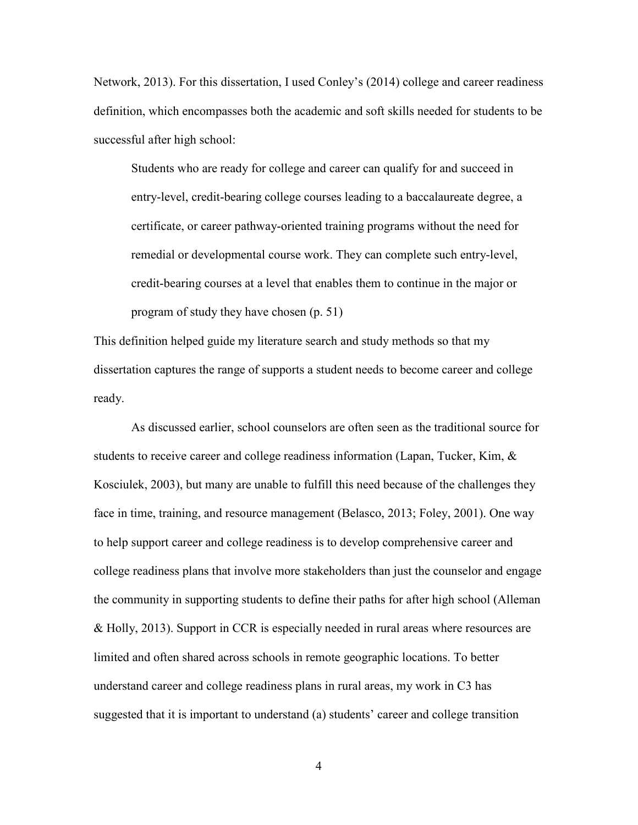Network, 2013). For this dissertation, I used Conley's (2014) college and career readiness definition, which encompasses both the academic and soft skills needed for students to be successful after high school:

Students who are ready for college and career can qualify for and succeed in entry-level, credit-bearing college courses leading to a baccalaureate degree, a certificate, or career pathway-oriented training programs without the need for remedial or developmental course work. They can complete such entry-level, credit-bearing courses at a level that enables them to continue in the major or program of study they have chosen (p. 51)

This definition helped guide my literature search and study methods so that my dissertation captures the range of supports a student needs to become career and college ready.

As discussed earlier, school counselors are often seen as the traditional source for students to receive career and college readiness information (Lapan, Tucker, Kim,  $\&$ Kosciulek, 2003), but many are unable to fulfill this need because of the challenges they face in time, training, and resource management (Belasco, 2013; Foley, 2001). One way to help support career and college readiness is to develop comprehensive career and college readiness plans that involve more stakeholders than just the counselor and engage the community in supporting students to define their paths for after high school (Alleman & Holly, 2013). Support in CCR is especially needed in rural areas where resources are limited and often shared across schools in remote geographic locations. To better understand career and college readiness plans in rural areas, my work in C3 has suggested that it is important to understand (a) students' career and college transition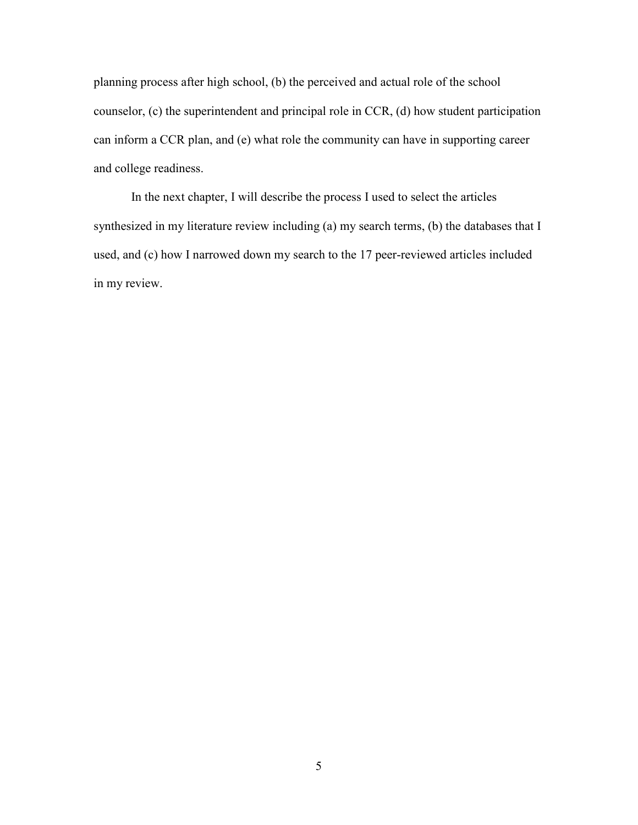planning process after high school, (b) the perceived and actual role of the school counselor, (c) the superintendent and principal role in CCR, (d) how student participation can inform a CCR plan, and (e) what role the community can have in supporting career and college readiness.

In the next chapter, I will describe the process I used to select the articles synthesized in my literature review including (a) my search terms, (b) the databases that I used, and (c) how I narrowed down my search to the 17 peer-reviewed articles included in my review.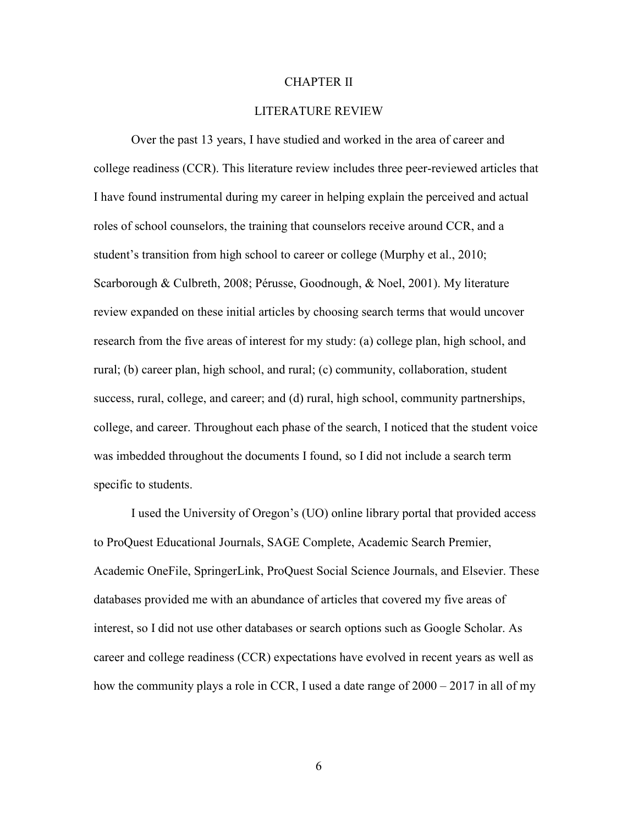### CHAPTER II

### LITERATURE REVIEW

Over the past 13 years, I have studied and worked in the area of career and college readiness (CCR). This literature review includes three peer-reviewed articles that I have found instrumental during my career in helping explain the perceived and actual roles of school counselors, the training that counselors receive around CCR, and a student's transition from high school to career or college (Murphy et al., 2010; Scarborough & Culbreth, 2008; Pérusse, Goodnough, & Noel, 2001). My literature review expanded on these initial articles by choosing search terms that would uncover research from the five areas of interest for my study: (a) college plan, high school, and rural; (b) career plan, high school, and rural; (c) community, collaboration, student success, rural, college, and career; and (d) rural, high school, community partnerships, college, and career. Throughout each phase of the search, I noticed that the student voice was imbedded throughout the documents I found, so I did not include a search term specific to students.

I used the University of Oregon's (UO) online library portal that provided access to ProQuest Educational Journals, SAGE Complete, Academic Search Premier, Academic OneFile, SpringerLink, ProQuest Social Science Journals, and Elsevier. These databases provided me with an abundance of articles that covered my five areas of interest, so I did not use other databases or search options such as Google Scholar. As career and college readiness (CCR) expectations have evolved in recent years as well as how the community plays a role in CCR, I used a date range of  $2000 - 2017$  in all of my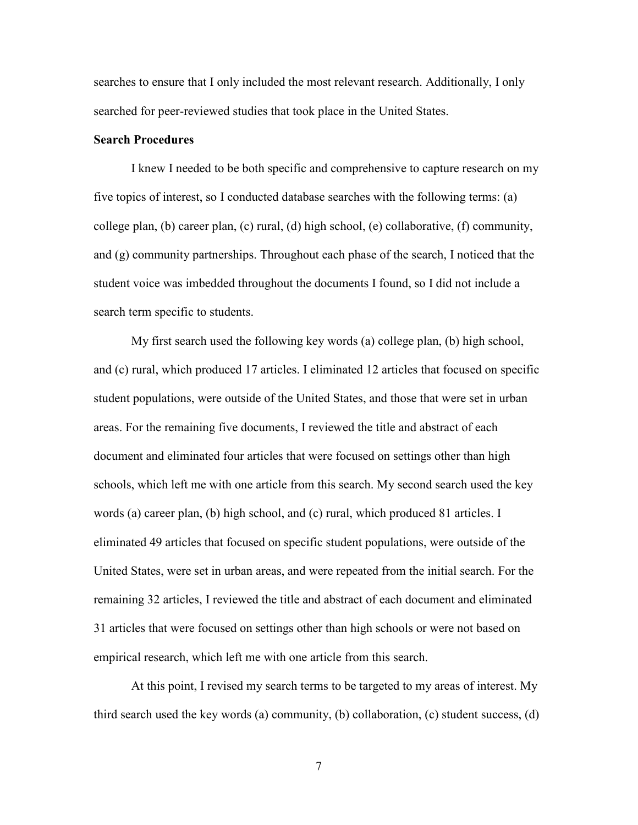searches to ensure that I only included the most relevant research. Additionally, I only searched for peer-reviewed studies that took place in the United States.

## **Search Procedures**

I knew I needed to be both specific and comprehensive to capture research on my five topics of interest, so I conducted database searches with the following terms: (a) college plan, (b) career plan, (c) rural, (d) high school, (e) collaborative, (f) community, and (g) community partnerships. Throughout each phase of the search, I noticed that the student voice was imbedded throughout the documents I found, so I did not include a search term specific to students.

My first search used the following key words (a) college plan, (b) high school, and (c) rural, which produced 17 articles. I eliminated 12 articles that focused on specific student populations, were outside of the United States, and those that were set in urban areas. For the remaining five documents, I reviewed the title and abstract of each document and eliminated four articles that were focused on settings other than high schools, which left me with one article from this search. My second search used the key words (a) career plan, (b) high school, and (c) rural, which produced 81 articles. I eliminated 49 articles that focused on specific student populations, were outside of the United States, were set in urban areas, and were repeated from the initial search. For the remaining 32 articles, I reviewed the title and abstract of each document and eliminated 31 articles that were focused on settings other than high schools or were not based on empirical research, which left me with one article from this search.

At this point, I revised my search terms to be targeted to my areas of interest. My third search used the key words (a) community, (b) collaboration, (c) student success, (d)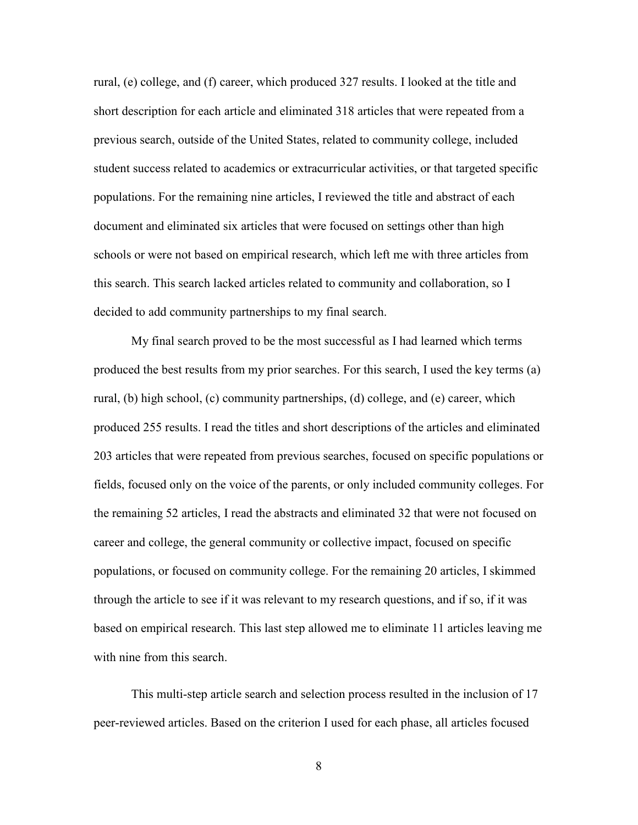rural, (e) college, and (f) career, which produced 327 results. I looked at the title and short description for each article and eliminated 318 articles that were repeated from a previous search, outside of the United States, related to community college, included student success related to academics or extracurricular activities, or that targeted specific populations. For the remaining nine articles, I reviewed the title and abstract of each document and eliminated six articles that were focused on settings other than high schools or were not based on empirical research, which left me with three articles from this search. This search lacked articles related to community and collaboration, so I decided to add community partnerships to my final search.

My final search proved to be the most successful as I had learned which terms produced the best results from my prior searches. For this search, I used the key terms (a) rural, (b) high school, (c) community partnerships, (d) college, and (e) career, which produced 255 results. I read the titles and short descriptions of the articles and eliminated 203 articles that were repeated from previous searches, focused on specific populations or fields, focused only on the voice of the parents, or only included community colleges. For the remaining 52 articles, I read the abstracts and eliminated 32 that were not focused on career and college, the general community or collective impact, focused on specific populations, or focused on community college. For the remaining 20 articles, I skimmed through the article to see if it was relevant to my research questions, and if so, if it was based on empirical research. This last step allowed me to eliminate 11 articles leaving me with nine from this search.

This multi-step article search and selection process resulted in the inclusion of 17 peer-reviewed articles. Based on the criterion I used for each phase, all articles focused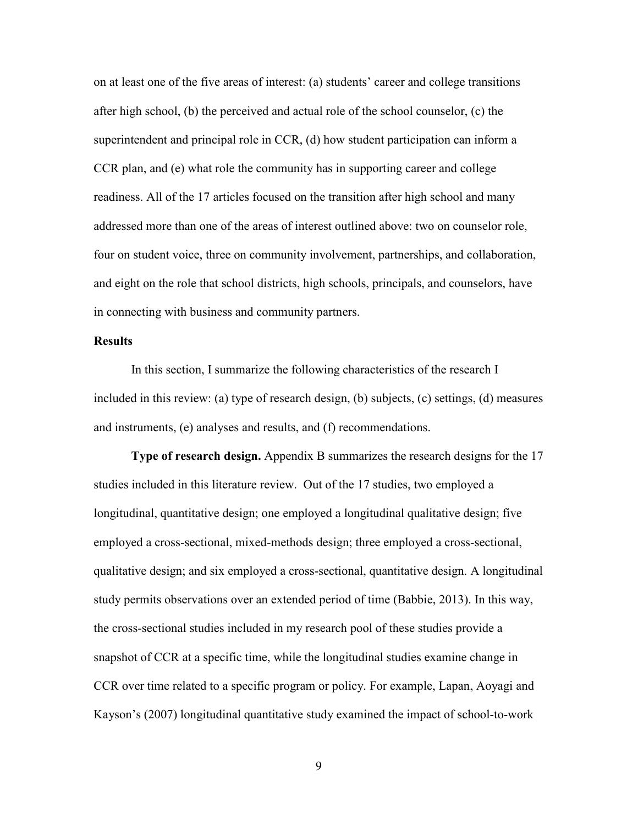on at least one of the five areas of interest: (a) students' career and college transitions after high school, (b) the perceived and actual role of the school counselor, (c) the superintendent and principal role in CCR, (d) how student participation can inform a CCR plan, and (e) what role the community has in supporting career and college readiness. All of the 17 articles focused on the transition after high school and many addressed more than one of the areas of interest outlined above: two on counselor role, four on student voice, three on community involvement, partnerships, and collaboration, and eight on the role that school districts, high schools, principals, and counselors, have in connecting with business and community partners.

## **Results**

In this section, I summarize the following characteristics of the research I included in this review: (a) type of research design, (b) subjects, (c) settings, (d) measures and instruments, (e) analyses and results, and (f) recommendations.

**Type of research design.** Appendix B summarizes the research designs for the 17 studies included in this literature review. Out of the 17 studies, two employed a longitudinal, quantitative design; one employed a longitudinal qualitative design; five employed a cross-sectional, mixed-methods design; three employed a cross-sectional, qualitative design; and six employed a cross-sectional, quantitative design. A longitudinal study permits observations over an extended period of time (Babbie, 2013). In this way, the cross-sectional studies included in my research pool of these studies provide a snapshot of CCR at a specific time, while the longitudinal studies examine change in CCR over time related to a specific program or policy. For example, Lapan, Aoyagi and Kayson's (2007) longitudinal quantitative study examined the impact of school-to-work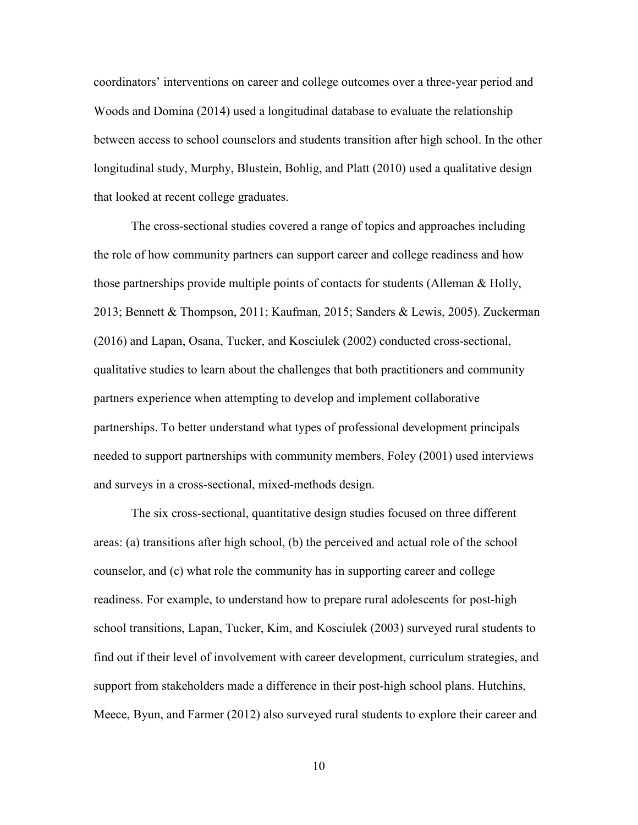coordinators' interventions on career and college outcomes over a three-year period and Woods and Domina (2014) used a longitudinal database to evaluate the relationship between access to school counselors and students transition after high school. In the other longitudinal study, Murphy, Blustein, Bohlig, and Platt (2010) used a qualitative design that looked at recent college graduates.

The cross-sectional studies covered a range of topics and approaches including the role of how community partners can support career and college readiness and how those partnerships provide multiple points of contacts for students (Alleman & Holly, 2013; Bennett & Thompson, 2011; Kaufman, 2015; Sanders & Lewis, 2005). Zuckerman (2016) and Lapan, Osana, Tucker, and Kosciulek (2002) conducted cross-sectional, qualitative studies to learn about the challenges that both practitioners and community partners experience when attempting to develop and implement collaborative partnerships. To better understand what types of professional development principals needed to support partnerships with community members, Foley (2001) used interviews and surveys in a cross-sectional, mixed-methods design.

The six cross-sectional, quantitative design studies focused on three different areas: (a) transitions after high school, (b) the perceived and actual role of the school counselor, and (c) what role the community has in supporting career and college readiness. For example, to understand how to prepare rural adolescents for post-high school transitions, Lapan, Tucker, Kim, and Kosciulek (2003) surveyed rural students to find out if their level of involvement with career development, curriculum strategies, and support from stakeholders made a difference in their post-high school plans. Hutchins, Meece, Byun, and Farmer (2012) also surveyed rural students to explore their career and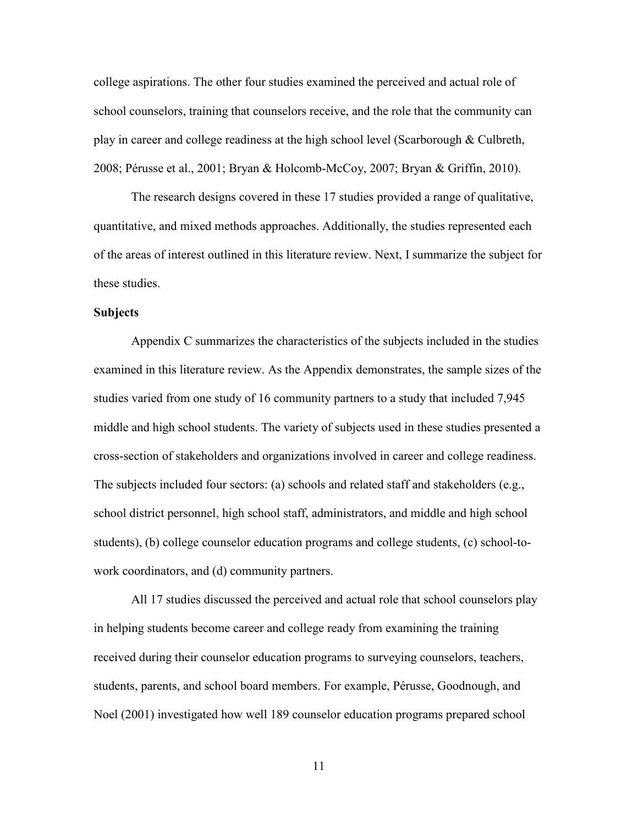college aspirations. The other four studies examined the perceived and actual role of school counselors, training that counselors receive, and the role that the community can play in career and college readiness at the high school level (Scarborough  $\&$  Culbreth, 2008; Pérusse et al., 2001; Bryan & Holcomb-McCoy, 2007; Bryan & Griffin, 2010).

The research designs covered in these 17 studies provided a range of qualitative, quantitative, and mixed methods approaches. Additionally, the studies represented each of the areas of interest outlined in this literature review. Next, I summarize the subject for these studies.

### **Subjects**

Appendix C summarizes the characteristics of the subjects included in the studies examined in this literature review. As the Appendix demonstrates, the sample sizes of the studies varied from one study of 16 community partners to a study that included 7,945 middle and high school students. The variety of subjects used in these studies presented a cross-section of stakeholders and organizations involved in career and college readiness. The subjects included four sectors: (a) schools and related staff and stakeholders (e.g., school district personnel, high school staff, administrators, and middle and high school students), (b) college counselor education programs and college students, (c) school-towork coordinators, and (d) community partners.

 All 17 studies discussed the perceived and actual role that school counselors play in helping students become career and college ready from examining the training received during their counselor education programs to surveying counselors, teachers, students, parents, and school board members. For example, Pérusse, Goodnough, and Noel (2001) investigated how well 189 counselor education programs prepared school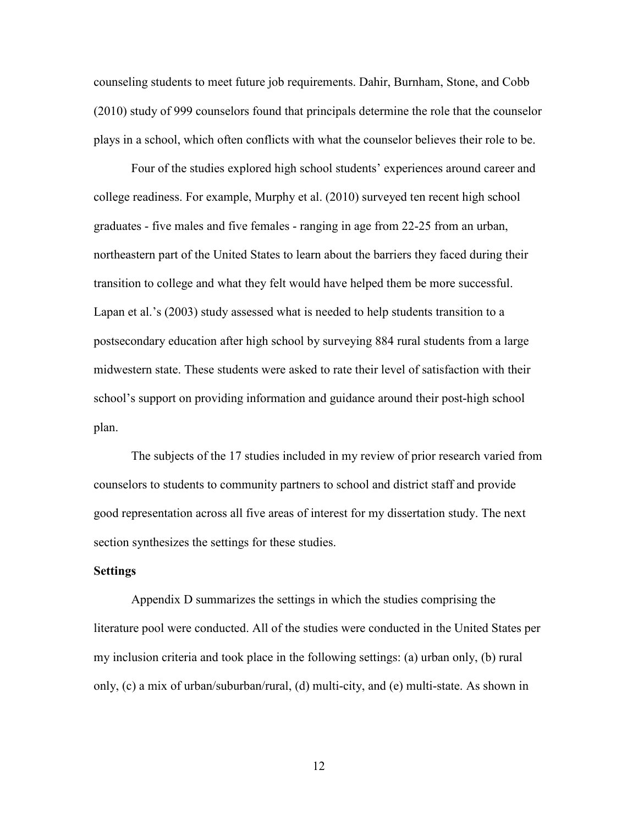counseling students to meet future job requirements. Dahir, Burnham, Stone, and Cobb (2010) study of 999 counselors found that principals determine the role that the counselor plays in a school, which often conflicts with what the counselor believes their role to be.

Four of the studies explored high school students' experiences around career and college readiness. For example, Murphy et al. (2010) surveyed ten recent high school graduates - five males and five females - ranging in age from 22-25 from an urban, northeastern part of the United States to learn about the barriers they faced during their transition to college and what they felt would have helped them be more successful. Lapan et al.'s (2003) study assessed what is needed to help students transition to a postsecondary education after high school by surveying 884 rural students from a large midwestern state. These students were asked to rate their level of satisfaction with their school's support on providing information and guidance around their post-high school plan.

The subjects of the 17 studies included in my review of prior research varied from counselors to students to community partners to school and district staff and provide good representation across all five areas of interest for my dissertation study. The next section synthesizes the settings for these studies.

### **Settings**

Appendix D summarizes the settings in which the studies comprising the literature pool were conducted. All of the studies were conducted in the United States per my inclusion criteria and took place in the following settings: (a) urban only, (b) rural only, (c) a mix of urban/suburban/rural, (d) multi-city, and (e) multi-state. As shown in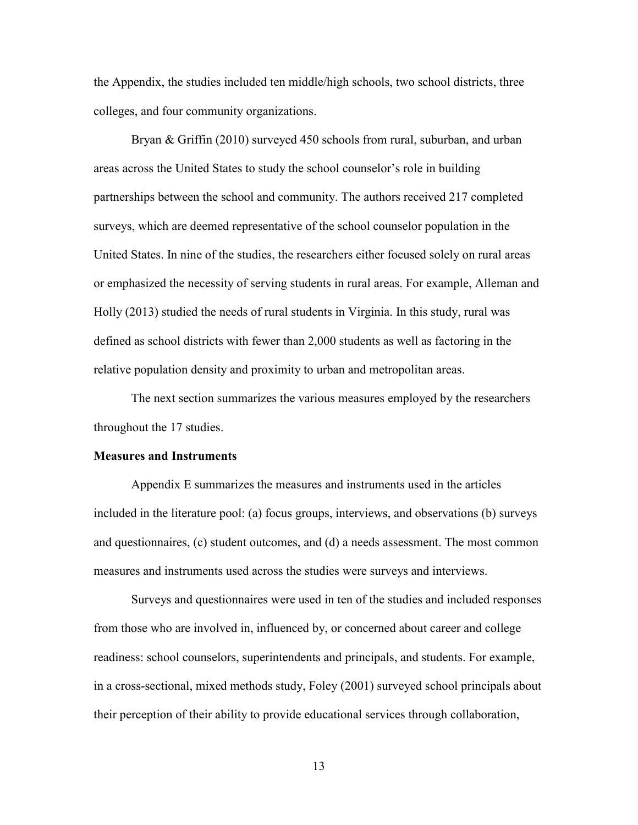the Appendix, the studies included ten middle/high schools, two school districts, three colleges, and four community organizations.

Bryan & Griffin (2010) surveyed 450 schools from rural, suburban, and urban areas across the United States to study the school counselor's role in building partnerships between the school and community. The authors received 217 completed surveys, which are deemed representative of the school counselor population in the United States. In nine of the studies, the researchers either focused solely on rural areas or emphasized the necessity of serving students in rural areas. For example, Alleman and Holly (2013) studied the needs of rural students in Virginia. In this study, rural was defined as school districts with fewer than 2,000 students as well as factoring in the relative population density and proximity to urban and metropolitan areas.

The next section summarizes the various measures employed by the researchers throughout the 17 studies.

### **Measures and Instruments**

Appendix E summarizes the measures and instruments used in the articles included in the literature pool: (a) focus groups, interviews, and observations (b) surveys and questionnaires, (c) student outcomes, and (d) a needs assessment. The most common measures and instruments used across the studies were surveys and interviews.

Surveys and questionnaires were used in ten of the studies and included responses from those who are involved in, influenced by, or concerned about career and college readiness: school counselors, superintendents and principals, and students. For example, in a cross-sectional, mixed methods study, Foley (2001) surveyed school principals about their perception of their ability to provide educational services through collaboration,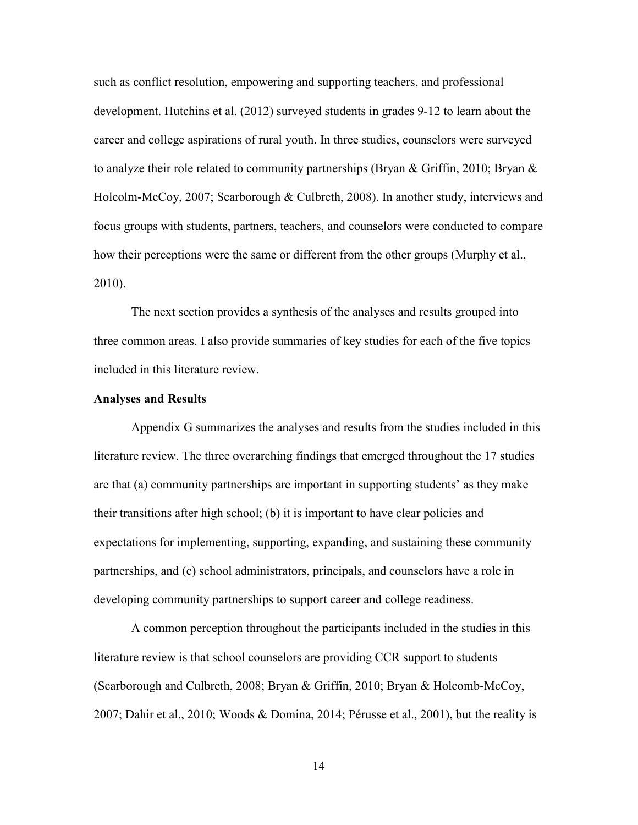such as conflict resolution, empowering and supporting teachers, and professional development. Hutchins et al. (2012) surveyed students in grades 9-12 to learn about the career and college aspirations of rural youth. In three studies, counselors were surveyed to analyze their role related to community partnerships (Bryan & Griffin, 2010; Bryan & Holcolm-McCoy, 2007; Scarborough & Culbreth, 2008). In another study, interviews and focus groups with students, partners, teachers, and counselors were conducted to compare how their perceptions were the same or different from the other groups (Murphy et al., 2010).

The next section provides a synthesis of the analyses and results grouped into three common areas. I also provide summaries of key studies for each of the five topics included in this literature review.

# **Analyses and Results**

Appendix G summarizes the analyses and results from the studies included in this literature review. The three overarching findings that emerged throughout the 17 studies are that (a) community partnerships are important in supporting students' as they make their transitions after high school; (b) it is important to have clear policies and expectations for implementing, supporting, expanding, and sustaining these community partnerships, and (c) school administrators, principals, and counselors have a role in developing community partnerships to support career and college readiness.

A common perception throughout the participants included in the studies in this literature review is that school counselors are providing CCR support to students (Scarborough and Culbreth, 2008; Bryan & Griffin, 2010; Bryan & Holcomb-McCoy, 2007; Dahir et al., 2010; Woods & Domina, 2014; Pérusse et al., 2001), but the reality is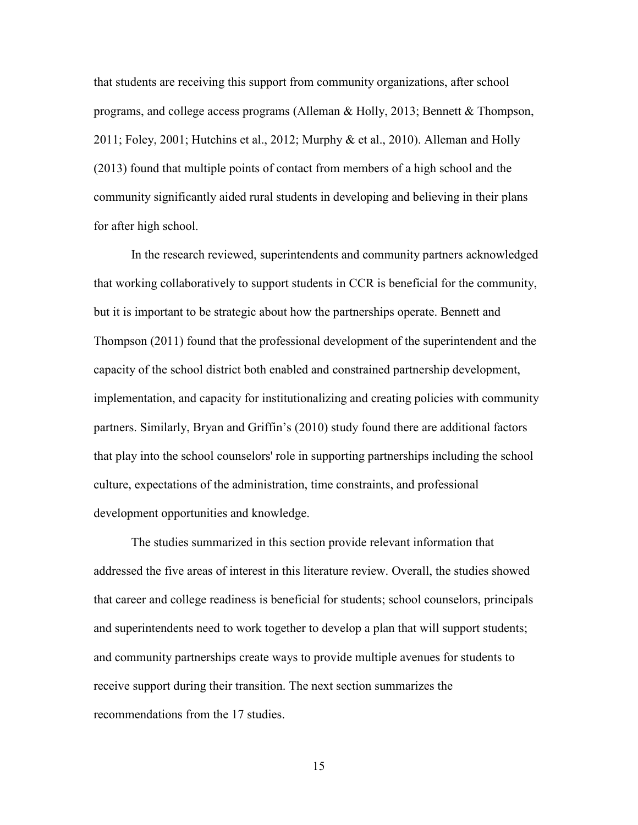that students are receiving this support from community organizations, after school programs, and college access programs (Alleman & Holly, 2013; Bennett & Thompson, 2011; Foley, 2001; Hutchins et al., 2012; Murphy & et al., 2010). Alleman and Holly (2013) found that multiple points of contact from members of a high school and the community significantly aided rural students in developing and believing in their plans for after high school.

In the research reviewed, superintendents and community partners acknowledged that working collaboratively to support students in CCR is beneficial for the community, but it is important to be strategic about how the partnerships operate. Bennett and Thompson (2011) found that the professional development of the superintendent and the capacity of the school district both enabled and constrained partnership development, implementation, and capacity for institutionalizing and creating policies with community partners. Similarly, Bryan and Griffin's (2010) study found there are additional factors that play into the school counselors' role in supporting partnerships including the school culture, expectations of the administration, time constraints, and professional development opportunities and knowledge.

The studies summarized in this section provide relevant information that addressed the five areas of interest in this literature review. Overall, the studies showed that career and college readiness is beneficial for students; school counselors, principals and superintendents need to work together to develop a plan that will support students; and community partnerships create ways to provide multiple avenues for students to receive support during their transition. The next section summarizes the recommendations from the 17 studies.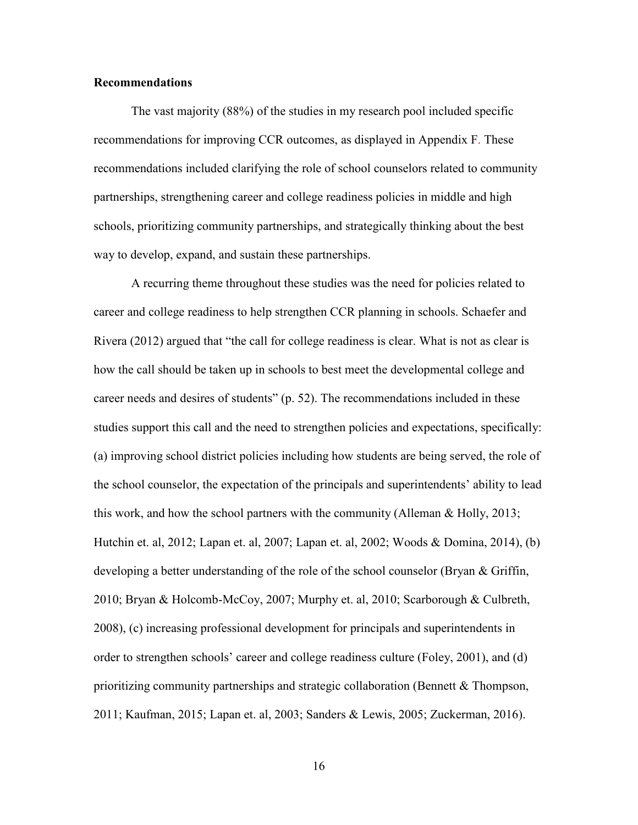### **Recommendations**

The vast majority (88%) of the studies in my research pool included specific recommendations for improving CCR outcomes, as displayed in Appendix F. These recommendations included clarifying the role of school counselors related to community partnerships, strengthening career and college readiness policies in middle and high schools, prioritizing community partnerships, and strategically thinking about the best way to develop, expand, and sustain these partnerships.

A recurring theme throughout these studies was the need for policies related to career and college readiness to help strengthen CCR planning in schools. Schaefer and Rivera (2012) argued that "the call for college readiness is clear. What is not as clear is how the call should be taken up in schools to best meet the developmental college and career needs and desires of students" (p. 52). The recommendations included in these studies support this call and the need to strengthen policies and expectations, specifically: (a) improving school district policies including how students are being served, the role of the school counselor, the expectation of the principals and superintendents' ability to lead this work, and how the school partners with the community (Alleman & Holly, 2013; Hutchin et. al, 2012; Lapan et. al, 2007; Lapan et. al, 2002; Woods & Domina, 2014), (b) developing a better understanding of the role of the school counselor (Bryan & Griffin, 2010; Bryan & Holcomb-McCoy, 2007; Murphy et. al, 2010; Scarborough & Culbreth, 2008), (c) increasing professional development for principals and superintendents in order to strengthen schools' career and college readiness culture (Foley, 2001), and (d) prioritizing community partnerships and strategic collaboration (Bennett  $\&$  Thompson, 2011; Kaufman, 2015; Lapan et. al, 2003; Sanders & Lewis, 2005; Zuckerman, 2016).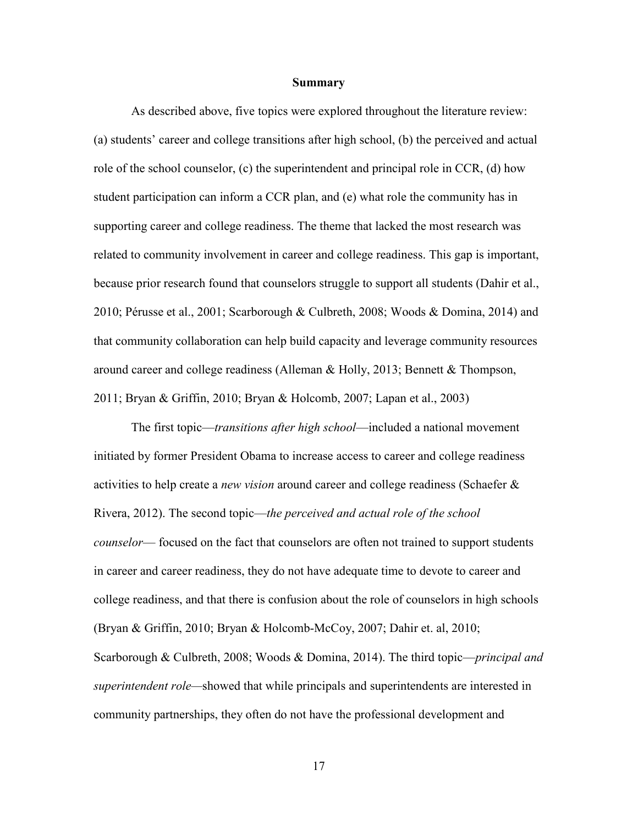#### **Summary**

As described above, five topics were explored throughout the literature review: (a) students' career and college transitions after high school, (b) the perceived and actual role of the school counselor, (c) the superintendent and principal role in CCR, (d) how student participation can inform a CCR plan, and (e) what role the community has in supporting career and college readiness. The theme that lacked the most research was related to community involvement in career and college readiness. This gap is important, because prior research found that counselors struggle to support all students (Dahir et al., 2010; Pérusse et al., 2001; Scarborough & Culbreth, 2008; Woods & Domina, 2014) and that community collaboration can help build capacity and leverage community resources around career and college readiness (Alleman & Holly, 2013; Bennett & Thompson, 2011; Bryan & Griffin, 2010; Bryan & Holcomb, 2007; Lapan et al., 2003)

The first topic—*transitions after high school*—included a national movement initiated by former President Obama to increase access to career and college readiness activities to help create a *new vision* around career and college readiness (Schaefer & Rivera, 2012). The second topic—*the perceived and actual role of the school counselor*— focused on the fact that counselors are often not trained to support students in career and career readiness, they do not have adequate time to devote to career and college readiness, and that there is confusion about the role of counselors in high schools (Bryan & Griffin, 2010; Bryan & Holcomb-McCoy, 2007; Dahir et. al, 2010; Scarborough & Culbreth, 2008; Woods & Domina, 2014). The third topic—*principal and superintendent role—*showed that while principals and superintendents are interested in community partnerships, they often do not have the professional development and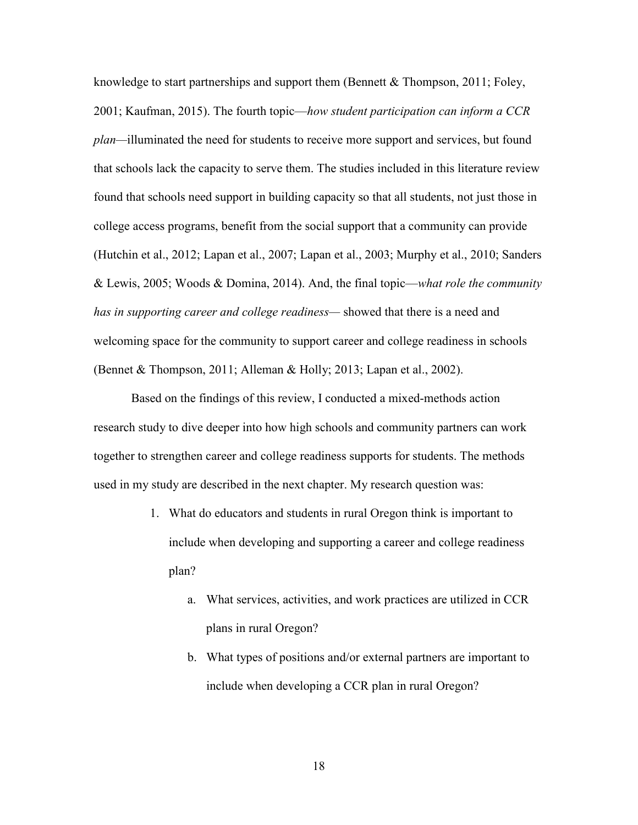knowledge to start partnerships and support them (Bennett  $\&$  Thompson, 2011; Foley, 2001; Kaufman, 2015). The fourth topic—*how student participation can inform a CCR plan—*illuminated the need for students to receive more support and services, but found that schools lack the capacity to serve them. The studies included in this literature review found that schools need support in building capacity so that all students, not just those in college access programs, benefit from the social support that a community can provide (Hutchin et al., 2012; Lapan et al., 2007; Lapan et al., 2003; Murphy et al., 2010; Sanders & Lewis, 2005; Woods & Domina, 2014). And, the final topic—*what role the community has in supporting career and college readiness—* showed that there is a need and welcoming space for the community to support career and college readiness in schools (Bennet & Thompson, 2011; Alleman & Holly; 2013; Lapan et al., 2002).

Based on the findings of this review, I conducted a mixed-methods action research study to dive deeper into how high schools and community partners can work together to strengthen career and college readiness supports for students. The methods used in my study are described in the next chapter. My research question was:

- 1. What do educators and students in rural Oregon think is important to include when developing and supporting a career and college readiness plan?
	- a. What services, activities, and work practices are utilized in CCR plans in rural Oregon?
	- b. What types of positions and/or external partners are important to include when developing a CCR plan in rural Oregon?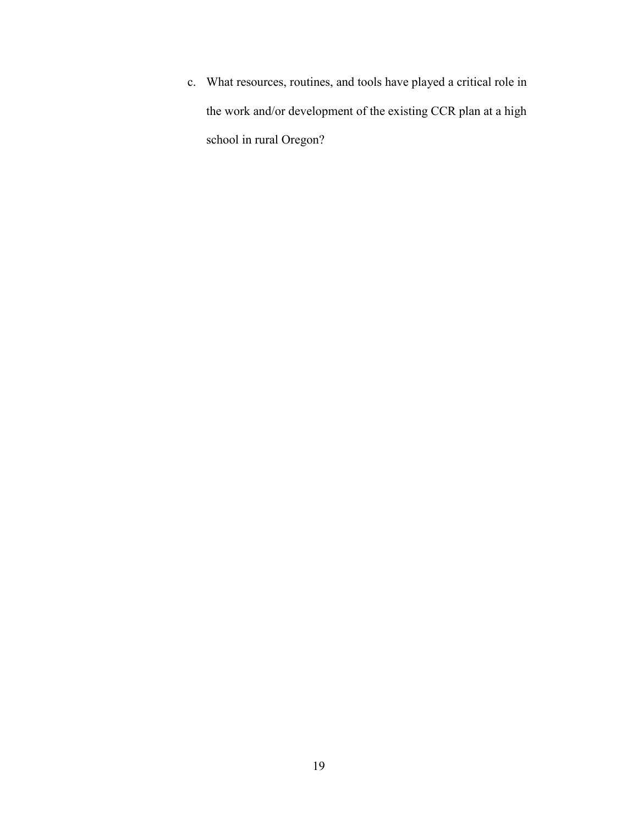c. What resources, routines, and tools have played a critical role in the work and/or development of the existing CCR plan at a high school in rural Oregon?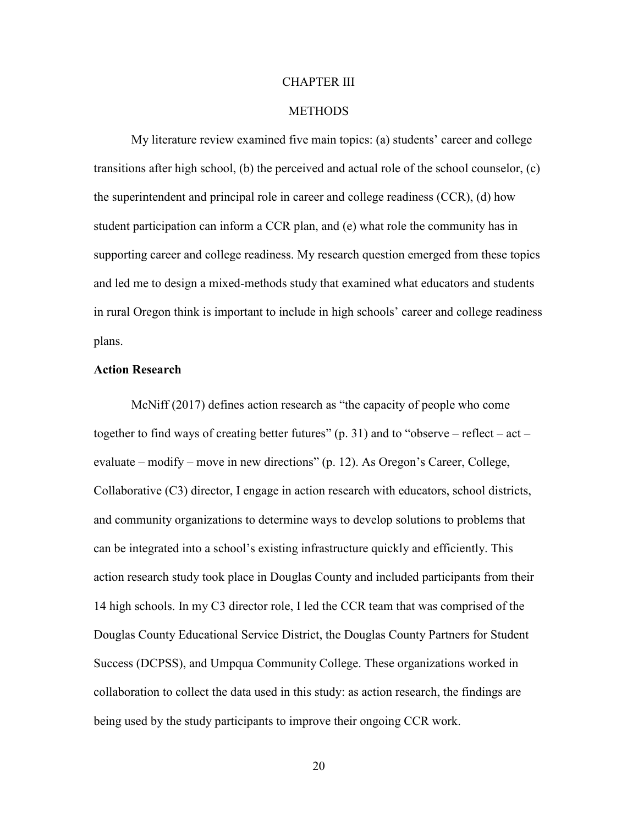#### CHAPTER III

#### **METHODS**

My literature review examined five main topics: (a) students' career and college transitions after high school, (b) the perceived and actual role of the school counselor, (c) the superintendent and principal role in career and college readiness (CCR), (d) how student participation can inform a CCR plan, and (e) what role the community has in supporting career and college readiness. My research question emerged from these topics and led me to design a mixed-methods study that examined what educators and students in rural Oregon think is important to include in high schools' career and college readiness plans.

#### **Action Research**

McNiff (2017) defines action research as "the capacity of people who come together to find ways of creating better futures"  $(p, 31)$  and to "observe – reflect – act – evaluate – modify – move in new directions" (p. 12). As Oregon's Career, College, Collaborative (C3) director, I engage in action research with educators, school districts, and community organizations to determine ways to develop solutions to problems that can be integrated into a school's existing infrastructure quickly and efficiently. This action research study took place in Douglas County and included participants from their 14 high schools. In my C3 director role, I led the CCR team that was comprised of the Douglas County Educational Service District, the Douglas County Partners for Student Success (DCPSS), and Umpqua Community College. These organizations worked in collaboration to collect the data used in this study: as action research, the findings are being used by the study participants to improve their ongoing CCR work.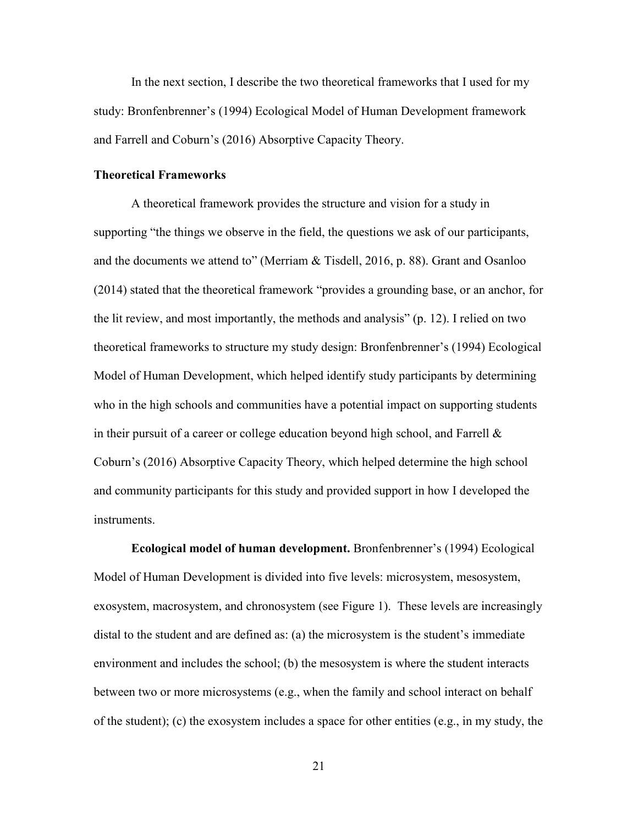In the next section, I describe the two theoretical frameworks that I used for my study: Bronfenbrenner's (1994) Ecological Model of Human Development framework and Farrell and Coburn's (2016) Absorptive Capacity Theory.

#### **Theoretical Frameworks**

A theoretical framework provides the structure and vision for a study in supporting "the things we observe in the field, the questions we ask of our participants, and the documents we attend to" (Merriam & Tisdell, 2016, p. 88). Grant and Osanloo (2014) stated that the theoretical framework "provides a grounding base, or an anchor, for the lit review, and most importantly, the methods and analysis" (p. 12). I relied on two theoretical frameworks to structure my study design: Bronfenbrenner's (1994) Ecological Model of Human Development, which helped identify study participants by determining who in the high schools and communities have a potential impact on supporting students in their pursuit of a career or college education beyond high school, and Farrell  $\&$ Coburn's (2016) Absorptive Capacity Theory, which helped determine the high school and community participants for this study and provided support in how I developed the instruments.

**Ecological model of human development.** Bronfenbrenner's (1994) Ecological Model of Human Development is divided into five levels: microsystem, mesosystem, exosystem, macrosystem, and chronosystem (see Figure 1). These levels are increasingly distal to the student and are defined as: (a) the microsystem is the student's immediate environment and includes the school; (b) the mesosystem is where the student interacts between two or more microsystems (e.g., when the family and school interact on behalf of the student); (c) the exosystem includes a space for other entities (e.g., in my study, the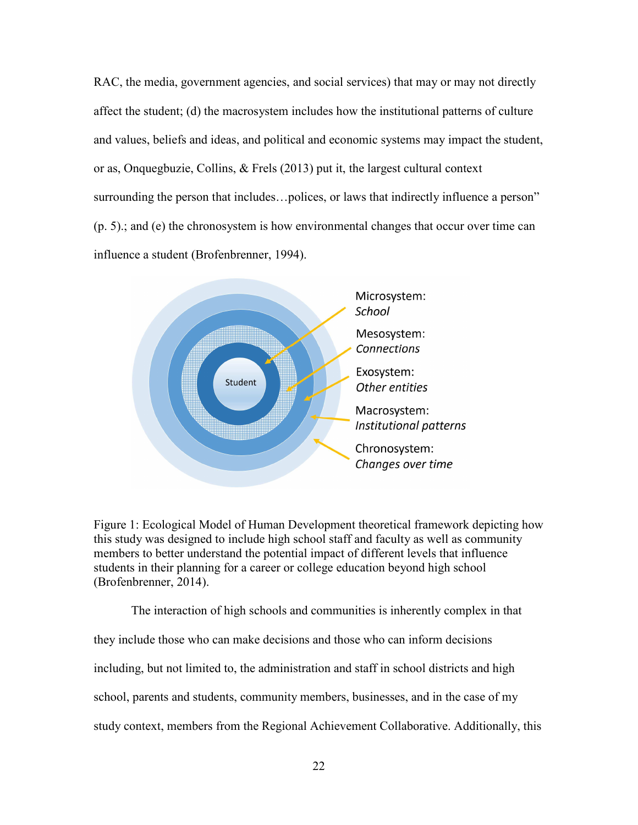RAC, the media, government agencies, and social services) that may or may not directly affect the student; (d) the macrosystem includes how the institutional patterns of culture and values, beliefs and ideas, and political and economic systems may impact the student, or as, Onquegbuzie, Collins, & Frels (2013) put it, the largest cultural context surrounding the person that includes…polices, or laws that indirectly influence a person" (p. 5).; and (e) the chronosystem is how environmental changes that occur over time can influence a student (Brofenbrenner, 1994).



Figure 1: Ecological Model of Human Development theoretical framework depicting how this study was designed to include high school staff and faculty as well as community members to better understand the potential impact of different levels that influence students in their planning for a career or college education beyond high school (Brofenbrenner, 2014).

The interaction of high schools and communities is inherently complex in that they include those who can make decisions and those who can inform decisions including, but not limited to, the administration and staff in school districts and high school, parents and students, community members, businesses, and in the case of my study context, members from the Regional Achievement Collaborative. Additionally, this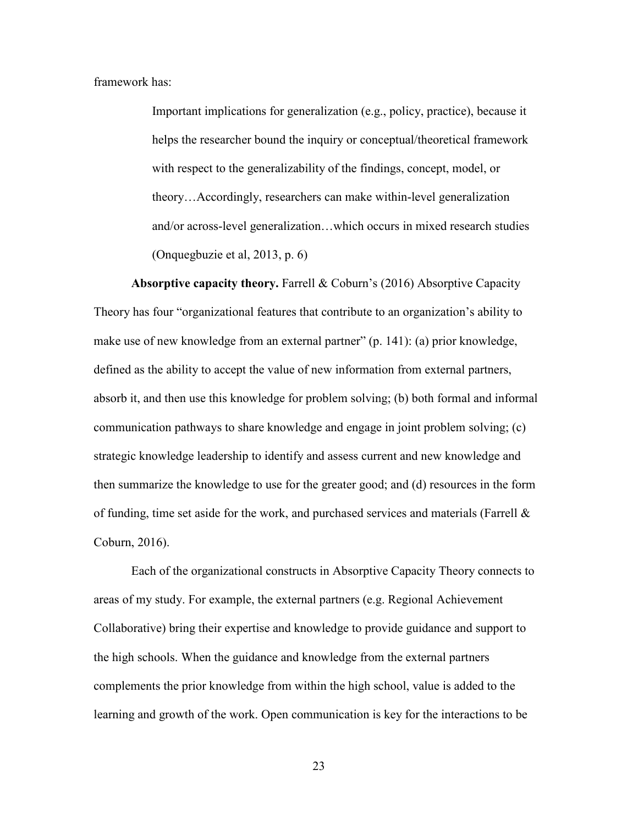framework has:

Important implications for generalization (e.g., policy, practice), because it helps the researcher bound the inquiry or conceptual/theoretical framework with respect to the generalizability of the findings, concept, model, or theory…Accordingly, researchers can make within-level generalization and/or across-level generalization…which occurs in mixed research studies (Onquegbuzie et al, 2013, p. 6)

**Absorptive capacity theory.** Farrell & Coburn's (2016) Absorptive Capacity Theory has four "organizational features that contribute to an organization's ability to make use of new knowledge from an external partner" (p. 141): (a) prior knowledge, defined as the ability to accept the value of new information from external partners, absorb it, and then use this knowledge for problem solving; (b) both formal and informal communication pathways to share knowledge and engage in joint problem solving; (c) strategic knowledge leadership to identify and assess current and new knowledge and then summarize the knowledge to use for the greater good; and (d) resources in the form of funding, time set aside for the work, and purchased services and materials (Farrell & Coburn, 2016).

Each of the organizational constructs in Absorptive Capacity Theory connects to areas of my study. For example, the external partners (e.g. Regional Achievement Collaborative) bring their expertise and knowledge to provide guidance and support to the high schools. When the guidance and knowledge from the external partners complements the prior knowledge from within the high school, value is added to the learning and growth of the work. Open communication is key for the interactions to be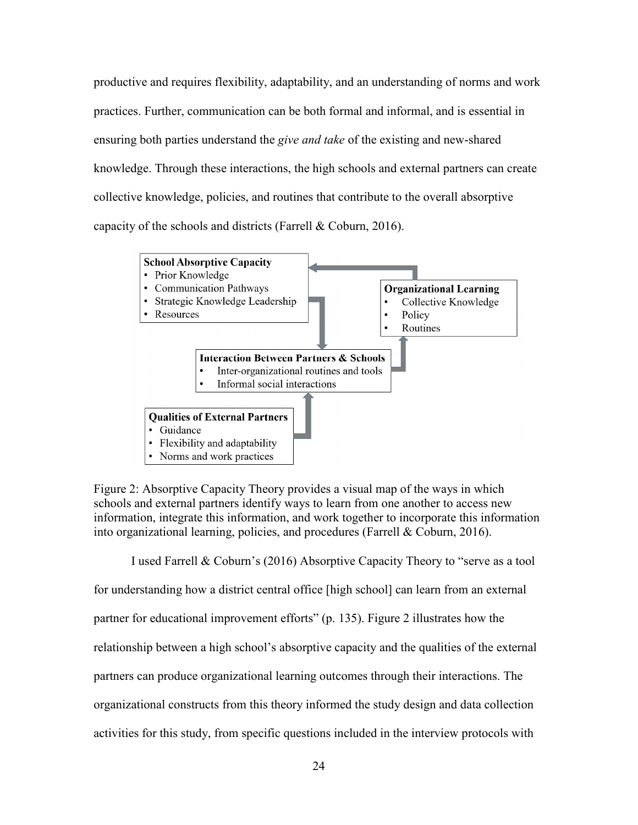productive and requires flexibility, adaptability, and an understanding of norms and work practices. Further, communication can be both formal and informal, and is essential in ensuring both parties understand the *give and take* of the existing and new-shared knowledge. Through these interactions, the high schools and external partners can create collective knowledge, policies, and routines that contribute to the overall absorptive capacity of the schools and districts (Farrell & Coburn, 2016).



Figure 2: Absorptive Capacity Theory provides a visual map of the ways in which schools and external partners identify ways to learn from one another to access new information, integrate this information, and work together to incorporate this information into organizational learning, policies, and procedures (Farrell & Coburn, 2016).

I used Farrell & Coburn's (2016) Absorptive Capacity Theory to "serve as a tool for understanding how a district central office [high school] can learn from an external partner for educational improvement efforts" (p. 135). Figure 2 illustrates how the relationship between a high school's absorptive capacity and the qualities of the external partners can produce organizational learning outcomes through their interactions. The organizational constructs from this theory informed the study design and data collection activities for this study, from specific questions included in the interview protocols with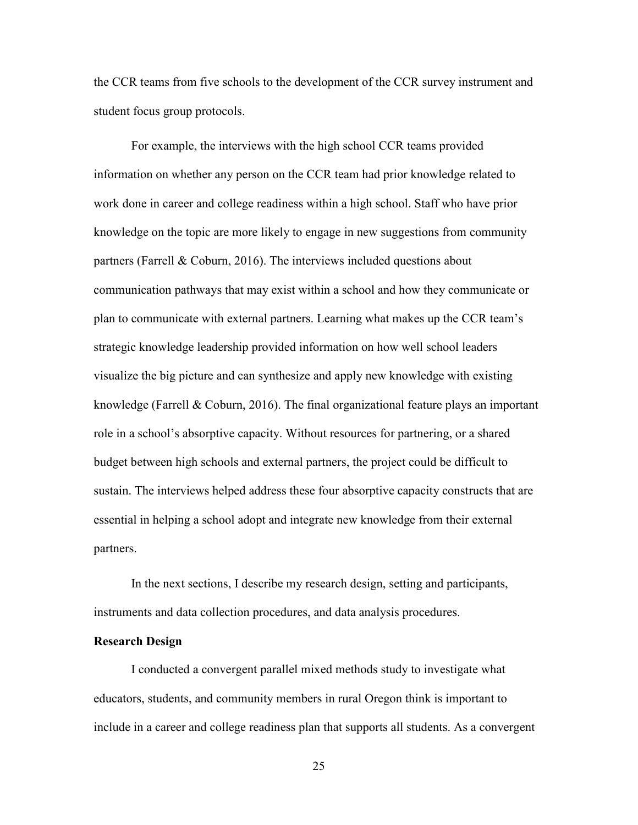the CCR teams from five schools to the development of the CCR survey instrument and student focus group protocols.

For example, the interviews with the high school CCR teams provided information on whether any person on the CCR team had prior knowledge related to work done in career and college readiness within a high school. Staff who have prior knowledge on the topic are more likely to engage in new suggestions from community partners (Farrell & Coburn, 2016). The interviews included questions about communication pathways that may exist within a school and how they communicate or plan to communicate with external partners. Learning what makes up the CCR team's strategic knowledge leadership provided information on how well school leaders visualize the big picture and can synthesize and apply new knowledge with existing knowledge (Farrell  $\&$  Coburn, 2016). The final organizational feature plays an important role in a school's absorptive capacity. Without resources for partnering, or a shared budget between high schools and external partners, the project could be difficult to sustain. The interviews helped address these four absorptive capacity constructs that are essential in helping a school adopt and integrate new knowledge from their external partners.

In the next sections, I describe my research design, setting and participants, instruments and data collection procedures, and data analysis procedures.

#### **Research Design**

I conducted a convergent parallel mixed methods study to investigate what educators, students, and community members in rural Oregon think is important to include in a career and college readiness plan that supports all students. As a convergent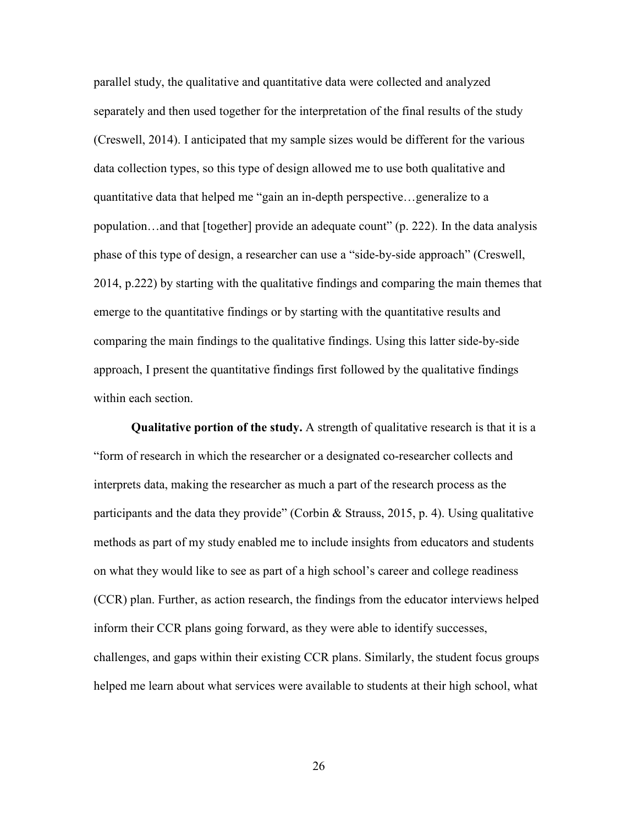parallel study, the qualitative and quantitative data were collected and analyzed separately and then used together for the interpretation of the final results of the study (Creswell, 2014). I anticipated that my sample sizes would be different for the various data collection types, so this type of design allowed me to use both qualitative and quantitative data that helped me "gain an in-depth perspective…generalize to a population…and that [together] provide an adequate count" (p. 222). In the data analysis phase of this type of design, a researcher can use a "side-by-side approach" (Creswell, 2014, p.222) by starting with the qualitative findings and comparing the main themes that emerge to the quantitative findings or by starting with the quantitative results and comparing the main findings to the qualitative findings. Using this latter side-by-side approach, I present the quantitative findings first followed by the qualitative findings within each section.

**Qualitative portion of the study.** A strength of qualitative research is that it is a "form of research in which the researcher or a designated co-researcher collects and interprets data, making the researcher as much a part of the research process as the participants and the data they provide" (Corbin & Strauss, 2015, p. 4). Using qualitative methods as part of my study enabled me to include insights from educators and students on what they would like to see as part of a high school's career and college readiness (CCR) plan. Further, as action research, the findings from the educator interviews helped inform their CCR plans going forward, as they were able to identify successes, challenges, and gaps within their existing CCR plans. Similarly, the student focus groups helped me learn about what services were available to students at their high school, what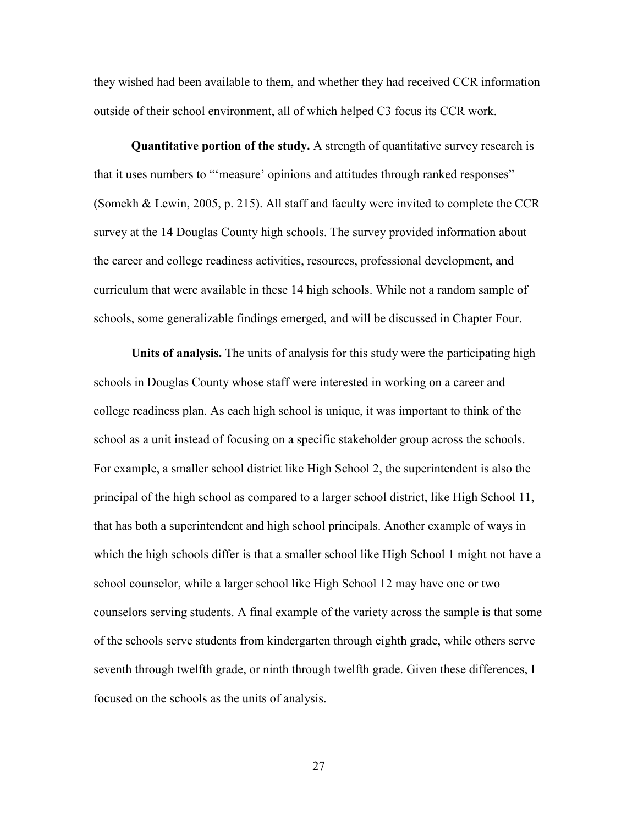they wished had been available to them, and whether they had received CCR information outside of their school environment, all of which helped C3 focus its CCR work.

**Quantitative portion of the study.** A strength of quantitative survey research is that it uses numbers to "'measure' opinions and attitudes through ranked responses" (Somekh & Lewin, 2005, p. 215). All staff and faculty were invited to complete the CCR survey at the 14 Douglas County high schools. The survey provided information about the career and college readiness activities, resources, professional development, and curriculum that were available in these 14 high schools. While not a random sample of schools, some generalizable findings emerged, and will be discussed in Chapter Four.

**Units of analysis.** The units of analysis for this study were the participating high schools in Douglas County whose staff were interested in working on a career and college readiness plan. As each high school is unique, it was important to think of the school as a unit instead of focusing on a specific stakeholder group across the schools. For example, a smaller school district like High School 2, the superintendent is also the principal of the high school as compared to a larger school district, like High School 11, that has both a superintendent and high school principals. Another example of ways in which the high schools differ is that a smaller school like High School 1 might not have a school counselor, while a larger school like High School 12 may have one or two counselors serving students. A final example of the variety across the sample is that some of the schools serve students from kindergarten through eighth grade, while others serve seventh through twelfth grade, or ninth through twelfth grade. Given these differences, I focused on the schools as the units of analysis.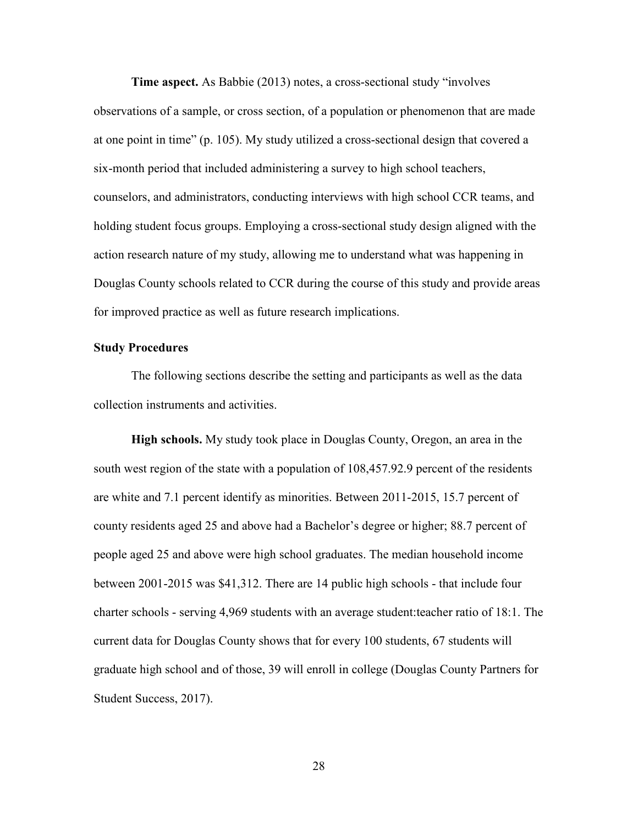**Time aspect.** As Babbie (2013) notes, a cross-sectional study "involves observations of a sample, or cross section, of a population or phenomenon that are made at one point in time" (p. 105). My study utilized a cross-sectional design that covered a six-month period that included administering a survey to high school teachers, counselors, and administrators, conducting interviews with high school CCR teams, and holding student focus groups. Employing a cross-sectional study design aligned with the action research nature of my study, allowing me to understand what was happening in Douglas County schools related to CCR during the course of this study and provide areas for improved practice as well as future research implications.

#### **Study Procedures**

The following sections describe the setting and participants as well as the data collection instruments and activities.

**High schools.** My study took place in Douglas County, Oregon, an area in the south west region of the state with a population of 108,457.92.9 percent of the residents are white and 7.1 percent identify as minorities. Between 2011-2015, 15.7 percent of county residents aged 25 and above had a Bachelor's degree or higher; 88.7 percent of people aged 25 and above were high school graduates. The median household income between 2001-2015 was \$41,312. There are 14 public high schools - that include four charter schools - serving 4,969 students with an average student:teacher ratio of 18:1. The current data for Douglas County shows that for every 100 students, 67 students will graduate high school and of those, 39 will enroll in college (Douglas County Partners for Student Success, 2017).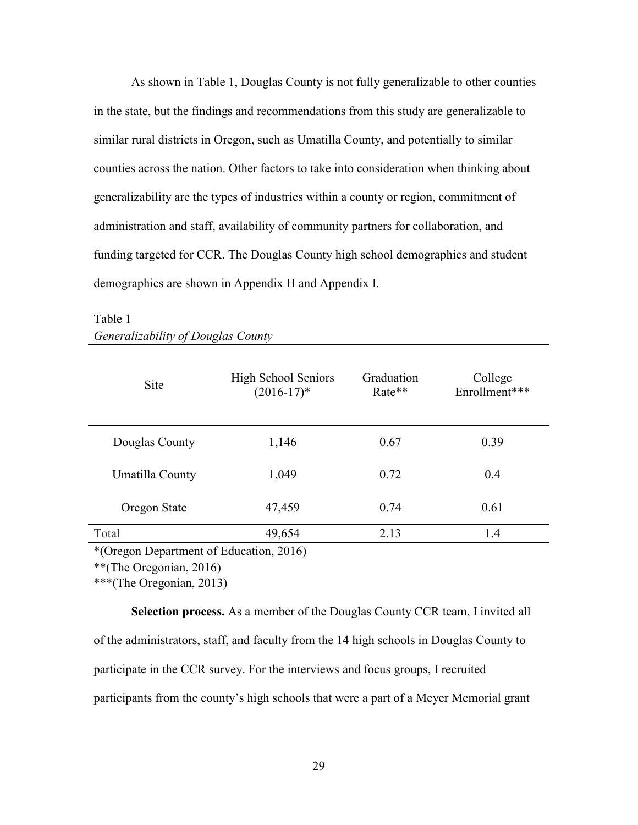As shown in Table 1, Douglas County is not fully generalizable to other counties in the state, but the findings and recommendations from this study are generalizable to similar rural districts in Oregon, such as Umatilla County, and potentially to similar counties across the nation. Other factors to take into consideration when thinking about generalizability are the types of industries within a county or region, commitment of administration and staff, availability of community partners for collaboration, and funding targeted for CCR. The Douglas County high school demographics and student demographics are shown in Appendix H and Appendix I.

| <b>Site</b>     | <b>High School Seniors</b><br>$(2016-17)^*$ | Graduation<br>Rate** | College<br>Enrollment*** |
|-----------------|---------------------------------------------|----------------------|--------------------------|
| Douglas County  | 1,146                                       | 0.67                 | 0.39                     |
| Umatilla County | 1,049                                       | 0.72                 | 0.4                      |
| Oregon State    | 47,459                                      | 0.74                 | 0.61                     |
| Total           | 49,654                                      | 2.13                 | 1.4                      |

### Table 1 *Generalizability of Douglas County*

\*(Oregon Department of Education, 2016)

\*\*(The Oregonian, 2016)

\*\*\*(The Oregonian, 2013)

**Selection process.** As a member of the Douglas County CCR team, I invited all of the administrators, staff, and faculty from the 14 high schools in Douglas County to participate in the CCR survey. For the interviews and focus groups, I recruited participants from the county's high schools that were a part of a Meyer Memorial grant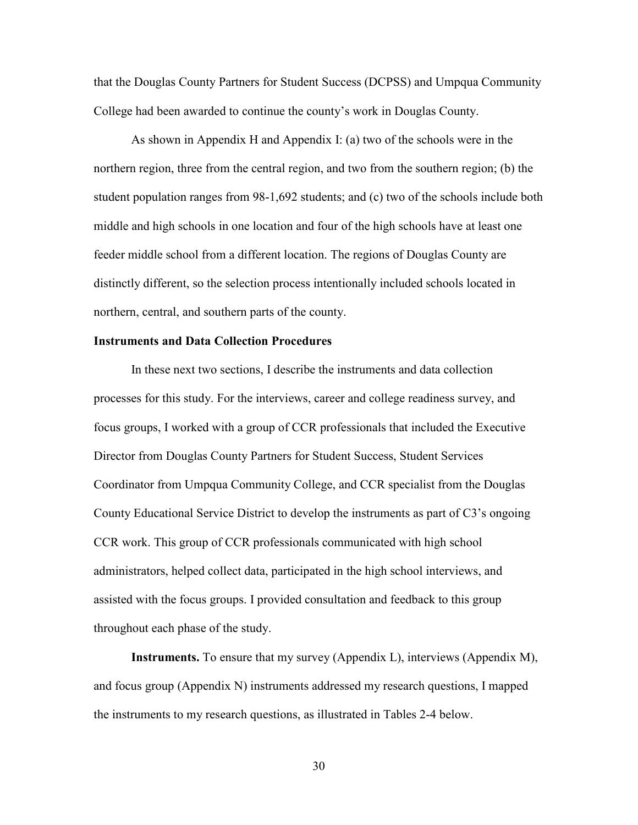that the Douglas County Partners for Student Success (DCPSS) and Umpqua Community College had been awarded to continue the county's work in Douglas County.

As shown in Appendix H and Appendix I: (a) two of the schools were in the northern region, three from the central region, and two from the southern region; (b) the student population ranges from 98-1,692 students; and (c) two of the schools include both middle and high schools in one location and four of the high schools have at least one feeder middle school from a different location. The regions of Douglas County are distinctly different, so the selection process intentionally included schools located in northern, central, and southern parts of the county.

#### **Instruments and Data Collection Procedures**

In these next two sections, I describe the instruments and data collection processes for this study. For the interviews, career and college readiness survey, and focus groups, I worked with a group of CCR professionals that included the Executive Director from Douglas County Partners for Student Success, Student Services Coordinator from Umpqua Community College, and CCR specialist from the Douglas County Educational Service District to develop the instruments as part of C3's ongoing CCR work. This group of CCR professionals communicated with high school administrators, helped collect data, participated in the high school interviews, and assisted with the focus groups. I provided consultation and feedback to this group throughout each phase of the study.

**Instruments.** To ensure that my survey (Appendix L), interviews (Appendix M), and focus group (Appendix N) instruments addressed my research questions, I mapped the instruments to my research questions, as illustrated in Tables 2-4 below.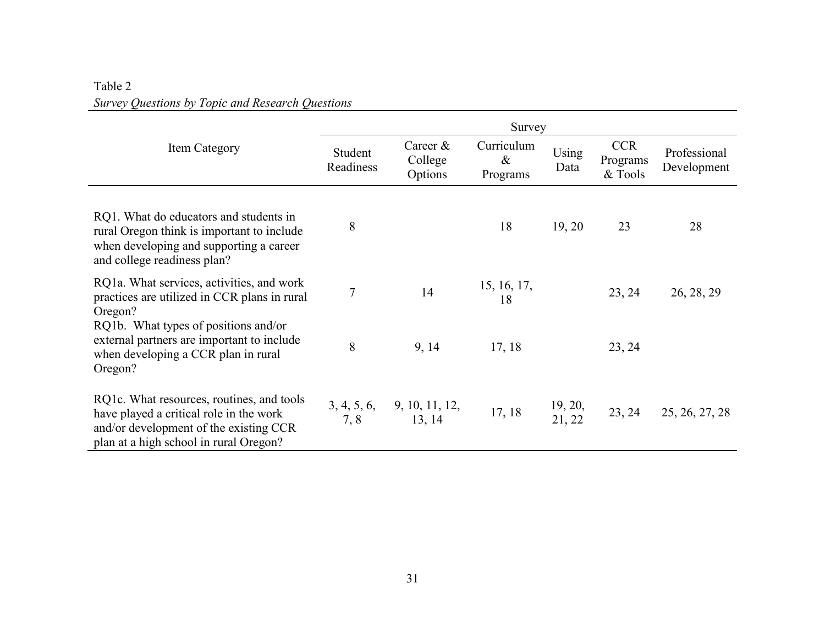| Table 2                                          |  |
|--------------------------------------------------|--|
| Survey Questions by Topic and Research Questions |  |

|                                                                                                                                                                          | Survey               |                                             |                                |                              |                                   |                             |  |  |
|--------------------------------------------------------------------------------------------------------------------------------------------------------------------------|----------------------|---------------------------------------------|--------------------------------|------------------------------|-----------------------------------|-----------------------------|--|--|
| Item Category                                                                                                                                                            | Student<br>Readiness | Career $\&$<br>College<br>Options           | Curriculum<br>$\&$<br>Programs | Using<br>Data                | <b>CCR</b><br>Programs<br>& Tools | Professional<br>Development |  |  |
| RQ1. What do educators and students in<br>rural Oregon think is important to include<br>when developing and supporting a career<br>and college readiness plan?           | 8                    |                                             | 18                             | 19, 20                       | 23                                | 28                          |  |  |
| RQ1a. What services, activities, and work<br>practices are utilized in CCR plans in rural<br>Oregon?                                                                     | $\overline{7}$       | 14                                          | 15, 16, 17,<br>18              |                              | 23, 24                            | 26, 28, 29                  |  |  |
| RQ1b. What types of positions and/or<br>external partners are important to include<br>when developing a CCR plan in rural<br>Oregon?                                     | 8                    | 9, 14                                       | 17, 18                         |                              | 23, 24                            |                             |  |  |
| RQ1c. What resources, routines, and tools<br>have played a critical role in the work<br>and/or development of the existing CCR<br>plan at a high school in rural Oregon? | 7, 8                 | $3, 4, 5, 6, 9, 10, 11, 12,$<br>7, 8 13, 14 | 17, 18                         | $\frac{19}{21}$ , 20, 21, 22 | 23, 24                            | 25, 26, 27, 28              |  |  |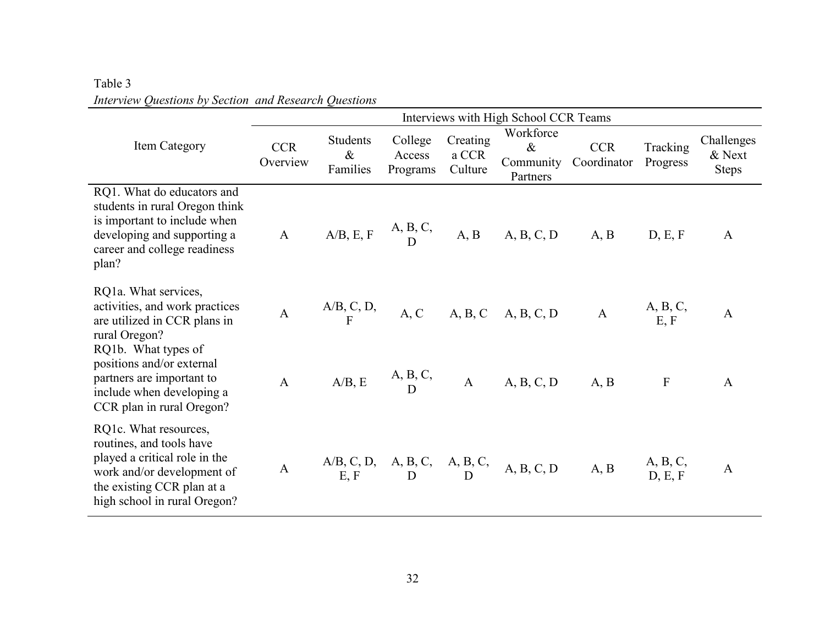|                                                                                                                                                                                | Interviews with High School CCR Teams |                                     |                               |                              |                                                                                                                                  |                           |                         |                                      |  |  |
|--------------------------------------------------------------------------------------------------------------------------------------------------------------------------------|---------------------------------------|-------------------------------------|-------------------------------|------------------------------|----------------------------------------------------------------------------------------------------------------------------------|---------------------------|-------------------------|--------------------------------------|--|--|
| Item Category                                                                                                                                                                  | <b>CCR</b><br>Overview                | <b>Students</b><br>$\&$<br>Families | College<br>Access<br>Programs | Creating<br>a CCR<br>Culture | Workforce<br>$\&$<br>Community<br>Partners                                                                                       | <b>CCR</b><br>Coordinator | Tracking<br>Progress    | Challenges<br>& Next<br><b>Steps</b> |  |  |
| RQ1. What do educators and<br>students in rural Oregon think<br>is important to include when<br>developing and supporting a<br>career and college readiness<br>plan?           |                                       |                                     |                               |                              | A $A/B, E, F$ $\begin{matrix} A, B, C, \\ D \end{matrix}$ $A, B$ $A, B, C, D$ $A, B$                                             |                           | D, E, F                 | $\mathbf{A}$                         |  |  |
| RQ1a. What services,<br>activities, and work practices<br>are utilized in CCR plans in<br>rural Oregon?<br>RQ1b. What types of                                                 |                                       |                                     |                               |                              | A $\begin{array}{ccc} A/B, C, D, \\ F \end{array}$ A, C A, B, C A, B, C, D A $\begin{array}{ccc} A, B, C, \\ & E, F \end{array}$ |                           |                         | $\mathbf{A}$                         |  |  |
| positions and/or external<br>partners are important to<br>include when developing a<br>CCR plan in rural Oregon?                                                               |                                       |                                     |                               |                              | A $A/B, E$ $A, B, C, A$ $A, B, C, D$ $A, B$                                                                                      |                           | $\mathbf{F}$            | $\mathbf{A}$                         |  |  |
| RQ1c. What resources,<br>routines, and tools have<br>played a critical role in the<br>work and/or development of<br>the existing CCR plan at a<br>high school in rural Oregon? | $\mathbf{A}$                          |                                     |                               |                              | $A/B, C, D, A, B, C, A, B, C, A, B, C, D$<br>E, F D D D A, B, C, D A, B                                                          |                           | $A, B, C,$<br>$D, E, F$ | $\mathbf{A}$                         |  |  |

## Table 3 *Interview Questions by Section and Research Questions*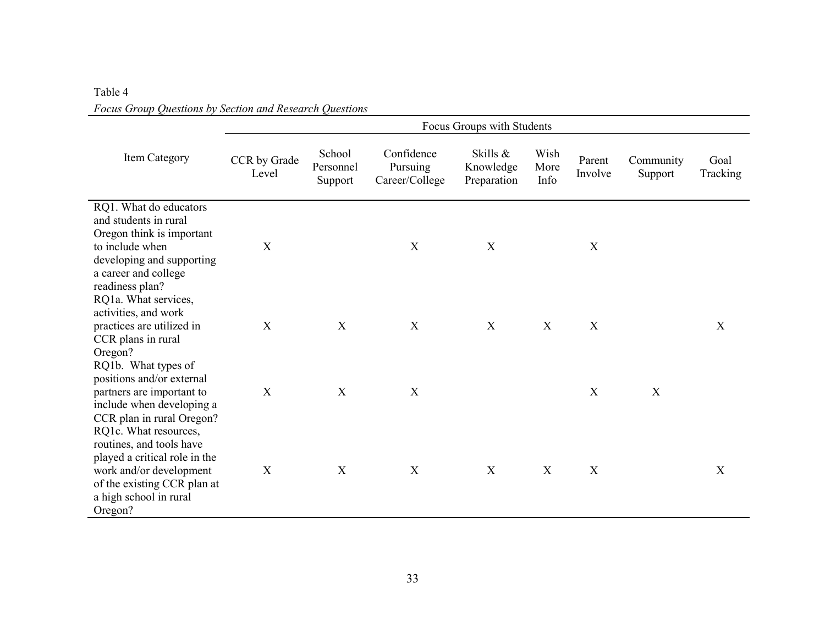| Table 4                                                 |  |
|---------------------------------------------------------|--|
| Focus Group Questions by Section and Research Questions |  |

|                                                                                                                                                                                                 |                           |                                |                                          | Focus Groups with Students           |                      |                   |                      |                  |
|-------------------------------------------------------------------------------------------------------------------------------------------------------------------------------------------------|---------------------------|--------------------------------|------------------------------------------|--------------------------------------|----------------------|-------------------|----------------------|------------------|
| Item Category                                                                                                                                                                                   | CCR by Grade<br>Level     | School<br>Personnel<br>Support | Confidence<br>Pursuing<br>Career/College | Skills &<br>Knowledge<br>Preparation | Wish<br>More<br>Info | Parent<br>Involve | Community<br>Support | Goal<br>Tracking |
| RQ1. What do educators<br>and students in rural<br>Oregon think is important<br>to include when<br>developing and supporting<br>a career and college<br>readiness plan?<br>RQ1a. What services, | X                         |                                | X                                        | X                                    |                      | $\mathbf X$       |                      |                  |
| activities, and work<br>practices are utilized in<br>CCR plans in rural<br>Oregon?                                                                                                              | X                         | X                              | X                                        | X                                    | X                    | X                 |                      | X                |
| RQ1b. What types of<br>positions and/or external<br>partners are important to<br>include when developing a<br>CCR plan in rural Oregon?<br>RQ1c. What resources,                                | $\boldsymbol{\mathrm{X}}$ | $\mathbf X$                    | X                                        |                                      |                      | $\mathbf X$       | X                    |                  |
| routines, and tools have<br>played a critical role in the<br>work and/or development<br>of the existing CCR plan at<br>a high school in rural<br>Oregon?                                        | X                         | X                              | X                                        | X                                    | X                    | X                 |                      | X                |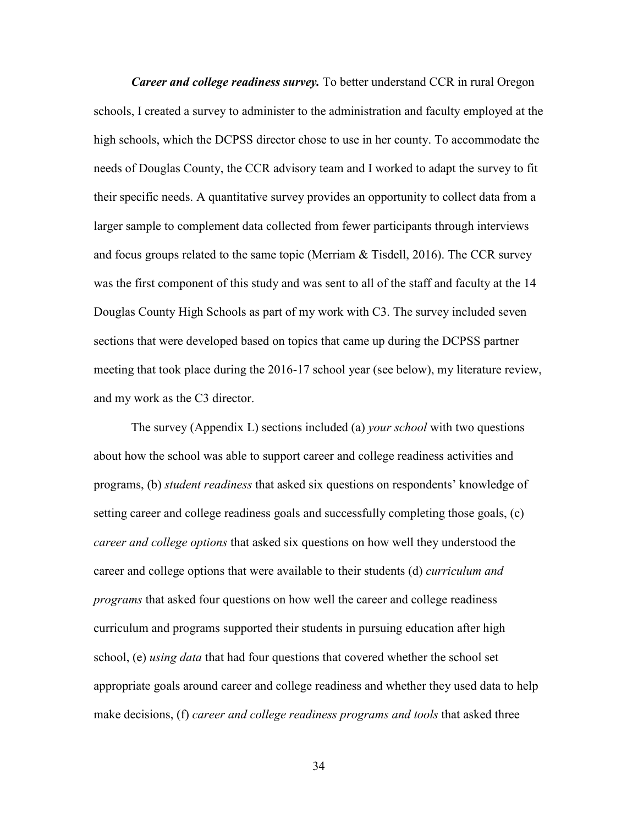*Career and college readiness survey.* To better understand CCR in rural Oregon schools, I created a survey to administer to the administration and faculty employed at the high schools, which the DCPSS director chose to use in her county. To accommodate the needs of Douglas County, the CCR advisory team and I worked to adapt the survey to fit their specific needs. A quantitative survey provides an opportunity to collect data from a larger sample to complement data collected from fewer participants through interviews and focus groups related to the same topic (Merriam & Tisdell, 2016). The CCR survey was the first component of this study and was sent to all of the staff and faculty at the 14 Douglas County High Schools as part of my work with C3. The survey included seven sections that were developed based on topics that came up during the DCPSS partner meeting that took place during the 2016-17 school year (see below), my literature review, and my work as the C3 director.

The survey (Appendix L) sections included (a) *your school* with two questions about how the school was able to support career and college readiness activities and programs, (b) *student readiness* that asked six questions on respondents' knowledge of setting career and college readiness goals and successfully completing those goals, (c) *career and college options* that asked six questions on how well they understood the career and college options that were available to their students (d) *curriculum and programs* that asked four questions on how well the career and college readiness curriculum and programs supported their students in pursuing education after high school, (e) *using data* that had four questions that covered whether the school set appropriate goals around career and college readiness and whether they used data to help make decisions, (f) *career and college readiness programs and tools* that asked three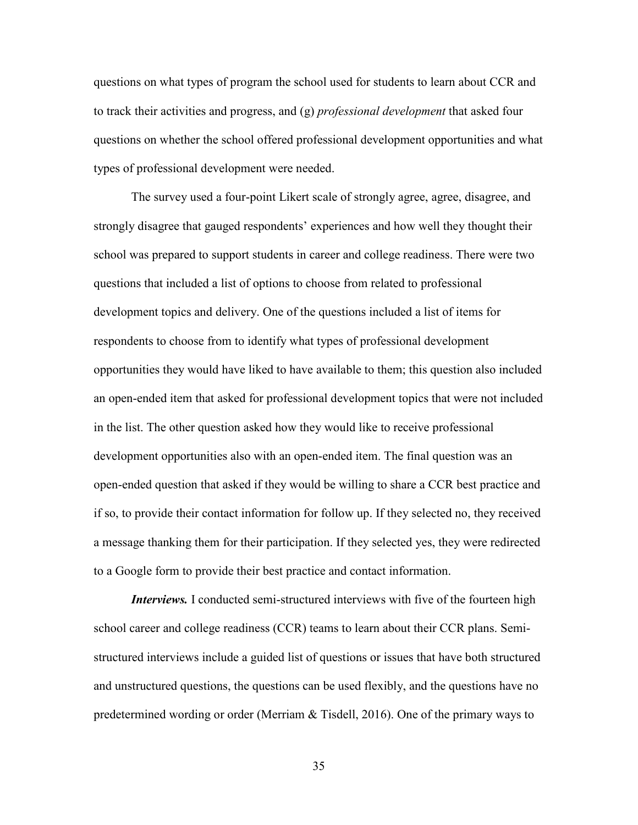questions on what types of program the school used for students to learn about CCR and to track their activities and progress, and (g) *professional development* that asked four questions on whether the school offered professional development opportunities and what types of professional development were needed.

The survey used a four-point Likert scale of strongly agree, agree, disagree, and strongly disagree that gauged respondents' experiences and how well they thought their school was prepared to support students in career and college readiness. There were two questions that included a list of options to choose from related to professional development topics and delivery. One of the questions included a list of items for respondents to choose from to identify what types of professional development opportunities they would have liked to have available to them; this question also included an open-ended item that asked for professional development topics that were not included in the list. The other question asked how they would like to receive professional development opportunities also with an open-ended item. The final question was an open-ended question that asked if they would be willing to share a CCR best practice and if so, to provide their contact information for follow up. If they selected no, they received a message thanking them for their participation. If they selected yes, they were redirected to a Google form to provide their best practice and contact information.

*Interviews.* I conducted semi-structured interviews with five of the fourteen high school career and college readiness (CCR) teams to learn about their CCR plans. Semistructured interviews include a guided list of questions or issues that have both structured and unstructured questions, the questions can be used flexibly, and the questions have no predetermined wording or order (Merriam  $\&$  Tisdell, 2016). One of the primary ways to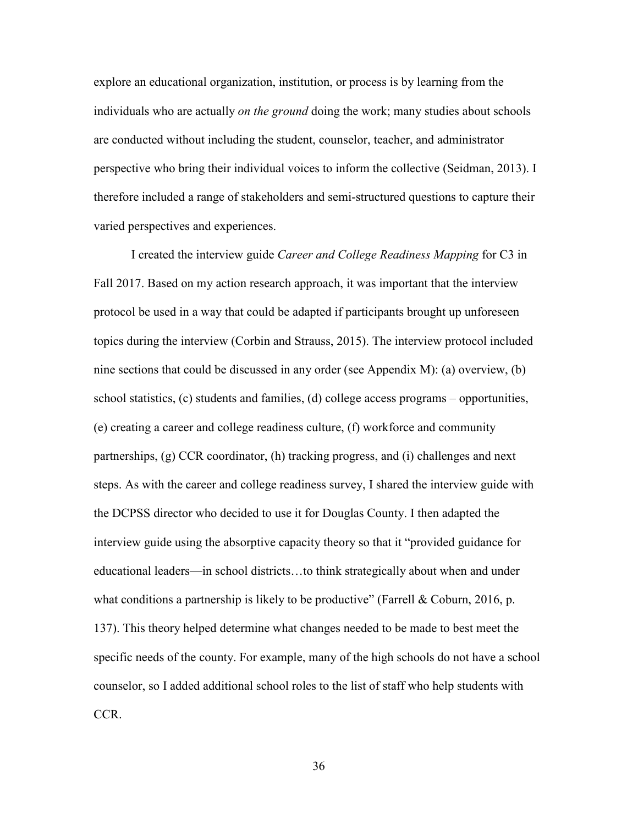explore an educational organization, institution, or process is by learning from the individuals who are actually *on the ground* doing the work; many studies about schools are conducted without including the student, counselor, teacher, and administrator perspective who bring their individual voices to inform the collective (Seidman, 2013). I therefore included a range of stakeholders and semi-structured questions to capture their varied perspectives and experiences.

I created the interview guide *Career and College Readiness Mapping* for C3 in Fall 2017. Based on my action research approach, it was important that the interview protocol be used in a way that could be adapted if participants brought up unforeseen topics during the interview (Corbin and Strauss, 2015). The interview protocol included nine sections that could be discussed in any order (see Appendix M): (a) overview, (b) school statistics, (c) students and families, (d) college access programs – opportunities, (e) creating a career and college readiness culture, (f) workforce and community partnerships, (g) CCR coordinator, (h) tracking progress, and (i) challenges and next steps. As with the career and college readiness survey, I shared the interview guide with the DCPSS director who decided to use it for Douglas County. I then adapted the interview guide using the absorptive capacity theory so that it "provided guidance for educational leaders—in school districts…to think strategically about when and under what conditions a partnership is likely to be productive" (Farrell & Coburn, 2016, p. 137). This theory helped determine what changes needed to be made to best meet the specific needs of the county. For example, many of the high schools do not have a school counselor, so I added additional school roles to the list of staff who help students with CCR.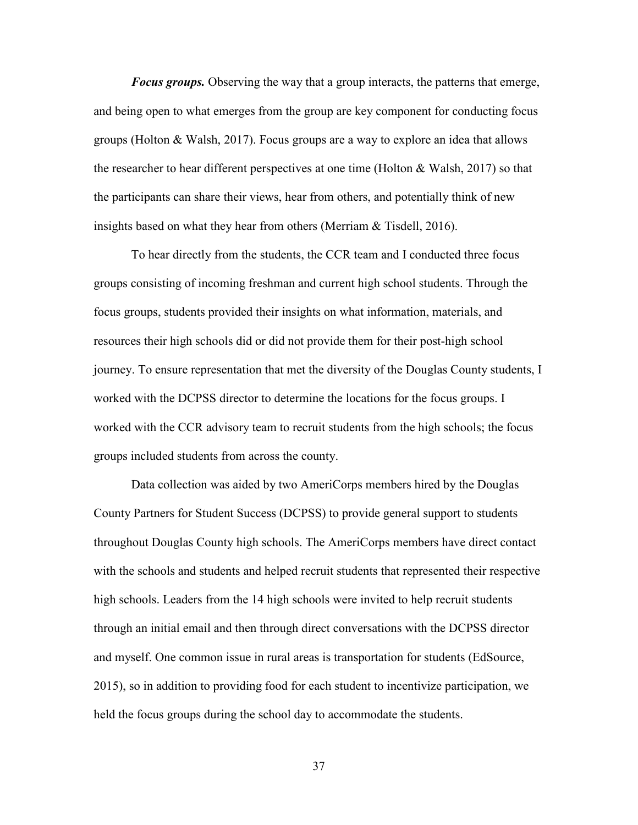*Focus groups.* Observing the way that a group interacts, the patterns that emerge, and being open to what emerges from the group are key component for conducting focus groups (Holton & Walsh, 2017). Focus groups are a way to explore an idea that allows the researcher to hear different perspectives at one time (Holton  $& Walsh, 2017$ ) so that the participants can share their views, hear from others, and potentially think of new insights based on what they hear from others (Merriam & Tisdell, 2016).

To hear directly from the students, the CCR team and I conducted three focus groups consisting of incoming freshman and current high school students. Through the focus groups, students provided their insights on what information, materials, and resources their high schools did or did not provide them for their post-high school journey. To ensure representation that met the diversity of the Douglas County students, I worked with the DCPSS director to determine the locations for the focus groups. I worked with the CCR advisory team to recruit students from the high schools; the focus groups included students from across the county.

Data collection was aided by two AmeriCorps members hired by the Douglas County Partners for Student Success (DCPSS) to provide general support to students throughout Douglas County high schools. The AmeriCorps members have direct contact with the schools and students and helped recruit students that represented their respective high schools. Leaders from the 14 high schools were invited to help recruit students through an initial email and then through direct conversations with the DCPSS director and myself. One common issue in rural areas is transportation for students (EdSource, 2015), so in addition to providing food for each student to incentivize participation, we held the focus groups during the school day to accommodate the students.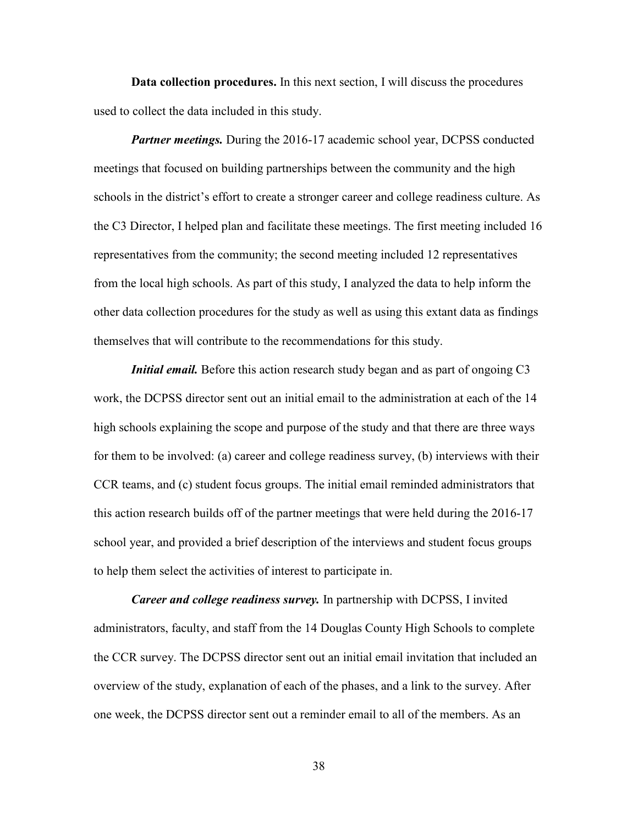**Data collection procedures.** In this next section, I will discuss the procedures used to collect the data included in this study.

*Partner meetings.* During the 2016-17 academic school year, DCPSS conducted meetings that focused on building partnerships between the community and the high schools in the district's effort to create a stronger career and college readiness culture. As the C3 Director, I helped plan and facilitate these meetings. The first meeting included 16 representatives from the community; the second meeting included 12 representatives from the local high schools. As part of this study, I analyzed the data to help inform the other data collection procedures for the study as well as using this extant data as findings themselves that will contribute to the recommendations for this study.

*Initial email.* Before this action research study began and as part of ongoing C3 work, the DCPSS director sent out an initial email to the administration at each of the 14 high schools explaining the scope and purpose of the study and that there are three ways for them to be involved: (a) career and college readiness survey, (b) interviews with their CCR teams, and (c) student focus groups. The initial email reminded administrators that this action research builds off of the partner meetings that were held during the 2016-17 school year, and provided a brief description of the interviews and student focus groups to help them select the activities of interest to participate in.

*Career and college readiness survey.* In partnership with DCPSS, I invited administrators, faculty, and staff from the 14 Douglas County High Schools to complete the CCR survey. The DCPSS director sent out an initial email invitation that included an overview of the study, explanation of each of the phases, and a link to the survey. After one week, the DCPSS director sent out a reminder email to all of the members. As an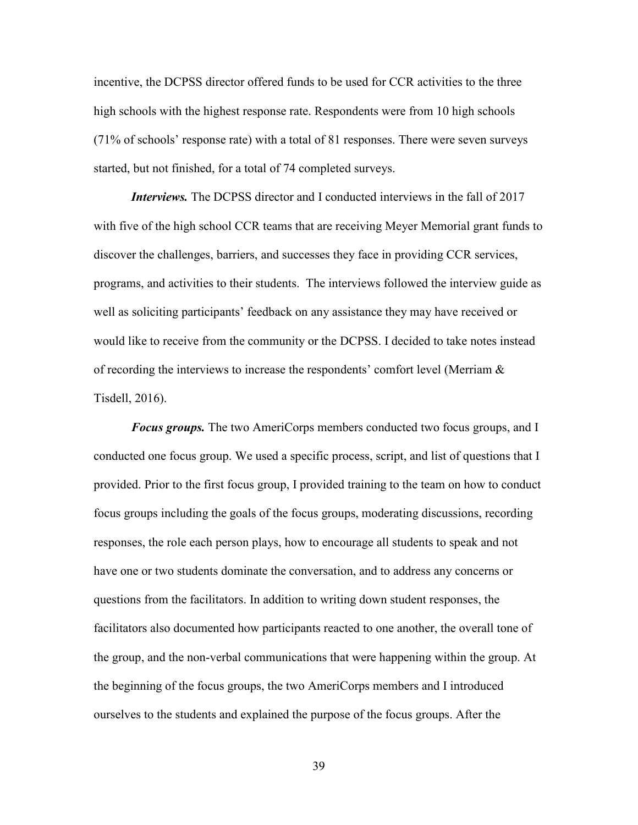incentive, the DCPSS director offered funds to be used for CCR activities to the three high schools with the highest response rate. Respondents were from 10 high schools (71% of schools' response rate) with a total of 81 responses. There were seven surveys started, but not finished, for a total of 74 completed surveys.

*Interviews.* The DCPSS director and I conducted interviews in the fall of 2017 with five of the high school CCR teams that are receiving Meyer Memorial grant funds to discover the challenges, barriers, and successes they face in providing CCR services, programs, and activities to their students. The interviews followed the interview guide as well as soliciting participants' feedback on any assistance they may have received or would like to receive from the community or the DCPSS. I decided to take notes instead of recording the interviews to increase the respondents' comfort level (Merriam & Tisdell, 2016).

*Focus groups.* The two AmeriCorps members conducted two focus groups, and I conducted one focus group. We used a specific process, script, and list of questions that I provided. Prior to the first focus group, I provided training to the team on how to conduct focus groups including the goals of the focus groups, moderating discussions, recording responses, the role each person plays, how to encourage all students to speak and not have one or two students dominate the conversation, and to address any concerns or questions from the facilitators. In addition to writing down student responses, the facilitators also documented how participants reacted to one another, the overall tone of the group, and the non-verbal communications that were happening within the group. At the beginning of the focus groups, the two AmeriCorps members and I introduced ourselves to the students and explained the purpose of the focus groups. After the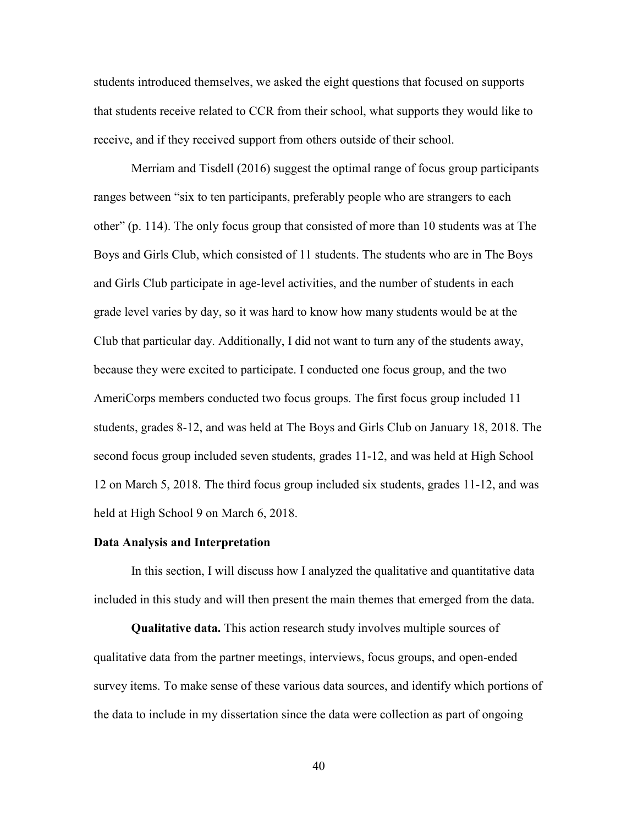students introduced themselves, we asked the eight questions that focused on supports that students receive related to CCR from their school, what supports they would like to receive, and if they received support from others outside of their school.

Merriam and Tisdell (2016) suggest the optimal range of focus group participants ranges between "six to ten participants, preferably people who are strangers to each other" (p. 114). The only focus group that consisted of more than 10 students was at The Boys and Girls Club, which consisted of 11 students. The students who are in The Boys and Girls Club participate in age-level activities, and the number of students in each grade level varies by day, so it was hard to know how many students would be at the Club that particular day. Additionally, I did not want to turn any of the students away, because they were excited to participate. I conducted one focus group, and the two AmeriCorps members conducted two focus groups. The first focus group included 11 students, grades 8-12, and was held at The Boys and Girls Club on January 18, 2018. The second focus group included seven students, grades 11-12, and was held at High School 12 on March 5, 2018. The third focus group included six students, grades 11-12, and was held at High School 9 on March 6, 2018.

#### **Data Analysis and Interpretation**

In this section, I will discuss how I analyzed the qualitative and quantitative data included in this study and will then present the main themes that emerged from the data.

**Qualitative data.** This action research study involves multiple sources of qualitative data from the partner meetings, interviews, focus groups, and open-ended survey items. To make sense of these various data sources, and identify which portions of the data to include in my dissertation since the data were collection as part of ongoing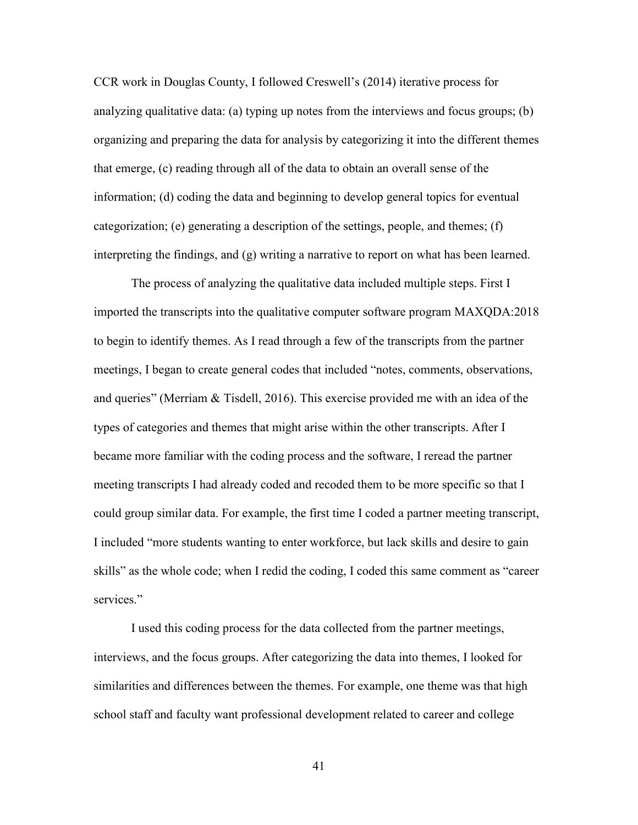CCR work in Douglas County, I followed Creswell's (2014) iterative process for analyzing qualitative data: (a) typing up notes from the interviews and focus groups; (b) organizing and preparing the data for analysis by categorizing it into the different themes that emerge, (c) reading through all of the data to obtain an overall sense of the information; (d) coding the data and beginning to develop general topics for eventual categorization; (e) generating a description of the settings, people, and themes; (f) interpreting the findings, and (g) writing a narrative to report on what has been learned.

The process of analyzing the qualitative data included multiple steps. First I imported the transcripts into the qualitative computer software program MAXQDA:2018 to begin to identify themes. As I read through a few of the transcripts from the partner meetings, I began to create general codes that included "notes, comments, observations, and queries" (Merriam & Tisdell, 2016). This exercise provided me with an idea of the types of categories and themes that might arise within the other transcripts. After I became more familiar with the coding process and the software, I reread the partner meeting transcripts I had already coded and recoded them to be more specific so that I could group similar data. For example, the first time I coded a partner meeting transcript, I included "more students wanting to enter workforce, but lack skills and desire to gain skills" as the whole code; when I redid the coding, I coded this same comment as "career services."

I used this coding process for the data collected from the partner meetings, interviews, and the focus groups. After categorizing the data into themes, I looked for similarities and differences between the themes. For example, one theme was that high school staff and faculty want professional development related to career and college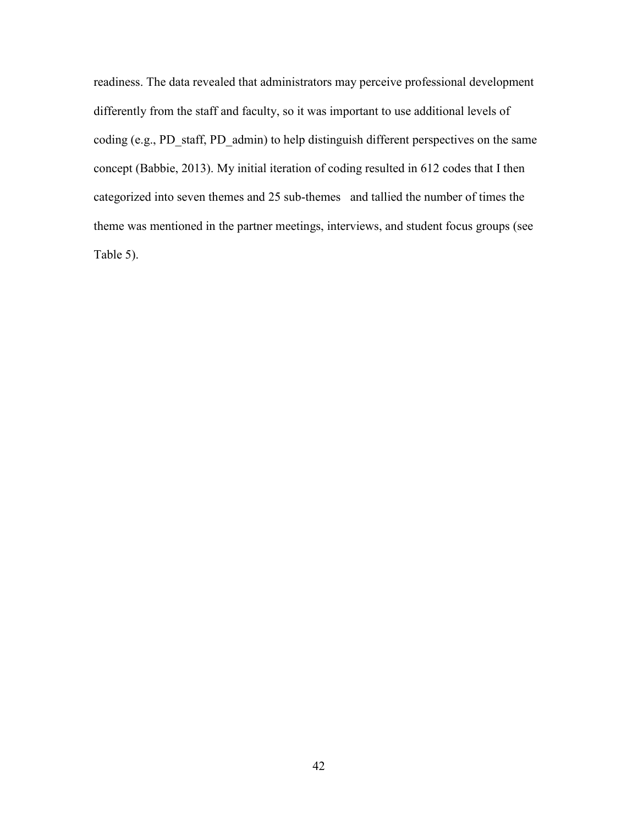readiness. The data revealed that administrators may perceive professional development differently from the staff and faculty, so it was important to use additional levels of coding (e.g., PD\_staff, PD\_admin) to help distinguish different perspectives on the same concept (Babbie, 2013). My initial iteration of coding resulted in 612 codes that I then categorized into seven themes and 25 sub-themes and tallied the number of times the theme was mentioned in the partner meetings, interviews, and student focus groups (see Table 5).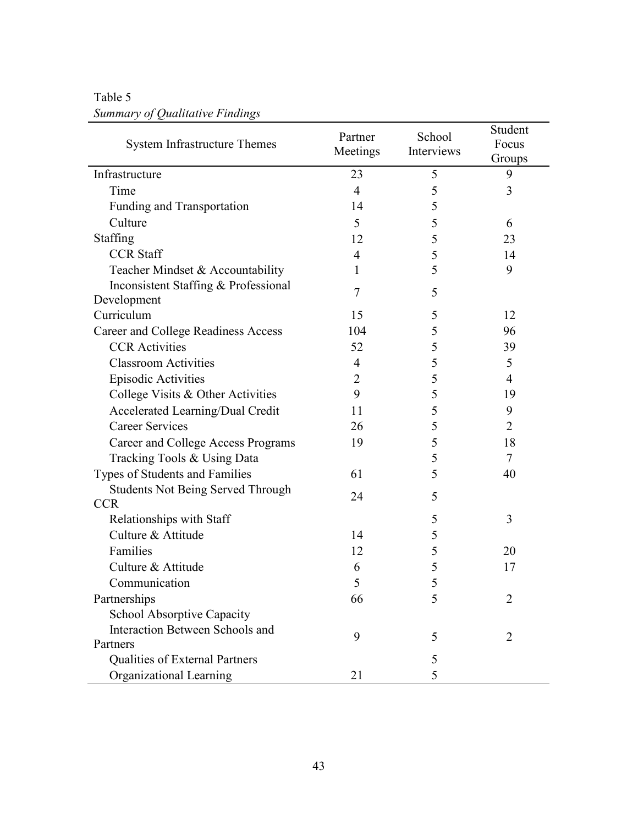| <b>System Infrastructure Themes</b>                    | Partner        | School     | Student<br>Focus |
|--------------------------------------------------------|----------------|------------|------------------|
|                                                        | Meetings       | Interviews | Groups           |
| Infrastructure                                         | 23             | 5          | 9                |
| Time                                                   | $\overline{4}$ | 5          | 3                |
| Funding and Transportation                             | 14             | 5          |                  |
| Culture                                                | 5              | 5          | 6                |
| Staffing                                               | 12             | 5          | 23               |
| <b>CCR Staff</b>                                       | 4              | 5          | 14               |
| Teacher Mindset & Accountability                       | 1              | 5          | 9                |
| Inconsistent Staffing & Professional<br>Development    | 7              | 5          |                  |
| Curriculum                                             | 15             | 5          | 12               |
| Career and College Readiness Access                    | 104            | 5          | 96               |
| <b>CCR</b> Activities                                  | 52             | 5          | 39               |
| <b>Classroom Activities</b>                            | $\overline{4}$ | 5          | 5                |
| <b>Episodic Activities</b>                             | 2              | 5          | 4                |
| College Visits & Other Activities                      | 9              | 5          | 19               |
| Accelerated Learning/Dual Credit                       | 11             | 5          | 9                |
| <b>Career Services</b>                                 | 26             | 5          | $\overline{2}$   |
| Career and College Access Programs                     | 19             | 5          | 18               |
| Tracking Tools & Using Data                            |                | 5          | $\tau$           |
| Types of Students and Families                         | 61             | 5          | 40               |
| <b>Students Not Being Served Through</b><br><b>CCR</b> | 24             | 5          |                  |
| Relationships with Staff                               |                | 5          | 3                |
| Culture & Attitude                                     | 14             | 5          |                  |
| Families                                               | 12             | 5          | 20               |
| Culture & Attitude                                     | 6              | 5          | 17               |
| Communication                                          | 5              | 5          |                  |
| Partnerships                                           | 66             | 5          | $\overline{2}$   |
| <b>School Absorptive Capacity</b>                      |                |            |                  |
| Interaction Between Schools and                        |                |            |                  |
| Partners                                               | 9              | 5          | 2                |
| <b>Qualities of External Partners</b>                  |                | 5          |                  |
| Organizational Learning                                | 21             | 5          |                  |

# Table 5 *Summary of Qualitative Findings*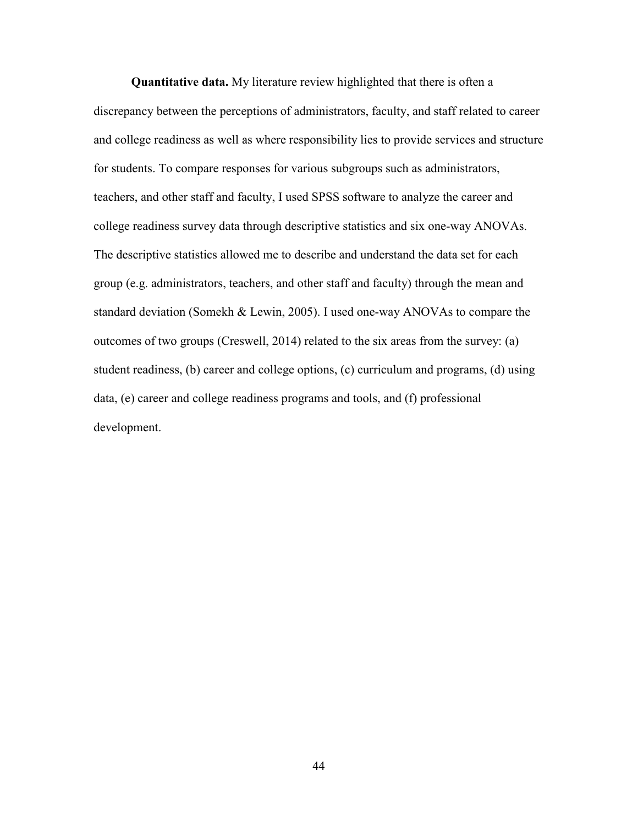**Quantitative data.** My literature review highlighted that there is often a discrepancy between the perceptions of administrators, faculty, and staff related to career and college readiness as well as where responsibility lies to provide services and structure for students. To compare responses for various subgroups such as administrators, teachers, and other staff and faculty, I used SPSS software to analyze the career and college readiness survey data through descriptive statistics and six one-way ANOVAs. The descriptive statistics allowed me to describe and understand the data set for each group (e.g. administrators, teachers, and other staff and faculty) through the mean and standard deviation (Somekh & Lewin, 2005). I used one-way ANOVAs to compare the outcomes of two groups (Creswell, 2014) related to the six areas from the survey: (a) student readiness, (b) career and college options, (c) curriculum and programs, (d) using data, (e) career and college readiness programs and tools, and (f) professional development.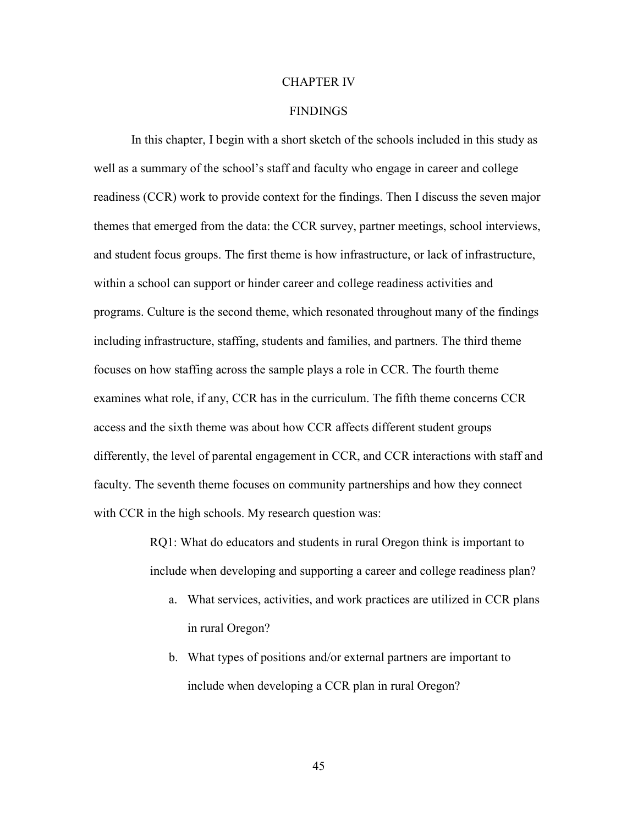#### CHAPTER IV

#### FINDINGS

 In this chapter, I begin with a short sketch of the schools included in this study as well as a summary of the school's staff and faculty who engage in career and college readiness (CCR) work to provide context for the findings. Then I discuss the seven major themes that emerged from the data: the CCR survey, partner meetings, school interviews, and student focus groups. The first theme is how infrastructure, or lack of infrastructure, within a school can support or hinder career and college readiness activities and programs. Culture is the second theme, which resonated throughout many of the findings including infrastructure, staffing, students and families, and partners. The third theme focuses on how staffing across the sample plays a role in CCR. The fourth theme examines what role, if any, CCR has in the curriculum. The fifth theme concerns CCR access and the sixth theme was about how CCR affects different student groups differently, the level of parental engagement in CCR, and CCR interactions with staff and faculty. The seventh theme focuses on community partnerships and how they connect with CCR in the high schools. My research question was:

> RQ1: What do educators and students in rural Oregon think is important to include when developing and supporting a career and college readiness plan?

- a. What services, activities, and work practices are utilized in CCR plans in rural Oregon?
- b. What types of positions and/or external partners are important to include when developing a CCR plan in rural Oregon?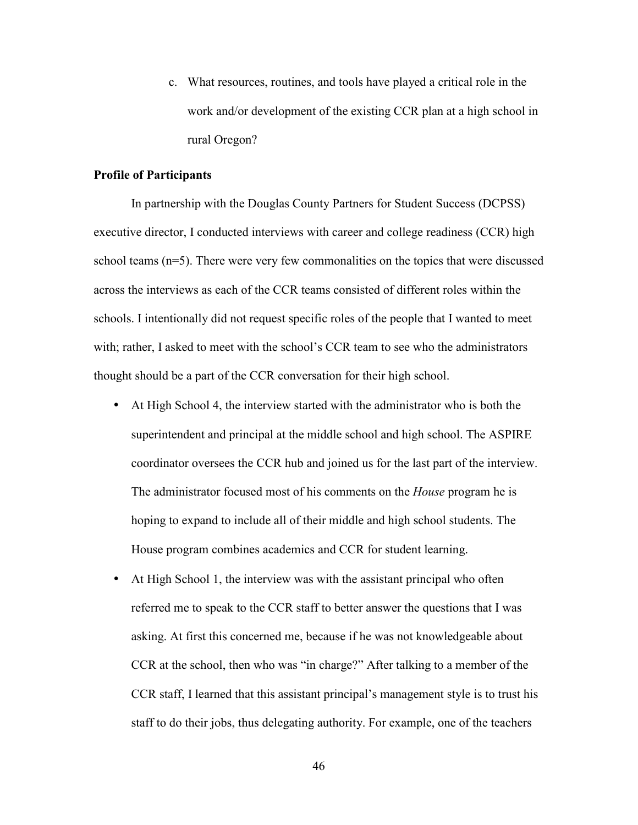c. What resources, routines, and tools have played a critical role in the work and/or development of the existing CCR plan at a high school in rural Oregon?

#### **Profile of Participants**

In partnership with the Douglas County Partners for Student Success (DCPSS) executive director, I conducted interviews with career and college readiness (CCR) high school teams (n=5). There were very few commonalities on the topics that were discussed across the interviews as each of the CCR teams consisted of different roles within the schools. I intentionally did not request specific roles of the people that I wanted to meet with; rather, I asked to meet with the school's CCR team to see who the administrators thought should be a part of the CCR conversation for their high school.

- At High School 4, the interview started with the administrator who is both the superintendent and principal at the middle school and high school. The ASPIRE coordinator oversees the CCR hub and joined us for the last part of the interview. The administrator focused most of his comments on the *House* program he is hoping to expand to include all of their middle and high school students. The House program combines academics and CCR for student learning.
- At High School 1, the interview was with the assistant principal who often referred me to speak to the CCR staff to better answer the questions that I was asking. At first this concerned me, because if he was not knowledgeable about CCR at the school, then who was "in charge?" After talking to a member of the CCR staff, I learned that this assistant principal's management style is to trust his staff to do their jobs, thus delegating authority. For example, one of the teachers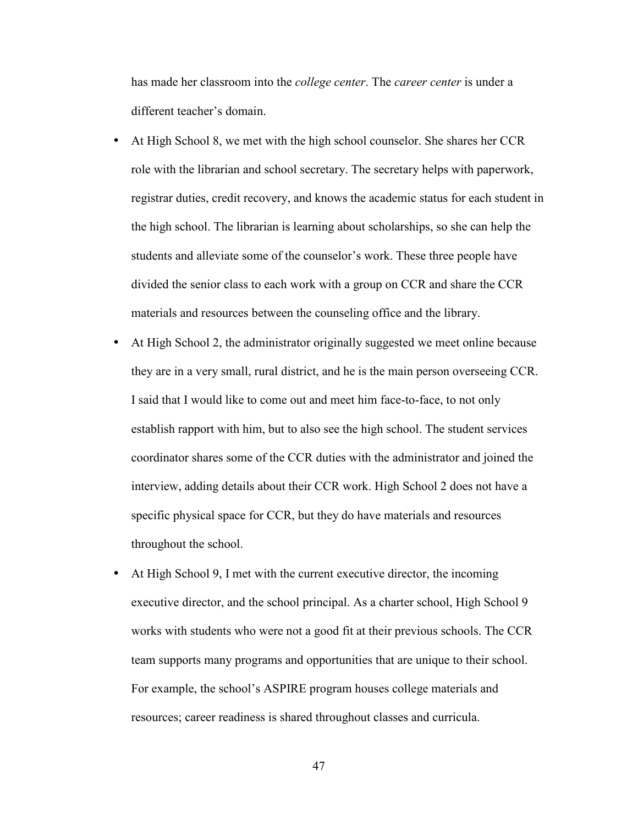has made her classroom into the *college center*. The *career center* is under a different teacher's domain.

- At High School 8, we met with the high school counselor. She shares her CCR role with the librarian and school secretary. The secretary helps with paperwork, registrar duties, credit recovery, and knows the academic status for each student in the high school. The librarian is learning about scholarships, so she can help the students and alleviate some of the counselor's work. These three people have divided the senior class to each work with a group on CCR and share the CCR materials and resources between the counseling office and the library.
- At High School 2, the administrator originally suggested we meet online because they are in a very small, rural district, and he is the main person overseeing CCR. I said that I would like to come out and meet him face-to-face, to not only establish rapport with him, but to also see the high school. The student services coordinator shares some of the CCR duties with the administrator and joined the interview, adding details about their CCR work. High School 2 does not have a specific physical space for CCR, but they do have materials and resources throughout the school.
- At High School 9, I met with the current executive director, the incoming executive director, and the school principal. As a charter school, High School 9 works with students who were not a good fit at their previous schools. The CCR team supports many programs and opportunities that are unique to their school. For example, the school's ASPIRE program houses college materials and resources; career readiness is shared throughout classes and curricula.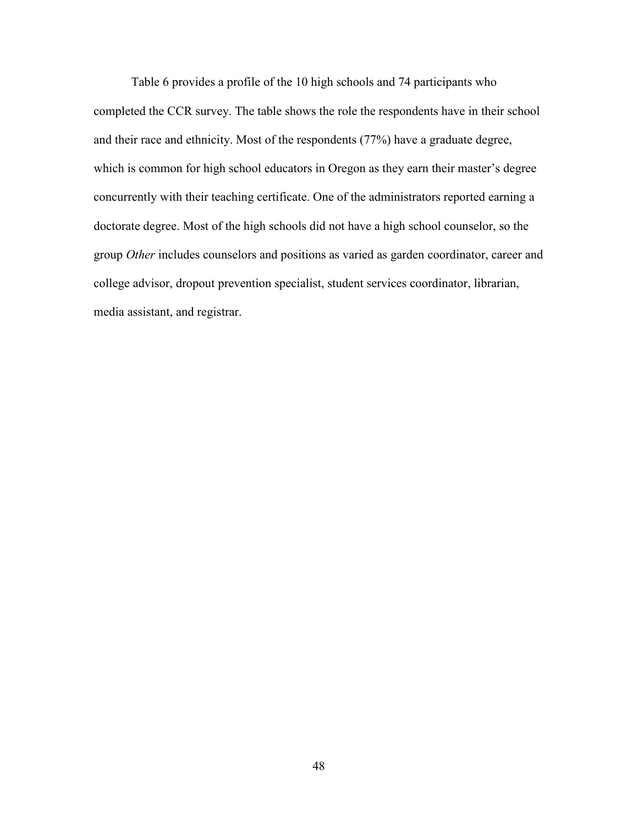Table 6 provides a profile of the 10 high schools and 74 participants who completed the CCR survey. The table shows the role the respondents have in their school and their race and ethnicity. Most of the respondents (77%) have a graduate degree, which is common for high school educators in Oregon as they earn their master's degree concurrently with their teaching certificate. One of the administrators reported earning a doctorate degree. Most of the high schools did not have a high school counselor, so the group *Other* includes counselors and positions as varied as garden coordinator, career and college advisor, dropout prevention specialist, student services coordinator, librarian, media assistant, and registrar.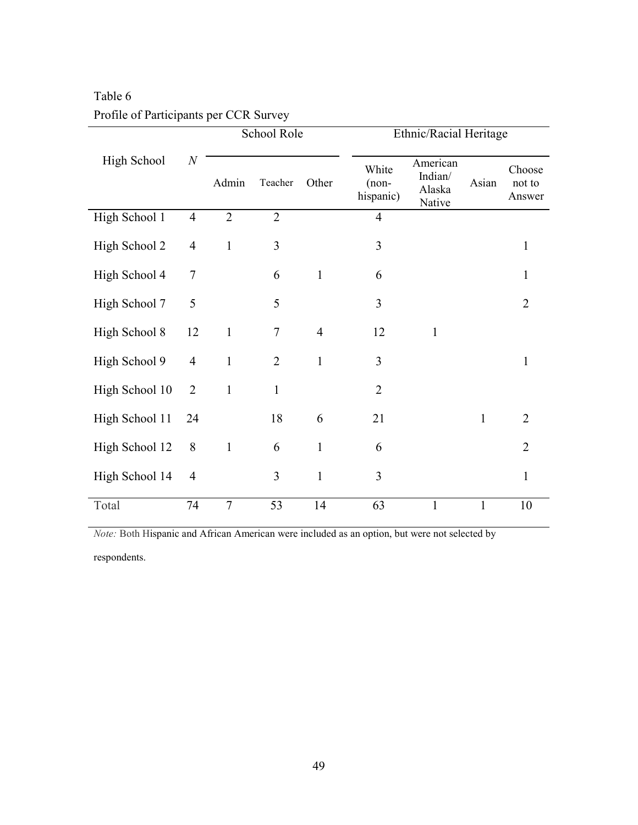|                |                  | School Role    |                |                | Ethnic/Racial Heritage        |                                         |              |                            |  |
|----------------|------------------|----------------|----------------|----------------|-------------------------------|-----------------------------------------|--------------|----------------------------|--|
| High School    | $\boldsymbol{N}$ | Admin          | Teacher        | Other          | White<br>$(non-$<br>hispanic) | American<br>Indian/<br>Alaska<br>Native | Asian        | Choose<br>not to<br>Answer |  |
| High School 1  | $\overline{4}$   | $\overline{2}$ | $\overline{2}$ |                | $\overline{4}$                |                                         |              |                            |  |
| High School 2  | $\overline{4}$   | $\mathbf{1}$   | 3              |                | 3                             |                                         |              | $\mathbf{1}$               |  |
| High School 4  | 7                |                | 6              | $\mathbf{1}$   | 6                             |                                         |              | $\mathbf{1}$               |  |
| High School 7  | 5                |                | 5              |                | 3                             |                                         |              | $\overline{2}$             |  |
| High School 8  | 12               | $\mathbf{1}$   | $\overline{7}$ | $\overline{4}$ | 12                            | $\mathbf{1}$                            |              |                            |  |
| High School 9  | $\overline{4}$   | $\mathbf{1}$   | $\overline{2}$ | $\mathbf{1}$   | 3                             |                                         |              | $\mathbf{1}$               |  |
| High School 10 | $\overline{2}$   | $\mathbf{1}$   | $\mathbf{1}$   |                | $\overline{2}$                |                                         |              |                            |  |
| High School 11 | 24               |                | 18             | 6              | 21                            |                                         | $\mathbf{1}$ | $\overline{2}$             |  |
| High School 12 | 8                | $\mathbf{1}$   | 6              | $\mathbf{1}$   | 6                             |                                         |              | $\overline{2}$             |  |
| High School 14 | $\overline{4}$   |                | 3              | $\mathbf{1}$   | 3                             |                                         |              | $\mathbf{1}$               |  |
| Total          | 74               | $\overline{7}$ | 53             | 14             | 63                            | 1                                       | 1            | 10                         |  |

# Table 6 Profile of Participants per CCR Survey

*Note:* Both Hispanic and African American were included as an option, but were not selected by

respondents.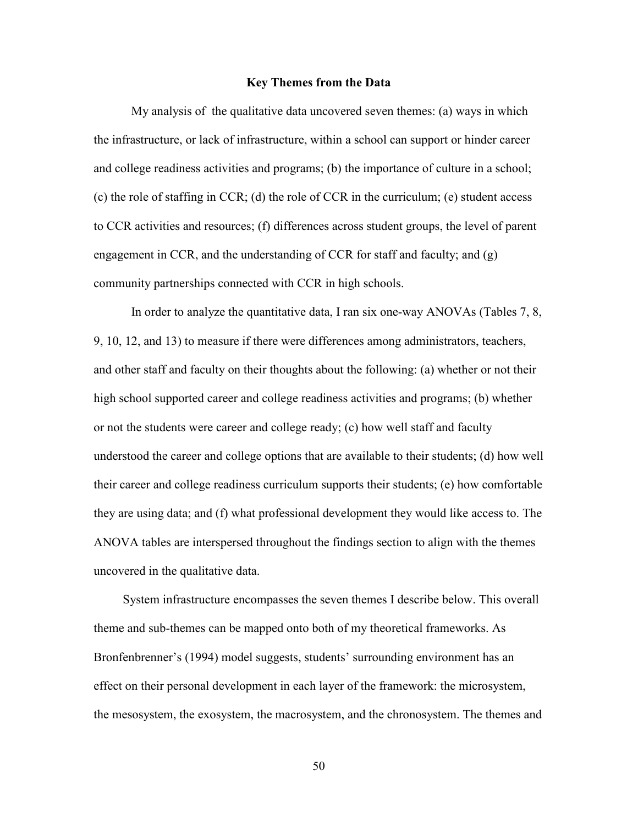#### **Key Themes from the Data**

My analysis of the qualitative data uncovered seven themes: (a) ways in which the infrastructure, or lack of infrastructure, within a school can support or hinder career and college readiness activities and programs; (b) the importance of culture in a school; (c) the role of staffing in CCR; (d) the role of CCR in the curriculum; (e) student access to CCR activities and resources; (f) differences across student groups, the level of parent engagement in CCR, and the understanding of CCR for staff and faculty; and (g) community partnerships connected with CCR in high schools.

In order to analyze the quantitative data, I ran six one-way ANOVAs (Tables 7, 8, 9, 10, 12, and 13) to measure if there were differences among administrators, teachers, and other staff and faculty on their thoughts about the following: (a) whether or not their high school supported career and college readiness activities and programs; (b) whether or not the students were career and college ready; (c) how well staff and faculty understood the career and college options that are available to their students; (d) how well their career and college readiness curriculum supports their students; (e) how comfortable they are using data; and (f) what professional development they would like access to. The ANOVA tables are interspersed throughout the findings section to align with the themes uncovered in the qualitative data.

 System infrastructure encompasses the seven themes I describe below. This overall theme and sub-themes can be mapped onto both of my theoretical frameworks. As Bronfenbrenner's (1994) model suggests, students' surrounding environment has an effect on their personal development in each layer of the framework: the microsystem, the mesosystem, the exosystem, the macrosystem, and the chronosystem. The themes and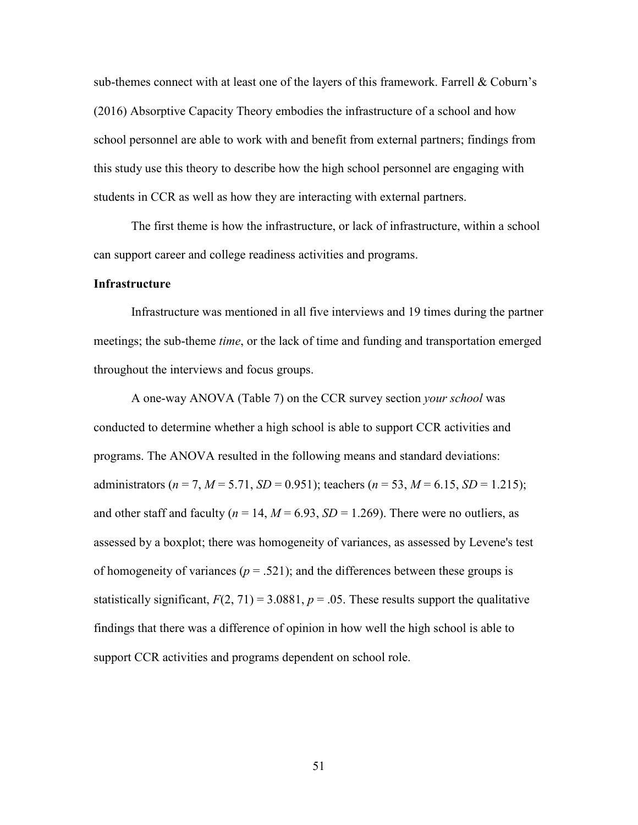sub-themes connect with at least one of the layers of this framework. Farrell  $\&$  Coburn's (2016) Absorptive Capacity Theory embodies the infrastructure of a school and how school personnel are able to work with and benefit from external partners; findings from this study use this theory to describe how the high school personnel are engaging with students in CCR as well as how they are interacting with external partners.

 The first theme is how the infrastructure, or lack of infrastructure, within a school can support career and college readiness activities and programs.

#### **Infrastructure**

 Infrastructure was mentioned in all five interviews and 19 times during the partner meetings; the sub-theme *time*, or the lack of time and funding and transportation emerged throughout the interviews and focus groups.

 A one-way ANOVA (Table 7) on the CCR survey section *your school* was conducted to determine whether a high school is able to support CCR activities and programs. The ANOVA resulted in the following means and standard deviations: administrators ( $n = 7$ ,  $M = 5.71$ ,  $SD = 0.951$ ); teachers ( $n = 53$ ,  $M = 6.15$ ,  $SD = 1.215$ ); and other staff and faculty ( $n = 14$ ,  $M = 6.93$ ,  $SD = 1.269$ ). There were no outliers, as assessed by a boxplot; there was homogeneity of variances, as assessed by Levene's test of homogeneity of variances ( $p = .521$ ); and the differences between these groups is statistically significant,  $F(2, 71) = 3.0881$ ,  $p = .05$ . These results support the qualitative findings that there was a difference of opinion in how well the high school is able to support CCR activities and programs dependent on school role.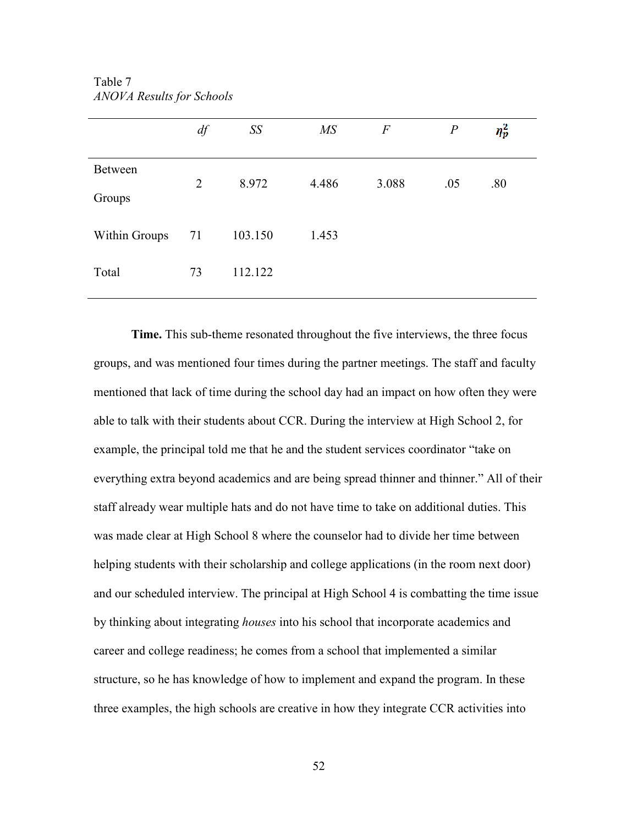|                          | $df$           | SS      | $M\!S$ | $\overline{F}$ | $\boldsymbol{P}$ | $\eta_p^2$ |  |
|--------------------------|----------------|---------|--------|----------------|------------------|------------|--|
| <b>Between</b><br>Groups | $\overline{2}$ | 8.972   | 4.486  | 3.088          | .05              | .80        |  |
| <b>Within Groups</b>     | 71             | 103.150 | 1.453  |                |                  |            |  |
| Total                    | 73             | 112.122 |        |                |                  |            |  |

Table 7 *ANOVA Results for Schools* 

 **Time.** This sub-theme resonated throughout the five interviews, the three focus groups, and was mentioned four times during the partner meetings. The staff and faculty mentioned that lack of time during the school day had an impact on how often they were able to talk with their students about CCR. During the interview at High School 2, for example, the principal told me that he and the student services coordinator "take on everything extra beyond academics and are being spread thinner and thinner." All of their staff already wear multiple hats and do not have time to take on additional duties. This was made clear at High School 8 where the counselor had to divide her time between helping students with their scholarship and college applications (in the room next door) and our scheduled interview. The principal at High School 4 is combatting the time issue by thinking about integrating *houses* into his school that incorporate academics and career and college readiness; he comes from a school that implemented a similar structure, so he has knowledge of how to implement and expand the program. In these three examples, the high schools are creative in how they integrate CCR activities into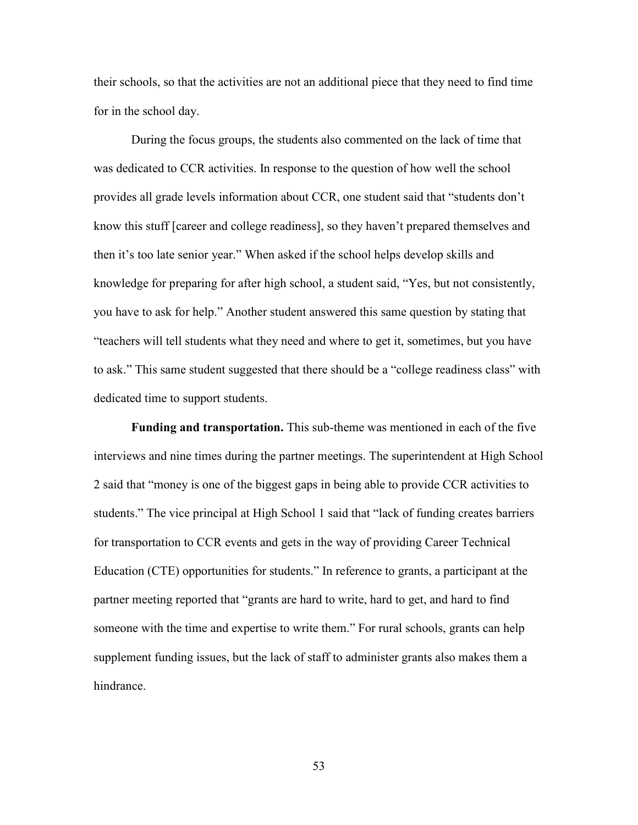their schools, so that the activities are not an additional piece that they need to find time for in the school day.

 During the focus groups, the students also commented on the lack of time that was dedicated to CCR activities. In response to the question of how well the school provides all grade levels information about CCR, one student said that "students don't know this stuff [career and college readiness], so they haven't prepared themselves and then it's too late senior year." When asked if the school helps develop skills and knowledge for preparing for after high school, a student said, "Yes, but not consistently, you have to ask for help." Another student answered this same question by stating that "teachers will tell students what they need and where to get it, sometimes, but you have to ask." This same student suggested that there should be a "college readiness class" with dedicated time to support students.

**Funding and transportation.** This sub-theme was mentioned in each of the five interviews and nine times during the partner meetings. The superintendent at High School 2 said that "money is one of the biggest gaps in being able to provide CCR activities to students." The vice principal at High School 1 said that "lack of funding creates barriers for transportation to CCR events and gets in the way of providing Career Technical Education (CTE) opportunities for students." In reference to grants, a participant at the partner meeting reported that "grants are hard to write, hard to get, and hard to find someone with the time and expertise to write them." For rural schools, grants can help supplement funding issues, but the lack of staff to administer grants also makes them a hindrance.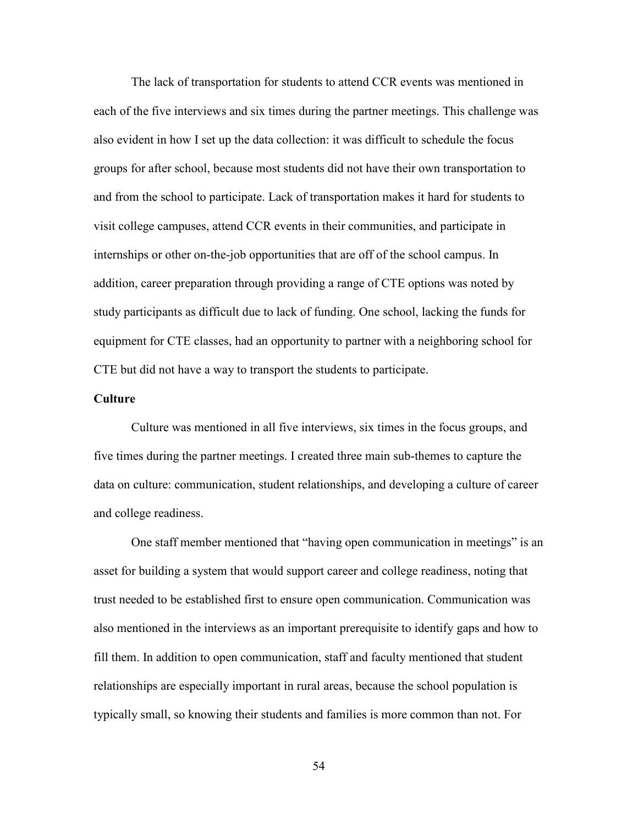The lack of transportation for students to attend CCR events was mentioned in each of the five interviews and six times during the partner meetings. This challenge was also evident in how I set up the data collection: it was difficult to schedule the focus groups for after school, because most students did not have their own transportation to and from the school to participate. Lack of transportation makes it hard for students to visit college campuses, attend CCR events in their communities, and participate in internships or other on-the-job opportunities that are off of the school campus. In addition, career preparation through providing a range of CTE options was noted by study participants as difficult due to lack of funding. One school, lacking the funds for equipment for CTE classes, had an opportunity to partner with a neighboring school for CTE but did not have a way to transport the students to participate.

#### **Culture**

Culture was mentioned in all five interviews, six times in the focus groups, and five times during the partner meetings. I created three main sub-themes to capture the data on culture: communication, student relationships, and developing a culture of career and college readiness.

One staff member mentioned that "having open communication in meetings" is an asset for building a system that would support career and college readiness, noting that trust needed to be established first to ensure open communication. Communication was also mentioned in the interviews as an important prerequisite to identify gaps and how to fill them. In addition to open communication, staff and faculty mentioned that student relationships are especially important in rural areas, because the school population is typically small, so knowing their students and families is more common than not. For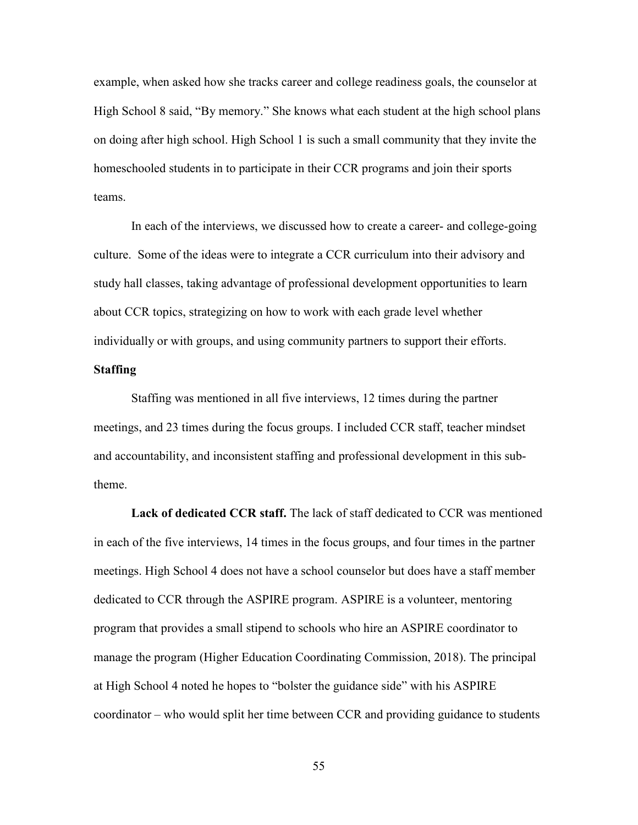example, when asked how she tracks career and college readiness goals, the counselor at High School 8 said, "By memory." She knows what each student at the high school plans on doing after high school. High School 1 is such a small community that they invite the homeschooled students in to participate in their CCR programs and join their sports teams.

 In each of the interviews, we discussed how to create a career- and college-going culture. Some of the ideas were to integrate a CCR curriculum into their advisory and study hall classes, taking advantage of professional development opportunities to learn about CCR topics, strategizing on how to work with each grade level whether individually or with groups, and using community partners to support their efforts.

# **Staffing**

 Staffing was mentioned in all five interviews, 12 times during the partner meetings, and 23 times during the focus groups. I included CCR staff, teacher mindset and accountability, and inconsistent staffing and professional development in this subtheme.

**Lack of dedicated CCR staff.** The lack of staff dedicated to CCR was mentioned in each of the five interviews, 14 times in the focus groups, and four times in the partner meetings. High School 4 does not have a school counselor but does have a staff member dedicated to CCR through the ASPIRE program. ASPIRE is a volunteer, mentoring program that provides a small stipend to schools who hire an ASPIRE coordinator to manage the program (Higher Education Coordinating Commission, 2018). The principal at High School 4 noted he hopes to "bolster the guidance side" with his ASPIRE coordinator – who would split her time between CCR and providing guidance to students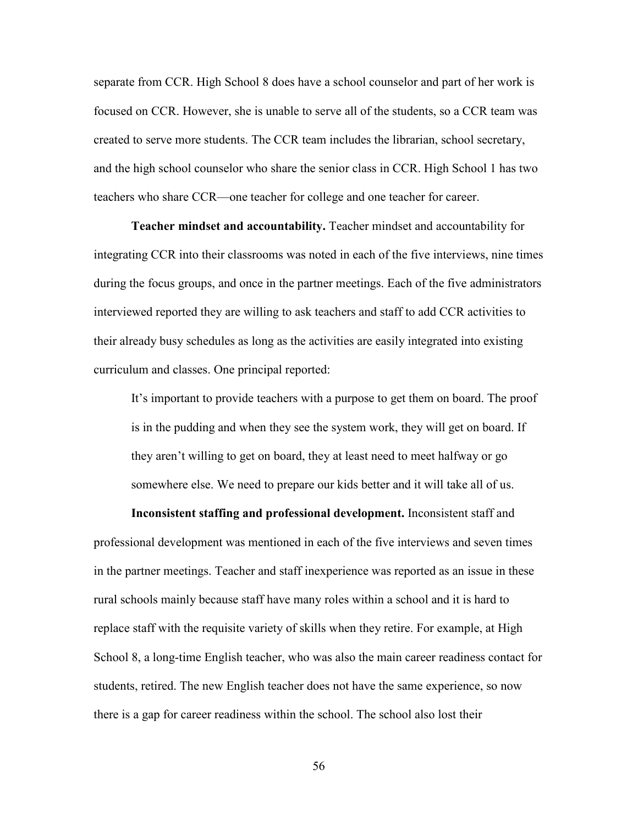separate from CCR. High School 8 does have a school counselor and part of her work is focused on CCR. However, she is unable to serve all of the students, so a CCR team was created to serve more students. The CCR team includes the librarian, school secretary, and the high school counselor who share the senior class in CCR. High School 1 has two teachers who share CCR—one teacher for college and one teacher for career.

**Teacher mindset and accountability.** Teacher mindset and accountability for integrating CCR into their classrooms was noted in each of the five interviews, nine times during the focus groups, and once in the partner meetings. Each of the five administrators interviewed reported they are willing to ask teachers and staff to add CCR activities to their already busy schedules as long as the activities are easily integrated into existing curriculum and classes. One principal reported:

It's important to provide teachers with a purpose to get them on board. The proof is in the pudding and when they see the system work, they will get on board. If they aren't willing to get on board, they at least need to meet halfway or go somewhere else. We need to prepare our kids better and it will take all of us.

**Inconsistent staffing and professional development.** Inconsistent staff and professional development was mentioned in each of the five interviews and seven times in the partner meetings. Teacher and staff inexperience was reported as an issue in these rural schools mainly because staff have many roles within a school and it is hard to replace staff with the requisite variety of skills when they retire. For example, at High School 8, a long-time English teacher, who was also the main career readiness contact for students, retired. The new English teacher does not have the same experience, so now there is a gap for career readiness within the school. The school also lost their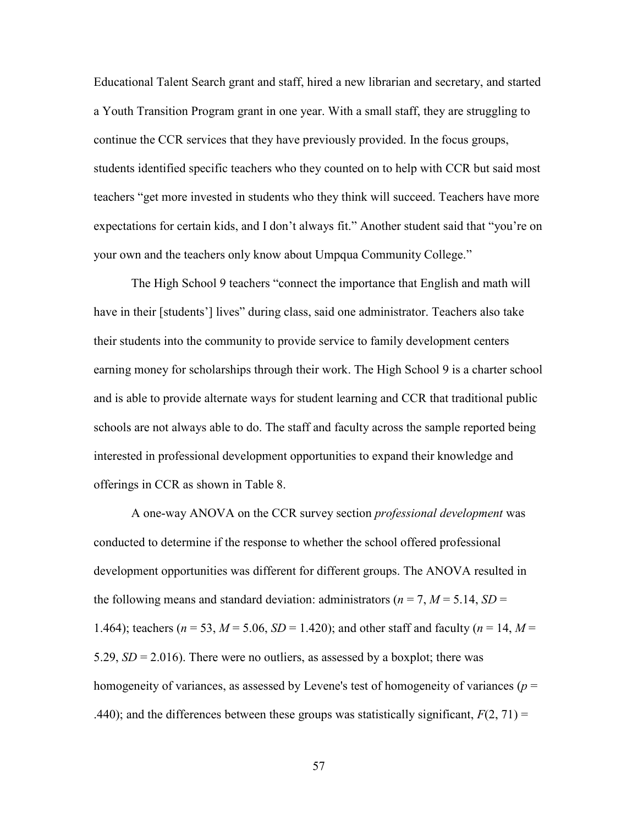Educational Talent Search grant and staff, hired a new librarian and secretary, and started a Youth Transition Program grant in one year. With a small staff, they are struggling to continue the CCR services that they have previously provided. In the focus groups, students identified specific teachers who they counted on to help with CCR but said most teachers "get more invested in students who they think will succeed. Teachers have more expectations for certain kids, and I don't always fit." Another student said that "you're on your own and the teachers only know about Umpqua Community College."

 The High School 9 teachers "connect the importance that English and math will have in their [students'] lives" during class, said one administrator. Teachers also take their students into the community to provide service to family development centers earning money for scholarships through their work. The High School 9 is a charter school and is able to provide alternate ways for student learning and CCR that traditional public schools are not always able to do. The staff and faculty across the sample reported being interested in professional development opportunities to expand their knowledge and offerings in CCR as shown in Table 8.

 A one-way ANOVA on the CCR survey section *professional development* was conducted to determine if the response to whether the school offered professional development opportunities was different for different groups. The ANOVA resulted in the following means and standard deviation: administrators ( $n = 7$ ,  $M = 5.14$ ,  $SD =$ 1.464); teachers ( $n = 53$ ,  $M = 5.06$ ,  $SD = 1.420$ ); and other staff and faculty ( $n = 14$ ,  $M =$ 5.29,  $SD = 2.016$ ). There were no outliers, as assessed by a boxplot; there was homogeneity of variances, as assessed by Levene's test of homogeneity of variances (*p* = .440); and the differences between these groups was statistically significant,  $F(2, 71) =$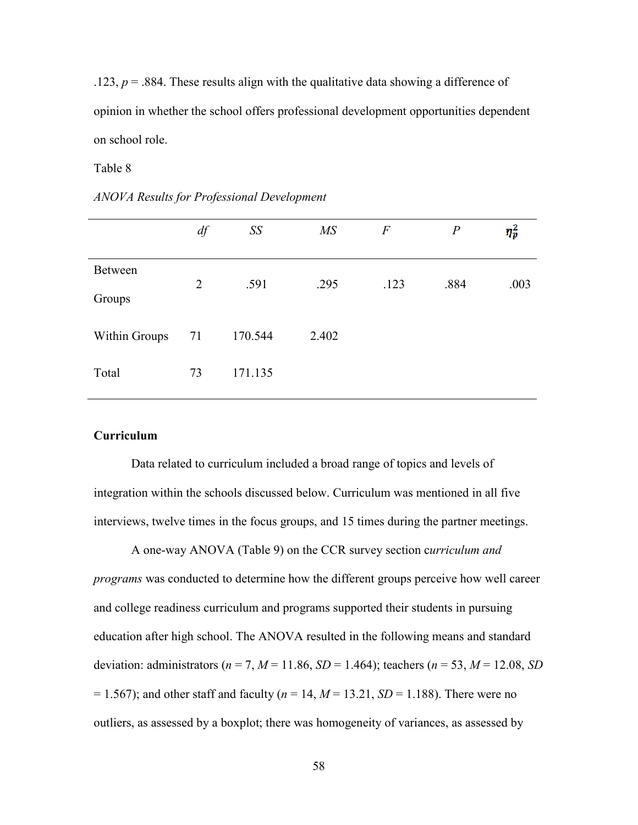.123,  $p = 0.884$ . These results align with the qualitative data showing a difference of opinion in whether the school offers professional development opportunities dependent on school role.

#### Table 8

|                   | $df$           | SS      | MS    | $\boldsymbol{F}$ | $\boldsymbol{P}$ | $\eta_p^2$ |
|-------------------|----------------|---------|-------|------------------|------------------|------------|
| Between<br>Groups | $\overline{2}$ | .591    | .295  | .123             | .884             | .003       |
| Within Groups     | 71             | 170.544 | 2.402 |                  |                  |            |
| Total             | 73             | 171.135 |       |                  |                  |            |

*ANOVA Results for Professional Development* 

# **Curriculum**

Data related to curriculum included a broad range of topics and levels of integration within the schools discussed below. Curriculum was mentioned in all five interviews, twelve times in the focus groups, and 15 times during the partner meetings.

 A one-way ANOVA (Table 9) on the CCR survey section c*urriculum and programs* was conducted to determine how the different groups perceive how well career and college readiness curriculum and programs supported their students in pursuing education after high school. The ANOVA resulted in the following means and standard deviation: administrators (*n* = 7, *M* = 11.86, *SD* = 1.464); teachers (*n* = 53, *M* = 12.08, *SD*  $= 1.567$ ); and other staff and faculty ( $n = 14$ ,  $M = 13.21$ ,  $SD = 1.188$ ). There were no outliers, as assessed by a boxplot; there was homogeneity of variances, as assessed by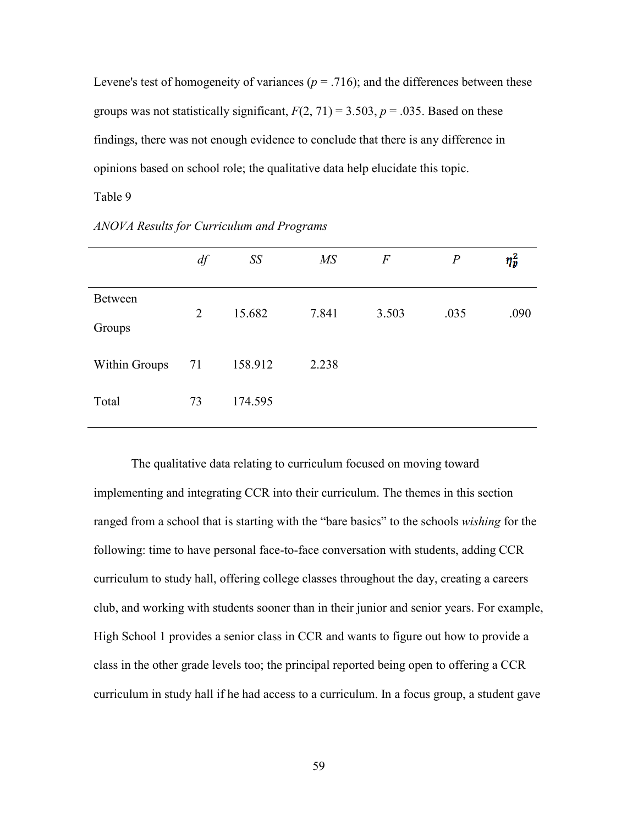Levene's test of homogeneity of variances ( $p = .716$ ); and the differences between these groups was not statistically significant,  $F(2, 71) = 3.503$ ,  $p = .035$ . Based on these findings, there was not enough evidence to conclude that there is any difference in opinions based on school role; the qualitative data help elucidate this topic.

# Table 9

|                         | df             | SS      | $\overline{MS}$ | $\boldsymbol{F}$ | $\boldsymbol{P}$ | $\eta_p^2$ |
|-------------------------|----------------|---------|-----------------|------------------|------------------|------------|
| Between                 | $\overline{2}$ | 15.682  | 7.841           | 3.503            | .035             | .090       |
| Groups<br>Within Groups | 71             | 158.912 | 2.238           |                  |                  |            |
| Total                   | 73             | 174.595 |                 |                  |                  |            |

*ANOVA Results for Curriculum and Programs* 

 The qualitative data relating to curriculum focused on moving toward implementing and integrating CCR into their curriculum. The themes in this section ranged from a school that is starting with the "bare basics" to the schools *wishing* for the following: time to have personal face-to-face conversation with students, adding CCR curriculum to study hall, offering college classes throughout the day, creating a careers club, and working with students sooner than in their junior and senior years. For example, High School 1 provides a senior class in CCR and wants to figure out how to provide a class in the other grade levels too; the principal reported being open to offering a CCR curriculum in study hall if he had access to a curriculum. In a focus group, a student gave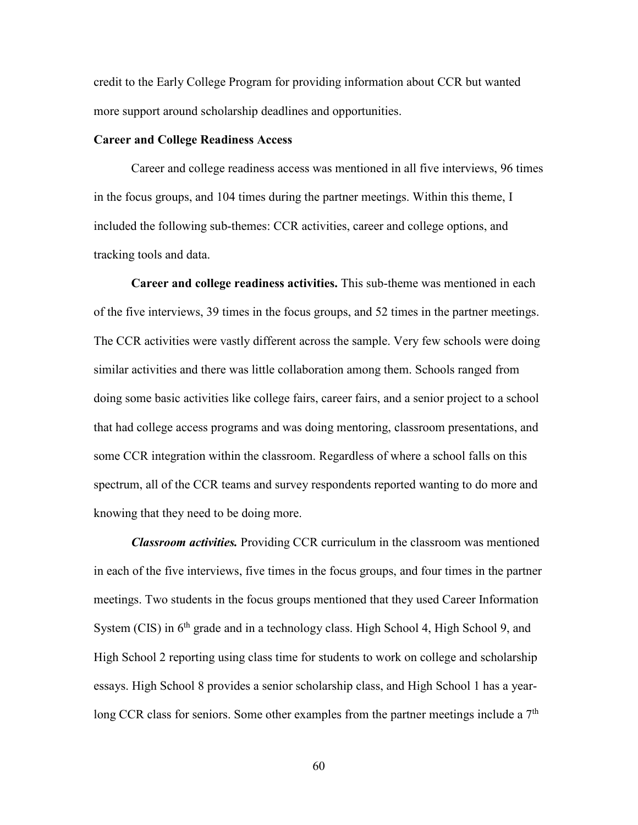credit to the Early College Program for providing information about CCR but wanted more support around scholarship deadlines and opportunities.

### **Career and College Readiness Access**

 Career and college readiness access was mentioned in all five interviews, 96 times in the focus groups, and 104 times during the partner meetings. Within this theme, I included the following sub-themes: CCR activities, career and college options, and tracking tools and data.

 **Career and college readiness activities.** This sub-theme was mentioned in each of the five interviews, 39 times in the focus groups, and 52 times in the partner meetings. The CCR activities were vastly different across the sample. Very few schools were doing similar activities and there was little collaboration among them. Schools ranged from doing some basic activities like college fairs, career fairs, and a senior project to a school that had college access programs and was doing mentoring, classroom presentations, and some CCR integration within the classroom. Regardless of where a school falls on this spectrum, all of the CCR teams and survey respondents reported wanting to do more and knowing that they need to be doing more.

*Classroom activities.* Providing CCR curriculum in the classroom was mentioned in each of the five interviews, five times in the focus groups, and four times in the partner meetings. Two students in the focus groups mentioned that they used Career Information System (CIS) in  $6<sup>th</sup>$  grade and in a technology class. High School 4, High School 9, and High School 2 reporting using class time for students to work on college and scholarship essays. High School 8 provides a senior scholarship class, and High School 1 has a yearlong CCR class for seniors. Some other examples from the partner meetings include a  $7<sup>th</sup>$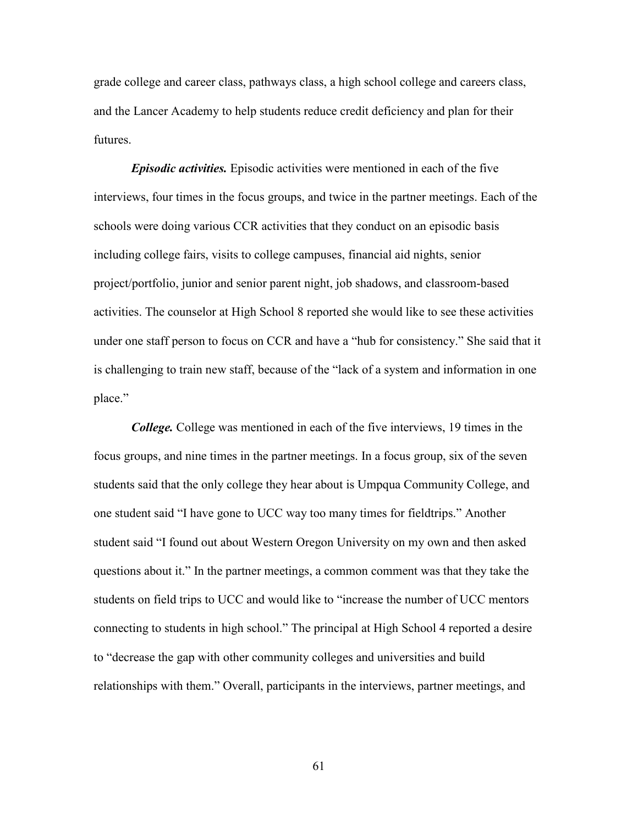grade college and career class, pathways class, a high school college and careers class, and the Lancer Academy to help students reduce credit deficiency and plan for their futures.

 *Episodic activities.* Episodic activities were mentioned in each of the five interviews, four times in the focus groups, and twice in the partner meetings. Each of the schools were doing various CCR activities that they conduct on an episodic basis including college fairs, visits to college campuses, financial aid nights, senior project/portfolio, junior and senior parent night, job shadows, and classroom-based activities. The counselor at High School 8 reported she would like to see these activities under one staff person to focus on CCR and have a "hub for consistency." She said that it is challenging to train new staff, because of the "lack of a system and information in one place."

*College.* College was mentioned in each of the five interviews, 19 times in the focus groups, and nine times in the partner meetings. In a focus group, six of the seven students said that the only college they hear about is Umpqua Community College, and one student said "I have gone to UCC way too many times for fieldtrips." Another student said "I found out about Western Oregon University on my own and then asked questions about it." In the partner meetings, a common comment was that they take the students on field trips to UCC and would like to "increase the number of UCC mentors connecting to students in high school." The principal at High School 4 reported a desire to "decrease the gap with other community colleges and universities and build relationships with them." Overall, participants in the interviews, partner meetings, and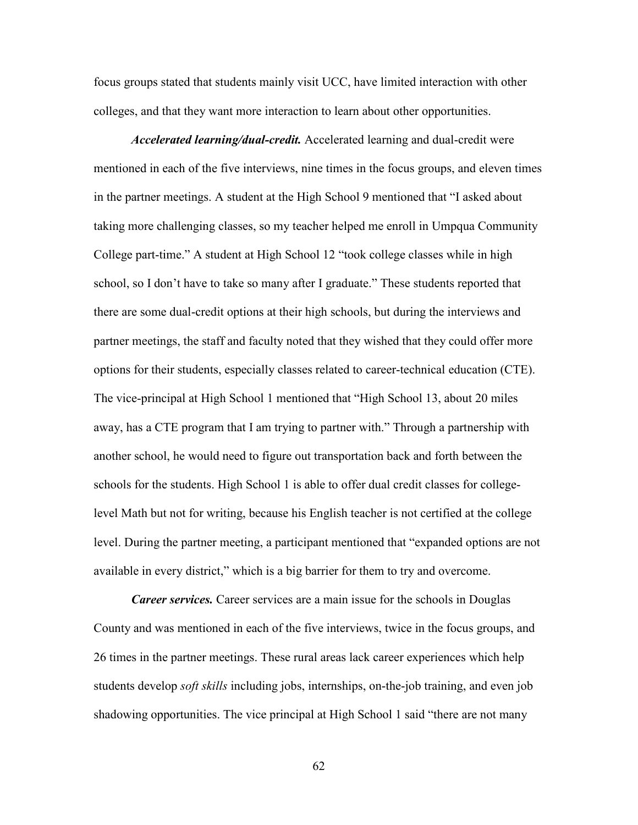focus groups stated that students mainly visit UCC, have limited interaction with other colleges, and that they want more interaction to learn about other opportunities.

 *Accelerated learning/dual-credit.* Accelerated learning and dual-credit were mentioned in each of the five interviews, nine times in the focus groups, and eleven times in the partner meetings. A student at the High School 9 mentioned that "I asked about taking more challenging classes, so my teacher helped me enroll in Umpqua Community College part-time." A student at High School 12 "took college classes while in high school, so I don't have to take so many after I graduate." These students reported that there are some dual-credit options at their high schools, but during the interviews and partner meetings, the staff and faculty noted that they wished that they could offer more options for their students, especially classes related to career-technical education (CTE). The vice-principal at High School 1 mentioned that "High School 13, about 20 miles away, has a CTE program that I am trying to partner with." Through a partnership with another school, he would need to figure out transportation back and forth between the schools for the students. High School 1 is able to offer dual credit classes for collegelevel Math but not for writing, because his English teacher is not certified at the college level. During the partner meeting, a participant mentioned that "expanded options are not available in every district," which is a big barrier for them to try and overcome.

*Career services.* Career services are a main issue for the schools in Douglas County and was mentioned in each of the five interviews, twice in the focus groups, and 26 times in the partner meetings. These rural areas lack career experiences which help students develop *soft skills* including jobs, internships, on-the-job training, and even job shadowing opportunities. The vice principal at High School 1 said "there are not many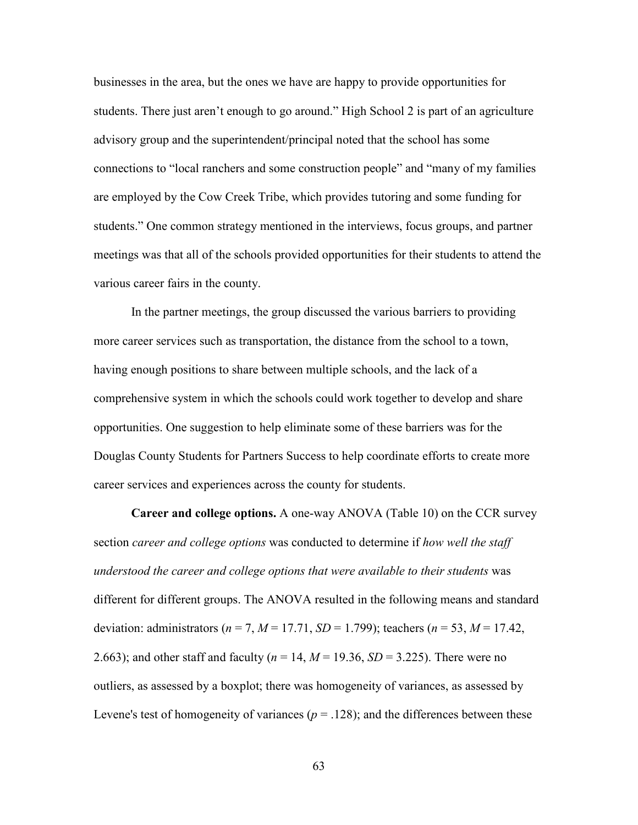businesses in the area, but the ones we have are happy to provide opportunities for students. There just aren't enough to go around." High School 2 is part of an agriculture advisory group and the superintendent/principal noted that the school has some connections to "local ranchers and some construction people" and "many of my families are employed by the Cow Creek Tribe, which provides tutoring and some funding for students." One common strategy mentioned in the interviews, focus groups, and partner meetings was that all of the schools provided opportunities for their students to attend the various career fairs in the county.

In the partner meetings, the group discussed the various barriers to providing more career services such as transportation, the distance from the school to a town, having enough positions to share between multiple schools, and the lack of a comprehensive system in which the schools could work together to develop and share opportunities. One suggestion to help eliminate some of these barriers was for the Douglas County Students for Partners Success to help coordinate efforts to create more career services and experiences across the county for students.

**Career and college options.** A one-way ANOVA (Table 10) on the CCR survey section *career and college options* was conducted to determine if *how well the staff understood the career and college options that were available to their students* was different for different groups. The ANOVA resulted in the following means and standard deviation: administrators (*n* = 7, *M* = 17.71, *SD* = 1.799); teachers (*n* = 53, *M* = 17.42, 2.663); and other staff and faculty (*n* = 14, *M* = 19.36, *SD* = 3.225). There were no outliers, as assessed by a boxplot; there was homogeneity of variances, as assessed by Levene's test of homogeneity of variances ( $p = .128$ ); and the differences between these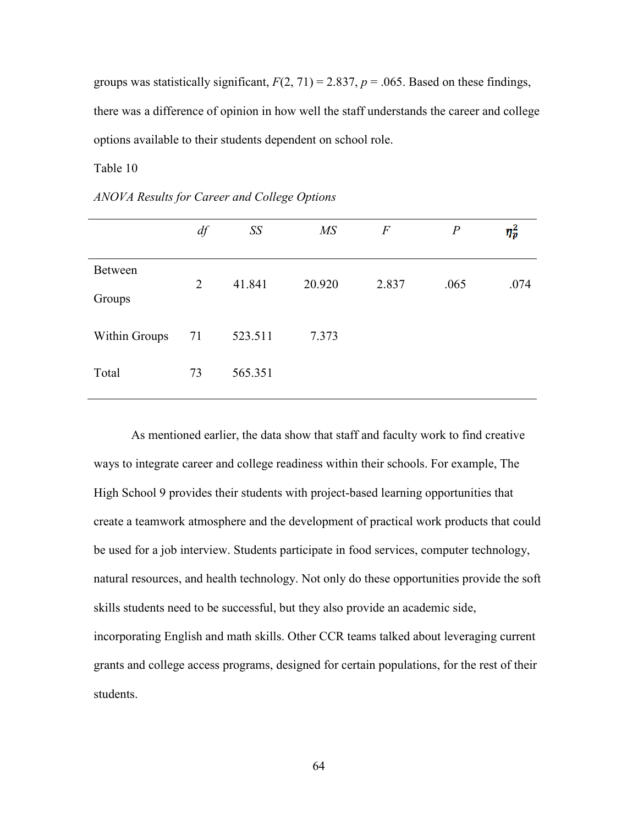groups was statistically significant,  $F(2, 71) = 2.837$ ,  $p = .065$ . Based on these findings, there was a difference of opinion in how well the staff understands the career and college options available to their students dependent on school role.

Table 10

|                          | df             | SS      | $\overline{MS}$ | $\boldsymbol{F}$ | $\boldsymbol{P}$ | $\eta_p^2$ |
|--------------------------|----------------|---------|-----------------|------------------|------------------|------------|
| <b>Between</b><br>Groups | $\overline{2}$ | 41.841  | 20.920          | 2.837            | .065             | .074       |
| Within Groups            | 71             | 523.511 | 7.373           |                  |                  |            |
| Total                    | 73             | 565.351 |                 |                  |                  |            |
|                          |                |         |                 |                  |                  |            |

*ANOVA Results for Career and College Options* 

 As mentioned earlier, the data show that staff and faculty work to find creative ways to integrate career and college readiness within their schools. For example, The High School 9 provides their students with project-based learning opportunities that create a teamwork atmosphere and the development of practical work products that could be used for a job interview. Students participate in food services, computer technology, natural resources, and health technology. Not only do these opportunities provide the soft skills students need to be successful, but they also provide an academic side, incorporating English and math skills. Other CCR teams talked about leveraging current grants and college access programs, designed for certain populations, for the rest of their students.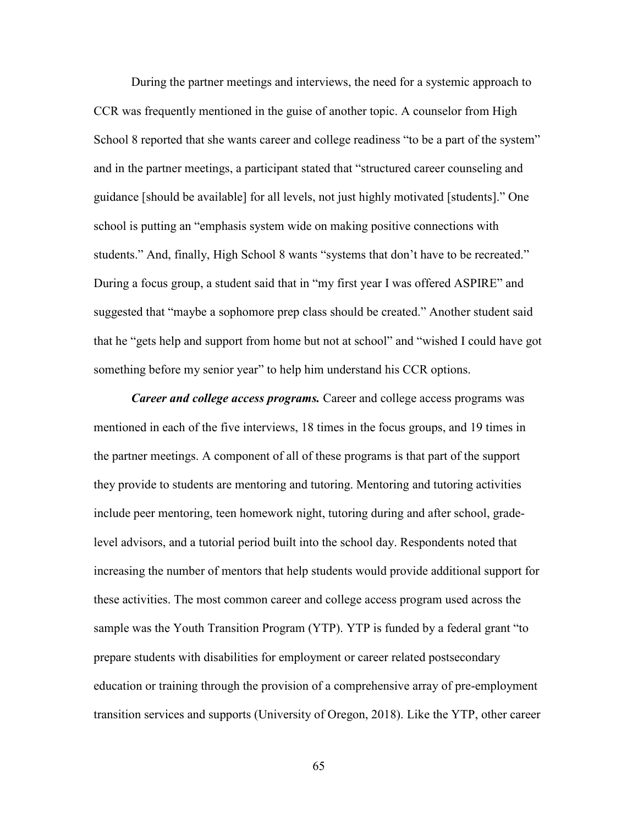During the partner meetings and interviews, the need for a systemic approach to CCR was frequently mentioned in the guise of another topic. A counselor from High School 8 reported that she wants career and college readiness "to be a part of the system" and in the partner meetings, a participant stated that "structured career counseling and guidance [should be available] for all levels, not just highly motivated [students]." One school is putting an "emphasis system wide on making positive connections with students." And, finally, High School 8 wants "systems that don't have to be recreated." During a focus group, a student said that in "my first year I was offered ASPIRE" and suggested that "maybe a sophomore prep class should be created." Another student said that he "gets help and support from home but not at school" and "wished I could have got something before my senior year" to help him understand his CCR options.

*Career and college access programs.* Career and college access programs was mentioned in each of the five interviews, 18 times in the focus groups, and 19 times in the partner meetings. A component of all of these programs is that part of the support they provide to students are mentoring and tutoring. Mentoring and tutoring activities include peer mentoring, teen homework night, tutoring during and after school, gradelevel advisors, and a tutorial period built into the school day. Respondents noted that increasing the number of mentors that help students would provide additional support for these activities. The most common career and college access program used across the sample was the Youth Transition Program (YTP). YTP is funded by a federal grant "to prepare students with disabilities for employment or career related postsecondary education or training through the provision of a comprehensive array of pre-employment transition services and supports (University of Oregon, 2018). Like the YTP, other career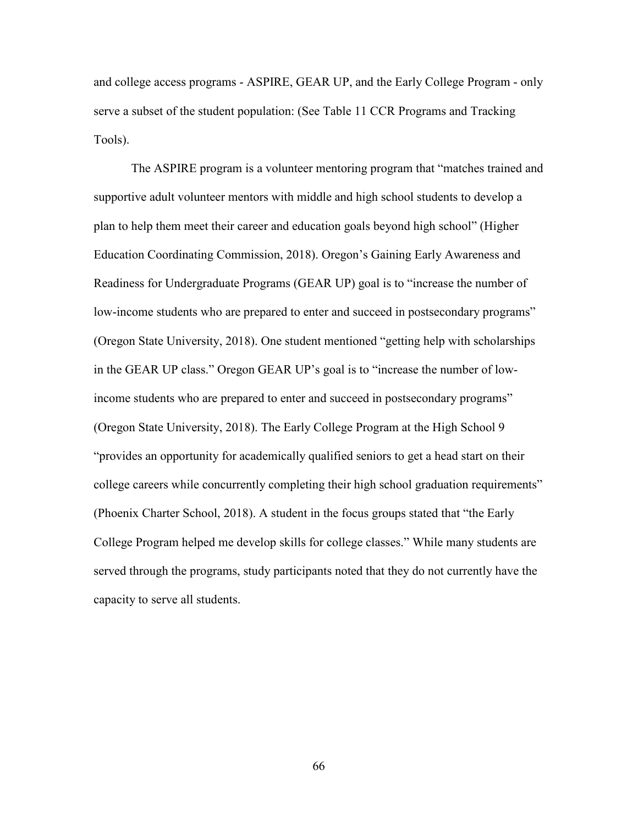and college access programs - ASPIRE, GEAR UP, and the Early College Program - only serve a subset of the student population: (See Table 11 CCR Programs and Tracking Tools).

The ASPIRE program is a volunteer mentoring program that "matches trained and supportive adult volunteer mentors with middle and high school students to develop a plan to help them meet their career and education goals beyond high school" (Higher Education Coordinating Commission, 2018). Oregon's Gaining Early Awareness and Readiness for Undergraduate Programs (GEAR UP) goal is to "increase the number of low-income students who are prepared to enter and succeed in postsecondary programs" (Oregon State University, 2018). One student mentioned "getting help with scholarships in the GEAR UP class." Oregon GEAR UP's goal is to "increase the number of lowincome students who are prepared to enter and succeed in postsecondary programs" (Oregon State University, 2018). The Early College Program at the High School 9 "provides an opportunity for academically qualified seniors to get a head start on their college careers while concurrently completing their high school graduation requirements" (Phoenix Charter School, 2018). A student in the focus groups stated that "the Early College Program helped me develop skills for college classes." While many students are served through the programs, study participants noted that they do not currently have the capacity to serve all students.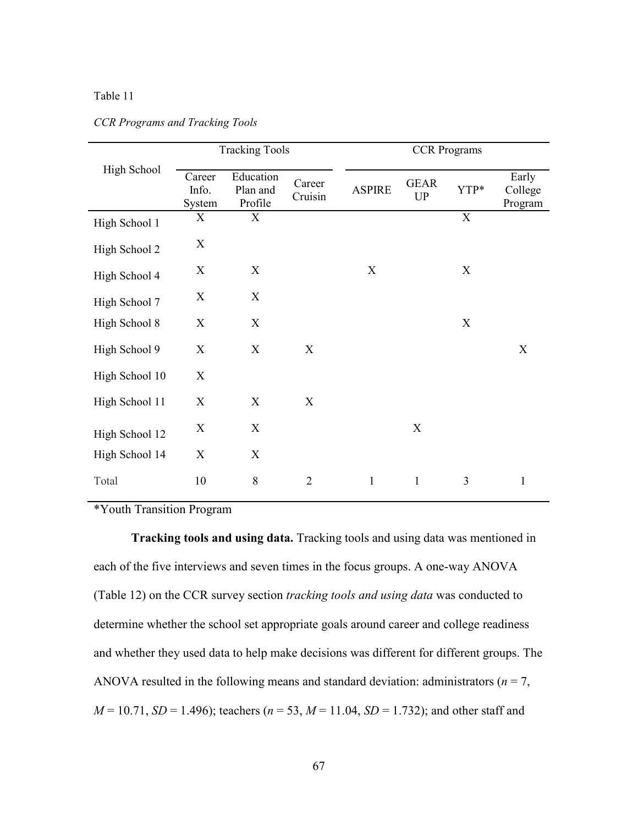## Table 11

|                | <b>Tracking Tools</b>     |                                  |                   |               |                           | <b>CCR</b> Programs |                             |  |
|----------------|---------------------------|----------------------------------|-------------------|---------------|---------------------------|---------------------|-----------------------------|--|
| High School    | Career<br>Info.<br>System | Education<br>Plan and<br>Profile | Career<br>Cruisin | <b>ASPIRE</b> | <b>GEAR</b><br>UP         | YTP*                | Early<br>College<br>Program |  |
| High School 1  | X                         | X                                |                   |               |                           | $\mathbf X$         |                             |  |
| High School 2  | X                         |                                  |                   |               |                           |                     |                             |  |
| High School 4  | X                         | X                                |                   | X             |                           | X                   |                             |  |
| High School 7  | X                         | X                                |                   |               |                           |                     |                             |  |
| High School 8  | X                         | X                                |                   |               |                           | X                   |                             |  |
| High School 9  | X                         | X                                | X                 |               |                           |                     | X                           |  |
| High School 10 | X                         |                                  |                   |               |                           |                     |                             |  |
| High School 11 | X                         | X                                | X                 |               |                           |                     |                             |  |
| High School 12 | X                         | X                                |                   |               | $\boldsymbol{\mathrm{X}}$ |                     |                             |  |
| High School 14 | X                         | X                                |                   |               |                           |                     |                             |  |
| Total          | 10                        | 8                                | $\overline{2}$    | $\mathbf{1}$  | $\mathbf{1}$              | 3                   | $\mathbf{1}$                |  |

## *CCR Programs and Tracking Tools*

\*Youth Transition Program

**Tracking tools and using data.** Tracking tools and using data was mentioned in each of the five interviews and seven times in the focus groups. A one-way ANOVA (Table 12) on the CCR survey section *tracking tools and using data* was conducted to determine whether the school set appropriate goals around career and college readiness and whether they used data to help make decisions was different for different groups. The ANOVA resulted in the following means and standard deviation: administrators ( $n = 7$ , *M* = 10.71, *SD* = 1.496); teachers (*n* = 53, *M* = 11.04, *SD* = 1.732); and other staff and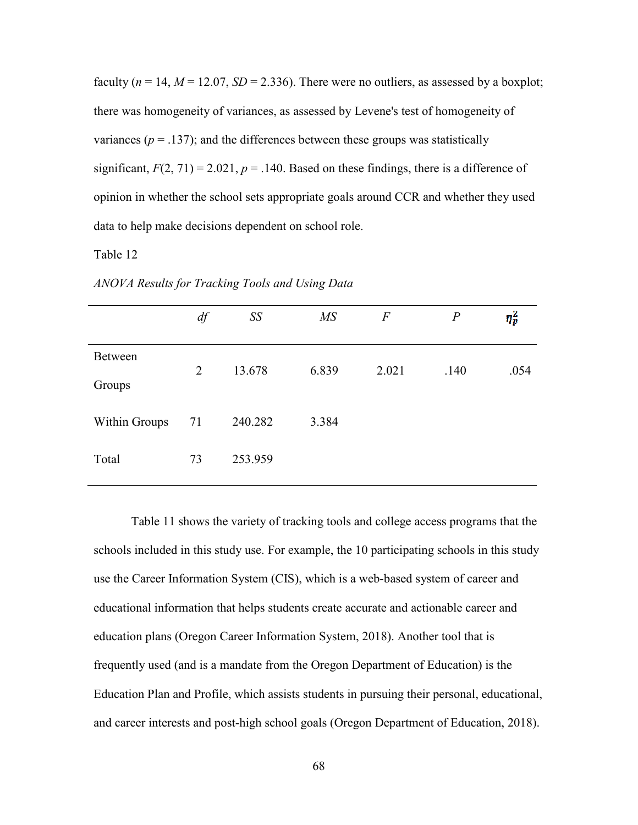faculty ( $n = 14$ ,  $M = 12.07$ ,  $SD = 2.336$ ). There were no outliers, as assessed by a boxplot; there was homogeneity of variances, as assessed by Levene's test of homogeneity of variances ( $p = .137$ ); and the differences between these groups was statistically significant,  $F(2, 71) = 2.021$ ,  $p = .140$ . Based on these findings, there is a difference of opinion in whether the school sets appropriate goals around CCR and whether they used data to help make decisions dependent on school role.

Table 12

|                   | $df$ | SS      | $M\!S$ | $\overline{F}$ | $\boldsymbol{P}$ | $\eta_p^2$ |
|-------------------|------|---------|--------|----------------|------------------|------------|
| Between<br>Groups | 2    | 13.678  | 6.839  | 2.021          | .140             | .054       |
| Within Groups     | 71   | 240.282 | 3.384  |                |                  |            |
| Total             | 73   | 253.959 |        |                |                  |            |

*ANOVA Results for Tracking Tools and Using Data* 

Table 11 shows the variety of tracking tools and college access programs that the schools included in this study use. For example, the 10 participating schools in this study use the Career Information System (CIS), which is a web-based system of career and educational information that helps students create accurate and actionable career and education plans (Oregon Career Information System, 2018). Another tool that is frequently used (and is a mandate from the Oregon Department of Education) is the Education Plan and Profile, which assists students in pursuing their personal, educational, and career interests and post-high school goals (Oregon Department of Education, 2018).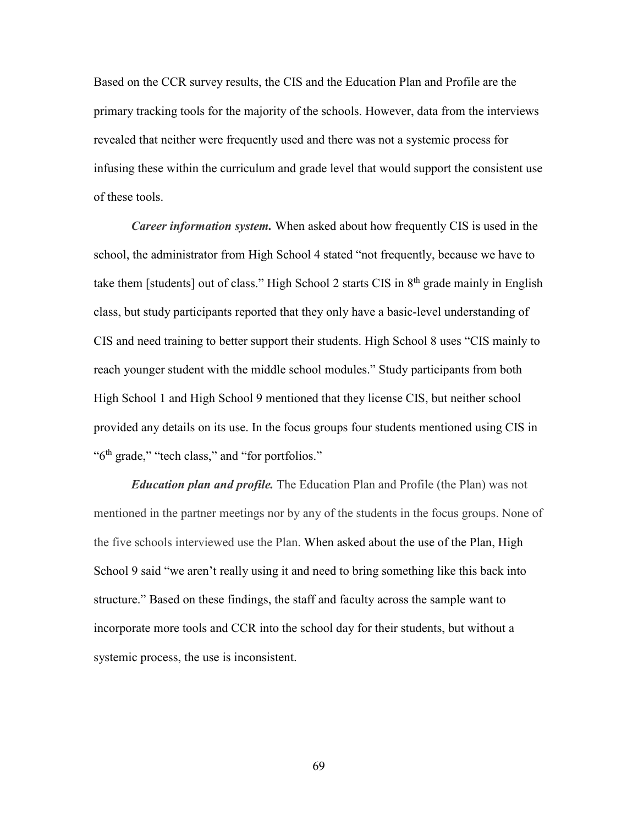Based on the CCR survey results, the CIS and the Education Plan and Profile are the primary tracking tools for the majority of the schools. However, data from the interviews revealed that neither were frequently used and there was not a systemic process for infusing these within the curriculum and grade level that would support the consistent use of these tools.

*Career information system.* When asked about how frequently CIS is used in the school, the administrator from High School 4 stated "not frequently, because we have to take them [students] out of class." High School 2 starts CIS in  $8<sup>th</sup>$  grade mainly in English class, but study participants reported that they only have a basic-level understanding of CIS and need training to better support their students. High School 8 uses "CIS mainly to reach younger student with the middle school modules." Study participants from both High School 1 and High School 9 mentioned that they license CIS, but neither school provided any details on its use. In the focus groups four students mentioned using CIS in " $6<sup>th</sup>$  grade," "tech class," and "for portfolios."

*Education plan and profile.* The Education Plan and Profile (the Plan) was not mentioned in the partner meetings nor by any of the students in the focus groups. None of the five schools interviewed use the Plan. When asked about the use of the Plan, High School 9 said "we aren't really using it and need to bring something like this back into structure." Based on these findings, the staff and faculty across the sample want to incorporate more tools and CCR into the school day for their students, but without a systemic process, the use is inconsistent.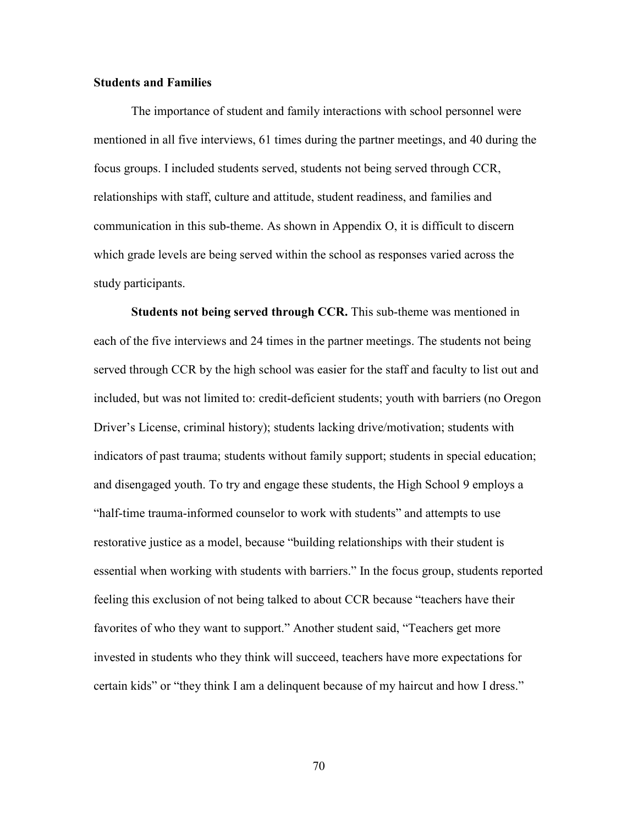## **Students and Families**

The importance of student and family interactions with school personnel were mentioned in all five interviews, 61 times during the partner meetings, and 40 during the focus groups. I included students served, students not being served through CCR, relationships with staff, culture and attitude, student readiness, and families and communication in this sub-theme. As shown in Appendix O, it is difficult to discern which grade levels are being served within the school as responses varied across the study participants.

**Students not being served through CCR.** This sub-theme was mentioned in each of the five interviews and 24 times in the partner meetings. The students not being served through CCR by the high school was easier for the staff and faculty to list out and included, but was not limited to: credit-deficient students; youth with barriers (no Oregon Driver's License, criminal history); students lacking drive/motivation; students with indicators of past trauma; students without family support; students in special education; and disengaged youth. To try and engage these students, the High School 9 employs a "half-time trauma-informed counselor to work with students" and attempts to use restorative justice as a model, because "building relationships with their student is essential when working with students with barriers." In the focus group, students reported feeling this exclusion of not being talked to about CCR because "teachers have their favorites of who they want to support." Another student said, "Teachers get more invested in students who they think will succeed, teachers have more expectations for certain kids" or "they think I am a delinquent because of my haircut and how I dress."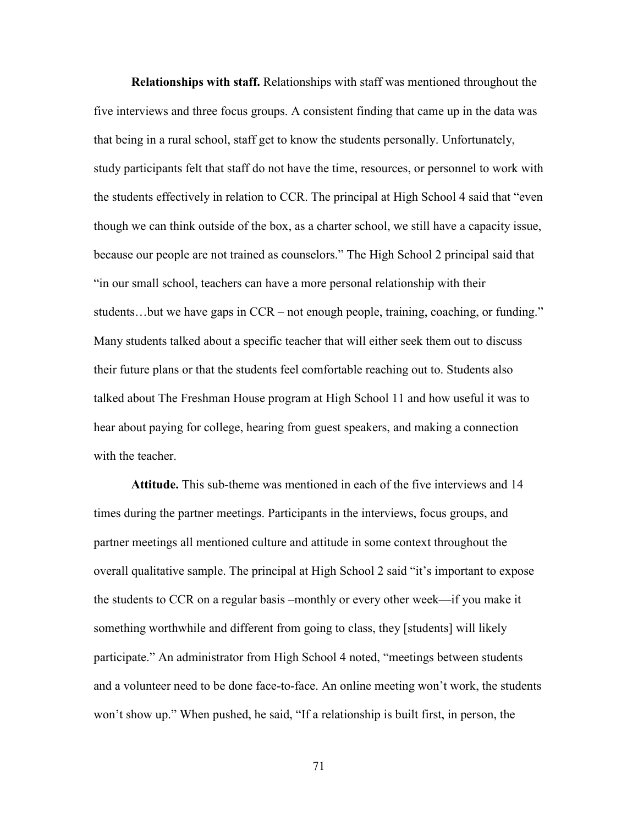**Relationships with staff.** Relationships with staff was mentioned throughout the five interviews and three focus groups. A consistent finding that came up in the data was that being in a rural school, staff get to know the students personally. Unfortunately, study participants felt that staff do not have the time, resources, or personnel to work with the students effectively in relation to CCR. The principal at High School 4 said that "even though we can think outside of the box, as a charter school, we still have a capacity issue, because our people are not trained as counselors." The High School 2 principal said that "in our small school, teachers can have a more personal relationship with their students…but we have gaps in CCR – not enough people, training, coaching, or funding." Many students talked about a specific teacher that will either seek them out to discuss their future plans or that the students feel comfortable reaching out to. Students also talked about The Freshman House program at High School 11 and how useful it was to hear about paying for college, hearing from guest speakers, and making a connection with the teacher.

**Attitude.** This sub-theme was mentioned in each of the five interviews and 14 times during the partner meetings. Participants in the interviews, focus groups, and partner meetings all mentioned culture and attitude in some context throughout the overall qualitative sample. The principal at High School 2 said "it's important to expose the students to CCR on a regular basis –monthly or every other week—if you make it something worthwhile and different from going to class, they [students] will likely participate." An administrator from High School 4 noted, "meetings between students and a volunteer need to be done face-to-face. An online meeting won't work, the students won't show up." When pushed, he said, "If a relationship is built first, in person, the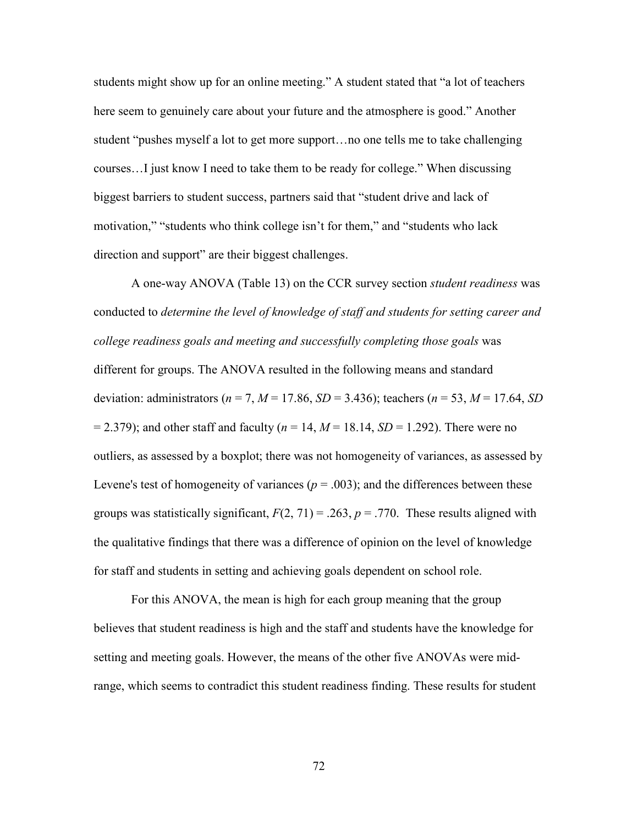students might show up for an online meeting." A student stated that "a lot of teachers here seem to genuinely care about your future and the atmosphere is good." Another student "pushes myself a lot to get more support…no one tells me to take challenging courses…I just know I need to take them to be ready for college." When discussing biggest barriers to student success, partners said that "student drive and lack of motivation," "students who think college isn't for them," and "students who lack direction and support" are their biggest challenges.

 A one-way ANOVA (Table 13) on the CCR survey section *student readiness* was conducted to *determine the level of knowledge of staff and students for setting career and college readiness goals and meeting and successfully completing those goals* was different for groups. The ANOVA resulted in the following means and standard deviation: administrators (*n* = 7, *M* = 17.86, *SD* = 3.436); teachers (*n* = 53, *M* = 17.64, *SD*  $= 2.379$ ; and other staff and faculty ( $n = 14$ ,  $M = 18.14$ ,  $SD = 1.292$ ). There were no outliers, as assessed by a boxplot; there was not homogeneity of variances, as assessed by Levene's test of homogeneity of variances ( $p = .003$ ); and the differences between these groups was statistically significant,  $F(2, 71) = .263$ ,  $p = .770$ . These results aligned with the qualitative findings that there was a difference of opinion on the level of knowledge for staff and students in setting and achieving goals dependent on school role.

 For this ANOVA, the mean is high for each group meaning that the group believes that student readiness is high and the staff and students have the knowledge for setting and meeting goals. However, the means of the other five ANOVAs were midrange, which seems to contradict this student readiness finding. These results for student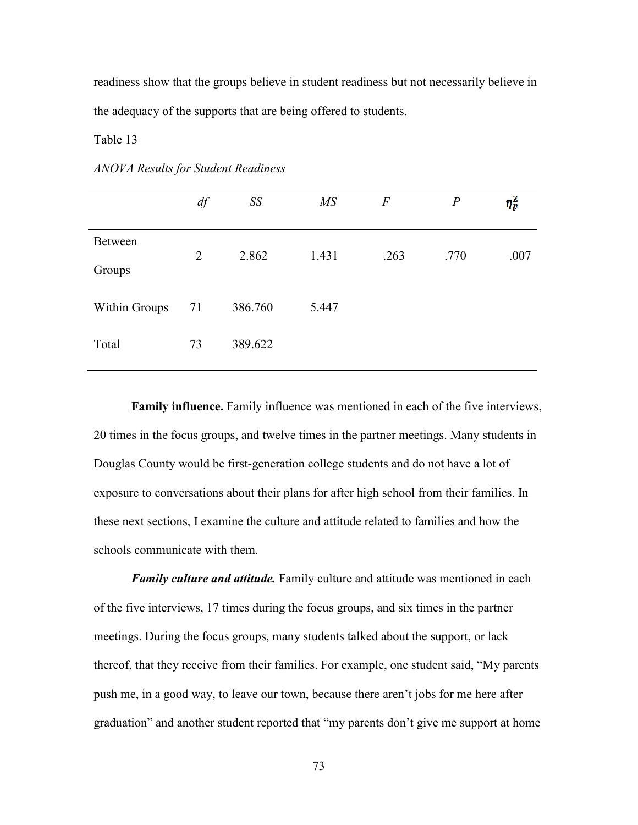readiness show that the groups believe in student readiness but not necessarily believe in the adequacy of the supports that are being offered to students.

Table 13

|                          | df             | SS      | $\overline{MS}$ | $\overline{F}$ | $\boldsymbol{P}$ | $\eta_p^2$ |
|--------------------------|----------------|---------|-----------------|----------------|------------------|------------|
| <b>Between</b><br>Groups | $\overline{2}$ | 2.862   | 1.431           | .263           | .770             | .007       |
| Within Groups            | 71             | 386.760 | 5.447           |                |                  |            |
| Total                    | 73             | 389.622 |                 |                |                  |            |

*ANOVA Results for Student Readiness* 

 **Family influence.** Family influence was mentioned in each of the five interviews, 20 times in the focus groups, and twelve times in the partner meetings. Many students in Douglas County would be first-generation college students and do not have a lot of exposure to conversations about their plans for after high school from their families. In these next sections, I examine the culture and attitude related to families and how the schools communicate with them.

*Family culture and attitude.* Family culture and attitude was mentioned in each of the five interviews, 17 times during the focus groups, and six times in the partner meetings. During the focus groups, many students talked about the support, or lack thereof, that they receive from their families. For example, one student said, "My parents push me, in a good way, to leave our town, because there aren't jobs for me here after graduation" and another student reported that "my parents don't give me support at home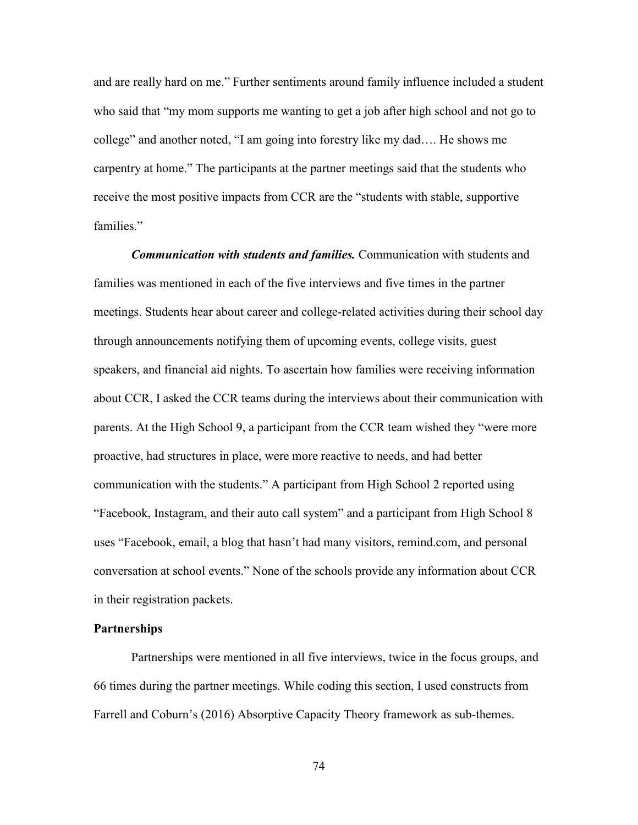and are really hard on me." Further sentiments around family influence included a student who said that "my mom supports me wanting to get a job after high school and not go to college" and another noted, "I am going into forestry like my dad…. He shows me carpentry at home." The participants at the partner meetings said that the students who receive the most positive impacts from CCR are the "students with stable, supportive families."

*Communication with students and families.* Communication with students and families was mentioned in each of the five interviews and five times in the partner meetings. Students hear about career and college-related activities during their school day through announcements notifying them of upcoming events, college visits, guest speakers, and financial aid nights. To ascertain how families were receiving information about CCR, I asked the CCR teams during the interviews about their communication with parents. At the High School 9, a participant from the CCR team wished they "were more proactive, had structures in place, were more reactive to needs, and had better communication with the students." A participant from High School 2 reported using "Facebook, Instagram, and their auto call system" and a participant from High School 8 uses "Facebook, email, a blog that hasn't had many visitors, remind.com, and personal conversation at school events." None of the schools provide any information about CCR in their registration packets.

## **Partnerships**

Partnerships were mentioned in all five interviews, twice in the focus groups, and 66 times during the partner meetings. While coding this section, I used constructs from Farrell and Coburn's (2016) Absorptive Capacity Theory framework as sub-themes.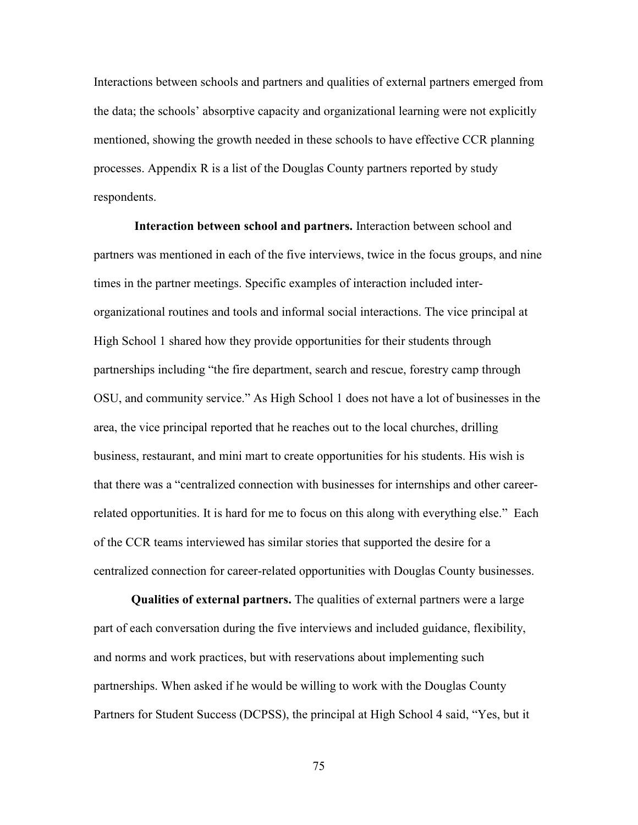Interactions between schools and partners and qualities of external partners emerged from the data; the schools' absorptive capacity and organizational learning were not explicitly mentioned, showing the growth needed in these schools to have effective CCR planning processes. Appendix R is a list of the Douglas County partners reported by study respondents.

**Interaction between school and partners.** Interaction between school and partners was mentioned in each of the five interviews, twice in the focus groups, and nine times in the partner meetings. Specific examples of interaction included interorganizational routines and tools and informal social interactions. The vice principal at High School 1 shared how they provide opportunities for their students through partnerships including "the fire department, search and rescue, forestry camp through OSU, and community service." As High School 1 does not have a lot of businesses in the area, the vice principal reported that he reaches out to the local churches, drilling business, restaurant, and mini mart to create opportunities for his students. His wish is that there was a "centralized connection with businesses for internships and other careerrelated opportunities. It is hard for me to focus on this along with everything else." Each of the CCR teams interviewed has similar stories that supported the desire for a centralized connection for career-related opportunities with Douglas County businesses.

**Qualities of external partners.** The qualities of external partners were a large part of each conversation during the five interviews and included guidance, flexibility, and norms and work practices, but with reservations about implementing such partnerships. When asked if he would be willing to work with the Douglas County Partners for Student Success (DCPSS), the principal at High School 4 said, "Yes, but it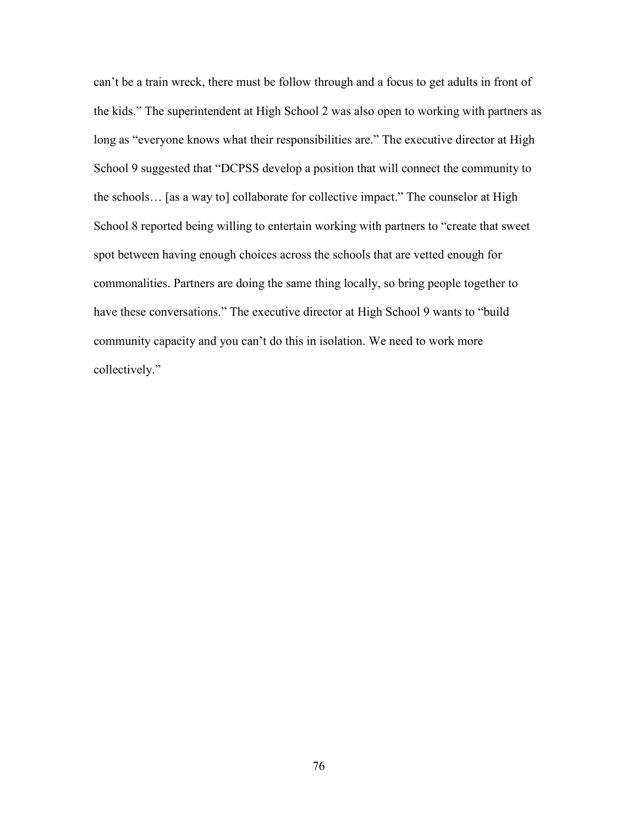can't be a train wreck, there must be follow through and a focus to get adults in front of the kids." The superintendent at High School 2 was also open to working with partners as long as "everyone knows what their responsibilities are." The executive director at High School 9 suggested that "DCPSS develop a position that will connect the community to the schools… [as a way to] collaborate for collective impact." The counselor at High School 8 reported being willing to entertain working with partners to "create that sweet spot between having enough choices across the schools that are vetted enough for commonalities. Partners are doing the same thing locally, so bring people together to have these conversations." The executive director at High School 9 wants to "build community capacity and you can't do this in isolation. We need to work more collectively."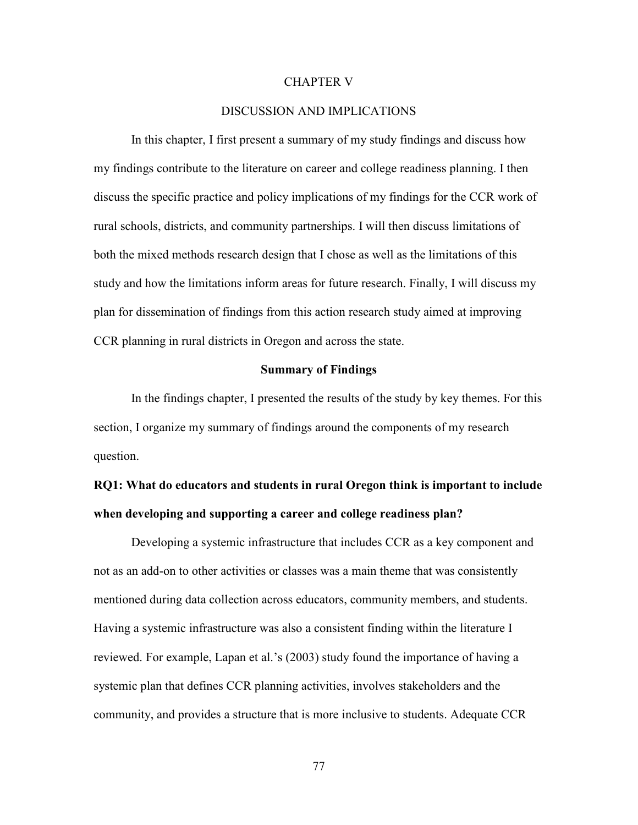### CHAPTER V

### DISCUSSION AND IMPLICATIONS

In this chapter, I first present a summary of my study findings and discuss how my findings contribute to the literature on career and college readiness planning. I then discuss the specific practice and policy implications of my findings for the CCR work of rural schools, districts, and community partnerships. I will then discuss limitations of both the mixed methods research design that I chose as well as the limitations of this study and how the limitations inform areas for future research. Finally, I will discuss my plan for dissemination of findings from this action research study aimed at improving CCR planning in rural districts in Oregon and across the state.

### **Summary of Findings**

In the findings chapter, I presented the results of the study by key themes. For this section, I organize my summary of findings around the components of my research question.

# **RQ1: What do educators and students in rural Oregon think is important to include when developing and supporting a career and college readiness plan?**

Developing a systemic infrastructure that includes CCR as a key component and not as an add-on to other activities or classes was a main theme that was consistently mentioned during data collection across educators, community members, and students. Having a systemic infrastructure was also a consistent finding within the literature I reviewed. For example, Lapan et al.'s (2003) study found the importance of having a systemic plan that defines CCR planning activities, involves stakeholders and the community, and provides a structure that is more inclusive to students. Adequate CCR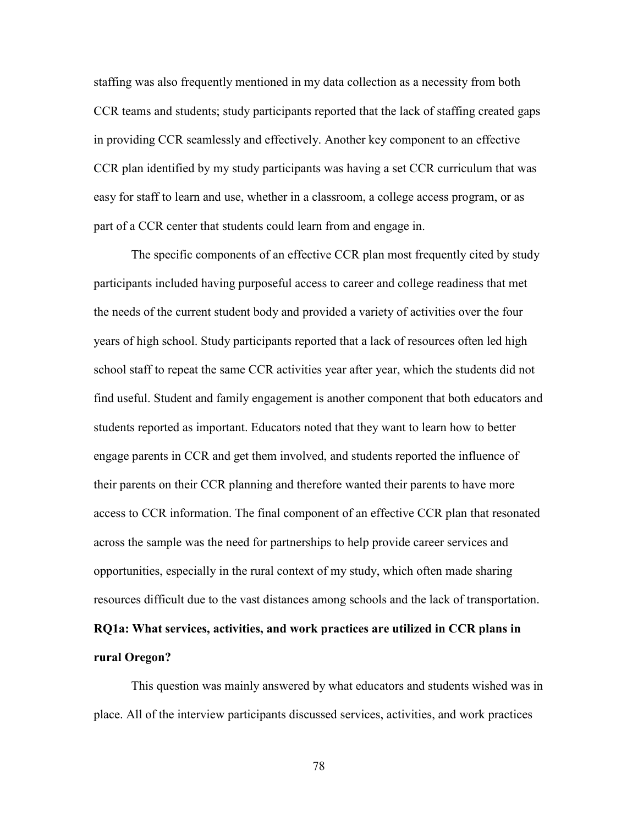staffing was also frequently mentioned in my data collection as a necessity from both CCR teams and students; study participants reported that the lack of staffing created gaps in providing CCR seamlessly and effectively. Another key component to an effective CCR plan identified by my study participants was having a set CCR curriculum that was easy for staff to learn and use, whether in a classroom, a college access program, or as part of a CCR center that students could learn from and engage in.

The specific components of an effective CCR plan most frequently cited by study participants included having purposeful access to career and college readiness that met the needs of the current student body and provided a variety of activities over the four years of high school. Study participants reported that a lack of resources often led high school staff to repeat the same CCR activities year after year, which the students did not find useful. Student and family engagement is another component that both educators and students reported as important. Educators noted that they want to learn how to better engage parents in CCR and get them involved, and students reported the influence of their parents on their CCR planning and therefore wanted their parents to have more access to CCR information. The final component of an effective CCR plan that resonated across the sample was the need for partnerships to help provide career services and opportunities, especially in the rural context of my study, which often made sharing resources difficult due to the vast distances among schools and the lack of transportation. **RQ1a: What services, activities, and work practices are utilized in CCR plans in rural Oregon?** 

This question was mainly answered by what educators and students wished was in place. All of the interview participants discussed services, activities, and work practices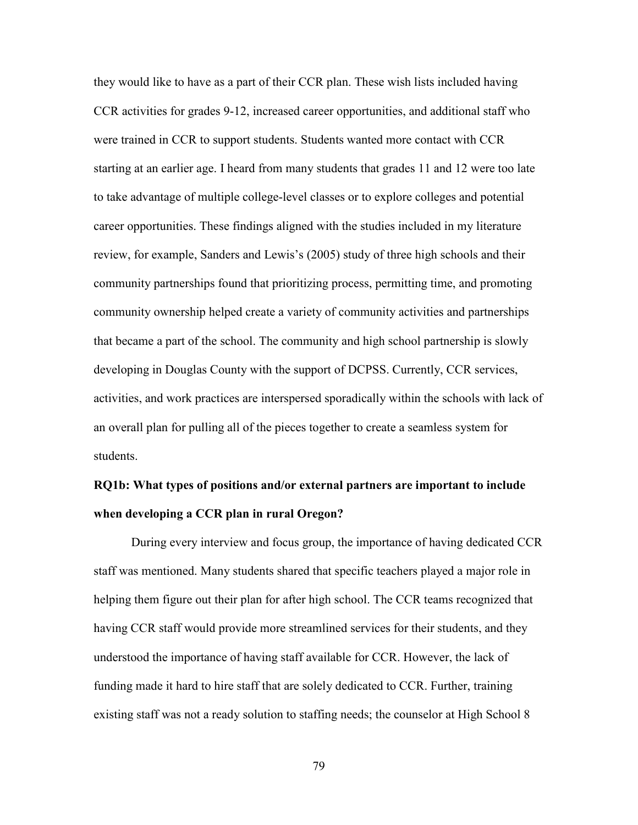they would like to have as a part of their CCR plan. These wish lists included having CCR activities for grades 9-12, increased career opportunities, and additional staff who were trained in CCR to support students. Students wanted more contact with CCR starting at an earlier age. I heard from many students that grades 11 and 12 were too late to take advantage of multiple college-level classes or to explore colleges and potential career opportunities. These findings aligned with the studies included in my literature review, for example, Sanders and Lewis's (2005) study of three high schools and their community partnerships found that prioritizing process, permitting time, and promoting community ownership helped create a variety of community activities and partnerships that became a part of the school. The community and high school partnership is slowly developing in Douglas County with the support of DCPSS. Currently, CCR services, activities, and work practices are interspersed sporadically within the schools with lack of an overall plan for pulling all of the pieces together to create a seamless system for students.

# **RQ1b: What types of positions and/or external partners are important to include when developing a CCR plan in rural Oregon?**

During every interview and focus group, the importance of having dedicated CCR staff was mentioned. Many students shared that specific teachers played a major role in helping them figure out their plan for after high school. The CCR teams recognized that having CCR staff would provide more streamlined services for their students, and they understood the importance of having staff available for CCR. However, the lack of funding made it hard to hire staff that are solely dedicated to CCR. Further, training existing staff was not a ready solution to staffing needs; the counselor at High School 8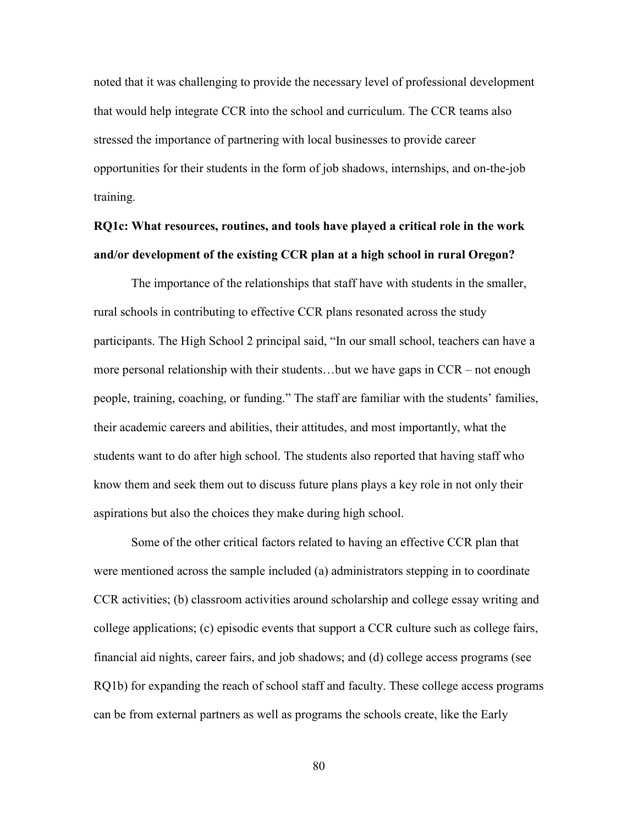noted that it was challenging to provide the necessary level of professional development that would help integrate CCR into the school and curriculum. The CCR teams also stressed the importance of partnering with local businesses to provide career opportunities for their students in the form of job shadows, internships, and on-the-job training.

# **RQ1c: What resources, routines, and tools have played a critical role in the work and/or development of the existing CCR plan at a high school in rural Oregon?**

The importance of the relationships that staff have with students in the smaller, rural schools in contributing to effective CCR plans resonated across the study participants. The High School 2 principal said, "In our small school, teachers can have a more personal relationship with their students…but we have gaps in CCR – not enough people, training, coaching, or funding." The staff are familiar with the students' families, their academic careers and abilities, their attitudes, and most importantly, what the students want to do after high school. The students also reported that having staff who know them and seek them out to discuss future plans plays a key role in not only their aspirations but also the choices they make during high school.

Some of the other critical factors related to having an effective CCR plan that were mentioned across the sample included (a) administrators stepping in to coordinate CCR activities; (b) classroom activities around scholarship and college essay writing and college applications; (c) episodic events that support a CCR culture such as college fairs, financial aid nights, career fairs, and job shadows; and (d) college access programs (see RQ1b) for expanding the reach of school staff and faculty. These college access programs can be from external partners as well as programs the schools create, like the Early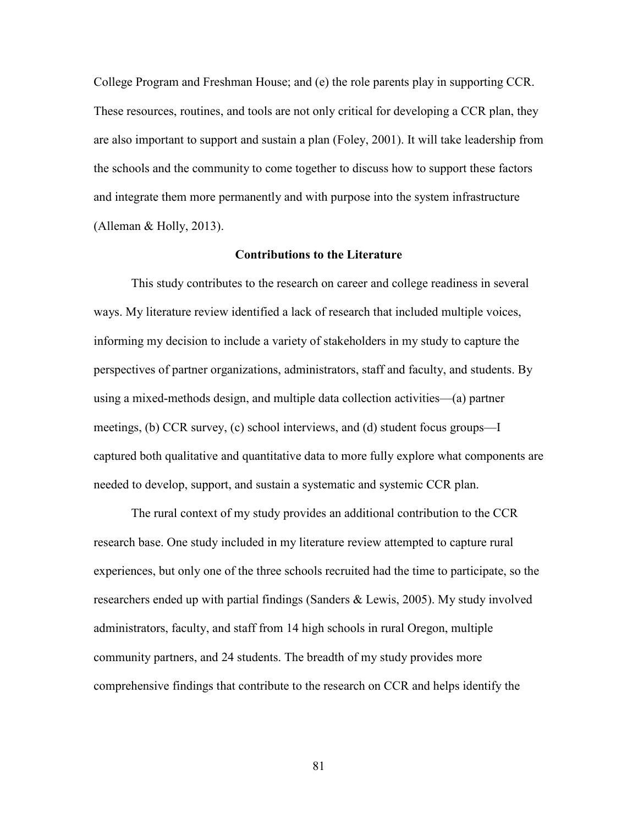College Program and Freshman House; and (e) the role parents play in supporting CCR. These resources, routines, and tools are not only critical for developing a CCR plan, they are also important to support and sustain a plan (Foley, 2001). It will take leadership from the schools and the community to come together to discuss how to support these factors and integrate them more permanently and with purpose into the system infrastructure (Alleman  $&$  Holly, 2013).

### **Contributions to the Literature**

This study contributes to the research on career and college readiness in several ways. My literature review identified a lack of research that included multiple voices, informing my decision to include a variety of stakeholders in my study to capture the perspectives of partner organizations, administrators, staff and faculty, and students. By using a mixed-methods design, and multiple data collection activities—(a) partner meetings, (b) CCR survey, (c) school interviews, and (d) student focus groups—I captured both qualitative and quantitative data to more fully explore what components are needed to develop, support, and sustain a systematic and systemic CCR plan.

The rural context of my study provides an additional contribution to the CCR research base. One study included in my literature review attempted to capture rural experiences, but only one of the three schools recruited had the time to participate, so the researchers ended up with partial findings (Sanders & Lewis, 2005). My study involved administrators, faculty, and staff from 14 high schools in rural Oregon, multiple community partners, and 24 students. The breadth of my study provides more comprehensive findings that contribute to the research on CCR and helps identify the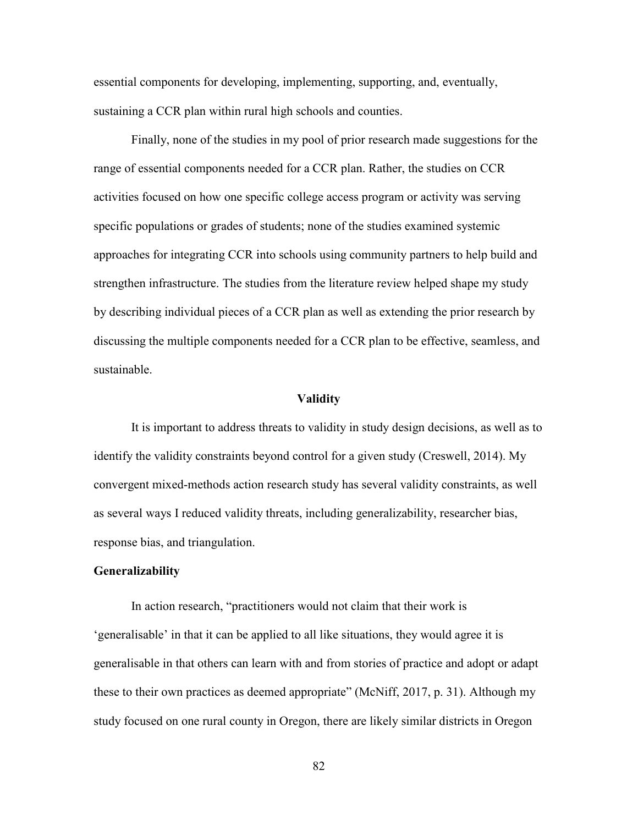essential components for developing, implementing, supporting, and, eventually, sustaining a CCR plan within rural high schools and counties.

Finally, none of the studies in my pool of prior research made suggestions for the range of essential components needed for a CCR plan. Rather, the studies on CCR activities focused on how one specific college access program or activity was serving specific populations or grades of students; none of the studies examined systemic approaches for integrating CCR into schools using community partners to help build and strengthen infrastructure. The studies from the literature review helped shape my study by describing individual pieces of a CCR plan as well as extending the prior research by discussing the multiple components needed for a CCR plan to be effective, seamless, and sustainable.

### **Validity**

It is important to address threats to validity in study design decisions, as well as to identify the validity constraints beyond control for a given study (Creswell, 2014). My convergent mixed-methods action research study has several validity constraints, as well as several ways I reduced validity threats, including generalizability, researcher bias, response bias, and triangulation.

## **Generalizability**

In action research, "practitioners would not claim that their work is 'generalisable' in that it can be applied to all like situations, they would agree it is generalisable in that others can learn with and from stories of practice and adopt or adapt these to their own practices as deemed appropriate" (McNiff, 2017, p. 31). Although my study focused on one rural county in Oregon, there are likely similar districts in Oregon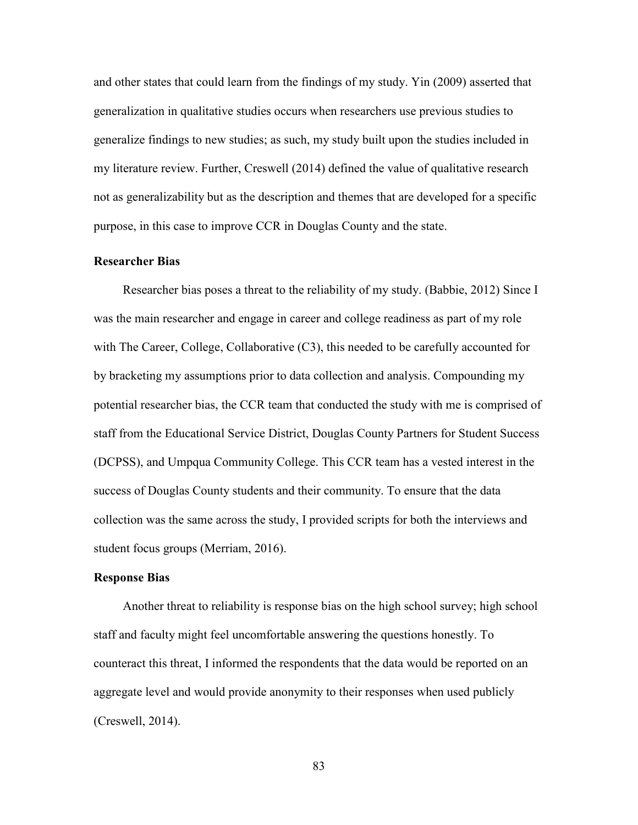and other states that could learn from the findings of my study. Yin (2009) asserted that generalization in qualitative studies occurs when researchers use previous studies to generalize findings to new studies; as such, my study built upon the studies included in my literature review. Further, Creswell (2014) defined the value of qualitative research not as generalizability but as the description and themes that are developed for a specific purpose, in this case to improve CCR in Douglas County and the state.

### **Researcher Bias**

Researcher bias poses a threat to the reliability of my study. (Babbie, 2012) Since I was the main researcher and engage in career and college readiness as part of my role with The Career, College, Collaborative (C3), this needed to be carefully accounted for by bracketing my assumptions prior to data collection and analysis. Compounding my potential researcher bias, the CCR team that conducted the study with me is comprised of staff from the Educational Service District, Douglas County Partners for Student Success (DCPSS), and Umpqua Community College. This CCR team has a vested interest in the success of Douglas County students and their community. To ensure that the data collection was the same across the study, I provided scripts for both the interviews and student focus groups (Merriam, 2016).

#### **Response Bias**

Another threat to reliability is response bias on the high school survey; high school staff and faculty might feel uncomfortable answering the questions honestly. To counteract this threat, I informed the respondents that the data would be reported on an aggregate level and would provide anonymity to their responses when used publicly (Creswell, 2014).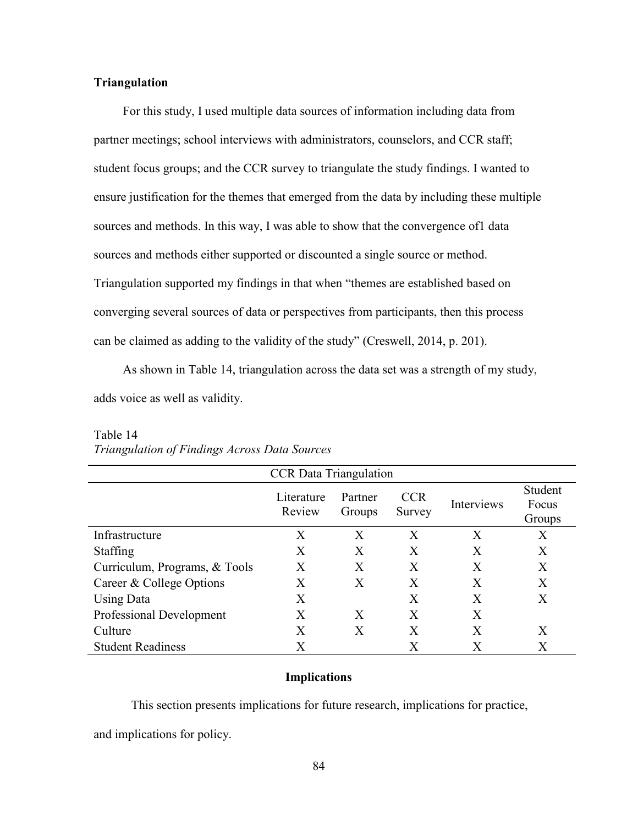## **Triangulation**

For this study, I used multiple data sources of information including data from partner meetings; school interviews with administrators, counselors, and CCR staff; student focus groups; and the CCR survey to triangulate the study findings. I wanted to ensure justification for the themes that emerged from the data by including these multiple sources and methods. In this way, I was able to show that the convergence of ldata sources and methods either supported or discounted a single source or method. Triangulation supported my findings in that when "themes are established based on converging several sources of data or perspectives from participants, then this process can be claimed as adding to the validity of the study" (Creswell, 2014, p. 201).

 As shown in Table 14, triangulation across the data set was a strength of my study, adds voice as well as validity.

| <b>CCR</b> Data Triangulation |                      |                   |                      |              |                            |  |  |  |
|-------------------------------|----------------------|-------------------|----------------------|--------------|----------------------------|--|--|--|
|                               | Literature<br>Review | Partner<br>Groups | <b>CCR</b><br>Survey | Interviews   | Student<br>Focus<br>Groups |  |  |  |
| Infrastructure                | Х                    | X                 | X                    | X            | $\rm X$                    |  |  |  |
| <b>Staffing</b>               | X                    | X                 | X                    | X            | X                          |  |  |  |
| Curriculum, Programs, & Tools | X                    | X                 | X                    | Χ            | X                          |  |  |  |
| Career & College Options      | Х                    | X                 | X                    | Χ            | X                          |  |  |  |
| <b>Using Data</b>             | X                    |                   | Χ                    | X            | X                          |  |  |  |
| Professional Development      | X                    | X                 | X                    | Χ            |                            |  |  |  |
| Culture                       | X                    | X                 | X                    | $\mathbf{X}$ | X                          |  |  |  |
| <b>Student Readiness</b>      | $\rm\overline{X}$    |                   | X                    | Х            | $\rm\overline{X}$          |  |  |  |

# Table 14 *Triangulation of Findings Across Data Sources*

#### **Implications**

This section presents implications for future research, implications for practice,

and implications for policy.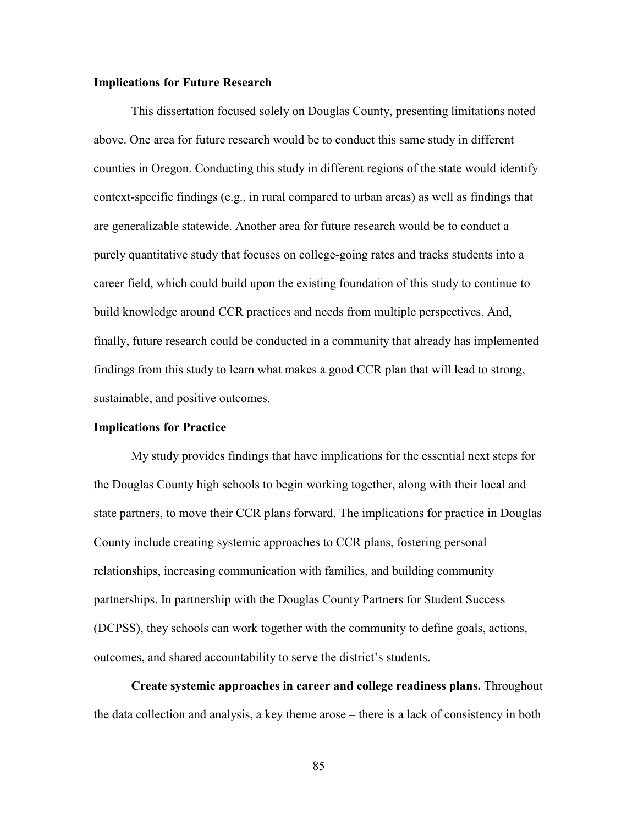## **Implications for Future Research**

This dissertation focused solely on Douglas County, presenting limitations noted above. One area for future research would be to conduct this same study in different counties in Oregon. Conducting this study in different regions of the state would identify context-specific findings (e.g., in rural compared to urban areas) as well as findings that are generalizable statewide. Another area for future research would be to conduct a purely quantitative study that focuses on college-going rates and tracks students into a career field, which could build upon the existing foundation of this study to continue to build knowledge around CCR practices and needs from multiple perspectives. And, finally, future research could be conducted in a community that already has implemented findings from this study to learn what makes a good CCR plan that will lead to strong, sustainable, and positive outcomes.

### **Implications for Practice**

My study provides findings that have implications for the essential next steps for the Douglas County high schools to begin working together, along with their local and state partners, to move their CCR plans forward. The implications for practice in Douglas County include creating systemic approaches to CCR plans, fostering personal relationships, increasing communication with families, and building community partnerships. In partnership with the Douglas County Partners for Student Success (DCPSS), they schools can work together with the community to define goals, actions, outcomes, and shared accountability to serve the district's students.

**Create systemic approaches in career and college readiness plans.** Throughout the data collection and analysis, a key theme arose – there is a lack of consistency in both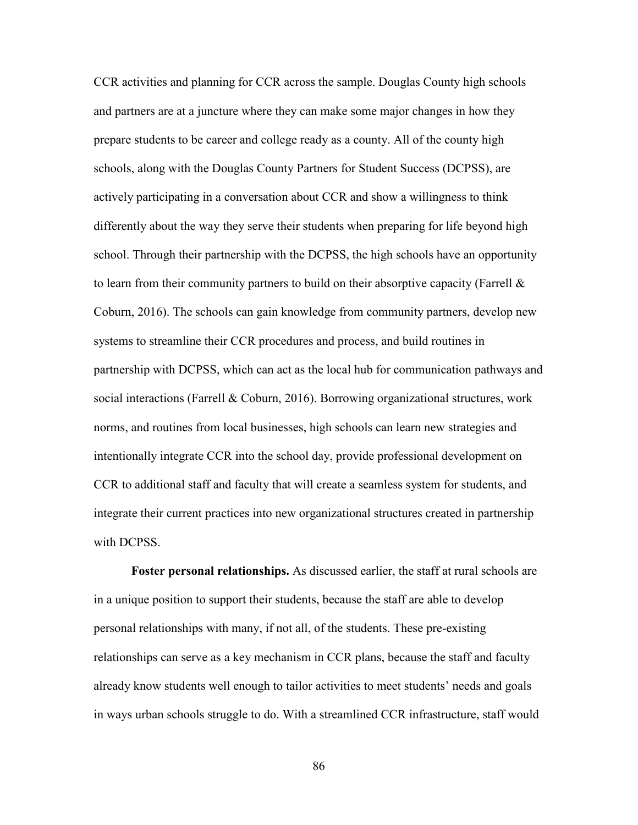CCR activities and planning for CCR across the sample. Douglas County high schools and partners are at a juncture where they can make some major changes in how they prepare students to be career and college ready as a county. All of the county high schools, along with the Douglas County Partners for Student Success (DCPSS), are actively participating in a conversation about CCR and show a willingness to think differently about the way they serve their students when preparing for life beyond high school. Through their partnership with the DCPSS, the high schools have an opportunity to learn from their community partners to build on their absorptive capacity (Farrell  $\&$ Coburn, 2016). The schools can gain knowledge from community partners, develop new systems to streamline their CCR procedures and process, and build routines in partnership with DCPSS, which can act as the local hub for communication pathways and social interactions (Farrell & Coburn, 2016). Borrowing organizational structures, work norms, and routines from local businesses, high schools can learn new strategies and intentionally integrate CCR into the school day, provide professional development on CCR to additional staff and faculty that will create a seamless system for students, and integrate their current practices into new organizational structures created in partnership with DCPSS.

**Foster personal relationships.** As discussed earlier, the staff at rural schools are in a unique position to support their students, because the staff are able to develop personal relationships with many, if not all, of the students. These pre-existing relationships can serve as a key mechanism in CCR plans, because the staff and faculty already know students well enough to tailor activities to meet students' needs and goals in ways urban schools struggle to do. With a streamlined CCR infrastructure, staff would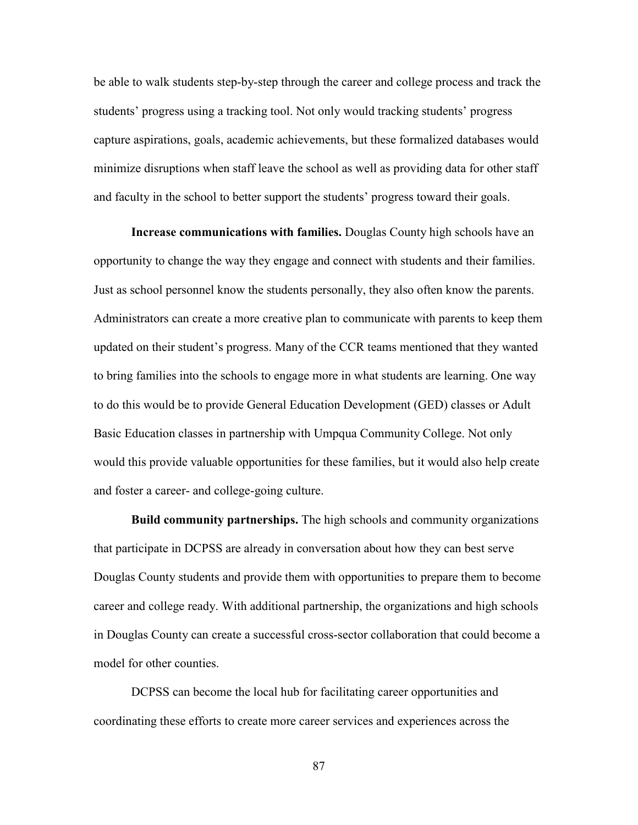be able to walk students step-by-step through the career and college process and track the students' progress using a tracking tool. Not only would tracking students' progress capture aspirations, goals, academic achievements, but these formalized databases would minimize disruptions when staff leave the school as well as providing data for other staff and faculty in the school to better support the students' progress toward their goals.

**Increase communications with families.** Douglas County high schools have an opportunity to change the way they engage and connect with students and their families. Just as school personnel know the students personally, they also often know the parents. Administrators can create a more creative plan to communicate with parents to keep them updated on their student's progress. Many of the CCR teams mentioned that they wanted to bring families into the schools to engage more in what students are learning. One way to do this would be to provide General Education Development (GED) classes or Adult Basic Education classes in partnership with Umpqua Community College. Not only would this provide valuable opportunities for these families, but it would also help create and foster a career- and college-going culture.

**Build community partnerships.** The high schools and community organizations that participate in DCPSS are already in conversation about how they can best serve Douglas County students and provide them with opportunities to prepare them to become career and college ready. With additional partnership, the organizations and high schools in Douglas County can create a successful cross-sector collaboration that could become a model for other counties.

DCPSS can become the local hub for facilitating career opportunities and coordinating these efforts to create more career services and experiences across the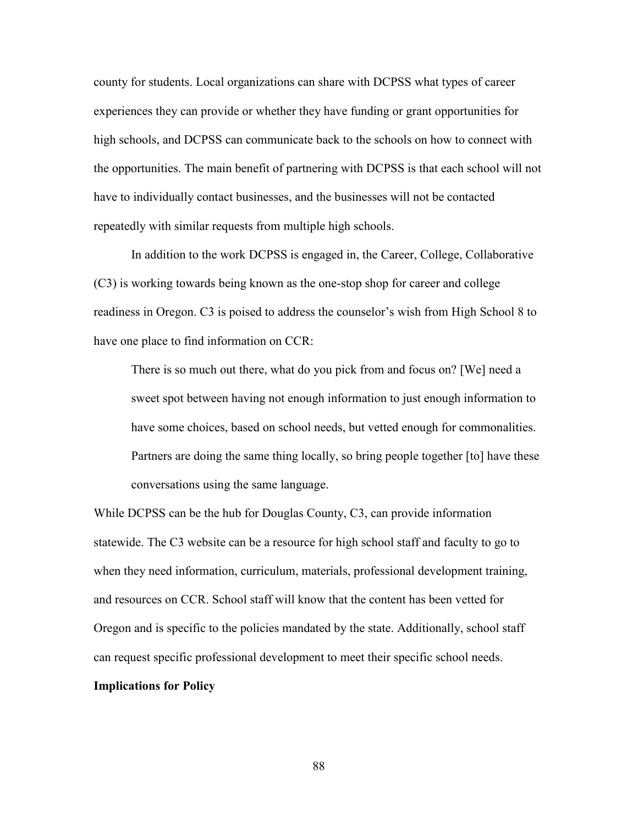county for students. Local organizations can share with DCPSS what types of career experiences they can provide or whether they have funding or grant opportunities for high schools, and DCPSS can communicate back to the schools on how to connect with the opportunities. The main benefit of partnering with DCPSS is that each school will not have to individually contact businesses, and the businesses will not be contacted repeatedly with similar requests from multiple high schools.

In addition to the work DCPSS is engaged in, the Career, College, Collaborative (C3) is working towards being known as the one-stop shop for career and college readiness in Oregon. C3 is poised to address the counselor's wish from High School 8 to have one place to find information on CCR:

There is so much out there, what do you pick from and focus on? [We] need a sweet spot between having not enough information to just enough information to have some choices, based on school needs, but vetted enough for commonalities. Partners are doing the same thing locally, so bring people together [to] have these conversations using the same language.

While DCPSS can be the hub for Douglas County, C3, can provide information statewide. The C3 website can be a resource for high school staff and faculty to go to when they need information, curriculum, materials, professional development training, and resources on CCR. School staff will know that the content has been vetted for Oregon and is specific to the policies mandated by the state. Additionally, school staff can request specific professional development to meet their specific school needs.

## **Implications for Policy**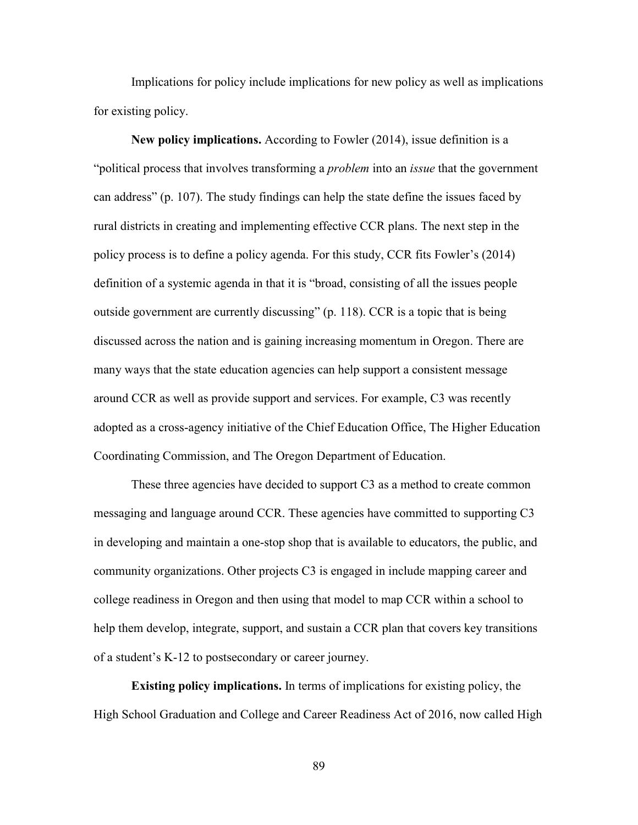Implications for policy include implications for new policy as well as implications for existing policy.

**New policy implications.** According to Fowler (2014), issue definition is a "political process that involves transforming a *problem* into an *issue* that the government can address" (p. 107). The study findings can help the state define the issues faced by rural districts in creating and implementing effective CCR plans. The next step in the policy process is to define a policy agenda. For this study, CCR fits Fowler's (2014) definition of a systemic agenda in that it is "broad, consisting of all the issues people outside government are currently discussing" (p. 118). CCR is a topic that is being discussed across the nation and is gaining increasing momentum in Oregon. There are many ways that the state education agencies can help support a consistent message around CCR as well as provide support and services. For example, C3 was recently adopted as a cross-agency initiative of the Chief Education Office, The Higher Education Coordinating Commission, and The Oregon Department of Education.

These three agencies have decided to support C3 as a method to create common messaging and language around CCR. These agencies have committed to supporting C3 in developing and maintain a one-stop shop that is available to educators, the public, and community organizations. Other projects C3 is engaged in include mapping career and college readiness in Oregon and then using that model to map CCR within a school to help them develop, integrate, support, and sustain a CCR plan that covers key transitions of a student's K-12 to postsecondary or career journey.

**Existing policy implications.** In terms of implications for existing policy, the High School Graduation and College and Career Readiness Act of 2016, now called High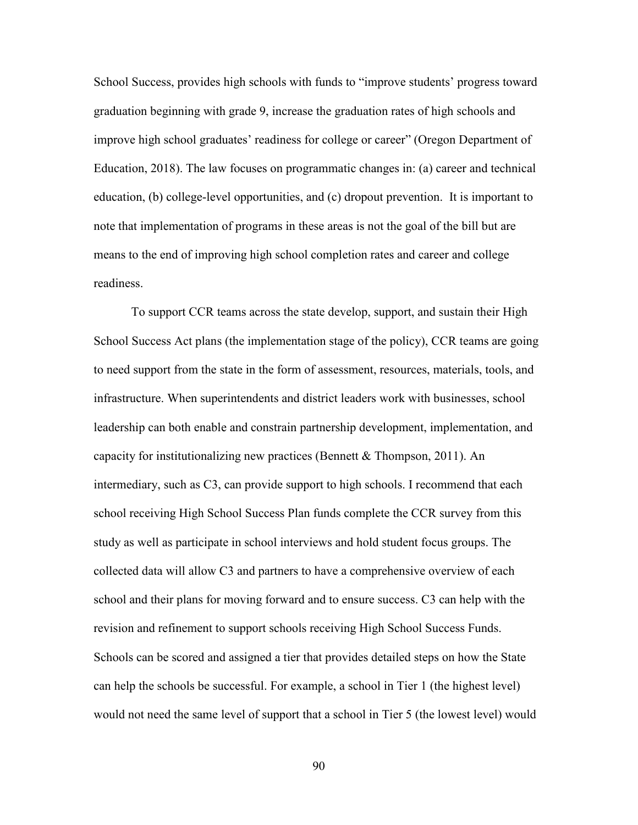School Success, provides high schools with funds to "improve students' progress toward graduation beginning with grade 9, increase the graduation rates of high schools and improve high school graduates' readiness for college or career" (Oregon Department of Education, 2018). The law focuses on programmatic changes in: (a) career and technical education, (b) college-level opportunities, and (c) dropout prevention. It is important to note that implementation of programs in these areas is not the goal of the bill but are means to the end of improving high school completion rates and career and college readiness.

To support CCR teams across the state develop, support, and sustain their High School Success Act plans (the implementation stage of the policy), CCR teams are going to need support from the state in the form of assessment, resources, materials, tools, and infrastructure. When superintendents and district leaders work with businesses, school leadership can both enable and constrain partnership development, implementation, and capacity for institutionalizing new practices (Bennett  $\&$  Thompson, 2011). An intermediary, such as C3, can provide support to high schools. I recommend that each school receiving High School Success Plan funds complete the CCR survey from this study as well as participate in school interviews and hold student focus groups. The collected data will allow C3 and partners to have a comprehensive overview of each school and their plans for moving forward and to ensure success. C3 can help with the revision and refinement to support schools receiving High School Success Funds. Schools can be scored and assigned a tier that provides detailed steps on how the State can help the schools be successful. For example, a school in Tier 1 (the highest level) would not need the same level of support that a school in Tier 5 (the lowest level) would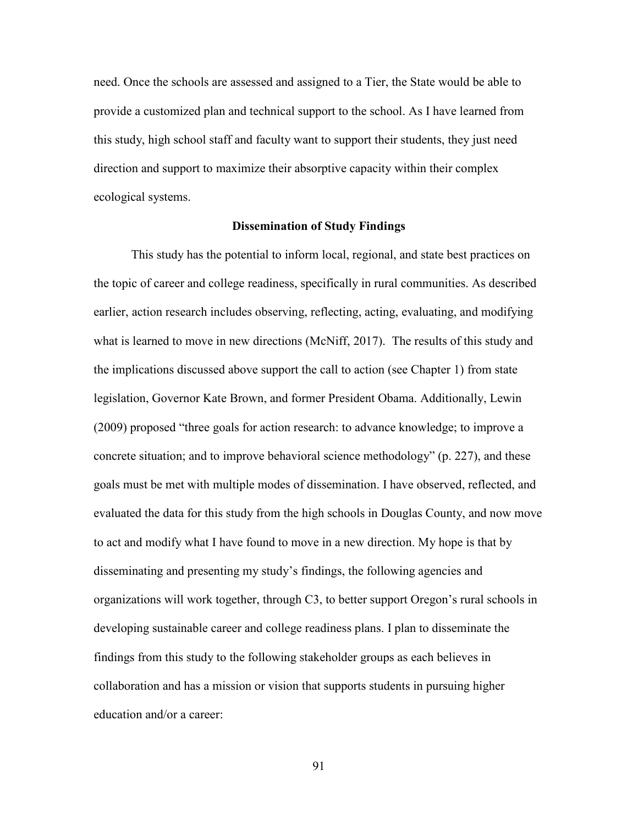need. Once the schools are assessed and assigned to a Tier, the State would be able to provide a customized plan and technical support to the school. As I have learned from this study, high school staff and faculty want to support their students, they just need direction and support to maximize their absorptive capacity within their complex ecological systems.

#### **Dissemination of Study Findings**

This study has the potential to inform local, regional, and state best practices on the topic of career and college readiness, specifically in rural communities. As described earlier, action research includes observing, reflecting, acting, evaluating, and modifying what is learned to move in new directions (McNiff, 2017). The results of this study and the implications discussed above support the call to action (see Chapter 1) from state legislation, Governor Kate Brown, and former President Obama. Additionally, Lewin (2009) proposed "three goals for action research: to advance knowledge; to improve a concrete situation; and to improve behavioral science methodology" (p. 227), and these goals must be met with multiple modes of dissemination. I have observed, reflected, and evaluated the data for this study from the high schools in Douglas County, and now move to act and modify what I have found to move in a new direction. My hope is that by disseminating and presenting my study's findings, the following agencies and organizations will work together, through C3, to better support Oregon's rural schools in developing sustainable career and college readiness plans. I plan to disseminate the findings from this study to the following stakeholder groups as each believes in collaboration and has a mission or vision that supports students in pursuing higher education and/or a career:

91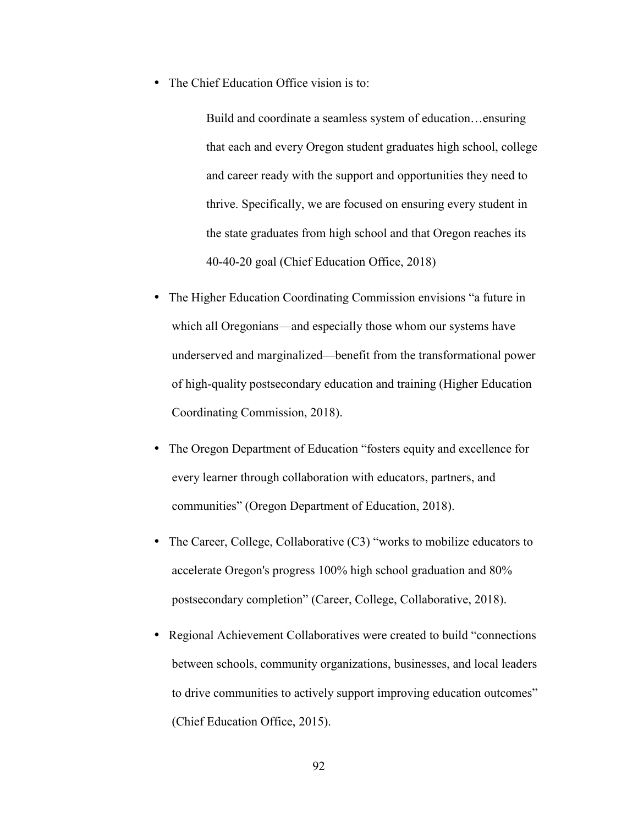• The Chief Education Office vision is to:

Build and coordinate a seamless system of education…ensuring that each and every Oregon student graduates high school, college and career ready with the support and opportunities they need to thrive. Specifically, we are focused on ensuring every student in the state graduates from high school and that Oregon reaches its 40-40-20 goal (Chief Education Office, 2018)

- The Higher Education Coordinating Commission envisions "a future in which all Oregonians—and especially those whom our systems have underserved and marginalized—benefit from the transformational power of high-quality postsecondary education and training (Higher Education Coordinating Commission, 2018).
- The Oregon Department of Education "fosters equity and excellence for every learner through collaboration with educators, partners, and communities" (Oregon Department of Education, 2018).
- The Career, College, Collaborative (C3) "works to mobilize educators to accelerate Oregon's progress 100% high school graduation and 80% postsecondary completion" (Career, College, Collaborative, 2018).
- Regional Achievement Collaboratives were created to build "connections between schools, community organizations, businesses, and local leaders to drive communities to actively support improving education outcomes" (Chief Education Office, 2015).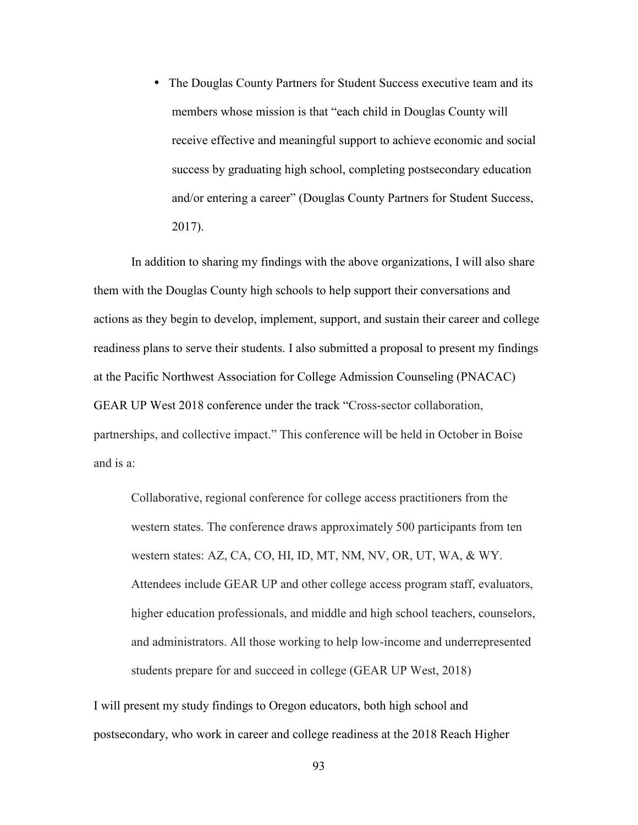• The Douglas County Partners for Student Success executive team and its members whose mission is that "each child in Douglas County will receive effective and meaningful support to achieve economic and social success by graduating high school, completing postsecondary education and/or entering a career" (Douglas County Partners for Student Success, 2017).

In addition to sharing my findings with the above organizations, I will also share them with the Douglas County high schools to help support their conversations and actions as they begin to develop, implement, support, and sustain their career and college readiness plans to serve their students. I also submitted a proposal to present my findings at the Pacific Northwest Association for College Admission Counseling (PNACAC) GEAR UP West 2018 conference under the track "Cross-sector collaboration, partnerships, and collective impact." This conference will be held in October in Boise and is a:

Collaborative, regional conference for college access practitioners from the western states. The conference draws approximately 500 participants from ten western states: AZ, CA, CO, HI, ID, MT, NM, NV, OR, UT, WA, & WY. Attendees include GEAR UP and other college access program staff, evaluators, higher education professionals, and middle and high school teachers, counselors, and administrators. All those working to help low-income and underrepresented students prepare for and succeed in college (GEAR UP West, 2018)

I will present my study findings to Oregon educators, both high school and postsecondary, who work in career and college readiness at the 2018 Reach Higher

93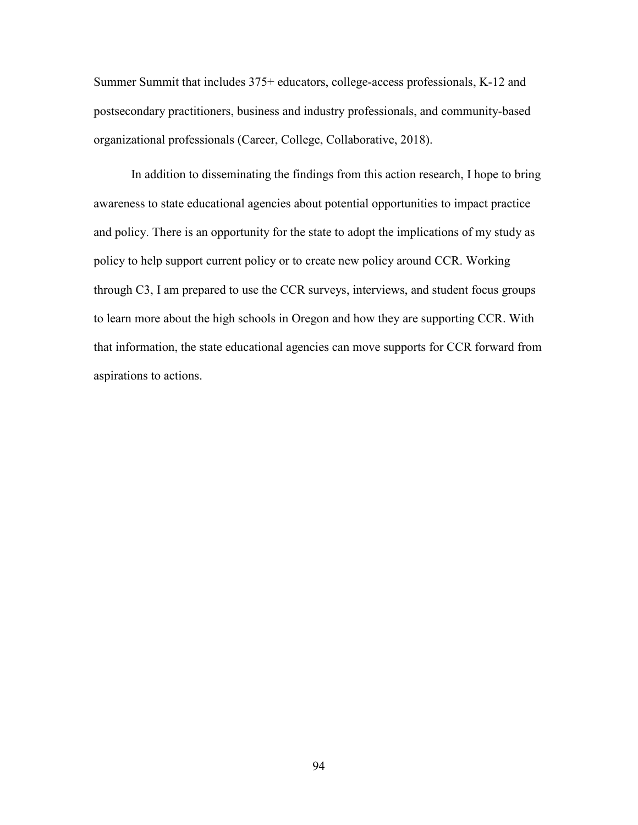Summer Summit that includes 375+ educators, college-access professionals, K-12 and postsecondary practitioners, business and industry professionals, and community-based organizational professionals (Career, College, Collaborative, 2018).

 In addition to disseminating the findings from this action research, I hope to bring awareness to state educational agencies about potential opportunities to impact practice and policy. There is an opportunity for the state to adopt the implications of my study as policy to help support current policy or to create new policy around CCR. Working through C3, I am prepared to use the CCR surveys, interviews, and student focus groups to learn more about the high schools in Oregon and how they are supporting CCR. With that information, the state educational agencies can move supports for CCR forward from aspirations to actions.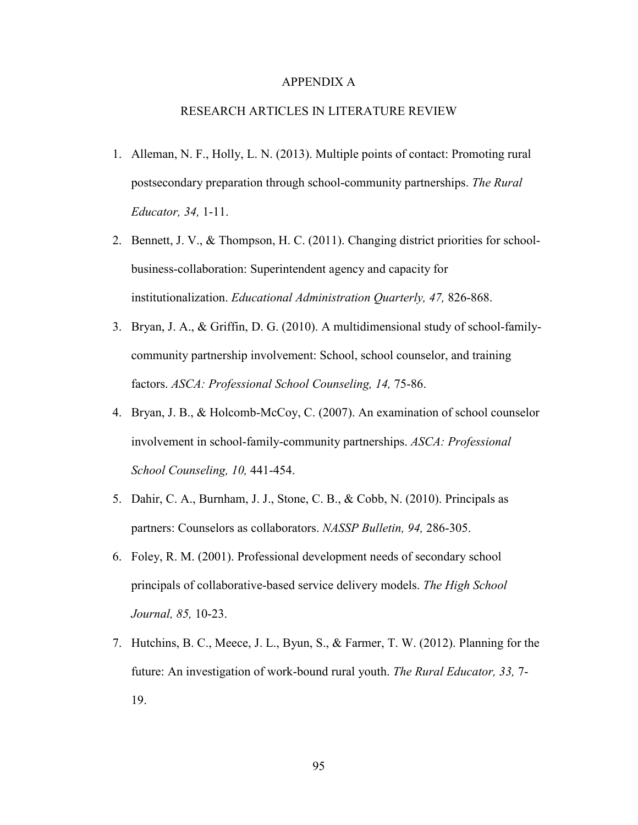#### APPENDIX A

#### RESEARCH ARTICLES IN LITERATURE REVIEW

- 1. Alleman, N. F., Holly, L. N. (2013). Multiple points of contact: Promoting rural postsecondary preparation through school-community partnerships. *The Rural Educator, 34,* 1-11.
- 2. Bennett, J. V., & Thompson, H. C. (2011). Changing district priorities for schoolbusiness-collaboration: Superintendent agency and capacity for institutionalization. *Educational Administration Quarterly, 47,* 826-868.
- 3. Bryan, J. A., & Griffin, D. G. (2010). A multidimensional study of school-familycommunity partnership involvement: School, school counselor, and training factors. *ASCA: Professional School Counseling, 14,* 75-86.
- 4. Bryan, J. B., & Holcomb-McCoy, C. (2007). An examination of school counselor involvement in school-family-community partnerships. *ASCA: Professional School Counseling, 10,* 441-454.
- 5. Dahir, C. A., Burnham, J. J., Stone, C. B., & Cobb, N. (2010). Principals as partners: Counselors as collaborators. *NASSP Bulletin, 94,* 286-305.
- 6. Foley, R. M. (2001). Professional development needs of secondary school principals of collaborative-based service delivery models. *The High School Journal, 85,* 10-23.
- 7. Hutchins, B. C., Meece, J. L., Byun, S., & Farmer, T. W. (2012). Planning for the future: An investigation of work-bound rural youth. *The Rural Educator, 33,* 7- 19.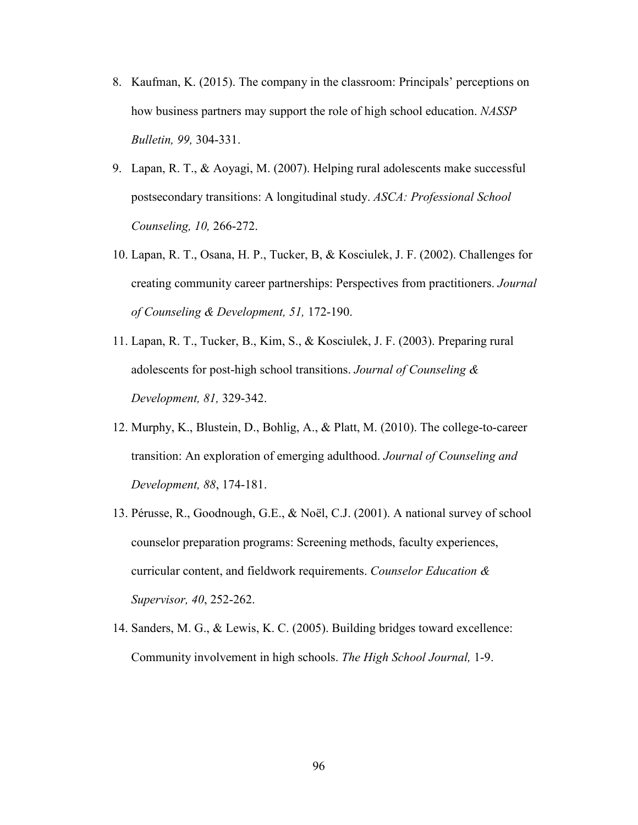- 8. Kaufman, K. (2015). The company in the classroom: Principals' perceptions on how business partners may support the role of high school education. *NASSP Bulletin, 99,* 304-331.
- 9. Lapan, R. T., & Aoyagi, M. (2007). Helping rural adolescents make successful postsecondary transitions: A longitudinal study. *ASCA: Professional School Counseling, 10,* 266-272.
- 10. Lapan, R. T., Osana, H. P., Tucker, B, & Kosciulek, J. F. (2002). Challenges for creating community career partnerships: Perspectives from practitioners. *Journal of Counseling & Development, 51,* 172-190.
- 11. Lapan, R. T., Tucker, B., Kim, S., & Kosciulek, J. F. (2003). Preparing rural adolescents for post-high school transitions. *Journal of Counseling & Development, 81,* 329-342.
- 12. Murphy, K., Blustein, D., Bohlig, A., & Platt, M. (2010). The college-to-career transition: An exploration of emerging adulthood. *Journal of Counseling and Development, 88*, 174-181.
- 13. Pérusse, R., Goodnough, G.E., & Noël, C.J. (2001). A national survey of school counselor preparation programs: Screening methods, faculty experiences, curricular content, and fieldwork requirements. *Counselor Education & Supervisor, 40*, 252-262.
- 14. Sanders, M. G., & Lewis, K. C. (2005). Building bridges toward excellence: Community involvement in high schools. *The High School Journal,* 1-9.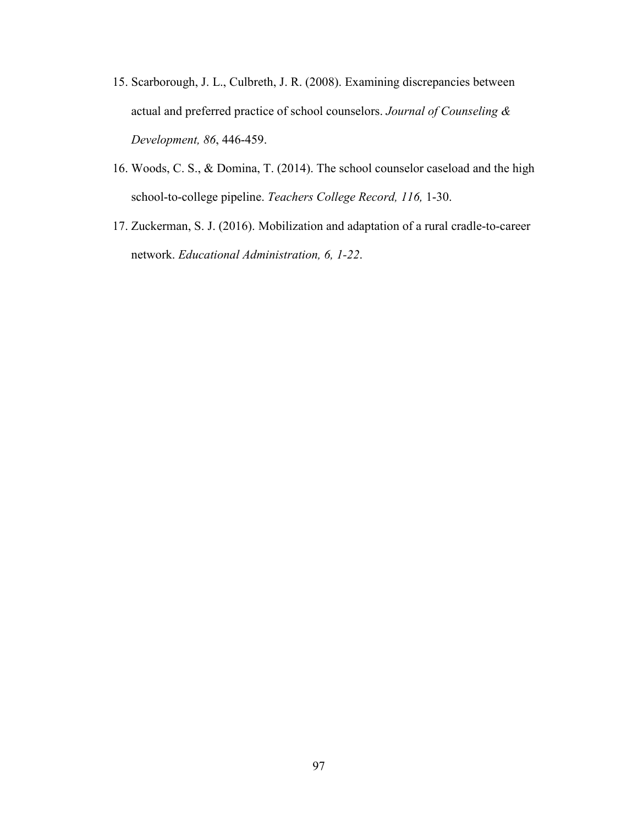- 15. Scarborough, J. L., Culbreth, J. R. (2008). Examining discrepancies between actual and preferred practice of school counselors. *Journal of Counseling & Development, 86*, 446-459.
- 16. Woods, C. S., & Domina, T. (2014). The school counselor caseload and the high school-to-college pipeline. *Teachers College Record, 116,* 1-30.
- 17. Zuckerman, S. J. (2016). Mobilization and adaptation of a rural cradle-to-career network. *Educational Administration, 6, 1-22*.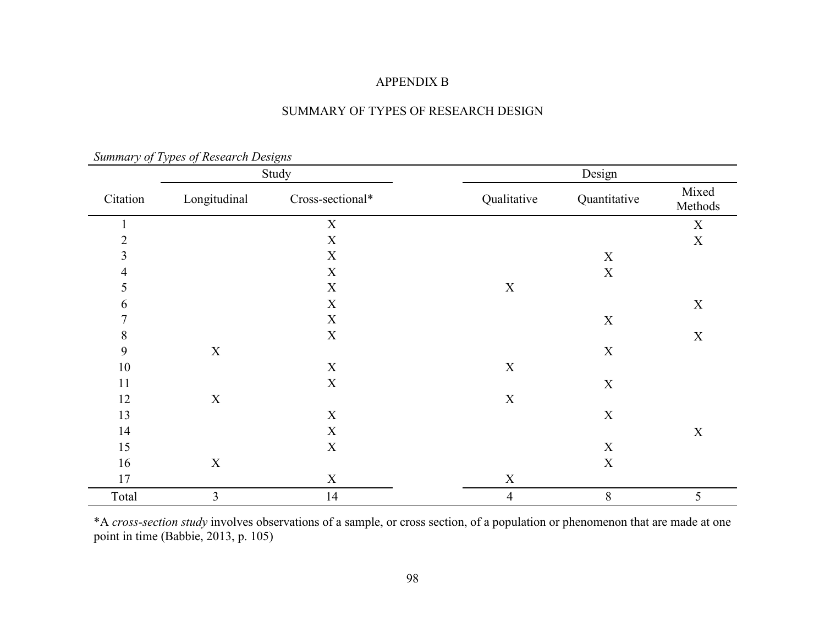## APPENDIX B

|  | SUMMARY OF TYPES OF RESEARCH DESIGN |
|--|-------------------------------------|
|  |                                     |

|                | $summap$ y $o$ y $1$ ypes $o$ interest on Designs |                           |                |              |                  |
|----------------|---------------------------------------------------|---------------------------|----------------|--------------|------------------|
|                |                                                   | Study                     |                | Design       |                  |
| Citation       | Longitudinal                                      | Cross-sectional*          | Qualitative    | Quantitative | Mixed<br>Methods |
|                |                                                   | $\mathbf X$               |                |              | $\mathbf X$      |
| $\overline{2}$ |                                                   | $\mathbf X$               |                |              | $\mathbf X$      |
| $\mathfrak{Z}$ |                                                   | $\mathbf X$               |                | $\mathbf X$  |                  |
| 4              |                                                   | $\mathbf X$               |                | $\mathbf X$  |                  |
| 5              |                                                   | $\mathbf X$               | $\mathbf X$    |              |                  |
| 6              |                                                   | $\mathbf X$               |                |              | $\mathbf X$      |
| $\tau$         |                                                   | $\mathbf X$               |                | $\mathbf X$  |                  |
| $8\,$          |                                                   | $\mathbf X$               |                |              | $\mathbf X$      |
| 9              | $\mathbf X$                                       |                           |                | $\mathbf X$  |                  |
| $10\,$         |                                                   | $\mathbf X$               | $\mathbf X$    |              |                  |
| 11             |                                                   | $\mathbf X$               |                | $\mathbf X$  |                  |
| 12             | $\mathbf X$                                       |                           | $\mathbf X$    |              |                  |
| 13             |                                                   | $\mathbf X$               |                | $\mathbf X$  |                  |
| 14             |                                                   | $\mathbf X$               |                |              | $\mathbf X$      |
| 15             |                                                   | $\mathbf X$               |                | $\mathbf X$  |                  |
| 16             | $\mathbf X$                                       |                           |                | $\mathbf X$  |                  |
| 17             |                                                   | $\boldsymbol{\mathrm{X}}$ | $\mathbf X$    |              |                  |
| Total          | $\overline{\mathbf{3}}$                           | 14                        | $\overline{4}$ | $8\,$        | 5                |

*Summary of Types of Research Designs* 

\*A *cross-section study* involves observations of a sample, or cross section, of a population or phenomenon that are made at one point in time (Babbie, 2013, p. 105)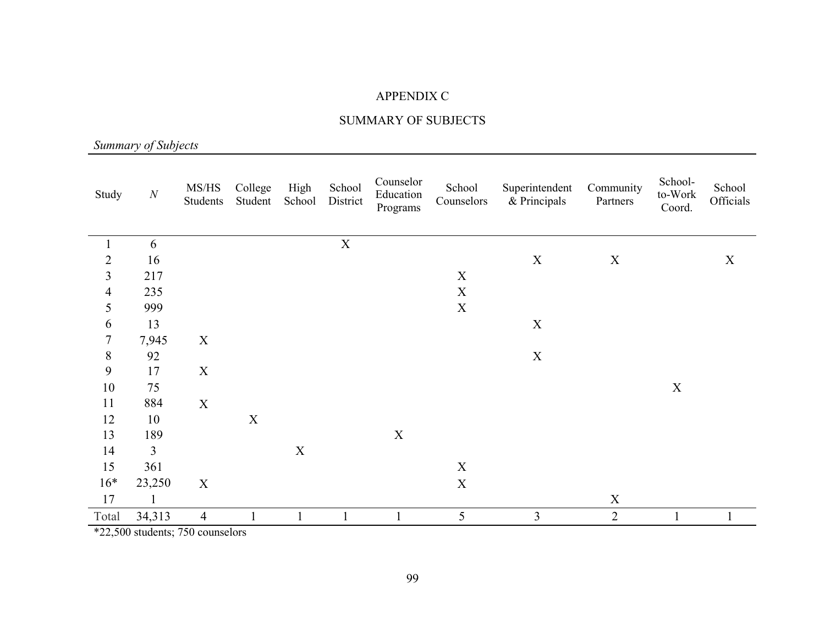## APPENDIX C

## SUMMARY OF SUBJECTS

*Summary of Subjects* 

| Study                    | $\cal N$       | MS/HS<br>Students         | College<br>Student | High<br>School | School<br>District | Counselor<br>Education<br>Programs | School<br>Counselors      | Superintendent<br>& Principals | Community<br>Partners | School-<br>to-Work<br>Coord. | School<br>Officials |
|--------------------------|----------------|---------------------------|--------------------|----------------|--------------------|------------------------------------|---------------------------|--------------------------------|-----------------------|------------------------------|---------------------|
|                          |                |                           |                    |                |                    |                                    |                           |                                |                       |                              |                     |
|                          | 6              |                           |                    |                | $\mathbf X$        |                                    |                           |                                |                       |                              |                     |
| $\overline{2}$           | 16             |                           |                    |                |                    |                                    |                           | $\mathbf X$                    | $\boldsymbol{X}$      |                              | X                   |
| 3                        | 217            |                           |                    |                |                    |                                    | $\mathbf X$               |                                |                       |                              |                     |
| $\overline{\mathcal{A}}$ | 235            |                           |                    |                |                    |                                    | $\mathbf X$               |                                |                       |                              |                     |
| 5                        | 999            |                           |                    |                |                    |                                    | $\boldsymbol{\mathrm{X}}$ |                                |                       |                              |                     |
| 6                        | 13             |                           |                    |                |                    |                                    |                           | $\mathbf X$                    |                       |                              |                     |
| 7                        | 7,945          | X                         |                    |                |                    |                                    |                           |                                |                       |                              |                     |
| $8\,$                    | 92             |                           |                    |                |                    |                                    |                           | $\mathbf X$                    |                       |                              |                     |
| 9                        | 17             | $\mathbf X$               |                    |                |                    |                                    |                           |                                |                       |                              |                     |
| 10                       | 75             |                           |                    |                |                    |                                    |                           |                                |                       | X                            |                     |
| 11                       | 884            | $\boldsymbol{\mathrm{X}}$ |                    |                |                    |                                    |                           |                                |                       |                              |                     |
| 12                       | 10             |                           | $\mathbf X$        |                |                    |                                    |                           |                                |                       |                              |                     |
| 13                       | 189            |                           |                    |                |                    | $\boldsymbol{\mathrm{X}}$          |                           |                                |                       |                              |                     |
| 14                       | $\overline{3}$ |                           |                    | $\mathbf X$    |                    |                                    |                           |                                |                       |                              |                     |
| 15                       | 361            |                           |                    |                |                    |                                    | $\mathbf X$               |                                |                       |                              |                     |
| $16*$                    | 23,250         | $\mathbf X$               |                    |                |                    |                                    | $\mathbf X$               |                                |                       |                              |                     |
| 17                       |                |                           |                    |                |                    |                                    |                           |                                | $\mathbf X$           |                              |                     |
| Total                    | 34,313         | $\overline{4}$            | 1                  |                | $\mathbf{1}$       |                                    | 5                         | 3                              | $\overline{2}$        |                              |                     |

\*22,500 students; 750 counselors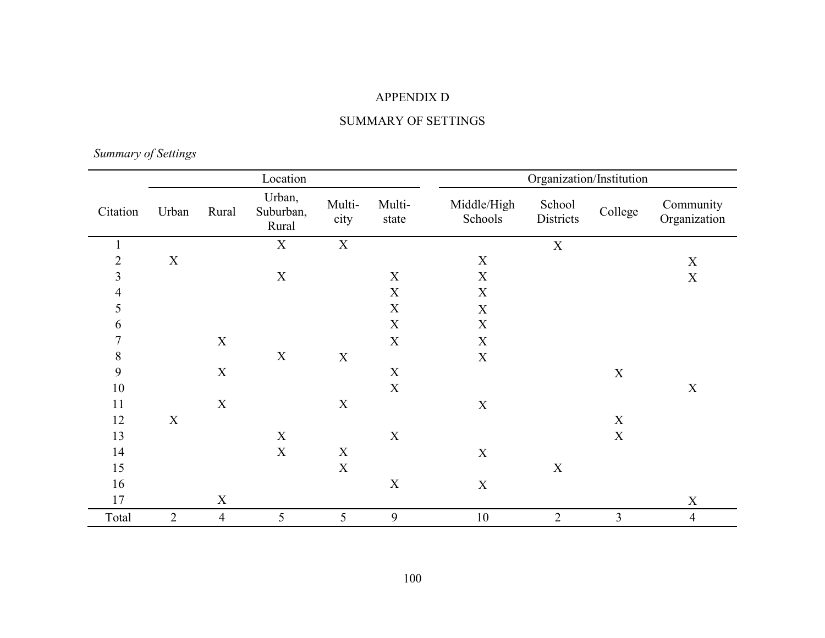# APPENDIX D

## SUMMARY OF SETTINGS

*Summary of Settings* 

| Location       |                |                |                              |                |                 |                        | Organization/Institution |                |                           |
|----------------|----------------|----------------|------------------------------|----------------|-----------------|------------------------|--------------------------|----------------|---------------------------|
| Citation       | Urban          | Rural          | Urban,<br>Suburban,<br>Rural | Multi-<br>city | Multi-<br>state | Middle/High<br>Schools | School<br>Districts      | College        | Community<br>Organization |
| $\mathbf{1}$   |                |                | $\mathbf X$                  | $\mathbf X$    |                 |                        | $\mathbf X$              |                |                           |
| $\overline{2}$ | $\mathbf X$    |                |                              |                |                 | $\mathbf X$            |                          |                | $\mathbf X$               |
| 3              |                |                | $\mathbf X$                  |                | $\mathbf X$     | $\mathbf X$            |                          |                | $\mathbf X$               |
| 4              |                |                |                              |                | $\mathbf X$     | $\mathbf X$            |                          |                |                           |
| 5              |                |                |                              |                | X               | X                      |                          |                |                           |
| 6              |                |                |                              |                | $\mathbf X$     | $\mathbf X$            |                          |                |                           |
| 7              |                | $\mathbf X$    |                              |                | $\mathbf X$     | $\mathbf X$            |                          |                |                           |
| 8              |                |                | $\mathbf X$                  | $\mathbf X$    |                 | $\mathbf X$            |                          |                |                           |
| 9              |                | $\mathbf X$    |                              |                | $\mathbf X$     |                        |                          | $\mathbf X$    |                           |
| $10\,$         |                |                |                              |                | X               |                        |                          |                | $\mathbf X$               |
| 11             |                | $\mathbf X$    |                              | $\mathbf X$    |                 | $\mathbf X$            |                          |                |                           |
| 12             | $\mathbf X$    |                |                              |                |                 |                        |                          | X              |                           |
| 13             |                |                | $\mathbf X$                  |                | $\mathbf X$     |                        |                          | $\mathbf X$    |                           |
| 14             |                |                | $\mathbf X$                  | $\mathbf X$    |                 | $\mathbf X$            |                          |                |                           |
| 15             |                |                |                              | $\mathbf X$    |                 |                        | $\mathbf X$              |                |                           |
| 16             |                |                |                              |                | $\mathbf X$     | $\mathbf X$            |                          |                |                           |
| 17             |                | $\mathbf X$    |                              |                |                 |                        |                          |                | $\mathbf X$               |
| Total          | $\overline{2}$ | $\overline{4}$ | 5                            | 5              | 9               | $10\,$                 | $\overline{2}$           | $\overline{3}$ | $\overline{4}$            |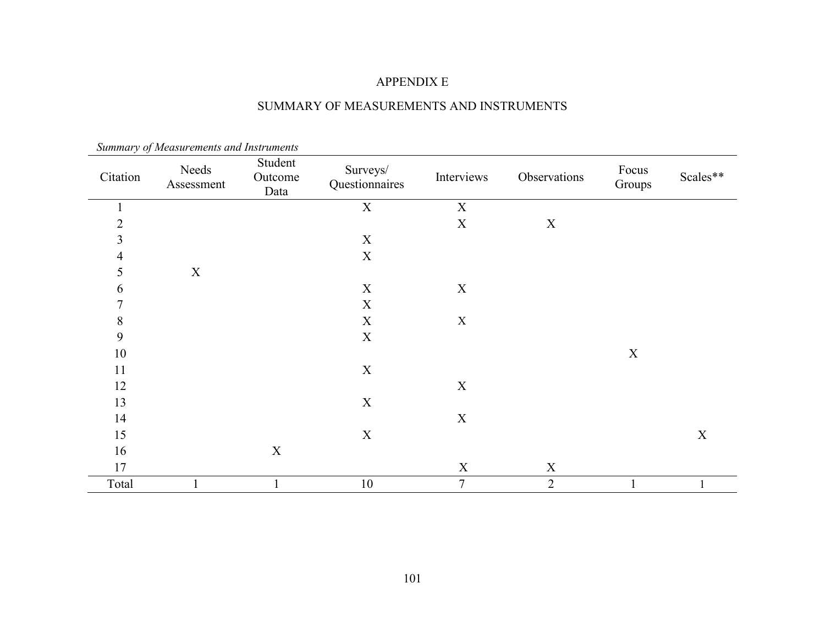## APPENDIX E

# SUMMARY OF MEASUREMENTS AND INSTRUMENTS

| $\sim$ $\sim$<br>Citation | Needs<br>Assessment | Student<br>Outcome<br>Data | Surveys/<br>Questionnaires | Interviews  | Observations   | Focus<br>Groups | Scales**    |
|---------------------------|---------------------|----------------------------|----------------------------|-------------|----------------|-----------------|-------------|
| $\mathbf 1$               |                     |                            | $\mathbf X$                | $\mathbf X$ |                |                 |             |
| $\overline{2}$            |                     |                            |                            | $\mathbf X$ | $\mathbf X$    |                 |             |
| 3                         |                     |                            | $\mathbf X$                |             |                |                 |             |
| 4                         |                     |                            | $\mathbf X$                |             |                |                 |             |
| 5                         | $\mathbf X$         |                            |                            |             |                |                 |             |
| 6                         |                     |                            | $\mathbf X$                | $\mathbf X$ |                |                 |             |
| $\tau$                    |                     |                            | $\mathbf X$                |             |                |                 |             |
| $\, 8$                    |                     |                            | $\mathbf X$                | $\mathbf X$ |                |                 |             |
| 9                         |                     |                            | $\mathbf X$                |             |                |                 |             |
| 10                        |                     |                            |                            |             |                | $\mathbf X$     |             |
| 11                        |                     |                            | $\mathbf X$                |             |                |                 |             |
| 12                        |                     |                            |                            | $\mathbf X$ |                |                 |             |
| 13                        |                     |                            | $\mathbf X$                |             |                |                 |             |
| 14                        |                     |                            |                            | $\mathbf X$ |                |                 |             |
| 15                        |                     |                            | $\mathbf X$                |             |                |                 | $\mathbf X$ |
| 16                        |                     | $\mathbf X$                |                            |             |                |                 |             |
| 17                        |                     |                            |                            | $\mathbf X$ | $\mathbf X$    |                 |             |
| Total                     |                     |                            | $10\,$                     | $\tau$      | $\overline{2}$ |                 |             |

 *Summary of Measurements and Instruments*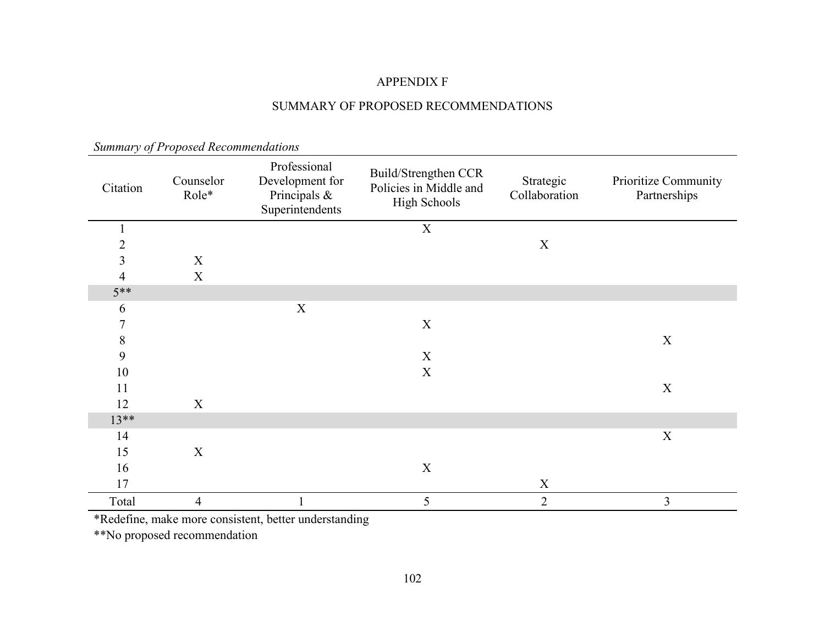## APPENDIX F

## SUMMARY OF PROPOSED RECOMMENDATIONS

| Citation       | Counselor<br>Role* | Professional<br>Development for<br>Principals &<br>Superintendents | Build/Strengthen CCR<br>Policies in Middle and<br><b>High Schools</b> | Strategic<br>Collaboration | Prioritize Community<br>Partnerships |
|----------------|--------------------|--------------------------------------------------------------------|-----------------------------------------------------------------------|----------------------------|--------------------------------------|
|                |                    |                                                                    | $\mathbf X$                                                           |                            |                                      |
| $\overline{2}$ |                    |                                                                    |                                                                       | X                          |                                      |
| $\overline{3}$ | $\mathbf X$        |                                                                    |                                                                       |                            |                                      |
| 4              | $\mathbf X$        |                                                                    |                                                                       |                            |                                      |
| $5**$          |                    |                                                                    |                                                                       |                            |                                      |
| 6              |                    | $\mathbf X$                                                        |                                                                       |                            |                                      |
| 7              |                    |                                                                    | X                                                                     |                            |                                      |
| $\,$ $\,$      |                    |                                                                    |                                                                       |                            | $\mathbf X$                          |
| 9              |                    |                                                                    | X                                                                     |                            |                                      |
| 10             |                    |                                                                    | X                                                                     |                            |                                      |
| 11             |                    |                                                                    |                                                                       |                            | $\mathbf X$                          |
| 12             | $\mathbf X$        |                                                                    |                                                                       |                            |                                      |
| $13**$         |                    |                                                                    |                                                                       |                            |                                      |
| 14             |                    |                                                                    |                                                                       |                            | X                                    |
| 15             | $\mathbf X$        |                                                                    |                                                                       |                            |                                      |
| 16             |                    |                                                                    | X                                                                     |                            |                                      |
| 17             |                    |                                                                    |                                                                       | $\mathbf X$                |                                      |
| Total          | $\overline{4}$     |                                                                    | 5                                                                     | $\overline{2}$             | 3                                    |

*Summary of Proposed Recommendations* 

\*Redefine, make more consistent, better understanding

\*\*No proposed recommendation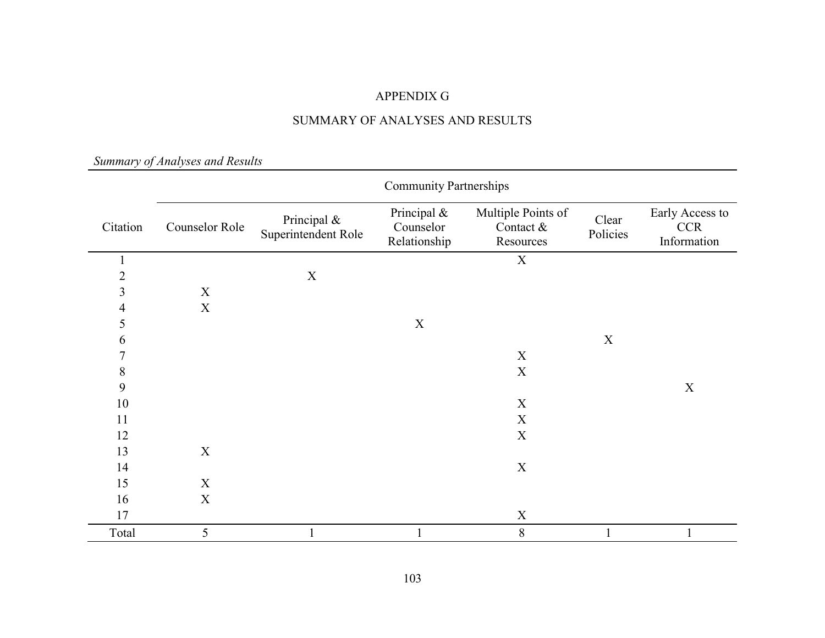## APPENDIX G

## SUMMARY OF ANALYSES AND RESULTS

*Summary of Analyses and Results* 

|                | <b>Community Partnerships</b> |                                    |                                          |                                                |                   |                                              |  |
|----------------|-------------------------------|------------------------------------|------------------------------------------|------------------------------------------------|-------------------|----------------------------------------------|--|
| Citation       | Counselor Role                | Principal &<br>Superintendent Role | Principal &<br>Counselor<br>Relationship | Multiple Points of<br>Contact $&$<br>Resources | Clear<br>Policies | Early Access to<br><b>CCR</b><br>Information |  |
| 1              |                               |                                    |                                          | $\mathbf X$                                    |                   |                                              |  |
| $\overline{2}$ |                               | $\mathbf X$                        |                                          |                                                |                   |                                              |  |
| $\overline{3}$ | $\mathbf X$                   |                                    |                                          |                                                |                   |                                              |  |
| $\overline{4}$ | $\mathbf X$                   |                                    |                                          |                                                |                   |                                              |  |
| 5              |                               |                                    | $\mathbf X$                              |                                                |                   |                                              |  |
| 6              |                               |                                    |                                          |                                                | $\mathbf X$       |                                              |  |
| $\overline{7}$ |                               |                                    |                                          | $\boldsymbol{X}$                               |                   |                                              |  |
| $\,8\,$        |                               |                                    |                                          | $\mathbf X$                                    |                   |                                              |  |
| 9              |                               |                                    |                                          |                                                |                   | $\mathbf X$                                  |  |
| $10\,$         |                               |                                    |                                          | $\mathbf X$                                    |                   |                                              |  |
| 11             |                               |                                    |                                          | $\mathbf X$                                    |                   |                                              |  |
| 12             |                               |                                    |                                          | $\mathbf X$                                    |                   |                                              |  |
| 13             | X                             |                                    |                                          |                                                |                   |                                              |  |
| 14             |                               |                                    |                                          | $\mathbf X$                                    |                   |                                              |  |
| 15             | $\mathbf X$                   |                                    |                                          |                                                |                   |                                              |  |
| 16             | $\mathbf X$                   |                                    |                                          |                                                |                   |                                              |  |
| 17             |                               |                                    |                                          | $\mathbf X$                                    |                   |                                              |  |
| Total          | 5                             |                                    |                                          | $8\,$                                          |                   |                                              |  |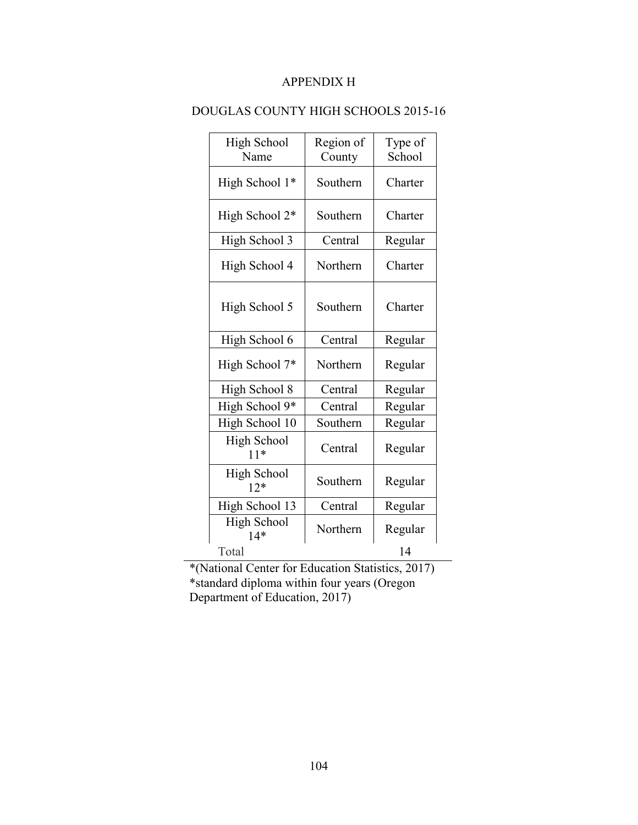## APPENDIX H

| <b>High School</b><br>Name  | Region of<br>County | Type of<br>School |
|-----------------------------|---------------------|-------------------|
| High School 1*              | Southern            | Charter           |
| High School 2*              | Southern            | Charter           |
| High School 3               | Central             | Regular           |
| High School 4               | Northern            | Charter           |
| High School 5               | Southern            | Charter           |
| High School 6               | Central             | Regular           |
| High School 7*              | Northern            | Regular           |
| High School 8               | Central             | Regular           |
| High School 9*              | Central             | Regular           |
| High School 10              | Southern            | Regular           |
| <b>High School</b><br>$11*$ | Central             | Regular           |
| <b>High School</b><br>$12*$ | Southern            | Regular           |
| High School 13              | Central             | Regular           |
| <b>High School</b><br>$14*$ | Northern            | Regular           |
| Total                       |                     | 14                |

## DOUGLAS COUNTY HIGH SCHOOLS 2015-16

\*(National Center for Education Statistics, 2017) \*standard diploma within four years (Oregon Department of Education, 2017)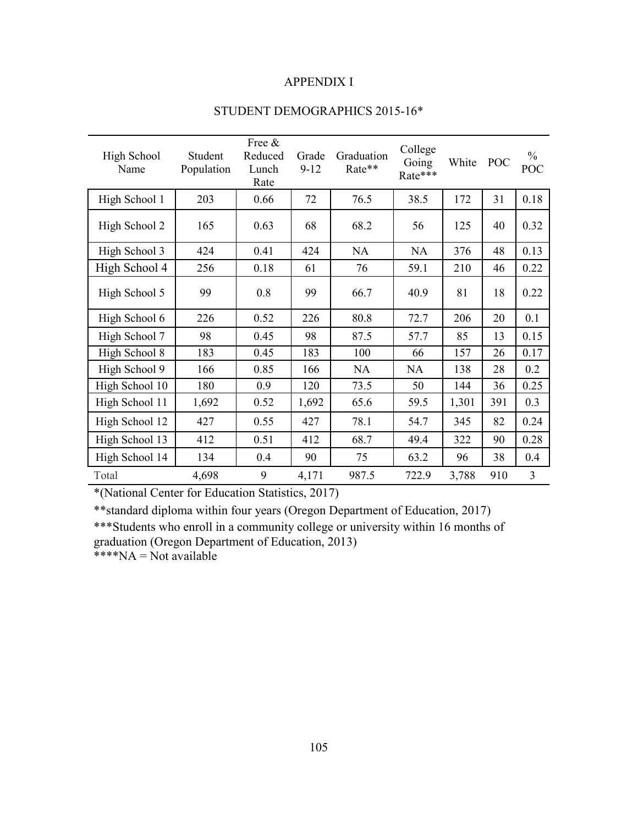## APPENDIX I

| High School<br>Name | Student<br>Population | Free &<br>Reduced<br>Lunch<br>Rate | Grade<br>$9-12$ | Graduation<br>Rate** | College<br>Going<br>Rate*** | White | POC | $\frac{0}{0}$<br>POC |
|---------------------|-----------------------|------------------------------------|-----------------|----------------------|-----------------------------|-------|-----|----------------------|
| High School 1       | 203                   | 0.66                               | 72              | 76.5                 | 38.5                        | 172   | 31  | 0.18                 |
| High School 2       | 165                   | 0.63                               | 68              | 68.2                 | 56                          | 125   | 40  | 0.32                 |
| High School 3       | 424                   | 0.41                               | 424             | <b>NA</b>            | <b>NA</b>                   | 376   | 48  | 0.13                 |
| High School 4       | 256                   | 0.18                               | 61              | 76                   | 59.1                        | 210   | 46  | 0.22                 |
| High School 5       | 99                    | 0.8                                | 99              | 66.7                 | 40.9                        | 81    | 18  | 0.22                 |
| High School 6       | 226                   | 0.52                               | 226             | 80.8                 | 72.7                        | 206   | 20  | 0.1                  |
| High School 7       | 98                    | 0.45                               | 98              | 87.5                 | 57.7                        | 85    | 13  | 0.15                 |
| High School 8       | 183                   | 0.45                               | 183             | 100                  | 66                          | 157   | 26  | 0.17                 |
| High School 9       | 166                   | 0.85                               | 166             | NA                   | <b>NA</b>                   | 138   | 28  | 0.2                  |
| High School 10      | 180                   | 0.9                                | 120             | 73.5                 | 50                          | 144   | 36  | 0.25                 |
| High School 11      | 1,692                 | 0.52                               | 1,692           | 65.6                 | 59.5                        | 1,301 | 391 | 0.3                  |
| High School 12      | 427                   | 0.55                               | 427             | 78.1                 | 54.7                        | 345   | 82  | 0.24                 |
| High School 13      | 412                   | 0.51                               | 412             | 68.7                 | 49.4                        | 322   | 90  | 0.28                 |
| High School 14      | 134                   | 0.4                                | 90              | 75                   | 63.2                        | 96    | 38  | 0.4                  |
| Total               | 4,698                 | 9                                  | 4,171           | 987.5                | 722.9                       | 3,788 | 910 | 3                    |

## STUDENT DEMOGRAPHICS 2015-16\*

\*(National Center for Education Statistics, 2017)

\*\*standard diploma within four years (Oregon Department of Education, 2017)

\*\*\*Students who enroll in a community college or university within 16 months of graduation (Oregon Department of Education, 2013)

 $***NA = Not available$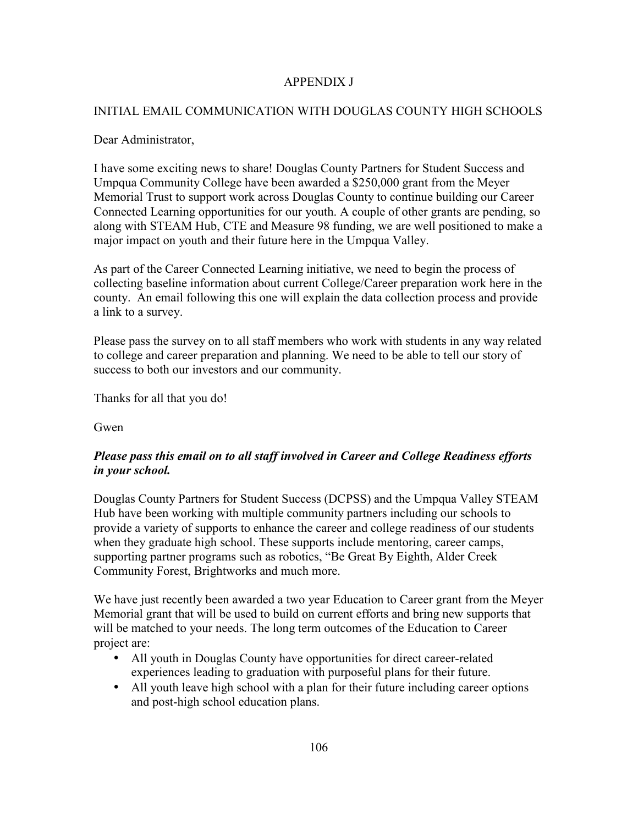## APPENDIX J

## INITIAL EMAIL COMMUNICATION WITH DOUGLAS COUNTY HIGH SCHOOLS

## Dear Administrator,

I have some exciting news to share! Douglas County Partners for Student Success and Umpqua Community College have been awarded a \$250,000 grant from the Meyer Memorial Trust to support work across Douglas County to continue building our Career Connected Learning opportunities for our youth. A couple of other grants are pending, so along with STEAM Hub, CTE and Measure 98 funding, we are well positioned to make a major impact on youth and their future here in the Umpqua Valley.

As part of the Career Connected Learning initiative, we need to begin the process of collecting baseline information about current College/Career preparation work here in the county. An email following this one will explain the data collection process and provide a link to a survey.

Please pass the survey on to all staff members who work with students in any way related to college and career preparation and planning. We need to be able to tell our story of success to both our investors and our community.

Thanks for all that you do!

Gwen

## *Please pass this email on to all staff involved in Career and College Readiness efforts in your school.*

Douglas County Partners for Student Success (DCPSS) and the Umpqua Valley STEAM Hub have been working with multiple community partners including our schools to provide a variety of supports to enhance the career and college readiness of our students when they graduate high school. These supports include mentoring, career camps, supporting partner programs such as robotics, "Be Great By Eighth, Alder Creek Community Forest, Brightworks and much more.

We have just recently been awarded a two year Education to Career grant from the Meyer Memorial grant that will be used to build on current efforts and bring new supports that will be matched to your needs. The long term outcomes of the Education to Career project are:

- All youth in Douglas County have opportunities for direct career-related experiences leading to graduation with purposeful plans for their future.
- All youth leave high school with a plan for their future including career options and post-high school education plans.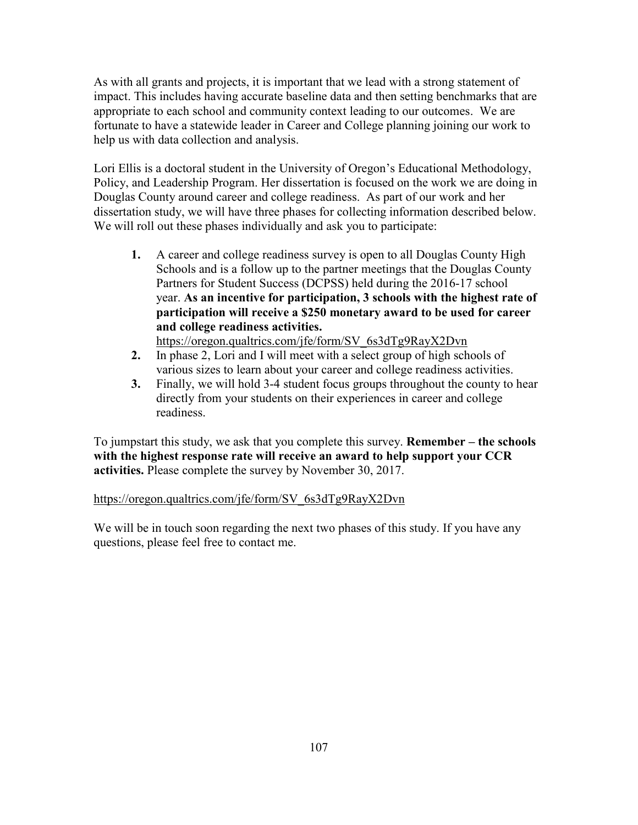As with all grants and projects, it is important that we lead with a strong statement of impact. This includes having accurate baseline data and then setting benchmarks that are appropriate to each school and community context leading to our outcomes. We are fortunate to have a statewide leader in Career and College planning joining our work to help us with data collection and analysis.

Lori Ellis is a doctoral student in the University of Oregon's Educational Methodology, Policy, and Leadership Program. Her dissertation is focused on the work we are doing in Douglas County around career and college readiness. As part of our work and her dissertation study, we will have three phases for collecting information described below. We will roll out these phases individually and ask you to participate:

**1.** A career and college readiness survey is open to all Douglas County High Schools and is a follow up to the partner meetings that the Douglas County Partners for Student Success (DCPSS) held during the 2016-17 school year. **As an incentive for participation, 3 schools with the highest rate of participation will receive a \$250 monetary award to be used for career and college readiness activities.**

https://oregon.qualtrics.com/jfe/form/SV\_6s3dTg9RayX2Dvn

- **2.** In phase 2, Lori and I will meet with a select group of high schools of various sizes to learn about your career and college readiness activities.
- **3.** Finally, we will hold 3-4 student focus groups throughout the county to hear directly from your students on their experiences in career and college readiness.

To jumpstart this study, we ask that you complete this survey. **Remember – the schools with the highest response rate will receive an award to help support your CCR activities.** Please complete the survey by November 30, 2017.

## https://oregon.qualtrics.com/jfe/form/SV\_6s3dTg9RayX2Dvn

We will be in touch soon regarding the next two phases of this study. If you have any questions, please feel free to contact me.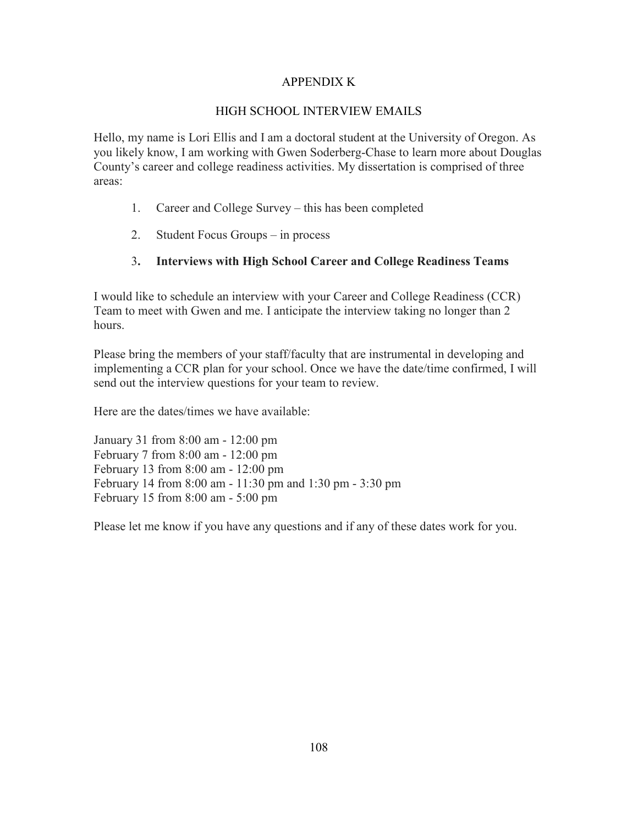## APPENDIX K

## HIGH SCHOOL INTERVIEW EMAILS

Hello, my name is Lori Ellis and I am a doctoral student at the University of Oregon. As you likely know, I am working with Gwen Soderberg-Chase to learn more about Douglas County's career and college readiness activities. My dissertation is comprised of three areas:

- 1. Career and College Survey this has been completed
- 2. Student Focus Groups in process

## 3**. Interviews with High School Career and College Readiness Teams**

I would like to schedule an interview with your Career and College Readiness (CCR) Team to meet with Gwen and me. I anticipate the interview taking no longer than 2 hours.

Please bring the members of your staff/faculty that are instrumental in developing and implementing a CCR plan for your school. Once we have the date/time confirmed, I will send out the interview questions for your team to review.

Here are the dates/times we have available:

January 31 from 8:00 am - 12:00 pm February 7 from 8:00 am - 12:00 pm February 13 from 8:00 am - 12:00 pm February 14 from 8:00 am - 11:30 pm and 1:30 pm - 3:30 pm February 15 from 8:00 am - 5:00 pm

Please let me know if you have any questions and if any of these dates work for you.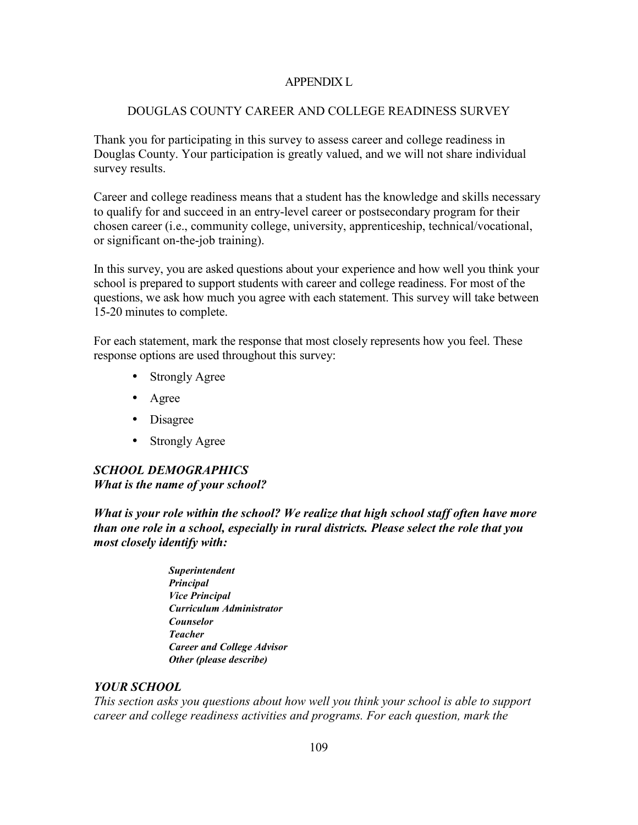## APPENDIX L

#### DOUGLAS COUNTY CAREER AND COLLEGE READINESS SURVEY

Thank you for participating in this survey to assess career and college readiness in Douglas County. Your participation is greatly valued, and we will not share individual survey results.

Career and college readiness means that a student has the knowledge and skills necessary to qualify for and succeed in an entry-level career or postsecondary program for their chosen career (i.e., community college, university, apprenticeship, technical/vocational, or significant on-the-job training).

In this survey, you are asked questions about your experience and how well you think your school is prepared to support students with career and college readiness. For most of the questions, we ask how much you agree with each statement. This survey will take between 15-20 minutes to complete.

For each statement, mark the response that most closely represents how you feel. These response options are used throughout this survey:

- Strongly Agree
- Agree
- Disagree
- Strongly Agree

## *SCHOOL DEMOGRAPHICS What is the name of your school?*

*What is your role within the school? We realize that high school staff often have more than one role in a school, especially in rural districts. Please select the role that you most closely identify with:* 

> *Superintendent Principal Vice Principal Curriculum Administrator Counselor Teacher Career and College Advisor Other (please describe)*

#### *YOUR SCHOOL*

*This section asks you questions about how well you think your school is able to support career and college readiness activities and programs. For each question, mark the*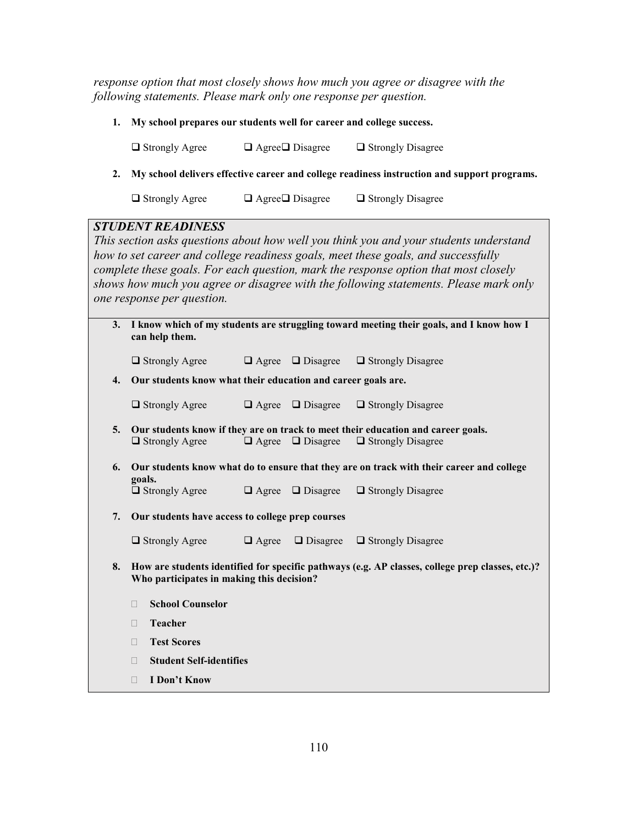*response option that most closely shows how much you agree or disagree with the following statements. Please mark only one response per question.* 

**1. My school prepares our students well for career and college success.** 

 $\Box$  Strongly Agree  $\Box$  Agree  $\Box$  Disagree  $\Box$  Strongly Disagree

**2. My school delivers effective career and college readiness instruction and support programs.** 

 $\Box$  Strongly Agree  $\Box$  Agree  $\Box$  Disagree  $\Box$  Strongly Disagree

## *STUDENT READINESS*

*This section asks questions about how well you think you and your students understand how to set career and college readiness goals, meet these goals, and successfully complete these goals. For each question, mark the response option that most closely shows how much you agree or disagree with the following statements. Please mark only one response per question.* 

| 3. | can help them.                                               |  | I know which of my students are struggling toward meeting their goals, and I know how I          |
|----|--------------------------------------------------------------|--|--------------------------------------------------------------------------------------------------|
|    | $\Box$ Strongly Agree                                        |  | $\Box$ Agree $\Box$ Disagree $\Box$ Strongly Disagree                                            |
| 4. | Our students know what their education and career goals are. |  |                                                                                                  |
|    | $\Box$ Strongly Agree                                        |  | $\Box$ Agree $\Box$ Disagree $\Box$ Strongly Disagree                                            |
| 5. |                                                              |  | Our students know if they are on track to meet their education and career goals.                 |
|    | $\Box$ Strongly Agree                                        |  | $\Box$ Agree $\Box$ Disagree $\Box$ Strongly Disagree                                            |
| 6. | goals.                                                       |  | Our students know what do to ensure that they are on track with their career and college         |
|    | $\Box$ Strongly Agree                                        |  | $\Box$ Agree $\Box$ Disagree $\Box$ Strongly Disagree                                            |
| 7. | Our students have access to college prep courses             |  |                                                                                                  |
|    | $\Box$ Strongly Agree                                        |  | $\Box$ Agree $\Box$ Disagree $\Box$ Strongly Disagree                                            |
| 8. | Who participates in making this decision?                    |  | How are students identified for specific pathways (e.g. AP classes, college prep classes, etc.)? |
|    | <b>School Counselor</b>                                      |  |                                                                                                  |
|    | <b>Teacher</b>                                               |  |                                                                                                  |
|    | <b>Test Scores</b>                                           |  |                                                                                                  |
|    | <b>Student Self-identifies</b>                               |  |                                                                                                  |

**I Don't Know**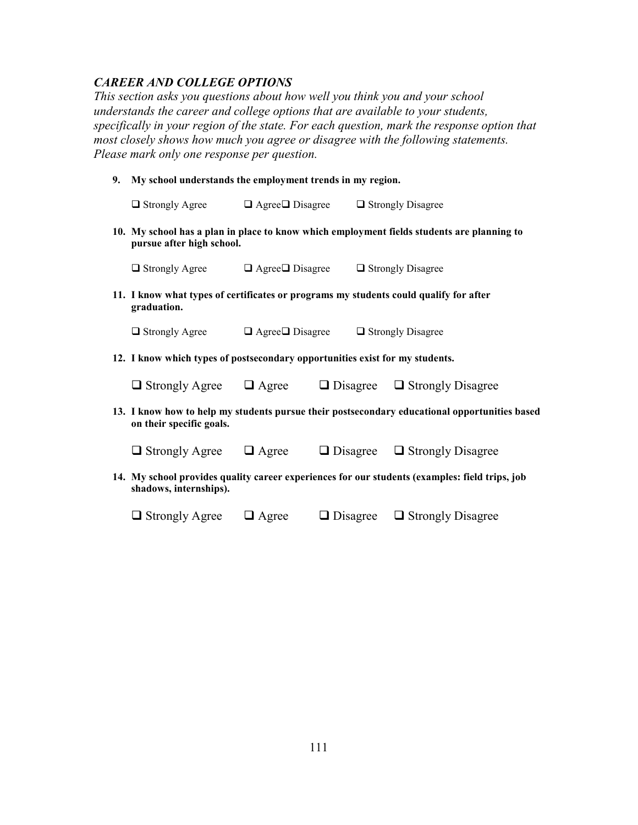## *CAREER AND COLLEGE OPTIONS*

*This section asks you questions about how well you think you and your school understands the career and college options that are available to your students, specifically in your region of the state. For each question, mark the response option that most closely shows how much you agree or disagree with the following statements. Please mark only one response per question.* 

**9. My school understands the employment trends in my region.** 

| $\Box$ Strongly Agree                                                                                | $\Box$ Agree $\Box$ Disagree $\Box$ Strongly Disagree |  |                                                                                                |
|------------------------------------------------------------------------------------------------------|-------------------------------------------------------|--|------------------------------------------------------------------------------------------------|
| pursue after high school.                                                                            |                                                       |  | 10. My school has a plan in place to know which employment fields students are planning to     |
| $\Box$ Strongly Agree $\Box$ Agree $\Box$ Disagree $\Box$ Strongly Disagree                          |                                                       |  |                                                                                                |
| 11. I know what types of certificates or programs my students could qualify for after<br>graduation. |                                                       |  |                                                                                                |
| $\Box$ Strongly Agree $\Box$ Agree $\Box$ Disagree $\Box$ Strongly Disagree                          |                                                       |  |                                                                                                |
| 12. I know which types of postsecondary opportunities exist for my students.                         |                                                       |  |                                                                                                |
| $\Box$ Strongly Agree $\Box$ Agree $\Box$ Disagree $\Box$ Strongly Disagree                          |                                                       |  |                                                                                                |
| on their specific goals.                                                                             |                                                       |  | 13. I know how to help my students pursue their postsecondary educational opportunities based  |
| $\Box$ Strongly Agree $\Box$ Agree $\Box$ Disagree $\Box$ Strongly Disagree                          |                                                       |  |                                                                                                |
| shadows, internships).                                                                               |                                                       |  | 14. My school provides quality career experiences for our students (examples: field trips, job |

| $\Box$ Strongly Agree<br>$\Box$ Disagree<br>$\Box$ Agree | □ Strongly Disagree |
|----------------------------------------------------------|---------------------|
|----------------------------------------------------------|---------------------|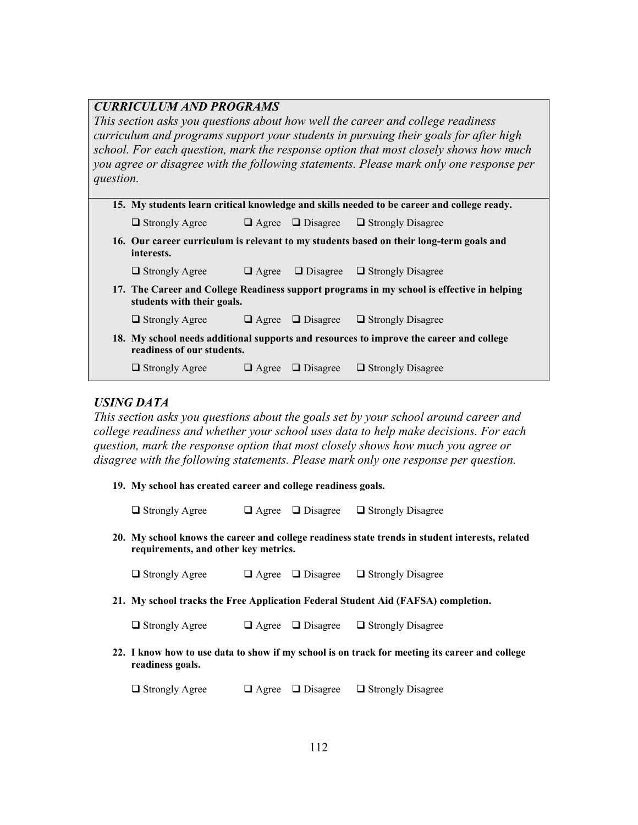|           | <b>CURRICULUM AND PROGRAMS</b>                                                             |              |                 |                                                                                            |  |
|-----------|--------------------------------------------------------------------------------------------|--------------|-----------------|--------------------------------------------------------------------------------------------|--|
|           | This section asks you questions about how well the career and college readiness            |              |                 |                                                                                            |  |
|           |                                                                                            |              |                 | curriculum and programs support your students in pursuing their goals for after high       |  |
|           |                                                                                            |              |                 | school. For each question, mark the response option that most closely shows how much       |  |
|           |                                                                                            |              |                 | you agree or disagree with the following statements. Please mark only one response per     |  |
| question. |                                                                                            |              |                 |                                                                                            |  |
|           |                                                                                            |              |                 |                                                                                            |  |
|           | 15. My students learn critical knowledge and skills needed to be career and college ready. |              |                 |                                                                                            |  |
|           | $\Box$ Strongly Agree                                                                      | $\Box$ Agree | $\Box$ Disagree | $\Box$ Strongly Disagree                                                                   |  |
|           | interests.                                                                                 |              |                 | 16. Our career curriculum is relevant to my students based on their long-term goals and    |  |
|           | $\Box$ Strongly Agree                                                                      | $\Box$ Agree | $\Box$ Disagree | $\Box$ Strongly Disagree                                                                   |  |
|           | students with their goals.                                                                 |              |                 | 17. The Career and College Readiness support programs in my school is effective in helping |  |
|           | $\Box$ Strongly Agree                                                                      | $\Box$ Agree | $\Box$ Disagree | $\Box$ Strongly Disagree                                                                   |  |
|           | readiness of our students.                                                                 |              |                 | 18. My school needs additional supports and resources to improve the career and college    |  |
|           | $\Box$ Strongly Agree                                                                      | $\Box$ Agree | $\Box$ Disagree | $\Box$ Strongly Disagree                                                                   |  |

## *USING DATA*

*This section asks you questions about the goals set by your school around career and college readiness and whether your school uses data to help make decisions. For each question, mark the response option that most closely shows how much you agree or disagree with the following statements. Please mark only one response per question.*

**19. My school has created career and college readiness goals.** 

 $\Box$  Strongly Agree  $\Box$  Agree  $\Box$  Disagree  $\Box$  Strongly Disagree

**20. My school knows the career and college readiness state trends in student interests, related requirements, and other key metrics.** 

 $\Box$  Strongly Agree  $\Box$  Agree  $\Box$  Disagree  $\Box$  Strongly Disagree

**21. My school tracks the Free Application Federal Student Aid (FAFSA) completion.** 

| $\Box$ Strongly Agree | $\Box$ Agree $\Box$ Disagree |                          |
|-----------------------|------------------------------|--------------------------|
|                       |                              | $\Box$ Strongly Disagree |

**22. I know how to use data to show if my school is on track for meeting its career and college readiness goals.** 

 $\Box$  Strongly Agree  $\Box$  Agree  $\Box$  Disagree  $\Box$  Strongly Disagree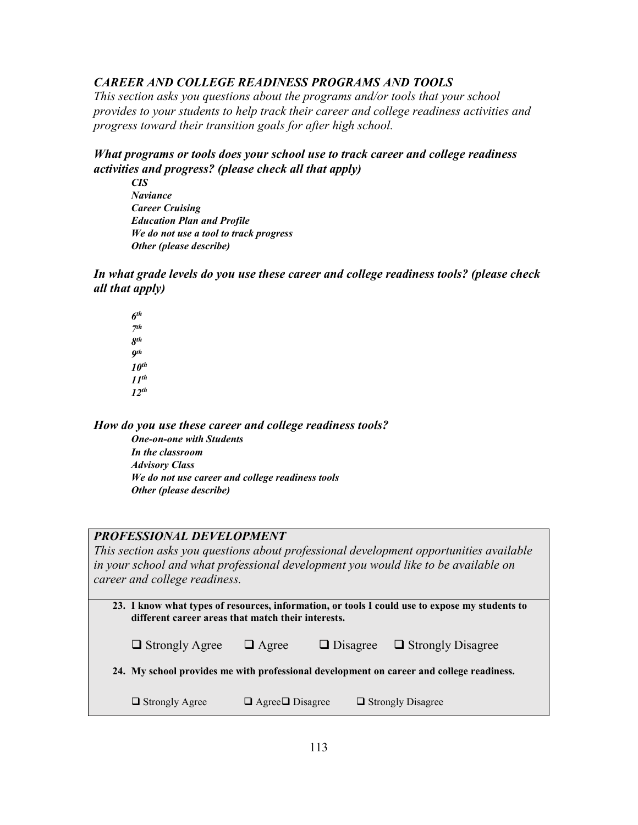## *CAREER AND COLLEGE READINESS PROGRAMS AND TOOLS*

*This section asks you questions about the programs and/or tools that your school provides to your students to help track their career and college readiness activities and progress toward their transition goals for after high school.* 

## *What programs or tools does your school use to track career and college readiness activities and progress? (please check all that apply)*

*CIS Naviance Career Cruising Education Plan and Profile We do not use a tool to track progress Other (please describe)* 

*In what grade levels do you use these career and college readiness tools? (please check all that apply)* 

*6 th 7 th 8 th 9 th 10th 11th 12th*

*How do you use these career and college readiness tools?* 

*One-on-one with Students In the classroom Advisory Class We do not use career and college readiness tools Other (please describe)* 

## *PROFESSIONAL DEVELOPMENT*

*This section asks you questions about professional development opportunities available in your school and what professional development you would like to be available on career and college readiness.* 

| 23. I know what types of resources, information, or tools I could use to expose my students to |
|------------------------------------------------------------------------------------------------|
| different career areas that match their interests.                                             |
|                                                                                                |

| $\Box$ Strongly Agree | $\Box$ Agree                 | $\Box$ Disagree $\Box$ Strongly Disagree                                                 |
|-----------------------|------------------------------|------------------------------------------------------------------------------------------|
|                       |                              | 24. My school provides me with professional development on career and college readiness. |
| $\Box$ Strongly Agree | $\Box$ Agree $\Box$ Disagree | $\Box$ Strongly Disagree                                                                 |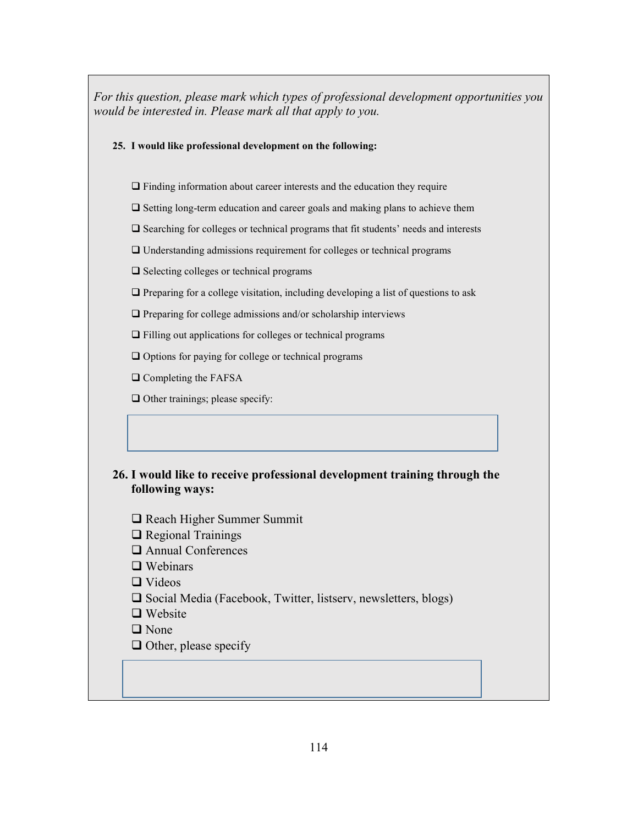*For this question, please mark which types of professional development opportunities you would be interested in. Please mark all that apply to you.* 

#### **25. I would like professional development on the following:**

 $\Box$  Finding information about career interests and the education they require

 $\Box$  Setting long-term education and career goals and making plans to achieve them

 $\square$  Searching for colleges or technical programs that fit students' needs and interests

Understanding admissions requirement for colleges or technical programs

 $\square$  Selecting colleges or technical programs

 $\Box$  Preparing for a college visitation, including developing a list of questions to ask

 $\Box$  Preparing for college admissions and/or scholarship interviews

Filling out applications for colleges or technical programs

 $\Box$  Options for paying for college or technical programs

**Q** Completing the FAFSA

 $\Box$  Other trainings; please specify:

## **26. I would like to receive professional development training through the following ways:**

□ Reach Higher Summer Summit

 $\Box$  Regional Trainings

Annual Conferences

 $\Box$  Webinars

**□** Videos

 $\square$  Social Media (Facebook, Twitter, listserv, newsletters, blogs)

 $\Box$  Website

□ None

 $\Box$  Other, please specify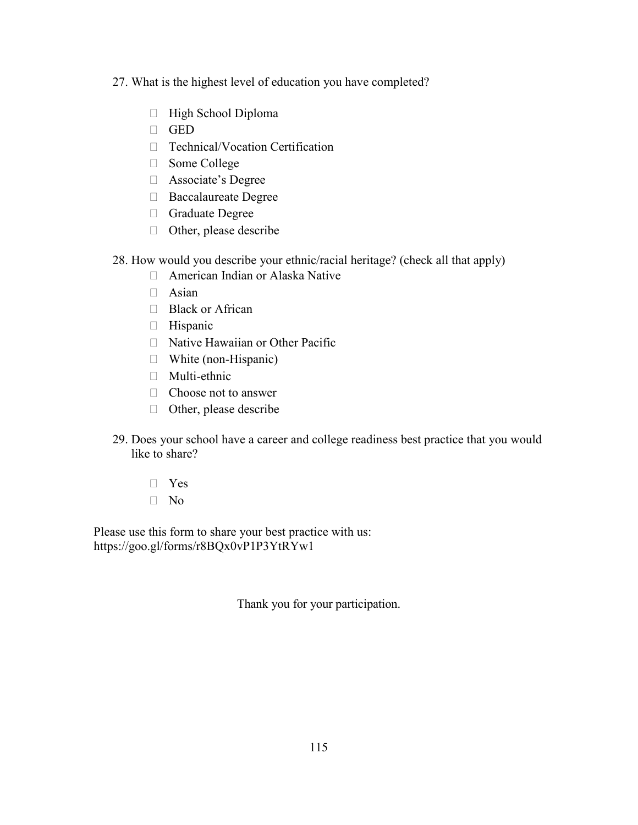- 27. What is the highest level of education you have completed?
	- High School Diploma GED Technical/Vocation Certification Some College Associate's Degree Baccalaureate Degree Graduate Degree Other, please describe
- 28. How would you describe your ethnic/racial heritage? (check all that apply)
	- American Indian or Alaska Native Asian Black or African Hispanic Native Hawaiian or Other Pacific White (non-Hispanic) Multi-ethnic Choose not to answer Other, please describe
- 29. Does your school have a career and college readiness best practice that you would like to share?
	- Yes No

Please use this form to share your best practice with us: https://goo.gl/forms/r8BQx0vP1P3YtRYw1

Thank you for your participation.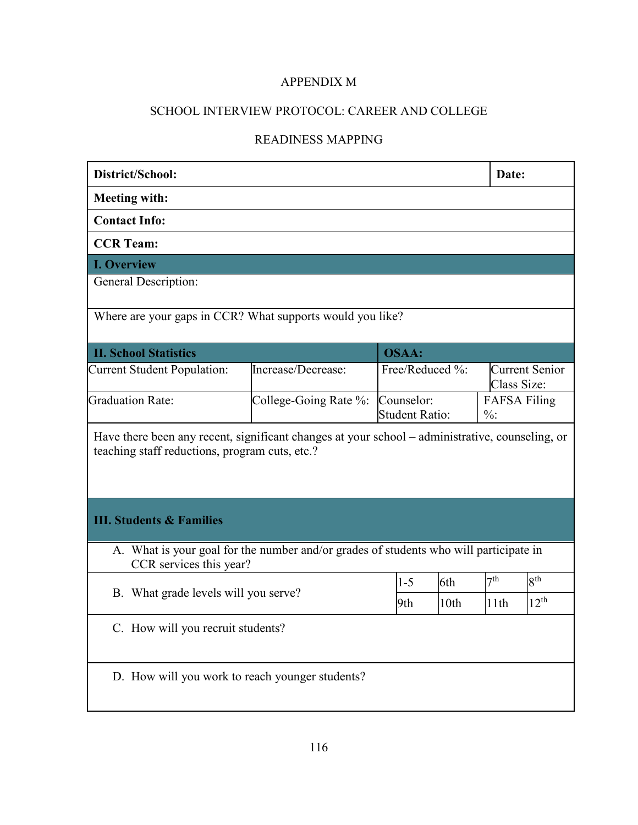## APPENDIX M

# SCHOOL INTERVIEW PROTOCOL: CAREER AND COLLEGE

# READINESS MAPPING

| District/School:                                                                                                                                  |                    |                 |      | Date:                                  |                       |
|---------------------------------------------------------------------------------------------------------------------------------------------------|--------------------|-----------------|------|----------------------------------------|-----------------------|
| <b>Meeting with:</b>                                                                                                                              |                    |                 |      |                                        |                       |
| <b>Contact Info:</b>                                                                                                                              |                    |                 |      |                                        |                       |
| <b>CCR Team:</b>                                                                                                                                  |                    |                 |      |                                        |                       |
| <b>I. Overview</b>                                                                                                                                |                    |                 |      |                                        |                       |
| General Description:                                                                                                                              |                    |                 |      |                                        |                       |
| Where are your gaps in CCR? What supports would you like?                                                                                         |                    |                 |      |                                        |                       |
| <b>II. School Statistics</b>                                                                                                                      |                    | <b>OSAA:</b>    |      |                                        |                       |
| <b>Current Student Population:</b>                                                                                                                | Increase/Decrease: | Free/Reduced %: |      | Class Size:                            | <b>Current Senior</b> |
| <b>Graduation Rate:</b><br>College-Going Rate %:<br>Counselor:<br><b>Student Ratio:</b>                                                           |                    |                 |      | <b>FAFSA Filing</b><br>$\frac{0}{0}$ : |                       |
| Have there been any recent, significant changes at your school - administrative, counseling, or<br>teaching staff reductions, program cuts, etc.? |                    |                 |      |                                        |                       |
| <b>III. Students &amp; Families</b>                                                                                                               |                    |                 |      |                                        |                       |
| A. What is your goal for the number and/or grades of students who will participate in<br>CCR services this year?                                  |                    |                 |      |                                        |                       |
|                                                                                                                                                   |                    | $1 - 5$         | 6th  | 7 <sup>th</sup>                        | $8^{\rm th}$          |
| B. What grade levels will you serve?                                                                                                              |                    | 9th             | 10th | 11th                                   | $12^{th}$             |
| C. How will you recruit students?                                                                                                                 |                    |                 |      |                                        |                       |
| D. How will you work to reach younger students?                                                                                                   |                    |                 |      |                                        |                       |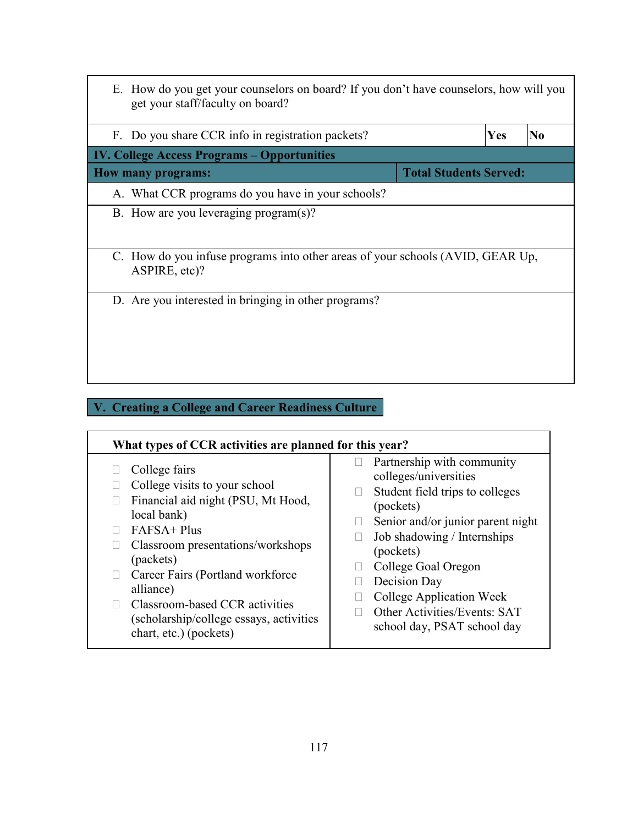| E. How do you get your counselors on board? If you don't have counselors, how will you<br>get your staff/faculty on board? |                               |     |                |
|----------------------------------------------------------------------------------------------------------------------------|-------------------------------|-----|----------------|
| F. Do you share CCR info in registration packets?                                                                          |                               | Yes | N <sub>0</sub> |
| <b>IV. College Access Programs – Opportunities</b>                                                                         |                               |     |                |
| <b>How many programs:</b>                                                                                                  | <b>Total Students Served:</b> |     |                |
| A. What CCR programs do you have in your schools?                                                                          |                               |     |                |
| B. How are you leveraging program(s)?                                                                                      |                               |     |                |
| C. How do you infuse programs into other areas of your schools (AVID, GEAR Up,<br>ASPIRE, etc)?                            |                               |     |                |
| D. Are you interested in bringing in other programs?                                                                       |                               |     |                |

# **V. Creating a College and Career Readiness Culture**

| What types of CCR activities are planned for this year? |                                   |  |  |
|---------------------------------------------------------|-----------------------------------|--|--|
| College fairs                                           | Partnership with community        |  |  |
| College visits to your school                           | colleges/universities             |  |  |
| Financial aid night (PSU, Mt Hood,                      | Student field trips to colleges   |  |  |
| local bank)                                             | (pockets)                         |  |  |
| FAFSA+ Plus                                             | Senior and/or junior parent night |  |  |
| Classroom presentations/workshops                       | Job shadowing / Internships       |  |  |
| (packets)                                               | (pockets)                         |  |  |
| Career Fairs (Portland workforce)                       | College Goal Oregon               |  |  |
| alliance)                                               | Decision Day                      |  |  |
| Classroom-based CCR activities                          | College Application Week          |  |  |
| (scholarship/college essays, activities                 | Other Activities/Events: SAT      |  |  |
| chart, etc.) (pockets)                                  | school day, PSAT school day       |  |  |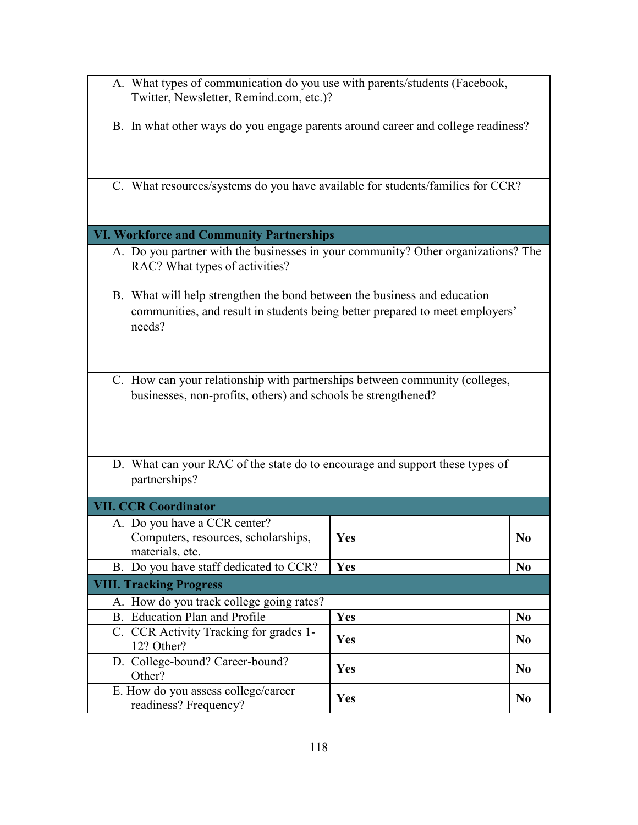- A. What types of communication do you use with parents/students (Facebook, Twitter, Newsletter, Remind.com, etc.)?
- B. In what other ways do you engage parents around career and college readiness?
- C. What resources/systems do you have available for students/families for CCR?

## **VI. Workforce and Community Partnerships**

- A. Do you partner with the businesses in your community? Other organizations? The RAC? What types of activities?
- B. What will help strengthen the bond between the business and education communities, and result in students being better prepared to meet employers' needs?
- C. How can your relationship with partnerships between community (colleges, businesses, non-profits, others) and schools be strengthened?
- D. What can your RAC of the state do to encourage and support these types of partnerships?

| <b>VII. CCR Coordinator</b>                                                            |            |                |
|----------------------------------------------------------------------------------------|------------|----------------|
| A. Do you have a CCR center?<br>Computers, resources, scholarships,<br>materials, etc. | <b>Yes</b> | $\bf No$       |
| B. Do you have staff dedicated to CCR?                                                 | Yes        | N <sub>0</sub> |
| <b>VIII. Tracking Progress</b>                                                         |            |                |
| A. How do you track college going rates?                                               |            |                |
| B. Education Plan and Profile                                                          | Yes        | N <sub>0</sub> |
| C. CCR Activity Tracking for grades 1-<br>12? Other?                                   | Yes        | $\bf No$       |
| D. College-bound? Career-bound?<br>Other?                                              | Yes        | $\bf No$       |
| E. How do you assess college/career<br>readiness? Frequency?                           | <b>Yes</b> | $\bf No$       |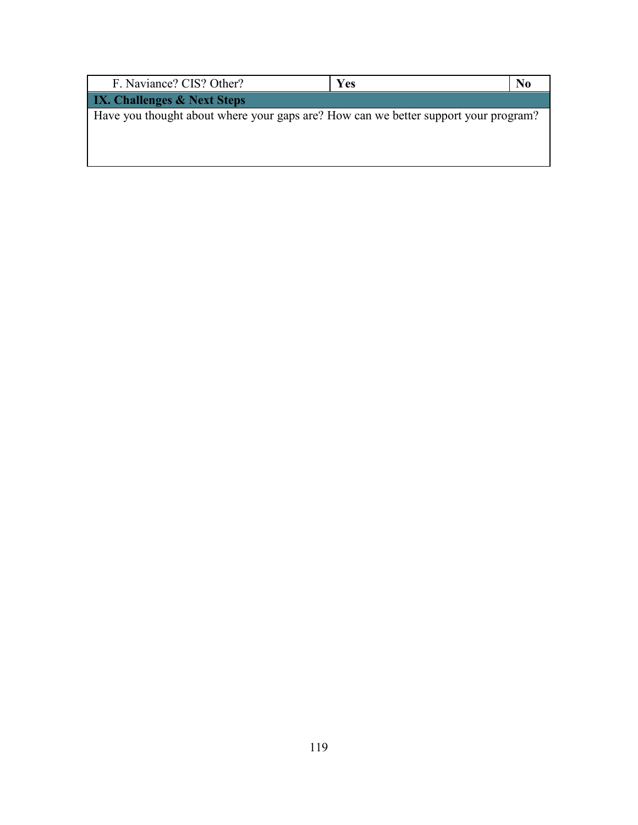| F. Naviance? CIS? Other?                                                            | Yes | No |
|-------------------------------------------------------------------------------------|-----|----|
| <b>IX. Challenges &amp; Next Steps</b>                                              |     |    |
| Have you thought about where your gaps are? How can we better support your program? |     |    |
|                                                                                     |     |    |
|                                                                                     |     |    |
|                                                                                     |     |    |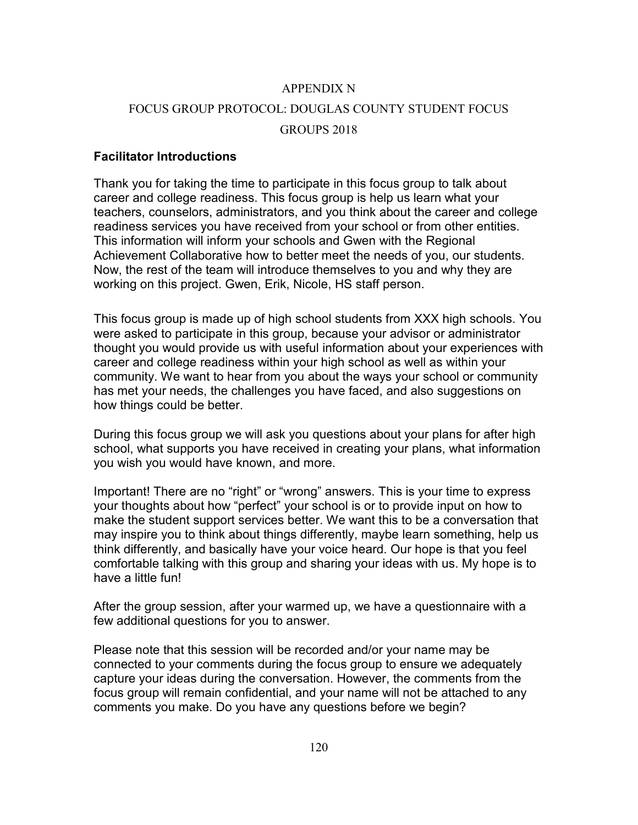## APPENDIX N

# FOCUS GROUP PROTOCOL: DOUGLAS COUNTY STUDENT FOCUS GROUPS 2018

## **Facilitator Introductions**

Thank you for taking the time to participate in this focus group to talk about career and college readiness. This focus group is help us learn what your teachers, counselors, administrators, and you think about the career and college readiness services you have received from your school or from other entities. This information will inform your schools and Gwen with the Regional Achievement Collaborative how to better meet the needs of you, our students. Now, the rest of the team will introduce themselves to you and why they are working on this project. Gwen, Erik, Nicole, HS staff person.

This focus group is made up of high school students from XXX high schools. You were asked to participate in this group, because your advisor or administrator thought you would provide us with useful information about your experiences with career and college readiness within your high school as well as within your community. We want to hear from you about the ways your school or community has met your needs, the challenges you have faced, and also suggestions on how things could be better.

During this focus group we will ask you questions about your plans for after high school, what supports you have received in creating your plans, what information you wish you would have known, and more.

Important! There are no "right" or "wrong" answers. This is your time to express your thoughts about how "perfect" your school is or to provide input on how to make the student support services better. We want this to be a conversation that may inspire you to think about things differently, maybe learn something, help us think differently, and basically have your voice heard. Our hope is that you feel comfortable talking with this group and sharing your ideas with us. My hope is to have a little fun!

After the group session, after your warmed up, we have a questionnaire with a few additional questions for you to answer.

Please note that this session will be recorded and/or your name may be connected to your comments during the focus group to ensure we adequately capture your ideas during the conversation. However, the comments from the focus group will remain confidential, and your name will not be attached to any comments you make. Do you have any questions before we begin?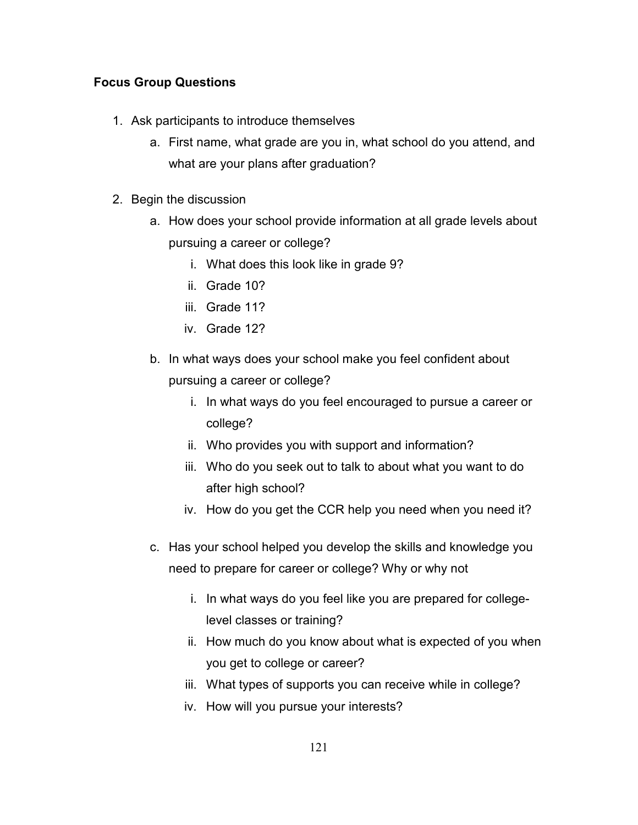## **Focus Group Questions**

- 1. Ask participants to introduce themselves
	- a. First name, what grade are you in, what school do you attend, and what are your plans after graduation?
- 2. Begin the discussion
	- a. How does your school provide information at all grade levels about pursuing a career or college?
		- i. What does this look like in grade 9?
		- ii. Grade 10?
		- iii. Grade 11?
		- iv. Grade 12?
	- b. In what ways does your school make you feel confident about pursuing a career or college?
		- i. In what ways do you feel encouraged to pursue a career or college?
		- ii. Who provides you with support and information?
		- iii. Who do you seek out to talk to about what you want to do after high school?
		- iv. How do you get the CCR help you need when you need it?
	- c. Has your school helped you develop the skills and knowledge you need to prepare for career or college? Why or why not
		- i. In what ways do you feel like you are prepared for collegelevel classes or training?
		- ii. How much do you know about what is expected of you when you get to college or career?
		- iii. What types of supports you can receive while in college?
		- iv. How will you pursue your interests?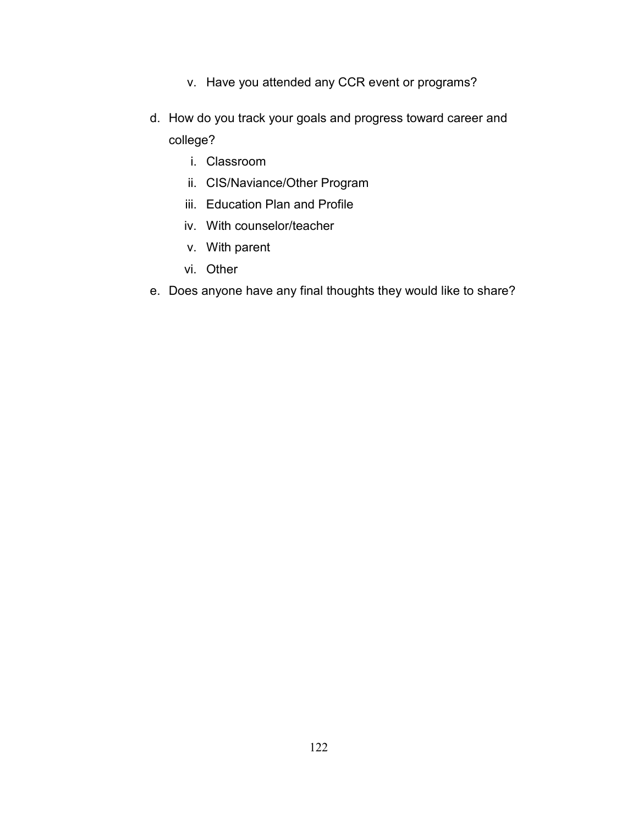- v. Have you attended any CCR event or programs?
- d. How do you track your goals and progress toward career and college?
	- i. Classroom
	- ii. CIS/Naviance/Other Program
	- iii. Education Plan and Profile
	- iv. With counselor/teacher
	- v. With parent
	- vi. Other
- e. Does anyone have any final thoughts they would like to share?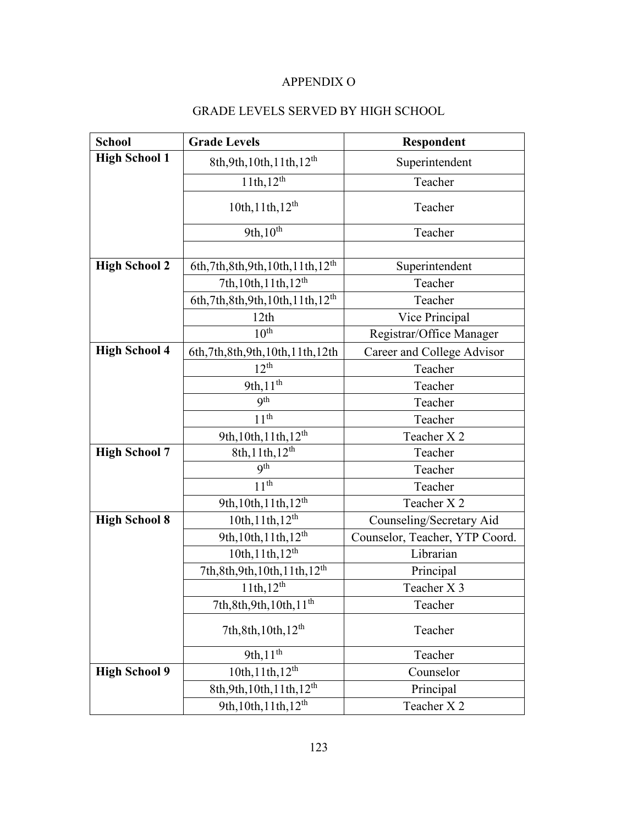## APPENDIX O

# GRADE LEVELS SERVED BY HIGH SCHOOL

| <b>School</b>        | <b>Grade Levels</b>                              | Respondent                     |
|----------------------|--------------------------------------------------|--------------------------------|
| <b>High School 1</b> | 8th, 9th, 10th, 11th, $12^{th}$                  | Superintendent                 |
|                      | $11th, 12^{th}$                                  | Teacher                        |
|                      | $10th, 11th, 12^{th}$                            | Teacher                        |
|                      | $9th,10^{th}$                                    | Teacher                        |
|                      |                                                  |                                |
| <b>High School 2</b> | 6th, 7th, 8th, 9th, 10th, 11th, 12 <sup>th</sup> | Superintendent                 |
|                      | 7th, 10th, 11th, 12 <sup>th</sup>                | Teacher                        |
|                      | 6th, 7th, 8th, 9th, 10th, 11th, 12 <sup>th</sup> | Teacher                        |
|                      | 12th                                             | Vice Principal                 |
|                      | 10 <sup>th</sup>                                 | Registrar/Office Manager       |
| <b>High School 4</b> | 6th, 7th, 8th, 9th, 10th, 11th, 12th             | Career and College Advisor     |
|                      | $12^{th}$                                        | Teacher                        |
|                      | 9th, 11 <sup>th</sup>                            | Teacher                        |
|                      | <b>9th</b>                                       | Teacher                        |
|                      | 11 <sup>th</sup>                                 | Teacher                        |
|                      | 9th, 10th, 11th, 12 <sup>th</sup>                | Teacher X 2                    |
| <b>High School 7</b> | $8th, 11th, 12^{th}$                             | Teacher                        |
|                      | <b>9th</b>                                       | Teacher                        |
|                      | 11 <sup>th</sup>                                 | Teacher                        |
|                      | 9th, $10th$ , $11th$ , $12th$                    | Teacher X 2                    |
| <b>High School 8</b> | 10th, 11th, 12 <sup>th</sup>                     | Counseling/Secretary Aid       |
|                      | 9th, 10th, 11th, 12 <sup>th</sup>                | Counselor, Teacher, YTP Coord. |
|                      | 10th, 11th, 12 <sup>th</sup>                     | Librarian                      |
|                      | 7th, 8th, 9th, 10th, 11th, 12 <sup>th</sup>      | Principal                      |
|                      | $11th, 12^{th}$                                  | Teacher X 3                    |
|                      | 7th, 8th, 9th, 10th, 11 <sup>th</sup>            | Teacher                        |
|                      | 7th, 8th, 10th, 12 <sup>th</sup>                 | Teacher                        |
|                      | 9th, $11^{th}$                                   | Teacher                        |
| <b>High School 9</b> | 10th, 11th, 12 <sup>th</sup>                     | Counselor                      |
|                      | 8th, 9th, 10th, 11th, 12 <sup>th</sup>           | Principal                      |
|                      | 9th, 10th, 11th, 12 <sup>th</sup>                | Teacher X 2                    |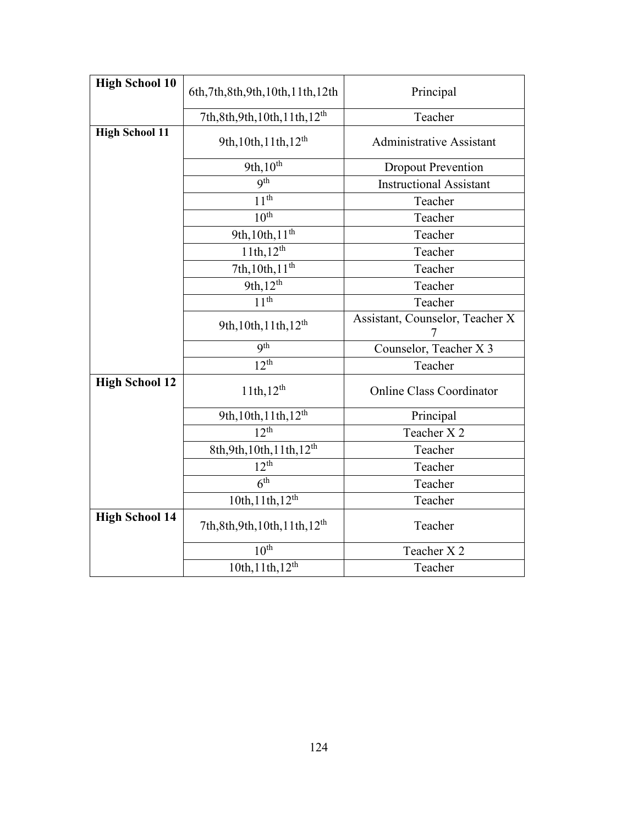| <b>High School 10</b> | 6th, 7th, 8th, 9th, 10th, 11th, 12th        | Principal                            |
|-----------------------|---------------------------------------------|--------------------------------------|
|                       |                                             |                                      |
|                       | 7th, 8th, 9th, 10th, 11th, 12 <sup>th</sup> | Teacher                              |
| <b>High School 11</b> | 9th, 10th, 11th, 12 <sup>th</sup>           | <b>Administrative Assistant</b>      |
|                       | $9th, 10^{th}$                              | <b>Dropout Prevention</b>            |
|                       | <b>gth</b>                                  | <b>Instructional Assistant</b>       |
|                       | $11^{\overline{th}}$                        | Teacher                              |
|                       | 10 <sup>th</sup>                            | Teacher                              |
|                       | 9th, 10th, 11 <sup>th</sup>                 | Teacher                              |
|                       | $11th, 12^{th}$                             | Teacher                              |
|                       | 7th, $10th$ , $11^{th}$                     | Teacher                              |
|                       | 9th, 12 <sup>th</sup>                       | Teacher                              |
|                       | 11 <sup>th</sup>                            | Teacher                              |
|                       | 9th, 10th, 11th, 12 <sup>th</sup>           | Assistant, Counselor, Teacher X<br>7 |
|                       | <b>gth</b>                                  | Counselor, Teacher X 3               |
|                       | 12 <sup>th</sup>                            | Teacher                              |
| <b>High School 12</b> | $11th, 12^{th}$                             | <b>Online Class Coordinator</b>      |
|                       | 9th, 10th, 11th, 12 <sup>th</sup>           | Principal                            |
|                       | $12^{th}$                                   | Teacher X 2                          |
|                       | 8th, 9th, 10th, 11th, 12 <sup>th</sup>      | Teacher                              |
|                       | $12^{th}$                                   | Teacher                              |
|                       | $\overline{6^{th}}$                         | Teacher                              |
|                       | $10th, 11th, 12^{th}$                       | Teacher                              |
| <b>High School 14</b> | 7th, 8th, 9th, 10th, 11th, 12 <sup>th</sup> | Teacher                              |
|                       | 10 <sup>th</sup>                            | Teacher X 2                          |
|                       | 10th, 11th, 12 <sup>th</sup>                | Teacher                              |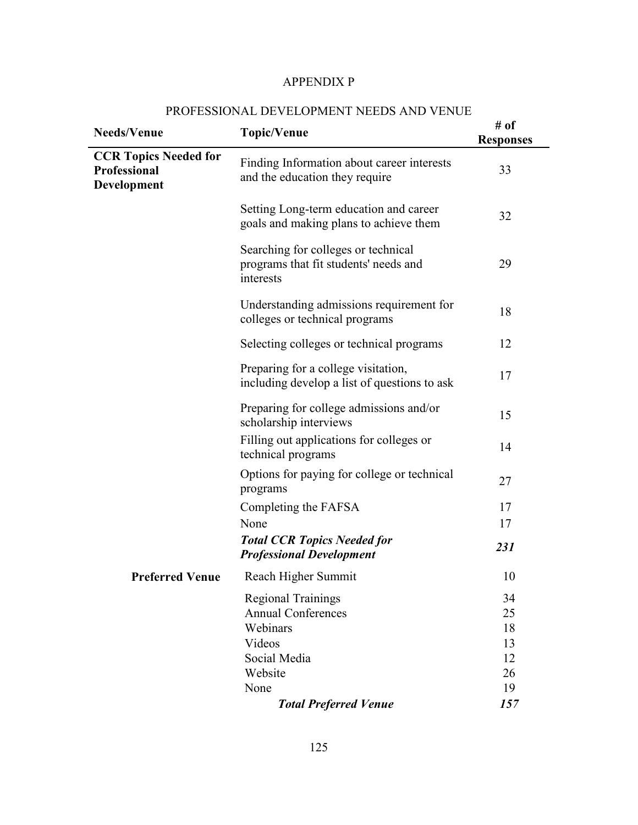#### APPENDIX P

# **Needs/Venue** *# of* **# of # p # of # of # of # of # of # of # of # of # of A #** of **Responses CCR Topics Needed for Professional Development**  Finding Information about career interests and the education they require 33 Setting Long-term education and career goals and making plans to achieve them 32 Searching for colleges or technical programs that fit students' needs and interests 29 Understanding admissions requirement for colleges or technical programs 18 Selecting colleges or technical programs 12 Preparing for a college visitation, Freparing for a college visitation,<br>including develop a list of questions to ask 17 Preparing for college admissions and/or scholarship interviews 15 Filling out applications for colleges or Thing out applications for conceges of 14<br>technical programs 14 Options for paying for college or technical programs 27 Completing the FAFSA 17 None 17 *Total CCR Topics Needed for Professional Development <sup>231</sup>*

#### PROFESSIONAL DEVELOPMENT NEEDS AND VENUE

|                 | <b>Professional Development</b> | <i>431</i> |
|-----------------|---------------------------------|------------|
| Preferred Venue | Reach Higher Summit             | 10         |
|                 | <b>Regional Trainings</b>       | 34         |
|                 | <b>Annual Conferences</b>       | 25         |
|                 | Webinars                        | 18         |
|                 | Videos                          | 13         |
|                 | Social Media                    | 12         |
|                 | Website                         | 26         |
|                 | None                            | 19         |
|                 | <b>Total Preferred Venue</b>    | 157        |
|                 |                                 |            |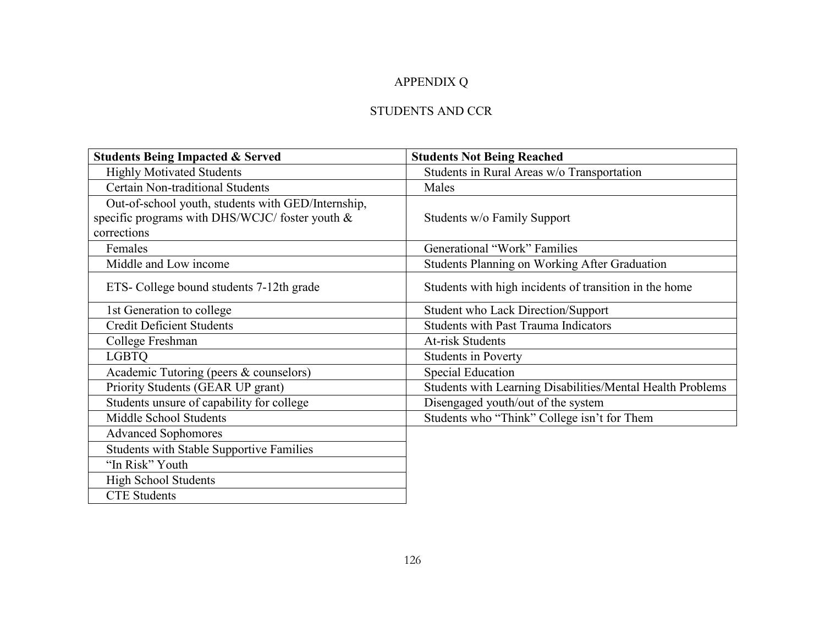# APPENDIX Q

# STUDENTS AND CCR

| <b>Students Being Impacted &amp; Served</b>        | <b>Students Not Being Reached</b>                          |
|----------------------------------------------------|------------------------------------------------------------|
| <b>Highly Motivated Students</b>                   | Students in Rural Areas w/o Transportation                 |
| Certain Non-traditional Students                   | Males                                                      |
| Out-of-school youth, students with GED/Internship, |                                                            |
| specific programs with DHS/WCJC/ foster youth &    | Students w/o Family Support                                |
| corrections                                        |                                                            |
| Females                                            | Generational "Work" Families                               |
| Middle and Low income                              | <b>Students Planning on Working After Graduation</b>       |
| ETS- College bound students 7-12th grade           | Students with high incidents of transition in the home     |
| 1st Generation to college                          | <b>Student who Lack Direction/Support</b>                  |
| <b>Credit Deficient Students</b>                   | <b>Students with Past Trauma Indicators</b>                |
| College Freshman                                   | <b>At-risk Students</b>                                    |
| <b>LGBTO</b>                                       | <b>Students in Poverty</b>                                 |
| Academic Tutoring (peers & counselors)             | <b>Special Education</b>                                   |
| Priority Students (GEAR UP grant)                  | Students with Learning Disabilities/Mental Health Problems |
| Students unsure of capability for college          | Disengaged youth/out of the system                         |
| Middle School Students                             | Students who "Think" College isn't for Them                |
| <b>Advanced Sophomores</b>                         |                                                            |
| <b>Students with Stable Supportive Families</b>    |                                                            |
| "In Risk" Youth                                    |                                                            |
| <b>High School Students</b>                        |                                                            |
| <b>CTE Students</b>                                |                                                            |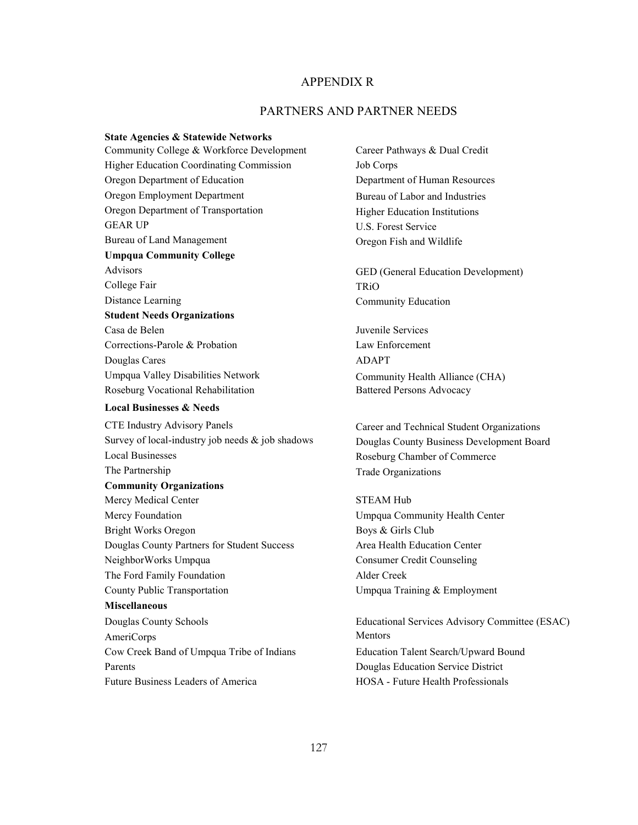## APPENDIX R

## PARTNERS AND PARTNER NEEDS

**State Agencies & Statewide Networks**  Community College & Workforce Development Career Pathways & Dual Credit Higher Education Coordinating Commission Job Corps Oregon Department of Education Department of Human Resources Oregon Employment Department Bureau of Labor and Industries Oregon Department of Transportation Higher Education Institutions GEAR UP U.S. Forest Service Bureau of Land Management Oregon Fish and Wildlife **Umpqua Community College**  Advisors GED (General Education Development) College Fair TRiO Distance Learning Community Education **Student Needs Organizations**  Casa de Belen Juvenile Services Corrections-Parole & Probation Law Enforcement Douglas Cares ADAPT Umpqua Valley Disabilities Network Community Health Alliance (CHA) Roseburg Vocational Rehabilitation Battered Persons Advocacy

## **Local Businesses & Needs**

CTE Industry Advisory Panels Career and Technical Student Organizations Survey of local-industry job needs & job shadows Douglas County Business Development Board Local Businesses Roseburg Chamber of Commerce The Partnership Trade Organizations **Community Organizations**  Mercy Medical Center STEAM Hub Mercy Foundation **Mercy Foundation** Umpqua Community Health Center Bright Works Oregon Boys & Girls Club Douglas County Partners for Student Success Area Health Education Center NeighborWorks Umpqua Consumer Credit Counseling The Ford Family Foundation Alder Creek County Public Transportation Umpqua Training & Employment **Miscellaneous**  AmeriCorps Mentors Cow Creek Band of Umpqua Tribe of Indians Education Talent Search/Upward Bound Parents **Parents** Douglas Education Service District Future Business Leaders of America 
HOSA - Future Health Professionals

Douglas County Schools Educational Services Advisory Committee (ESAC)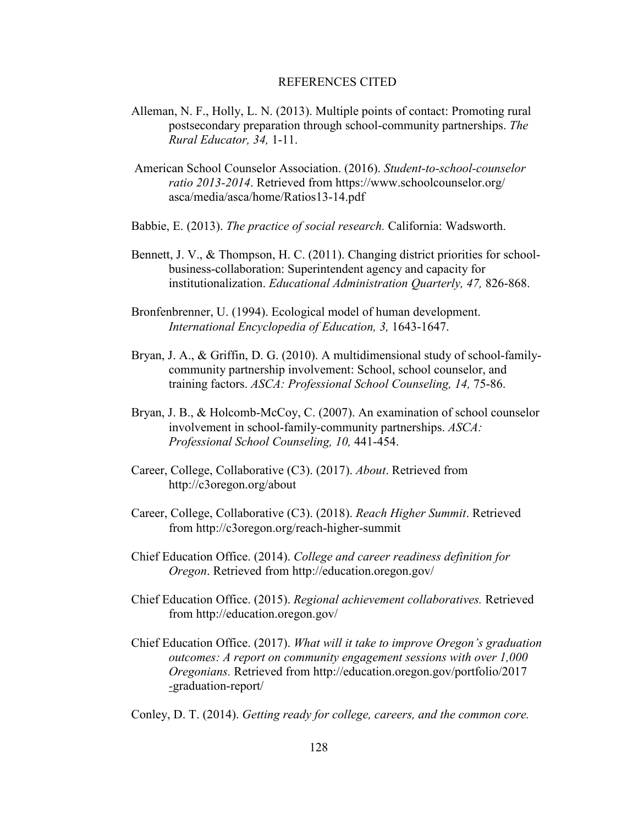## REFERENCES CITED

- Alleman, N. F., Holly, L. N. (2013). Multiple points of contact: Promoting rural postsecondary preparation through school-community partnerships. *The Rural Educator, 34,* 1-11.
- American School Counselor Association. (2016). *Student-to-school-counselor ratio 2013-2014*. Retrieved from https://www.schoolcounselor.org/ asca/media/asca/home/Ratios13-14.pdf
- Babbie, E. (2013). *The practice of social research.* California: Wadsworth.
- Bennett, J. V., & Thompson, H. C. (2011). Changing district priorities for schoolbusiness-collaboration: Superintendent agency and capacity for institutionalization. *Educational Administration Quarterly, 47,* 826-868.
- Bronfenbrenner, U. (1994). Ecological model of human development. *International Encyclopedia of Education, 3,* 1643-1647.
- Bryan, J. A., & Griffin, D. G. (2010). A multidimensional study of school-familycommunity partnership involvement: School, school counselor, and training factors. *ASCA: Professional School Counseling, 14,* 75-86.
- Bryan, J. B., & Holcomb-McCoy, C. (2007). An examination of school counselor involvement in school-family-community partnerships. *ASCA: Professional School Counseling, 10,* 441-454.
- Career, College, Collaborative (C3). (2017). *About*. Retrieved from http://c3oregon.org/about
- Career, College, Collaborative (C3). (2018). *Reach Higher Summit*. Retrieved from http://c3oregon.org/reach-higher-summit
- Chief Education Office. (2014). *College and career readiness definition for Oregon*. Retrieved from http://education.oregon.gov/
- Chief Education Office. (2015). *Regional achievement collaboratives.* Retrieved from http://education.oregon.gov/
- Chief Education Office. (2017). *What will it take to improve Oregon's graduation outcomes: A report on community engagement sessions with over 1,000 Oregonians.* Retrieved from http://education.oregon.gov/portfolio/2017 *-*graduation-report/
- Conley, D. T. (2014). *Getting ready for college, careers, and the common core.*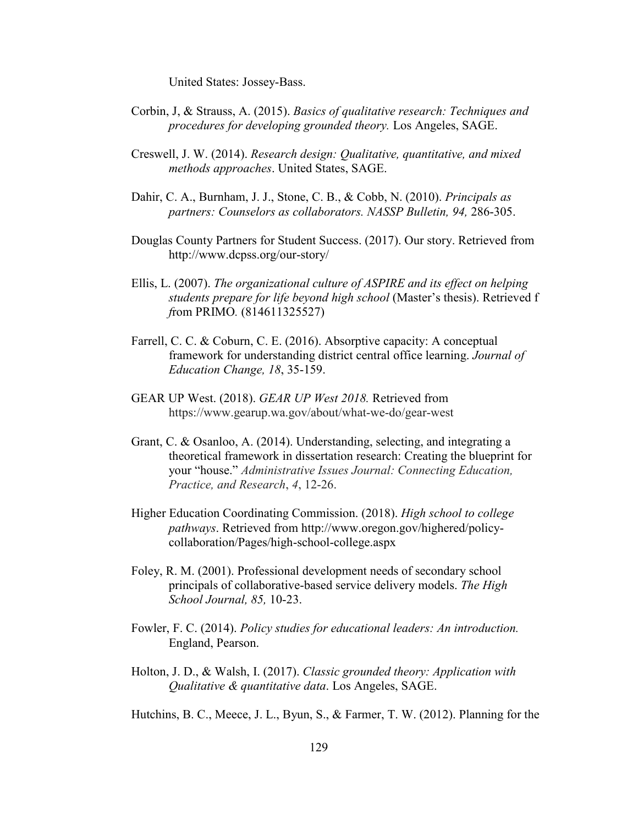United States: Jossey-Bass.

- Corbin, J, & Strauss, A. (2015). *Basics of qualitative research: Techniques and procedures for developing grounded theory.* Los Angeles, SAGE.
- Creswell, J. W. (2014). *Research design: Qualitative, quantitative, and mixed methods approaches*. United States, SAGE.
- Dahir, C. A., Burnham, J. J., Stone, C. B., & Cobb, N. (2010). *Principals as partners: Counselors as collaborators. NASSP Bulletin, 94,* 286-305.
- Douglas County Partners for Student Success. (2017). Our story. Retrieved from http://www.dcpss.org/our-story/
- Ellis, L. (2007). *The organizational culture of ASPIRE and its effect on helping students prepare for life beyond high school* (Master's thesis). Retrieved f *f*rom PRIMO*.* (814611325527)
- Farrell, C. C. & Coburn, C. E. (2016). Absorptive capacity: A conceptual framework for understanding district central office learning. *Journal of Education Change, 18*, 35-159.
- GEAR UP West. (2018). *GEAR UP West 2018.* Retrieved from https://www.gearup.wa.gov/about/what-we-do/gear-west
- Grant, C. & Osanloo, A. (2014). Understanding, selecting, and integrating a theoretical framework in dissertation research: Creating the blueprint for your "house." *Administrative Issues Journal: Connecting Education, Practice, and Research*, *4*, 12-26.
- Higher Education Coordinating Commission. (2018). *High school to college pathways*. Retrieved from http://www.oregon.gov/highered/policycollaboration/Pages/high-school-college.aspx
- Foley, R. M. (2001). Professional development needs of secondary school principals of collaborative-based service delivery models. *The High School Journal, 85,* 10-23.
- Fowler, F. C. (2014). *Policy studies for educational leaders: An introduction.* England, Pearson.
- Holton, J. D., & Walsh, I. (2017). *Classic grounded theory: Application with Qualitative & quantitative data*. Los Angeles, SAGE.
- Hutchins, B. C., Meece, J. L., Byun, S., & Farmer, T. W. (2012). Planning for the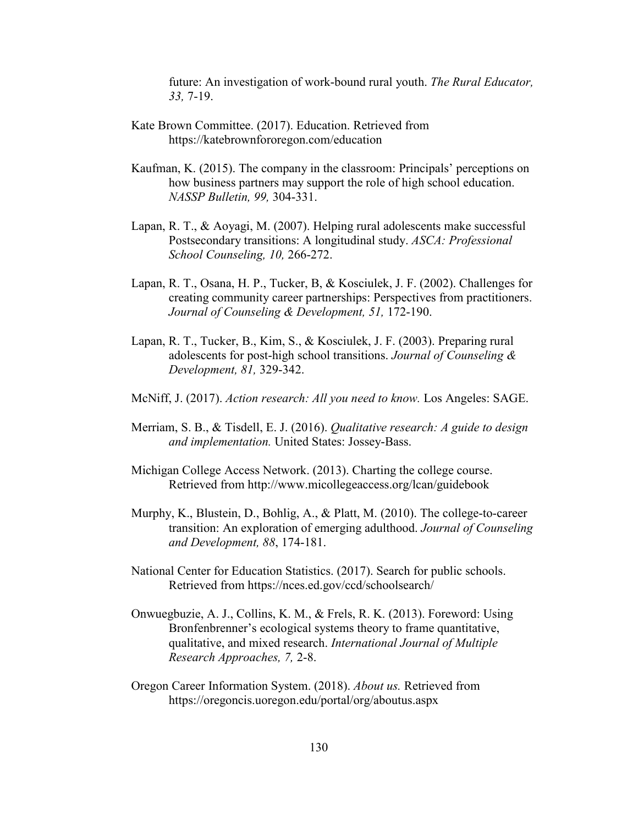future: An investigation of work-bound rural youth. *The Rural Educator, 33,* 7-19.

- Kate Brown Committee. (2017). Education. Retrieved from https://katebrownfororegon.com/education
- Kaufman, K. (2015). The company in the classroom: Principals' perceptions on how business partners may support the role of high school education. *NASSP Bulletin, 99,* 304-331.
- Lapan, R. T., & Aoyagi, M. (2007). Helping rural adolescents make successful Postsecondary transitions: A longitudinal study. *ASCA: Professional School Counseling, 10,* 266-272.
- Lapan, R. T., Osana, H. P., Tucker, B, & Kosciulek, J. F. (2002). Challenges for creating community career partnerships: Perspectives from practitioners. *Journal of Counseling & Development, 51,* 172-190.
- Lapan, R. T., Tucker, B., Kim, S., & Kosciulek, J. F. (2003). Preparing rural adolescents for post-high school transitions. *Journal of Counseling & Development, 81,* 329-342.
- McNiff, J. (2017). *Action research: All you need to know.* Los Angeles: SAGE.
- Merriam, S. B., & Tisdell, E. J. (2016). *Qualitative research: A guide to design and implementation.* United States: Jossey-Bass.
- Michigan College Access Network. (2013). Charting the college course. Retrieved from http://www.micollegeaccess.org/lcan/guidebook
- Murphy, K., Blustein, D., Bohlig, A., & Platt, M. (2010). The college-to-career transition: An exploration of emerging adulthood. *Journal of Counseling and Development, 88*, 174-181.
- National Center for Education Statistics. (2017). Search for public schools. Retrieved from https://nces.ed.gov/ccd/schoolsearch/
- Onwuegbuzie, A. J., Collins, K. M., & Frels, R. K. (2013). Foreword: Using Bronfenbrenner's ecological systems theory to frame quantitative, qualitative, and mixed research. *International Journal of Multiple Research Approaches, 7,* 2-8.
- Oregon Career Information System. (2018). *About us.* Retrieved from https://oregoncis.uoregon.edu/portal/org/aboutus.aspx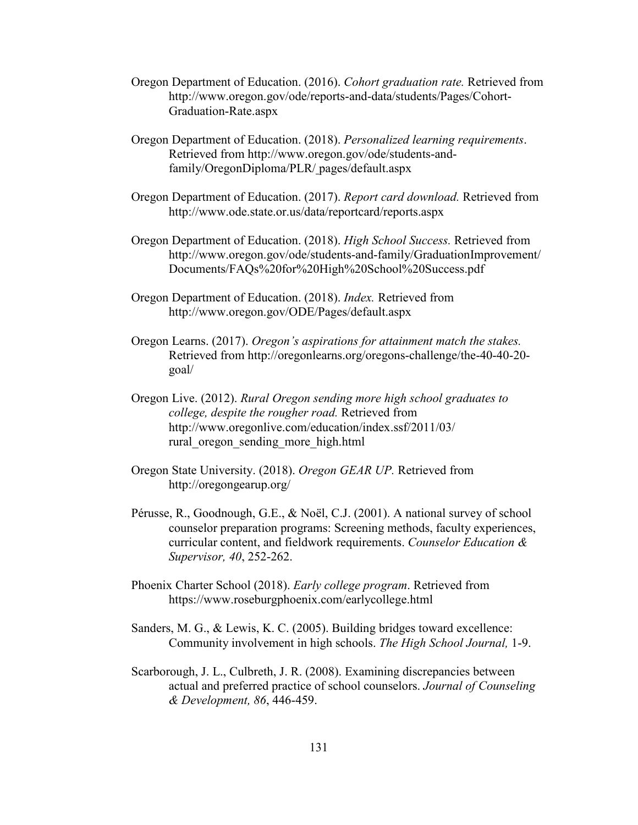- Oregon Department of Education. (2016). *Cohort graduation rate.* Retrieved from http://www.oregon.gov/ode/reports-and-data/students/Pages/Cohort-Graduation-Rate.aspx
- Oregon Department of Education. (2018). *Personalized learning requirements*. Retrieved from http://www.oregon.gov/ode/students-andfamily/OregonDiploma/PLR/ pages/default.aspx
- Oregon Department of Education. (2017). *Report card download.* Retrieved from http://www.ode.state.or.us/data/reportcard/reports.aspx
- Oregon Department of Education. (2018). *High School Success.* Retrieved from http://www.oregon.gov/ode/students-and-family/GraduationImprovement/ Documents/FAQs%20for%20High%20School%20Success.pdf
- Oregon Department of Education. (2018). *Index.* Retrieved from http://www.oregon.gov/ODE/Pages/default.aspx
- Oregon Learns. (2017). *Oregon's aspirations for attainment match the stakes.* Retrieved from http://oregonlearns.org/oregons-challenge/the-40-40-20 goal/
- Oregon Live. (2012). *Rural Oregon sending more high school graduates to college, despite the rougher road.* Retrieved from http://www.oregonlive.com/education/index.ssf/2011/03/ rural\_oregon\_sending\_more\_high.html
- Oregon State University. (2018). *Oregon GEAR UP.* Retrieved from http://oregongearup.org/
- Pérusse, R., Goodnough, G.E., & Noël, C.J. (2001). A national survey of school counselor preparation programs: Screening methods, faculty experiences, curricular content, and fieldwork requirements. *Counselor Education & Supervisor, 40*, 252-262.
- Phoenix Charter School (2018). *Early college program*. Retrieved from https://www.roseburgphoenix.com/earlycollege.html
- Sanders, M. G., & Lewis, K. C. (2005). Building bridges toward excellence: Community involvement in high schools. *The High School Journal,* 1-9.
- Scarborough, J. L., Culbreth, J. R. (2008). Examining discrepancies between actual and preferred practice of school counselors. *Journal of Counseling & Development, 86*, 446-459.